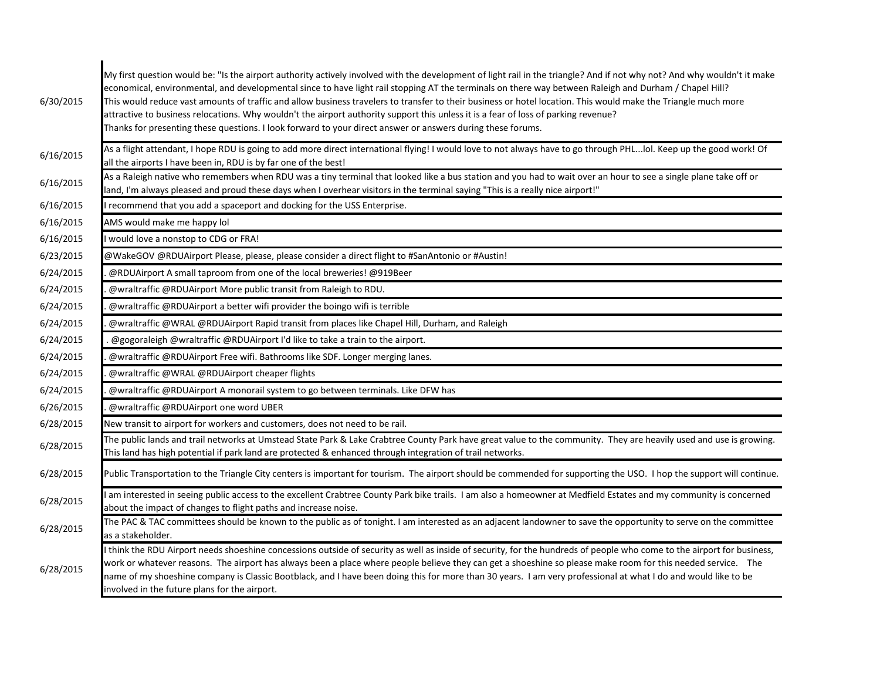| 6/30/2015 | My first question would be: "Is the airport authority actively involved with the development of light rail in the triangle? And if not why not? And why wouldn't it make<br>economical, environmental, and developmental since to have light rail stopping AT the terminals on there way between Raleigh and Durham / Chapel Hill?<br>This would reduce vast amounts of traffic and allow business travelers to transfer to their business or hotel location. This would make the Triangle much more<br>attractive to business relocations. Why wouldn't the airport authority support this unless it is a fear of loss of parking revenue?<br>Thanks for presenting these questions. I look forward to your direct answer or answers during these forums. |
|-----------|------------------------------------------------------------------------------------------------------------------------------------------------------------------------------------------------------------------------------------------------------------------------------------------------------------------------------------------------------------------------------------------------------------------------------------------------------------------------------------------------------------------------------------------------------------------------------------------------------------------------------------------------------------------------------------------------------------------------------------------------------------|
| 6/16/2015 | As a flight attendant, I hope RDU is going to add more direct international flying! I would love to not always have to go through PHLlol. Keep up the good work! Of<br>all the airports I have been in, RDU is by far one of the best!                                                                                                                                                                                                                                                                                                                                                                                                                                                                                                                     |
| 6/16/2015 | As a Raleigh native who remembers when RDU was a tiny terminal that looked like a bus station and you had to wait over an hour to see a single plane take off or<br>land, I'm always pleased and proud these days when I overhear visitors in the terminal saying "This is a really nice airport!"                                                                                                                                                                                                                                                                                                                                                                                                                                                         |
| 6/16/2015 | recommend that you add a spaceport and docking for the USS Enterprise.                                                                                                                                                                                                                                                                                                                                                                                                                                                                                                                                                                                                                                                                                     |
| 6/16/2015 | AMS would make me happy lol                                                                                                                                                                                                                                                                                                                                                                                                                                                                                                                                                                                                                                                                                                                                |
| 6/16/2015 | would love a nonstop to CDG or FRA!                                                                                                                                                                                                                                                                                                                                                                                                                                                                                                                                                                                                                                                                                                                        |
| 6/23/2015 | @WakeGOV @RDUAirport Please, please, please consider a direct flight to #SanAntonio or #Austin!                                                                                                                                                                                                                                                                                                                                                                                                                                                                                                                                                                                                                                                            |
| 6/24/2015 | @RDUAirport A small taproom from one of the local breweries! @919Beer                                                                                                                                                                                                                                                                                                                                                                                                                                                                                                                                                                                                                                                                                      |
| 6/24/2015 | @wraltraffic @RDUAirport More public transit from Raleigh to RDU.                                                                                                                                                                                                                                                                                                                                                                                                                                                                                                                                                                                                                                                                                          |
| 6/24/2015 | @wraltraffic @RDUAirport a better wifi provider the boingo wifi is terrible                                                                                                                                                                                                                                                                                                                                                                                                                                                                                                                                                                                                                                                                                |
| 6/24/2015 | @wraltraffic @WRAL @RDUAirport Rapid transit from places like Chapel Hill, Durham, and Raleigh                                                                                                                                                                                                                                                                                                                                                                                                                                                                                                                                                                                                                                                             |
| 6/24/2015 | @gogoraleigh @wraltraffic @RDUAirport I'd like to take a train to the airport.                                                                                                                                                                                                                                                                                                                                                                                                                                                                                                                                                                                                                                                                             |
| 6/24/2015 | @wraltraffic @RDUAirport Free wifi. Bathrooms like SDF. Longer merging lanes.                                                                                                                                                                                                                                                                                                                                                                                                                                                                                                                                                                                                                                                                              |
| 6/24/2015 | @wraltraffic @WRAL @RDUAirport cheaper flights                                                                                                                                                                                                                                                                                                                                                                                                                                                                                                                                                                                                                                                                                                             |
| 6/24/2015 | @wraltraffic @RDUAirport A monorail system to go between terminals. Like DFW has                                                                                                                                                                                                                                                                                                                                                                                                                                                                                                                                                                                                                                                                           |
| 6/26/2015 | @wraltraffic @RDUAirport one word UBER                                                                                                                                                                                                                                                                                                                                                                                                                                                                                                                                                                                                                                                                                                                     |
| 6/28/2015 | New transit to airport for workers and customers, does not need to be rail.                                                                                                                                                                                                                                                                                                                                                                                                                                                                                                                                                                                                                                                                                |
| 6/28/2015 | The public lands and trail networks at Umstead State Park & Lake Crabtree County Park have great value to the community. They are heavily used and use is growing.<br>This land has high potential if park land are protected & enhanced through integration of trail networks.                                                                                                                                                                                                                                                                                                                                                                                                                                                                            |
| 6/28/2015 | Public Transportation to the Triangle City centers is important for tourism. The airport should be commended for supporting the USO. I hop the support will continue.                                                                                                                                                                                                                                                                                                                                                                                                                                                                                                                                                                                      |
| 6/28/2015 | am interested in seeing public access to the excellent Crabtree County Park bike trails. I am also a homeowner at Medfield Estates and my community is concerned<br>about the impact of changes to flight paths and increase noise.                                                                                                                                                                                                                                                                                                                                                                                                                                                                                                                        |
| 6/28/2015 | The PAC & TAC committees should be known to the public as of tonight. I am interested as an adjacent landowner to save the opportunity to serve on the committee<br>as a stakeholder.                                                                                                                                                                                                                                                                                                                                                                                                                                                                                                                                                                      |
| 6/28/2015 | I think the RDU Airport needs shoeshine concessions outside of security as well as inside of security, for the hundreds of people who come to the airport for business,<br>work or whatever reasons. The airport has always been a place where people believe they can get a shoeshine so please make room for this needed service. The<br>name of my shoeshine company is Classic Bootblack, and I have been doing this for more than 30 years. I am very professional at what I do and would like to be<br>involved in the future plans for the airport.                                                                                                                                                                                                 |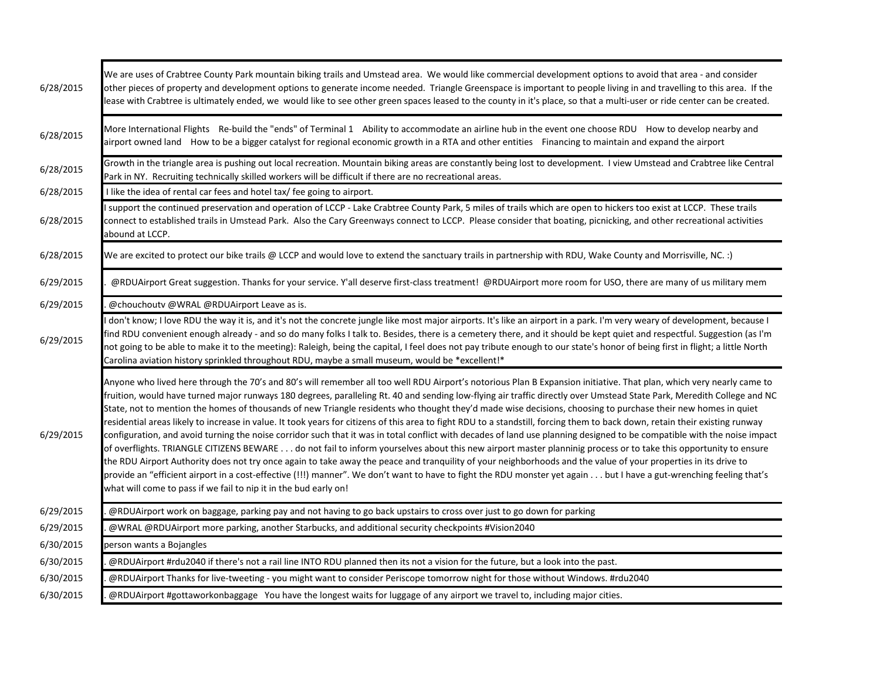| 6/28/2015 | We are uses of Crabtree County Park mountain biking trails and Umstead area. We would like commercial development options to avoid that area - and consider<br>other pieces of property and development options to generate income needed. Triangle Greenspace is important to people living in and travelling to this area. If the<br>lease with Crabtree is ultimately ended, we would like to see other green spaces leased to the county in it's place, so that a multi-user or ride center can be created.                                                                                                                                                                                                                                                                                                                                                                                                                                                                                                                                                                                                                                                                                                                                                                                                                                                                                                                                             |
|-----------|-------------------------------------------------------------------------------------------------------------------------------------------------------------------------------------------------------------------------------------------------------------------------------------------------------------------------------------------------------------------------------------------------------------------------------------------------------------------------------------------------------------------------------------------------------------------------------------------------------------------------------------------------------------------------------------------------------------------------------------------------------------------------------------------------------------------------------------------------------------------------------------------------------------------------------------------------------------------------------------------------------------------------------------------------------------------------------------------------------------------------------------------------------------------------------------------------------------------------------------------------------------------------------------------------------------------------------------------------------------------------------------------------------------------------------------------------------------|
| 6/28/2015 | More International Flights Re-build the "ends" of Terminal 1 Ability to accommodate an airline hub in the event one choose RDU How to develop nearby and<br>airport owned land How to be a bigger catalyst for regional economic growth in a RTA and other entities Financing to maintain and expand the airport                                                                                                                                                                                                                                                                                                                                                                                                                                                                                                                                                                                                                                                                                                                                                                                                                                                                                                                                                                                                                                                                                                                                            |
| 6/28/2015 | Growth in the triangle area is pushing out local recreation. Mountain biking areas are constantly being lost to development. I view Umstead and Crabtree like Central<br>Park in NY. Recruiting technically skilled workers will be difficult if there are no recreational areas.                                                                                                                                                                                                                                                                                                                                                                                                                                                                                                                                                                                                                                                                                                                                                                                                                                                                                                                                                                                                                                                                                                                                                                           |
| 6/28/2015 | I like the idea of rental car fees and hotel tax/ fee going to airport.                                                                                                                                                                                                                                                                                                                                                                                                                                                                                                                                                                                                                                                                                                                                                                                                                                                                                                                                                                                                                                                                                                                                                                                                                                                                                                                                                                                     |
| 6/28/2015 | support the continued preservation and operation of LCCP - Lake Crabtree County Park, 5 miles of trails which are open to hickers too exist at LCCP. These trails<br>connect to established trails in Umstead Park. Also the Cary Greenways connect to LCCP. Please consider that boating, picnicking, and other recreational activities<br>abound at LCCP.                                                                                                                                                                                                                                                                                                                                                                                                                                                                                                                                                                                                                                                                                                                                                                                                                                                                                                                                                                                                                                                                                                 |
| 6/28/2015 | (: .We are excited to protect our bike trails @ LCCP and would love to extend the sanctuary trails in partnership with RDU, Wake County and Morrisville, NC.                                                                                                                                                                                                                                                                                                                                                                                                                                                                                                                                                                                                                                                                                                                                                                                                                                                                                                                                                                                                                                                                                                                                                                                                                                                                                                |
| 6/29/2015 | @RDUAirport Great suggestion. Thanks for your service. Y'all deserve first-class treatment! @RDUAirport more room for USO, there are many of us military mem                                                                                                                                                                                                                                                                                                                                                                                                                                                                                                                                                                                                                                                                                                                                                                                                                                                                                                                                                                                                                                                                                                                                                                                                                                                                                                |
| 6/29/2015 | @chouchoutv @WRAL @RDUAirport Leave as is.                                                                                                                                                                                                                                                                                                                                                                                                                                                                                                                                                                                                                                                                                                                                                                                                                                                                                                                                                                                                                                                                                                                                                                                                                                                                                                                                                                                                                  |
| 6/29/2015 | don't know; I love RDU the way it is, and it's not the concrete jungle like most major airports. It's like an airport in a park. I'm very weary of development, because I<br>find RDU convenient enough already - and so do many folks I talk to. Besides, there is a cemetery there, and it should be kept quiet and respectful. Suggestion (as I'm<br>not going to be able to make it to the meeting): Raleigh, being the capital, I feel does not pay tribute enough to our state's honor of being first in flight; a little North<br>Carolina aviation history sprinkled throughout RDU, maybe a small museum, would be *excellent!*                                                                                                                                                                                                                                                                                                                                                                                                                                                                                                                                                                                                                                                                                                                                                                                                                    |
| 6/29/2015 | Anyone who lived here through the 70's and 80's will remember all too well RDU Airport's notorious Plan B Expansion initiative. That plan, which very nearly came to<br>fruition, would have turned major runways 180 degrees, paralleling Rt. 40 and sending low-flying air traffic directly over Umstead State Park, Meredith College and NC<br>State, not to mention the homes of thousands of new Triangle residents who thought they'd made wise decisions, choosing to purchase their new homes in quiet<br>residential areas likely to increase in value. It took years for citizens of this area to fight RDU to a standstill, forcing them to back down, retain their existing runway<br>configuration, and avoid turning the noise corridor such that it was in total conflict with decades of land use planning designed to be compatible with the noise impact<br>of overflights. TRIANGLE CITIZENS BEWARE do not fail to inform yourselves about this new airport master planninig process or to take this opportunity to ensure<br>the RDU Airport Authority does not try once again to take away the peace and tranquility of your neighborhoods and the value of your properties in its drive to<br>provide an "efficient airport in a cost-effective (!!!) manner". We don't want to have to fight the RDU monster yet again but I have a gut-wrenching feeling that's<br>what will come to pass if we fail to nip it in the bud early on! |
| 6/29/2015 | @RDUAirport work on baggage, parking pay and not having to go back upstairs to cross over just to go down for parking                                                                                                                                                                                                                                                                                                                                                                                                                                                                                                                                                                                                                                                                                                                                                                                                                                                                                                                                                                                                                                                                                                                                                                                                                                                                                                                                       |
| 6/29/2015 | @WRAL @RDUAirport more parking, another Starbucks, and additional security checkpoints #Vision2040                                                                                                                                                                                                                                                                                                                                                                                                                                                                                                                                                                                                                                                                                                                                                                                                                                                                                                                                                                                                                                                                                                                                                                                                                                                                                                                                                          |
| 6/30/2015 | person wants a Bojangles                                                                                                                                                                                                                                                                                                                                                                                                                                                                                                                                                                                                                                                                                                                                                                                                                                                                                                                                                                                                                                                                                                                                                                                                                                                                                                                                                                                                                                    |
| 6/30/2015 | @RDUAirport #rdu2040 if there's not a rail line INTO RDU planned then its not a vision for the future, but a look into the past.                                                                                                                                                                                                                                                                                                                                                                                                                                                                                                                                                                                                                                                                                                                                                                                                                                                                                                                                                                                                                                                                                                                                                                                                                                                                                                                            |
| 6/30/2015 | @RDUAirport Thanks for live-tweeting - you might want to consider Periscope tomorrow night for those without Windows. #rdu2040                                                                                                                                                                                                                                                                                                                                                                                                                                                                                                                                                                                                                                                                                                                                                                                                                                                                                                                                                                                                                                                                                                                                                                                                                                                                                                                              |
| 6/30/2015 | @RDUAirport #gottaworkonbaggage You have the longest waits for luggage of any airport we travel to, including major cities.                                                                                                                                                                                                                                                                                                                                                                                                                                                                                                                                                                                                                                                                                                                                                                                                                                                                                                                                                                                                                                                                                                                                                                                                                                                                                                                                 |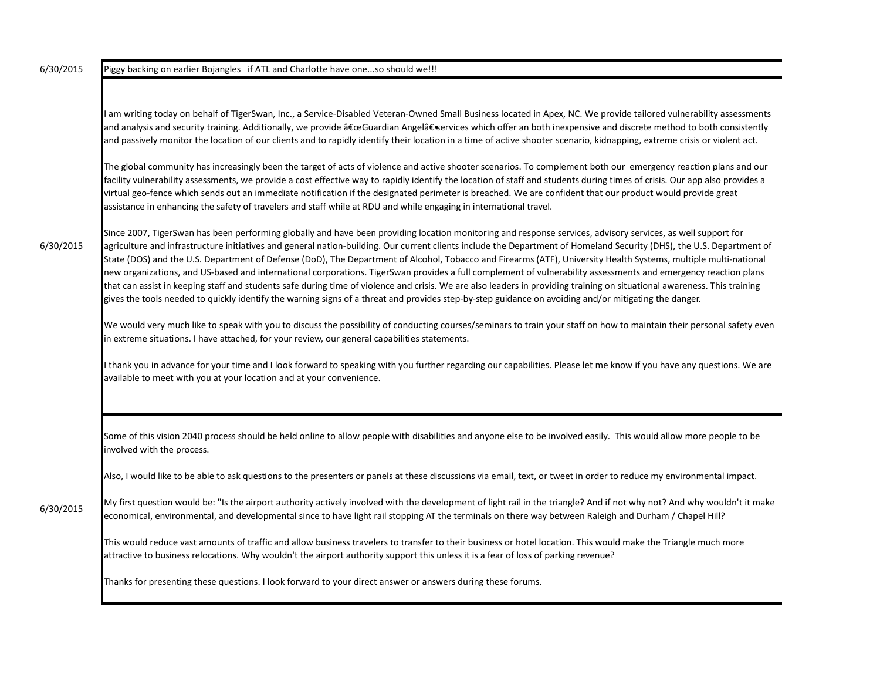6/30/2015

6/30/2015 Piggy backing on earlier Bojangles if ATL and Charlotte have one...so should we!!!

I am writing today on behalf of TigerSwan, Inc., a Service-Disabled Veteran-Owned Small Business located in Apex, NC. We provide tailored vulnerability assessments and analysis and security training. Additionally, we provide "Guardian Angel― services which offer an both inexpensive and discrete method to both consistently and passively monitor the location of our clients and to rapidly identify their location in a time of active shooter scenario, kidnapping, extreme crisis or violent act.

The global community has increasingly been the target of acts of violence and active shooter scenarios. To complement both our emergency reaction plans and our facility vulnerability assessments, we provide a cost effective way to rapidly identify the location of staff and students during times of crisis. Our app also provides a virtual geo-fence which sends out an immediate notification if the designated perimeter is breached. We are confident that our product would provide great assistance in enhancing the safety of travelers and staff while at RDU and while engaging in international travel.

Since 2007, TigerSwan has been performing globally and have been providing location monitoring and response services, advisory services, as well support for agriculture and infrastructure initiatives and general nation-building. Our current clients include the Department of Homeland Security (DHS), the U.S. Department of State (DOS) and the U.S. Department of Defense (DoD), The Department of Alcohol, Tobacco and Firearms (ATF), University Health Systems, multiple multi-national new organizations, and US-based and international corporations. TigerSwan provides a full complement of vulnerability assessments and emergency reaction plans that can assist in keeping staff and students safe during time of violence and crisis. We are also leaders in providing training on situational awareness. This training gives the tools needed to quickly identify the warning signs of a threat and provides step-by-step guidance on avoiding and/or mitigating the danger.

We would very much like to speak with you to discuss the possibility of conducting courses/seminars to train your staff on how to maintain their personal safety even in extreme situations. I have attached, for your review, our general capabilities statements.

I thank you in advance for your time and I look forward to speaking with you further regarding our capabilities. Please let me know if you have any questions. We are available to meet with you at your location and at your convenience.

Some of this vision 2040 process should be held online to allow people with disabilities and anyone else to be involved easily. This would allow more people to be involved with the process.

Also, I would like to be able to ask questions to the presenters or panels at these discussions via email, text, or tweet in order to reduce my environmental impact.

6/30/2015 My first question would be: "Is the airport authority actively involved with the development of light rail in the triangle? And if not why not? And why wouldn't it make economical, environmental, and developmental since to have light rail stopping AT the terminals on there way between Raleigh and Durham / Chapel Hill?

This would reduce vast amounts of traffic and allow business travelers to transfer to their business or hotel location. This would make the Triangle much more attractive to business relocations. Why wouldn't the airport authority support this unless it is a fear of loss of parking revenue?

Thanks for presenting these questions. I look forward to your direct answer or answers during these forums.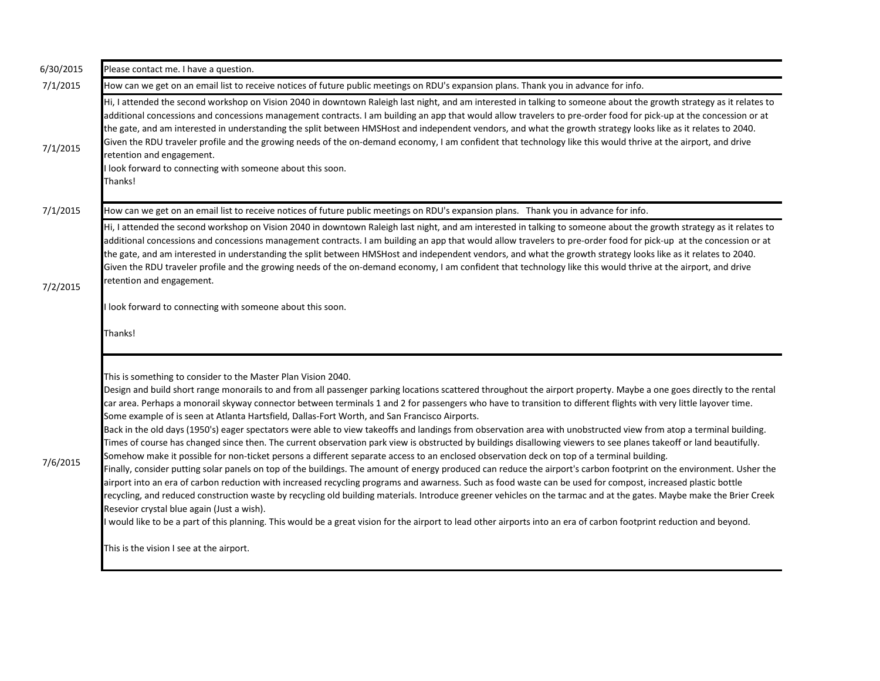| 6/30/2015 | Please contact me. I have a question.                                                                                                                                                                                                                                                                                                                                                                                                                                                                                                                                                                                                                                                                                                                                                                                                                                                                                                                                                                                                                                                                                                                                                                                                                                                                                                                                                                                                                                                                                                                                                                                                                                                                                                                                                     |
|-----------|-------------------------------------------------------------------------------------------------------------------------------------------------------------------------------------------------------------------------------------------------------------------------------------------------------------------------------------------------------------------------------------------------------------------------------------------------------------------------------------------------------------------------------------------------------------------------------------------------------------------------------------------------------------------------------------------------------------------------------------------------------------------------------------------------------------------------------------------------------------------------------------------------------------------------------------------------------------------------------------------------------------------------------------------------------------------------------------------------------------------------------------------------------------------------------------------------------------------------------------------------------------------------------------------------------------------------------------------------------------------------------------------------------------------------------------------------------------------------------------------------------------------------------------------------------------------------------------------------------------------------------------------------------------------------------------------------------------------------------------------------------------------------------------------|
| 7/1/2015  | How can we get on an email list to receive notices of future public meetings on RDU's expansion plans. Thank you in advance for info.                                                                                                                                                                                                                                                                                                                                                                                                                                                                                                                                                                                                                                                                                                                                                                                                                                                                                                                                                                                                                                                                                                                                                                                                                                                                                                                                                                                                                                                                                                                                                                                                                                                     |
| 7/1/2015  | Hi, I attended the second workshop on Vision 2040 in downtown Raleigh last night, and am interested in talking to someone about the growth strategy as it relates to<br>additional concessions and concessions management contracts. I am building an app that would allow travelers to pre-order food for pick-up at the concession or at<br>the gate, and am interested in understanding the split between HMSHost and independent vendors, and what the growth strategy looks like as it relates to 2040.<br>Given the RDU traveler profile and the growing needs of the on-demand economy, I am confident that technology like this would thrive at the airport, and drive<br>retention and engagement.<br>look forward to connecting with someone about this soon.<br>Thanks!                                                                                                                                                                                                                                                                                                                                                                                                                                                                                                                                                                                                                                                                                                                                                                                                                                                                                                                                                                                                        |
| 7/1/2015  | How can we get on an email list to receive notices of future public meetings on RDU's expansion plans. Thank you in advance for info.                                                                                                                                                                                                                                                                                                                                                                                                                                                                                                                                                                                                                                                                                                                                                                                                                                                                                                                                                                                                                                                                                                                                                                                                                                                                                                                                                                                                                                                                                                                                                                                                                                                     |
| 7/2/2015  | Hi, I attended the second workshop on Vision 2040 in downtown Raleigh last night, and am interested in talking to someone about the growth strategy as it relates to<br>additional concessions and concessions management contracts. I am building an app that would allow travelers to pre-order food for pick-up at the concession or at<br>the gate, and am interested in understanding the split between HMSHost and independent vendors, and what the growth strategy looks like as it relates to 2040.<br>Given the RDU traveler profile and the growing needs of the on-demand economy, I am confident that technology like this would thrive at the airport, and drive<br>retention and engagement.<br>I look forward to connecting with someone about this soon.<br>Thanks!                                                                                                                                                                                                                                                                                                                                                                                                                                                                                                                                                                                                                                                                                                                                                                                                                                                                                                                                                                                                      |
| 7/6/2015  | This is something to consider to the Master Plan Vision 2040.<br>Design and build short range monorails to and from all passenger parking locations scattered throughout the airport property. Maybe a one goes directly to the rental<br>car area. Perhaps a monorail skyway connector between terminals 1 and 2 for passengers who have to transition to different flights with very little layover time.<br>Some example of is seen at Atlanta Hartsfield, Dallas-Fort Worth, and San Francisco Airports.<br>Back in the old days (1950's) eager spectators were able to view takeoffs and landings from observation area with unobstructed view from atop a terminal building.<br>Times of course has changed since then. The current observation park view is obstructed by buildings disallowing viewers to see planes takeoff or land beautifully.<br>Somehow make it possible for non-ticket persons a different separate access to an enclosed observation deck on top of a terminal building.<br>Finally, consider putting solar panels on top of the buildings. The amount of energy produced can reduce the airport's carbon footprint on the environment. Usher the<br>airport into an era of carbon reduction with increased recycling programs and awarness. Such as food waste can be used for compost, increased plastic bottle<br>recycling, and reduced construction waste by recycling old building materials. Introduce greener vehicles on the tarmac and at the gates. Maybe make the Brier Creek<br>Resevior crystal blue again (Just a wish).<br>would like to be a part of this planning. This would be a great vision for the airport to lead other airports into an era of carbon footprint reduction and beyond.<br>This is the vision I see at the airport. |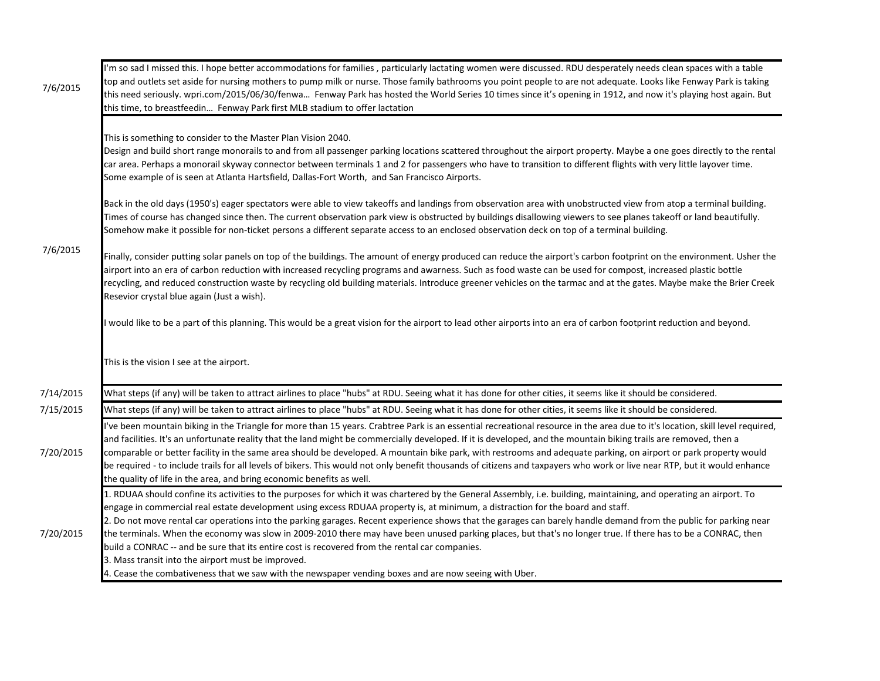| 7/6/2015  | I'm so sad I missed this. I hope better accommodations for families, particularly lactating women were discussed. RDU desperately needs clean spaces with a table<br>top and outlets set aside for nursing mothers to pump milk or nurse. Those family bathrooms you point people to are not adequate. Looks like Fenway Park is taking<br>this need seriously. wpri.com/2015/06/30/fenwa Fenway Park has hosted the World Series 10 times since it's opening in 1912, and now it's playing host again. But<br>this time, to breastfeedin Fenway Park first MLB stadium to offer lactation                                                                                                                                                                                  |
|-----------|-----------------------------------------------------------------------------------------------------------------------------------------------------------------------------------------------------------------------------------------------------------------------------------------------------------------------------------------------------------------------------------------------------------------------------------------------------------------------------------------------------------------------------------------------------------------------------------------------------------------------------------------------------------------------------------------------------------------------------------------------------------------------------|
|           | This is something to consider to the Master Plan Vision 2040.<br>Design and build short range monorails to and from all passenger parking locations scattered throughout the airport property. Maybe a one goes directly to the rental<br>car area. Perhaps a monorail skyway connector between terminals 1 and 2 for passengers who have to transition to different flights with very little layover time.<br>Some example of is seen at Atlanta Hartsfield, Dallas-Fort Worth, and San Francisco Airports.                                                                                                                                                                                                                                                                |
| 7/6/2015  | Back in the old days (1950's) eager spectators were able to view takeoffs and landings from observation area with unobstructed view from atop a terminal building.<br>Times of course has changed since then. The current observation park view is obstructed by buildings disallowing viewers to see planes takeoff or land beautifully.<br>Somehow make it possible for non-ticket persons a different separate access to an enclosed observation deck on top of a terminal building.                                                                                                                                                                                                                                                                                     |
|           | Finally, consider putting solar panels on top of the buildings. The amount of energy produced can reduce the airport's carbon footprint on the environment. Usher the<br>airport into an era of carbon reduction with increased recycling programs and awarness. Such as food waste can be used for compost, increased plastic bottle<br>recycling, and reduced construction waste by recycling old building materials. Introduce greener vehicles on the tarmac and at the gates. Maybe make the Brier Creek<br>Resevior crystal blue again (Just a wish).                                                                                                                                                                                                                 |
|           | would like to be a part of this planning. This would be a great vision for the airport to lead other airports into an era of carbon footprint reduction and beyond.                                                                                                                                                                                                                                                                                                                                                                                                                                                                                                                                                                                                         |
|           | This is the vision I see at the airport.                                                                                                                                                                                                                                                                                                                                                                                                                                                                                                                                                                                                                                                                                                                                    |
| 7/14/2015 | What steps (if any) will be taken to attract airlines to place "hubs" at RDU. Seeing what it has done for other cities, it seems like it should be considered.                                                                                                                                                                                                                                                                                                                                                                                                                                                                                                                                                                                                              |
| 7/15/2015 | What steps (if any) will be taken to attract airlines to place "hubs" at RDU. Seeing what it has done for other cities, it seems like it should be considered.                                                                                                                                                                                                                                                                                                                                                                                                                                                                                                                                                                                                              |
| 7/20/2015 | 've been mountain biking in the Triangle for more than 15 years. Crabtree Park is an essential recreational resource in the area due to it's location, skill level required,<br>and facilities. It's an unfortunate reality that the land might be commercially developed. If it is developed, and the mountain biking trails are removed, then a<br>comparable or better facility in the same area should be developed. A mountain bike park, with restrooms and adequate parking, on airport or park property would<br>be required - to include trails for all levels of bikers. This would not only benefit thousands of citizens and taxpayers who work or live near RTP, but it would enhance<br>the quality of life in the area, and bring economic benefits as well. |
| 7/20/2015 | 1. RDUAA should confine its activities to the purposes for which it was chartered by the General Assembly, i.e. building, maintaining, and operating an airport. To<br>engage in commercial real estate development using excess RDUAA property is, at minimum, a distraction for the board and staff.<br>2. Do not move rental car operations into the parking garages. Recent experience shows that the garages can barely handle demand from the public for parking near<br>the terminals. When the economy was slow in 2009-2010 there may have been unused parking places, but that's no longer true. If there has to be a CONRAC, then<br>build a CONRAC -- and be sure that its entire cost is recovered from the rental car companies.                              |
|           | 3. Mass transit into the airport must be improved.<br>4. Cease the combativeness that we saw with the newspaper vending boxes and are now seeing with Uber.                                                                                                                                                                                                                                                                                                                                                                                                                                                                                                                                                                                                                 |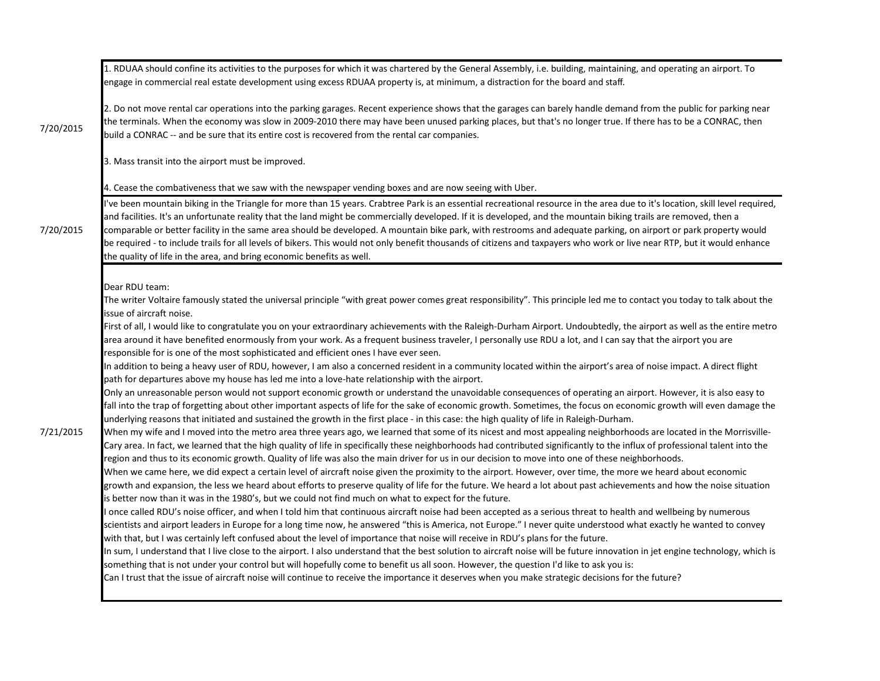|           | 1. RDUAA should confine its activities to the purposes for which it was chartered by the General Assembly, i.e. building, maintaining, and operating an airport. To<br>engage in commercial real estate development using excess RDUAA property is, at minimum, a distraction for the board and staff.                                                                                                                                                                                                                                                                                                                                                                                                                                                                                                                                                                                                                                                                                                                                                                                                                                                                                                                                                                                                                                                                                                                                                                                                                                                                                                                                                                                                                                                                                                                                                                                                                                                                                                                                                                                                                                                                                                                                                                                                                                                                                                                                                                                                                                                                                                                                                                                                                                                                                                                                                                                                                                                                                                                                                                                                                                                                                                                                                                                                                                           |
|-----------|--------------------------------------------------------------------------------------------------------------------------------------------------------------------------------------------------------------------------------------------------------------------------------------------------------------------------------------------------------------------------------------------------------------------------------------------------------------------------------------------------------------------------------------------------------------------------------------------------------------------------------------------------------------------------------------------------------------------------------------------------------------------------------------------------------------------------------------------------------------------------------------------------------------------------------------------------------------------------------------------------------------------------------------------------------------------------------------------------------------------------------------------------------------------------------------------------------------------------------------------------------------------------------------------------------------------------------------------------------------------------------------------------------------------------------------------------------------------------------------------------------------------------------------------------------------------------------------------------------------------------------------------------------------------------------------------------------------------------------------------------------------------------------------------------------------------------------------------------------------------------------------------------------------------------------------------------------------------------------------------------------------------------------------------------------------------------------------------------------------------------------------------------------------------------------------------------------------------------------------------------------------------------------------------------------------------------------------------------------------------------------------------------------------------------------------------------------------------------------------------------------------------------------------------------------------------------------------------------------------------------------------------------------------------------------------------------------------------------------------------------------------------------------------------------------------------------------------------------------------------------------------------------------------------------------------------------------------------------------------------------------------------------------------------------------------------------------------------------------------------------------------------------------------------------------------------------------------------------------------------------------------------------------------------------------------------------------------------------|
| 7/20/2015 | 2. Do not move rental car operations into the parking garages. Recent experience shows that the garages can barely handle demand from the public for parking near<br>the terminals. When the economy was slow in 2009-2010 there may have been unused parking places, but that's no longer true. If there has to be a CONRAC, then<br>build a CONRAC -- and be sure that its entire cost is recovered from the rental car companies.                                                                                                                                                                                                                                                                                                                                                                                                                                                                                                                                                                                                                                                                                                                                                                                                                                                                                                                                                                                                                                                                                                                                                                                                                                                                                                                                                                                                                                                                                                                                                                                                                                                                                                                                                                                                                                                                                                                                                                                                                                                                                                                                                                                                                                                                                                                                                                                                                                                                                                                                                                                                                                                                                                                                                                                                                                                                                                             |
|           | 3. Mass transit into the airport must be improved.                                                                                                                                                                                                                                                                                                                                                                                                                                                                                                                                                                                                                                                                                                                                                                                                                                                                                                                                                                                                                                                                                                                                                                                                                                                                                                                                                                                                                                                                                                                                                                                                                                                                                                                                                                                                                                                                                                                                                                                                                                                                                                                                                                                                                                                                                                                                                                                                                                                                                                                                                                                                                                                                                                                                                                                                                                                                                                                                                                                                                                                                                                                                                                                                                                                                                               |
|           | 4. Cease the combativeness that we saw with the newspaper vending boxes and are now seeing with Uber.                                                                                                                                                                                                                                                                                                                                                                                                                                                                                                                                                                                                                                                                                                                                                                                                                                                                                                                                                                                                                                                                                                                                                                                                                                                                                                                                                                                                                                                                                                                                                                                                                                                                                                                                                                                                                                                                                                                                                                                                                                                                                                                                                                                                                                                                                                                                                                                                                                                                                                                                                                                                                                                                                                                                                                                                                                                                                                                                                                                                                                                                                                                                                                                                                                            |
| 7/20/2015 | I've been mountain biking in the Triangle for more than 15 years. Crabtree Park is an essential recreational resource in the area due to it's location, skill level required,<br>and facilities. It's an unfortunate reality that the land might be commercially developed. If it is developed, and the mountain biking trails are removed, then a<br>comparable or better facility in the same area should be developed. A mountain bike park, with restrooms and adequate parking, on airport or park property would<br>be required - to include trails for all levels of bikers. This would not only benefit thousands of citizens and taxpayers who work or live near RTP, but it would enhance<br>the quality of life in the area, and bring economic benefits as well.                                                                                                                                                                                                                                                                                                                                                                                                                                                                                                                                                                                                                                                                                                                                                                                                                                                                                                                                                                                                                                                                                                                                                                                                                                                                                                                                                                                                                                                                                                                                                                                                                                                                                                                                                                                                                                                                                                                                                                                                                                                                                                                                                                                                                                                                                                                                                                                                                                                                                                                                                                     |
| 7/21/2015 | Dear RDU team:<br>The writer Voltaire famously stated the universal principle "with great power comes great responsibility". This principle led me to contact you today to talk about the<br>issue of aircraft noise.<br>First of all, I would like to congratulate you on your extraordinary achievements with the Raleigh-Durham Airport. Undoubtedly, the airport as well as the entire metro<br>area around it have benefited enormously from your work. As a frequent business traveler, I personally use RDU a lot, and I can say that the airport you are<br>responsible for is one of the most sophisticated and efficient ones I have ever seen.<br>In addition to being a heavy user of RDU, however, I am also a concerned resident in a community located within the airport's area of noise impact. A direct flight<br>path for departures above my house has led me into a love-hate relationship with the airport.<br>Only an unreasonable person would not support economic growth or understand the unavoidable consequences of operating an airport. However, it is also easy to<br>fall into the trap of forgetting about other important aspects of life for the sake of economic growth. Sometimes, the focus on economic growth will even damage the<br>underlying reasons that initiated and sustained the growth in the first place - in this case: the high quality of life in Raleigh-Durham.<br>When my wife and I moved into the metro area three years ago, we learned that some of its nicest and most appealing neighborhoods are located in the Morrisville-<br>Cary area. In fact, we learned that the high quality of life in specifically these neighborhoods had contributed significantly to the influx of professional talent into the<br>region and thus to its economic growth. Quality of life was also the main driver for us in our decision to move into one of these neighborhoods.<br>When we came here, we did expect a certain level of aircraft noise given the proximity to the airport. However, over time, the more we heard about economic<br>growth and expansion, the less we heard about efforts to preserve quality of life for the future. We heard a lot about past achievements and how the noise situation<br>is better now than it was in the 1980's, but we could not find much on what to expect for the future.<br>I once called RDU's noise officer, and when I told him that continuous aircraft noise had been accepted as a serious threat to health and wellbeing by numerous<br>scientists and airport leaders in Europe for a long time now, he answered "this is America, not Europe." I never quite understood what exactly he wanted to convey<br>with that, but I was certainly left confused about the level of importance that noise will receive in RDU's plans for the future.<br>In sum, I understand that I live close to the airport. I also understand that the best solution to aircraft noise will be future innovation in jet engine technology, which is<br>something that is not under your control but will hopefully come to benefit us all soon. However, the question I'd like to ask you is:<br>Can I trust that the issue of aircraft noise will continue to receive the importance it deserves when you make strategic decisions for the future? |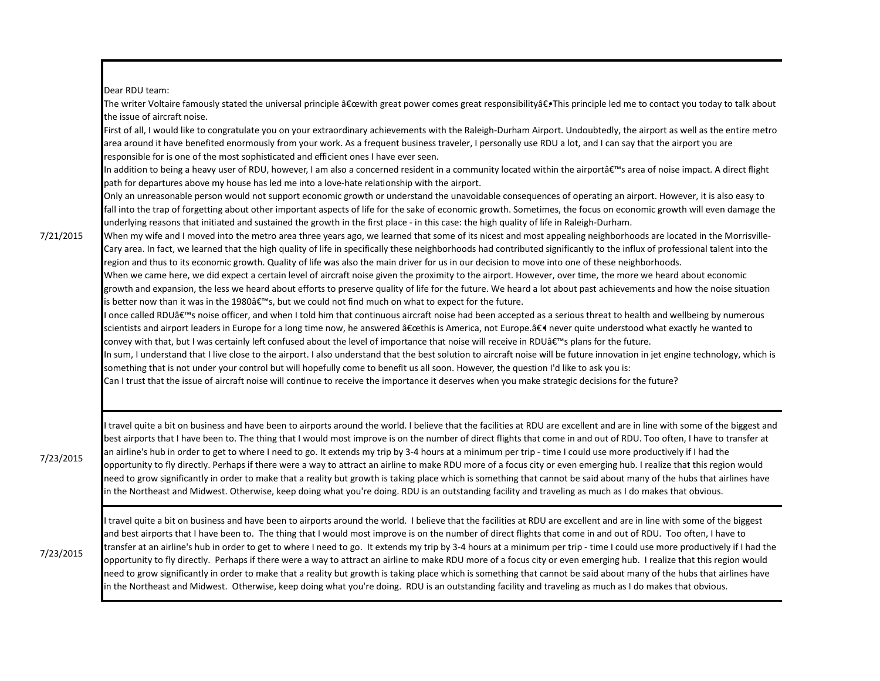Dear RDU team:

The writer Voltaire famously stated the universal principle "with great power comes great responsibility―This principle led me to contact you today to talk about the issue of aircraft noise.

First of all, I would like to congratulate you on your extraordinary achievements with the Raleigh-Durham Airport. Undoubtedly, the airport as well as the entire metro area around it have benefited enormously from your work. As a frequent business traveler, I personally use RDU a lot, and I can say that the airport you are responsible for is one of the most sophisticated and efficient ones I have ever seen.

In addition to being a heavy user of RDU, however, I am also a concerned resident in a community located within the airportâ€<sup>™</sup>s area of noise impact. A direct flight path for departures above my house has led me into a love-hate relationship with the airport.

Only an unreasonable person would not support economic growth or understand the unavoidable consequences of operating an airport. However, it is also easy to fall into the trap of forgetting about other important aspects of life for the sake of economic growth. Sometimes, the focus on economic growth will even damage the underlying reasons that initiated and sustained the growth in the first place - in this case: the high quality of life in Raleigh-Durham.

7/21/2015

When my wife and I moved into the metro area three years ago, we learned that some of its nicest and most appealing neighborhoods are located in the Morrisville-Cary area. In fact, we learned that the high quality of life in specifically these neighborhoods had contributed significantly to the influx of professional talent into the region and thus to its economic growth. Quality of life was also the main driver for us in our decision to move into one of these neighborhoods.

When we came here, we did expect a certain level of aircraft noise given the proximity to the airport. However, over time, the more we heard about economic growth and expansion, the less we heard about efforts to preserve quality of life for the future. We heard a lot about past achievements and how the noise situation is better now than it was in the 1980's, but we could not find much on what to expect for the future.

I once called RDU's noise officer, and when I told him that continuous aircraft noise had been accepted as a serious threat to health and wellbeing by numerous scientists and airport leaders in Europe for a long time now, he answered "this is America, not Europe.― never quite understood what exactly he wanted to convey with that, but I was certainly left confused about the level of importance that noise will receive in RDU's plans for the future.

In sum, I understand that I live close to the airport. I also understand that the best solution to aircraft noise will be future innovation in jet engine technology, which is something that is not under your control but will hopefully come to benefit us all soon. However, the question I'd like to ask you is:

Can I trust that the issue of aircraft noise will continue to receive the importance it deserves when you make strategic decisions for the future?

7/23/2015

I travel quite a bit on business and have been to airports around the world. I believe that the facilities at RDU are excellent and are in line with some of the biggest and best airports that I have been to. The thing that I would most improve is on the number of direct flights that come in and out of RDU. Too often, I have to transfer at an airline's hub in order to get to where I need to go. It extends my trip by 3-4 hours at a minimum per trip - time I could use more productively if I had the opportunity to fly directly. Perhaps if there were a way to attract an airline to make RDU more of a focus city or even emerging hub. I realize that this region would need to grow significantly in order to make that a reality but growth is taking place which is something that cannot be said about many of the hubs that airlines have in the Northeast and Midwest. Otherwise, keep doing what you're doing. RDU is an outstanding facility and traveling as much as I do makes that obvious.

7/23/2015

I travel quite a bit on business and have been to airports around the world. I believe that the facilities at RDU are excellent and are in line with some of the biggest and best airports that I have been to. The thing that I would most improve is on the number of direct flights that come in and out of RDU. Too often, I have to transfer at an airline's hub in order to get to where I need to go. It extends my trip by 3-4 hours at a minimum per trip - time I could use more productively if I had the opportunity to fly directly. Perhaps if there were a way to attract an airline to make RDU more of a focus city or even emerging hub. I realize that this region would need to grow significantly in order to make that a reality but growth is taking place which is something that cannot be said about many of the hubs that airlines have in the Northeast and Midwest. Otherwise, keep doing what you're doing. RDU is an outstanding facility and traveling as much as I do makes that obvious.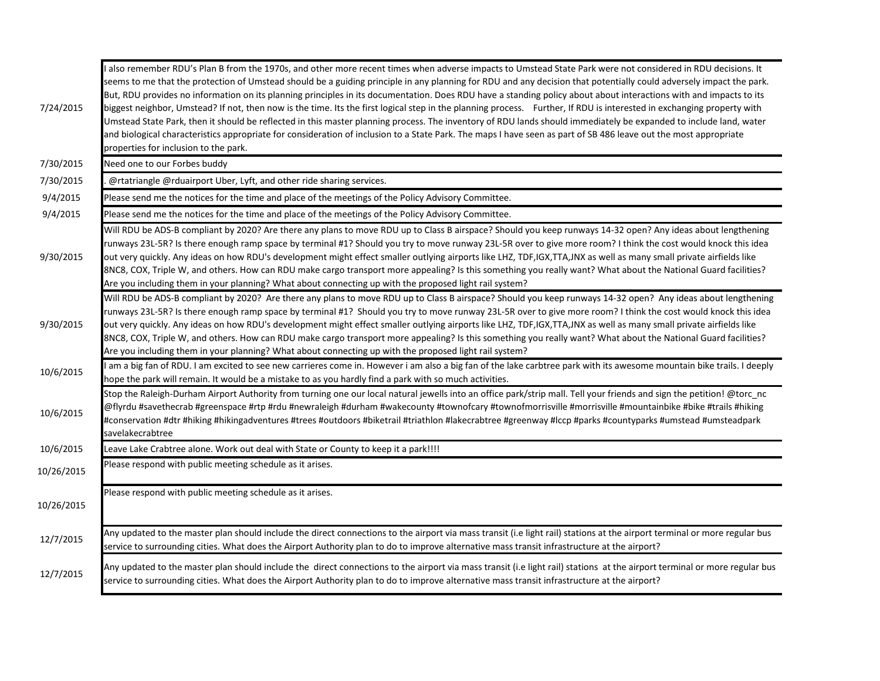| 7/24/2015  | also remember RDU's Plan B from the 1970s, and other more recent times when adverse impacts to Umstead State Park were not considered in RDU decisions. It<br>seems to me that the protection of Umstead should be a guiding principle in any planning for RDU and any decision that potentially could adversely impact the park.<br>But, RDU provides no information on its planning principles in its documentation. Does RDU have a standing policy about about interactions with and impacts to its<br>biggest neighbor, Umstead? If not, then now is the time. Its the first logical step in the planning process. Further, If RDU is interested in exchanging property with<br>Umstead State Park, then it should be reflected in this master planning process. The inventory of RDU lands should immediately be expanded to include land, water<br>and biological characteristics appropriate for consideration of inclusion to a State Park. The maps I have seen as part of SB 486 leave out the most appropriate<br>properties for inclusion to the park. |
|------------|---------------------------------------------------------------------------------------------------------------------------------------------------------------------------------------------------------------------------------------------------------------------------------------------------------------------------------------------------------------------------------------------------------------------------------------------------------------------------------------------------------------------------------------------------------------------------------------------------------------------------------------------------------------------------------------------------------------------------------------------------------------------------------------------------------------------------------------------------------------------------------------------------------------------------------------------------------------------------------------------------------------------------------------------------------------------|
| 7/30/2015  | Need one to our Forbes buddy                                                                                                                                                                                                                                                                                                                                                                                                                                                                                                                                                                                                                                                                                                                                                                                                                                                                                                                                                                                                                                        |
| 7/30/2015  | @rtatriangle @rduairport Uber, Lyft, and other ride sharing services.                                                                                                                                                                                                                                                                                                                                                                                                                                                                                                                                                                                                                                                                                                                                                                                                                                                                                                                                                                                               |
| 9/4/2015   | Please send me the notices for the time and place of the meetings of the Policy Advisory Committee.                                                                                                                                                                                                                                                                                                                                                                                                                                                                                                                                                                                                                                                                                                                                                                                                                                                                                                                                                                 |
| 9/4/2015   | Please send me the notices for the time and place of the meetings of the Policy Advisory Committee.                                                                                                                                                                                                                                                                                                                                                                                                                                                                                                                                                                                                                                                                                                                                                                                                                                                                                                                                                                 |
| 9/30/2015  | Will RDU be ADS-B compliant by 2020? Are there any plans to move RDU up to Class B airspace? Should you keep runways 14-32 open? Any ideas about lengthening<br>runways 23L-5R? Is there enough ramp space by terminal #1? Should you try to move runway 23L-5R over to give more room? I think the cost would knock this idea<br>out very quickly. Any ideas on how RDU's development might effect smaller outlying airports like LHZ, TDF,IGX,TTA,JNX as well as many small private airfields like<br>8NC8, COX, Triple W, and others. How can RDU make cargo transport more appealing? Is this something you really want? What about the National Guard facilities?<br>Are you including them in your planning? What about connecting up with the proposed light rail system?                                                                                                                                                                                                                                                                                    |
| 9/30/2015  | Will RDU be ADS-B compliant by 2020? Are there any plans to move RDU up to Class B airspace? Should you keep runways 14-32 open? Any ideas about lengthening<br>runways 23L-5R? Is there enough ramp space by terminal #1? Should you try to move runway 23L-5R over to give more room? I think the cost would knock this idea<br>out very quickly. Any ideas on how RDU's development might effect smaller outlying airports like LHZ, TDF,IGX,TTA,JNX as well as many small private airfields like<br>8NC8, COX, Triple W, and others. How can RDU make cargo transport more appealing? Is this something you really want? What about the National Guard facilities?<br>Are you including them in your planning? What about connecting up with the proposed light rail system?                                                                                                                                                                                                                                                                                    |
| 10/6/2015  | am a big fan of RDU. I am excited to see new carrieres come in. However i am also a big fan of the lake carbtree park with its awesome mountain bike trails. I deeply<br>hope the park will remain. It would be a mistake to as you hardly find a park with so much activities.                                                                                                                                                                                                                                                                                                                                                                                                                                                                                                                                                                                                                                                                                                                                                                                     |
| 10/6/2015  | Stop the Raleigh-Durham Airport Authority from turning one our local natural jewells into an office park/strip mall. Tell your friends and sign the petition! @torc nc<br>@flyrdu #savethecrab #greenspace #rtp #rdu #newraleigh #durham #wakecounty #townofcary #townofmorrisville #morrisville #mountainbike #bike #trails #hiking<br>#conservation #dtr #hiking #hikingadventures #trees #outdoors #biketrail #triathlon #lakecrabtree #greenway #lccp #parks #countyparks #umstead #umsteadpark<br>savelakecrabtree                                                                                                                                                                                                                                                                                                                                                                                                                                                                                                                                             |
| 10/6/2015  | Leave Lake Crabtree alone. Work out deal with State or County to keep it a park!!!!                                                                                                                                                                                                                                                                                                                                                                                                                                                                                                                                                                                                                                                                                                                                                                                                                                                                                                                                                                                 |
| 10/26/2015 | Please respond with public meeting schedule as it arises.                                                                                                                                                                                                                                                                                                                                                                                                                                                                                                                                                                                                                                                                                                                                                                                                                                                                                                                                                                                                           |
| 10/26/2015 | Please respond with public meeting schedule as it arises.                                                                                                                                                                                                                                                                                                                                                                                                                                                                                                                                                                                                                                                                                                                                                                                                                                                                                                                                                                                                           |
| 12/7/2015  | Any updated to the master plan should include the direct connections to the airport via mass transit (i.e light rail) stations at the airport terminal or more regular bus<br>service to surrounding cities. What does the Airport Authority plan to do to improve alternative mass transit infrastructure at the airport?                                                                                                                                                                                                                                                                                                                                                                                                                                                                                                                                                                                                                                                                                                                                          |
| 12/7/2015  | Any updated to the master plan should include the direct connections to the airport via mass transit (i.e light rail) stations at the airport terminal or more regular bus<br>service to surrounding cities. What does the Airport Authority plan to do to improve alternative mass transit infrastructure at the airport?                                                                                                                                                                                                                                                                                                                                                                                                                                                                                                                                                                                                                                                                                                                                          |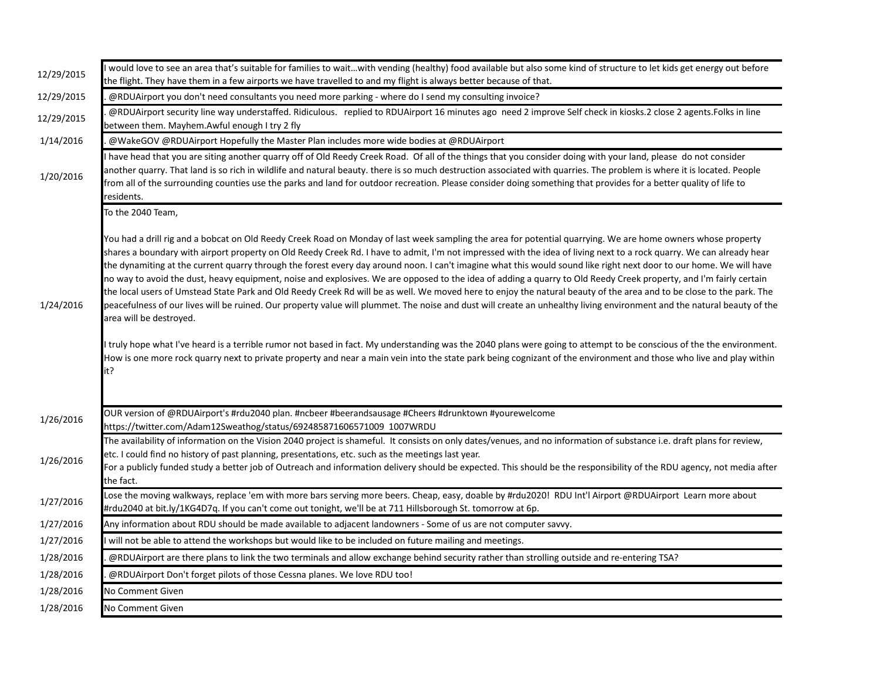| 12/29/2015 | would love to see an area that's suitable for families to waitwith vending (healthy) food available but also some kind of structure to let kids get energy out before<br>the flight. They have them in a few airports we have travelled to and my flight is always better because of that.                                                                                                                                                                                                                                                                                                                                                                                                                                                                                                                                                                                                                                                                                                                                                                                                                                                                                                                                                                                                                                                                                                                             |
|------------|------------------------------------------------------------------------------------------------------------------------------------------------------------------------------------------------------------------------------------------------------------------------------------------------------------------------------------------------------------------------------------------------------------------------------------------------------------------------------------------------------------------------------------------------------------------------------------------------------------------------------------------------------------------------------------------------------------------------------------------------------------------------------------------------------------------------------------------------------------------------------------------------------------------------------------------------------------------------------------------------------------------------------------------------------------------------------------------------------------------------------------------------------------------------------------------------------------------------------------------------------------------------------------------------------------------------------------------------------------------------------------------------------------------------|
| 12/29/2015 | @RDUAirport you don't need consultants you need more parking - where do I send my consulting invoice?                                                                                                                                                                                                                                                                                                                                                                                                                                                                                                                                                                                                                                                                                                                                                                                                                                                                                                                                                                                                                                                                                                                                                                                                                                                                                                                  |
| 12/29/2015 | @RDUAirport security line way understaffed. Ridiculous. replied to RDUAirport 16 minutes ago need 2 improve Self check in kiosks.2 close 2 agents. Folks in line<br>between them. Mayhem.Awful enough I try 2 fly                                                                                                                                                                                                                                                                                                                                                                                                                                                                                                                                                                                                                                                                                                                                                                                                                                                                                                                                                                                                                                                                                                                                                                                                      |
| 1/14/2016  | @WakeGOV @RDUAirport Hopefully the Master Plan includes more wide bodies at @RDUAirport                                                                                                                                                                                                                                                                                                                                                                                                                                                                                                                                                                                                                                                                                                                                                                                                                                                                                                                                                                                                                                                                                                                                                                                                                                                                                                                                |
| 1/20/2016  | have head that you are siting another quarry off of Old Reedy Creek Road. Of all of the things that you consider doing with your land, please do not consider<br>another quarry. That land is so rich in wildlife and natural beauty, there is so much destruction associated with quarries. The problem is where it is located. People<br>from all of the surrounding counties use the parks and land for outdoor recreation. Please consider doing something that provides for a better quality of life to<br>residents.                                                                                                                                                                                                                                                                                                                                                                                                                                                                                                                                                                                                                                                                                                                                                                                                                                                                                             |
|            | To the 2040 Team,                                                                                                                                                                                                                                                                                                                                                                                                                                                                                                                                                                                                                                                                                                                                                                                                                                                                                                                                                                                                                                                                                                                                                                                                                                                                                                                                                                                                      |
| 1/24/2016  | You had a drill rig and a bobcat on Old Reedy Creek Road on Monday of last week sampling the area for potential quarrying. We are home owners whose property<br>shares a boundary with airport property on Old Reedy Creek Rd. I have to admit, I'm not impressed with the idea of living next to a rock quarry. We can already hear<br>the dynamiting at the current quarry through the forest every day around noon. I can't imagine what this would sound like right next door to our home. We will have<br>no way to avoid the dust, heavy equipment, noise and explosives. We are opposed to the idea of adding a quarry to Old Reedy Creek property, and I'm fairly certain<br>the local users of Umstead State Park and Old Reedy Creek Rd will be as well. We moved here to enjoy the natural beauty of the area and to be close to the park. The<br>peacefulness of our lives will be ruined. Our property value will plummet. The noise and dust will create an unhealthy living environment and the natural beauty of the<br>area will be destroyed.<br>I truly hope what I've heard is a terrible rumor not based in fact. My understanding was the 2040 plans were going to attempt to be conscious of the the environment.<br>How is one more rock quarry next to private property and near a main vein into the state park being cognizant of the environment and those who live and play within<br>it? |
| 1/26/2016  | OUR version of @RDUAirport's #rdu2040 plan. #ncbeer #beerandsausage #Cheers #drunktown #yourewelcome<br>https://twitter.com/Adam12Sweathog/status/692485871606571009 1007WRDU                                                                                                                                                                                                                                                                                                                                                                                                                                                                                                                                                                                                                                                                                                                                                                                                                                                                                                                                                                                                                                                                                                                                                                                                                                          |
| 1/26/2016  | The availability of information on the Vision 2040 project is shameful. It consists on only dates/venues, and no information of substance i.e. draft plans for review,<br>etc. I could find no history of past planning, presentations, etc. such as the meetings last year.<br>For a publicly funded study a better job of Outreach and information delivery should be expected. This should be the responsibility of the RDU agency, not media after<br>the fact.                                                                                                                                                                                                                                                                                                                                                                                                                                                                                                                                                                                                                                                                                                                                                                                                                                                                                                                                                    |
| 1/27/2016  | Lose the moving walkways, replace 'em with more bars serving more beers. Cheap, easy, doable by #rdu2020! RDU Int'l Airport @RDUAirport Learn more about<br>#rdu2040 at bit.ly/1KG4D7q. If you can't come out tonight, we'll be at 711 Hillsborough St. tomorrow at 6p.                                                                                                                                                                                                                                                                                                                                                                                                                                                                                                                                                                                                                                                                                                                                                                                                                                                                                                                                                                                                                                                                                                                                                |
| 1/27/2016  | Any information about RDU should be made available to adjacent landowners - Some of us are not computer savvy.                                                                                                                                                                                                                                                                                                                                                                                                                                                                                                                                                                                                                                                                                                                                                                                                                                                                                                                                                                                                                                                                                                                                                                                                                                                                                                         |
| 1/27/2016  | will not be able to attend the workshops but would like to be included on future mailing and meetings.                                                                                                                                                                                                                                                                                                                                                                                                                                                                                                                                                                                                                                                                                                                                                                                                                                                                                                                                                                                                                                                                                                                                                                                                                                                                                                                 |
| 1/28/2016  | @RDUAirport are there plans to link the two terminals and allow exchange behind security rather than strolling outside and re-entering TSA?                                                                                                                                                                                                                                                                                                                                                                                                                                                                                                                                                                                                                                                                                                                                                                                                                                                                                                                                                                                                                                                                                                                                                                                                                                                                            |
| 1/28/2016  | @RDUAirport Don't forget pilots of those Cessna planes. We love RDU too!                                                                                                                                                                                                                                                                                                                                                                                                                                                                                                                                                                                                                                                                                                                                                                                                                                                                                                                                                                                                                                                                                                                                                                                                                                                                                                                                               |
| 1/28/2016  | No Comment Given                                                                                                                                                                                                                                                                                                                                                                                                                                                                                                                                                                                                                                                                                                                                                                                                                                                                                                                                                                                                                                                                                                                                                                                                                                                                                                                                                                                                       |
| 1/28/2016  | No Comment Given                                                                                                                                                                                                                                                                                                                                                                                                                                                                                                                                                                                                                                                                                                                                                                                                                                                                                                                                                                                                                                                                                                                                                                                                                                                                                                                                                                                                       |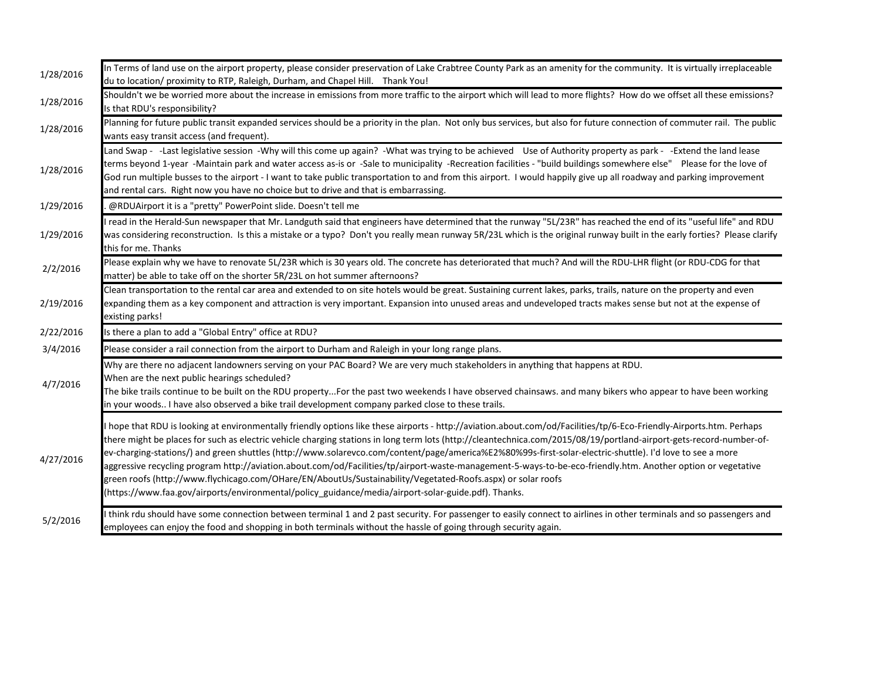| 1/28/2016 | In Terms of land use on the airport property, please consider preservation of Lake Crabtree County Park as an amenity for the community. It is virtually irreplaceable<br>du to location/ proximity to RTP, Raleigh, Durham, and Chapel Hill. Thank You!                                                                                                                                                                                                                                                                                                                                                                                                                                                                                                                                                                                                                                    |
|-----------|---------------------------------------------------------------------------------------------------------------------------------------------------------------------------------------------------------------------------------------------------------------------------------------------------------------------------------------------------------------------------------------------------------------------------------------------------------------------------------------------------------------------------------------------------------------------------------------------------------------------------------------------------------------------------------------------------------------------------------------------------------------------------------------------------------------------------------------------------------------------------------------------|
| 1/28/2016 | Shouldn't we be worried more about the increase in emissions from more traffic to the airport which will lead to more flights? How do we offset all these emissions?<br>Is that RDU's responsibility?                                                                                                                                                                                                                                                                                                                                                                                                                                                                                                                                                                                                                                                                                       |
| 1/28/2016 | Planning for future public transit expanded services should be a priority in the plan. Not only bus services, but also for future connection of commuter rail. The public<br>wants easy transit access (and frequent).                                                                                                                                                                                                                                                                                                                                                                                                                                                                                                                                                                                                                                                                      |
| 1/28/2016 | Land Swap - -Last legislative session -Why will this come up again? -What was trying to be achieved Use of Authority property as park - -Extend the land lease<br>terms beyond 1-year -Maintain park and water access as-is or -Sale to municipality -Recreation facilities - "build buildings somewhere else" Please for the love of<br>God run multiple busses to the airport - I want to take public transportation to and from this airport. I would happily give up all roadway and parking improvement<br>and rental cars. Right now you have no choice but to drive and that is embarrassing.                                                                                                                                                                                                                                                                                        |
| 1/29/2016 | @RDUAirport it is a "pretty" PowerPoint slide. Doesn't tell me                                                                                                                                                                                                                                                                                                                                                                                                                                                                                                                                                                                                                                                                                                                                                                                                                              |
| 1/29/2016 | I read in the Herald-Sun newspaper that Mr. Landguth said that engineers have determined that the runway "5L/23R" has reached the end of its "useful life" and RDU<br>was considering reconstruction. Is this a mistake or a typo? Don't you really mean runway 5R/23L which is the original runway built in the early forties? Please clarify<br>this for me. Thanks                                                                                                                                                                                                                                                                                                                                                                                                                                                                                                                       |
| 2/2/2016  | Please explain why we have to renovate 5L/23R which is 30 years old. The concrete has deteriorated that much? And will the RDU-LHR flight (or RDU-CDG for that<br>matter) be able to take off on the shorter 5R/23L on hot summer afternoons?                                                                                                                                                                                                                                                                                                                                                                                                                                                                                                                                                                                                                                               |
| 2/19/2016 | Clean transportation to the rental car area and extended to on site hotels would be great. Sustaining current lakes, parks, trails, nature on the property and even<br>expanding them as a key component and attraction is very important. Expansion into unused areas and undeveloped tracts makes sense but not at the expense of<br>existing parks!                                                                                                                                                                                                                                                                                                                                                                                                                                                                                                                                      |
| 2/22/2016 | Is there a plan to add a "Global Entry" office at RDU?                                                                                                                                                                                                                                                                                                                                                                                                                                                                                                                                                                                                                                                                                                                                                                                                                                      |
| 3/4/2016  | Please consider a rail connection from the airport to Durham and Raleigh in your long range plans.                                                                                                                                                                                                                                                                                                                                                                                                                                                                                                                                                                                                                                                                                                                                                                                          |
| 4/7/2016  | Why are there no adjacent landowners serving on your PAC Board? We are very much stakeholders in anything that happens at RDU.<br>When are the next public hearings scheduled?<br>The bike trails continue to be built on the RDU propertyFor the past two weekends I have observed chainsaws. and many bikers who appear to have been working<br>in your woods I have also observed a bike trail development company parked close to these trails.                                                                                                                                                                                                                                                                                                                                                                                                                                         |
| 4/27/2016 | hope that RDU is looking at environmentally friendly options like these airports - http://aviation.about.com/od/Facilities/tp/6-Eco-Friendly-Airports.htm. Perhaps<br>there might be places for such as electric vehicle charging stations in long term lots (http://cleantechnica.com/2015/08/19/portland-airport-gets-record-number-of-<br>ev-charging-stations/) and green shuttles (http://www.solarevco.com/content/page/america%E2%80%99s-first-solar-electric-shuttle). I'd love to see a more<br>aggressive recycling program http://aviation.about.com/od/Facilities/tp/airport-waste-management-5-ways-to-be-eco-friendly.htm. Another option or vegetative<br>green roofs (http://www.flychicago.com/OHare/EN/AboutUs/Sustainability/Vegetated-Roofs.aspx) or solar roofs<br>(https://www.faa.gov/airports/environmental/policy guidance/media/airport-solar-guide.pdf). Thanks. |
| 5/2/2016  | think rdu should have some connection between terminal 1 and 2 past security. For passenger to easily connect to airlines in other terminals and so passengers and<br>employees can enjoy the food and shopping in both terminals without the hassle of going through security again.                                                                                                                                                                                                                                                                                                                                                                                                                                                                                                                                                                                                       |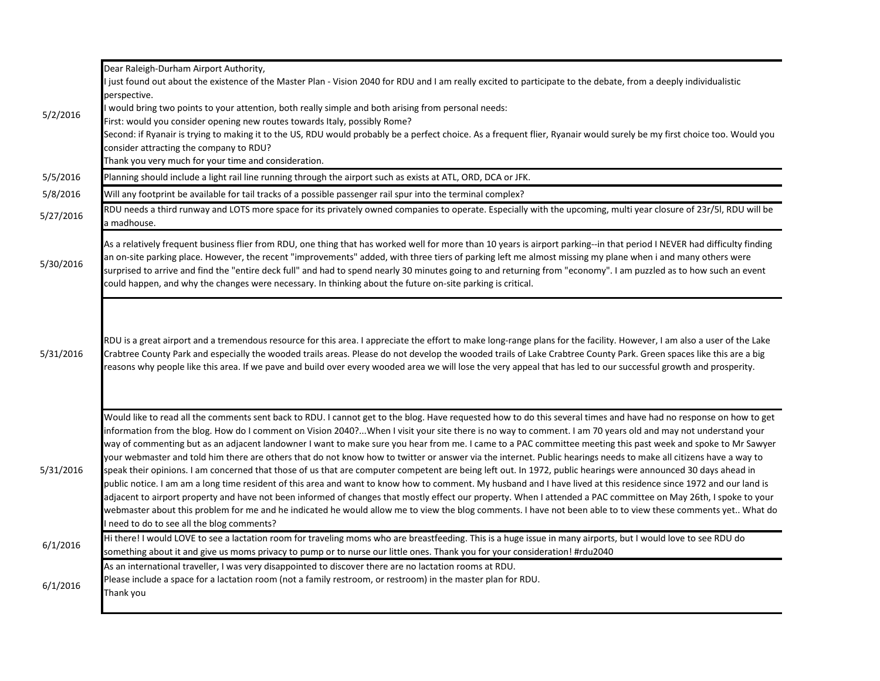|           | Dear Raleigh-Durham Airport Authority,<br>I just found out about the existence of the Master Plan - Vision 2040 for RDU and I am really excited to participate to the debate, from a deeply individualistic                                                                                                                                                                                                                                                                                                                                                                                                                                                                                                                                                                                                                                                                                                                                                                                                                                                                                                                                                                                                                                                                                                                                                                                      |
|-----------|--------------------------------------------------------------------------------------------------------------------------------------------------------------------------------------------------------------------------------------------------------------------------------------------------------------------------------------------------------------------------------------------------------------------------------------------------------------------------------------------------------------------------------------------------------------------------------------------------------------------------------------------------------------------------------------------------------------------------------------------------------------------------------------------------------------------------------------------------------------------------------------------------------------------------------------------------------------------------------------------------------------------------------------------------------------------------------------------------------------------------------------------------------------------------------------------------------------------------------------------------------------------------------------------------------------------------------------------------------------------------------------------------|
|           | perspective.                                                                                                                                                                                                                                                                                                                                                                                                                                                                                                                                                                                                                                                                                                                                                                                                                                                                                                                                                                                                                                                                                                                                                                                                                                                                                                                                                                                     |
| 5/2/2016  | I would bring two points to your attention, both really simple and both arising from personal needs:                                                                                                                                                                                                                                                                                                                                                                                                                                                                                                                                                                                                                                                                                                                                                                                                                                                                                                                                                                                                                                                                                                                                                                                                                                                                                             |
|           | First: would you consider opening new routes towards Italy, possibly Rome?                                                                                                                                                                                                                                                                                                                                                                                                                                                                                                                                                                                                                                                                                                                                                                                                                                                                                                                                                                                                                                                                                                                                                                                                                                                                                                                       |
|           | Second: if Ryanair is trying to making it to the US, RDU would probably be a perfect choice. As a frequent flier, Ryanair would surely be my first choice too. Would you<br>consider attracting the company to RDU?                                                                                                                                                                                                                                                                                                                                                                                                                                                                                                                                                                                                                                                                                                                                                                                                                                                                                                                                                                                                                                                                                                                                                                              |
|           | Thank you very much for your time and consideration.                                                                                                                                                                                                                                                                                                                                                                                                                                                                                                                                                                                                                                                                                                                                                                                                                                                                                                                                                                                                                                                                                                                                                                                                                                                                                                                                             |
| 5/5/2016  | Planning should include a light rail line running through the airport such as exists at ATL, ORD, DCA or JFK.                                                                                                                                                                                                                                                                                                                                                                                                                                                                                                                                                                                                                                                                                                                                                                                                                                                                                                                                                                                                                                                                                                                                                                                                                                                                                    |
| 5/8/2016  | Will any footprint be available for tail tracks of a possible passenger rail spur into the terminal complex?                                                                                                                                                                                                                                                                                                                                                                                                                                                                                                                                                                                                                                                                                                                                                                                                                                                                                                                                                                                                                                                                                                                                                                                                                                                                                     |
| 5/27/2016 | RDU needs a third runway and LOTS more space for its privately owned companies to operate. Especially with the upcoming, multi year closure of 23r/5l, RDU will be<br>a madhouse.                                                                                                                                                                                                                                                                                                                                                                                                                                                                                                                                                                                                                                                                                                                                                                                                                                                                                                                                                                                                                                                                                                                                                                                                                |
| 5/30/2016 | As a relatively frequent business flier from RDU, one thing that has worked well for more than 10 years is airport parking--in that period I NEVER had difficulty finding<br>an on-site parking place. However, the recent "improvements" added, with three tiers of parking left me almost missing my plane when i and many others were<br>surprised to arrive and find the "entire deck full" and had to spend nearly 30 minutes going to and returning from "economy". I am puzzled as to how such an event<br>could happen, and why the changes were necessary. In thinking about the future on-site parking is critical.                                                                                                                                                                                                                                                                                                                                                                                                                                                                                                                                                                                                                                                                                                                                                                    |
| 5/31/2016 | RDU is a great airport and a tremendous resource for this area. I appreciate the effort to make long-range plans for the facility. However, I am also a user of the Lake<br>Crabtree County Park and especially the wooded trails areas. Please do not develop the wooded trails of Lake Crabtree County Park. Green spaces like this are a big<br>reasons why people like this area. If we pave and build over every wooded area we will lose the very appeal that has led to our successful growth and prosperity.                                                                                                                                                                                                                                                                                                                                                                                                                                                                                                                                                                                                                                                                                                                                                                                                                                                                             |
| 5/31/2016 | Would like to read all the comments sent back to RDU. I cannot get to the blog. Have requested how to do this several times and have had no response on how to get<br>information from the blog. How do I comment on Vision 2040?When I visit your site there is no way to comment. I am 70 years old and may not understand your<br>way of commenting but as an adjacent landowner I want to make sure you hear from me. I came to a PAC committee meeting this past week and spoke to Mr Sawyer<br>your webmaster and told him there are others that do not know how to twitter or answer via the internet. Public hearings needs to make all citizens have a way to<br>speak their opinions. I am concerned that those of us that are computer competent are being left out. In 1972, public hearings were announced 30 days ahead in<br>public notice. I am am a long time resident of this area and want to know how to comment. My husband and I have lived at this residence since 1972 and our land is<br>adjacent to airport property and have not been informed of changes that mostly effect our property. When I attended a PAC committee on May 26th, I spoke to your<br>webmaster about this problem for me and he indicated he would allow me to view the blog comments. I have not been able to to view these comments yet What do<br>I need to do to see all the blog comments? |
| 6/1/2016  | Hi there! I would LOVE to see a lactation room for traveling moms who are breastfeeding. This is a huge issue in many airports, but I would love to see RDU do                                                                                                                                                                                                                                                                                                                                                                                                                                                                                                                                                                                                                                                                                                                                                                                                                                                                                                                                                                                                                                                                                                                                                                                                                                   |
|           | something about it and give us moms privacy to pump or to nurse our little ones. Thank you for your consideration! #rdu2040                                                                                                                                                                                                                                                                                                                                                                                                                                                                                                                                                                                                                                                                                                                                                                                                                                                                                                                                                                                                                                                                                                                                                                                                                                                                      |
|           | As an international traveller, I was very disappointed to discover there are no lactation rooms at RDU.<br>Please include a space for a lactation room (not a family restroom, or restroom) in the master plan for RDU.                                                                                                                                                                                                                                                                                                                                                                                                                                                                                                                                                                                                                                                                                                                                                                                                                                                                                                                                                                                                                                                                                                                                                                          |
| 6/1/2016  | Thank you                                                                                                                                                                                                                                                                                                                                                                                                                                                                                                                                                                                                                                                                                                                                                                                                                                                                                                                                                                                                                                                                                                                                                                                                                                                                                                                                                                                        |
|           |                                                                                                                                                                                                                                                                                                                                                                                                                                                                                                                                                                                                                                                                                                                                                                                                                                                                                                                                                                                                                                                                                                                                                                                                                                                                                                                                                                                                  |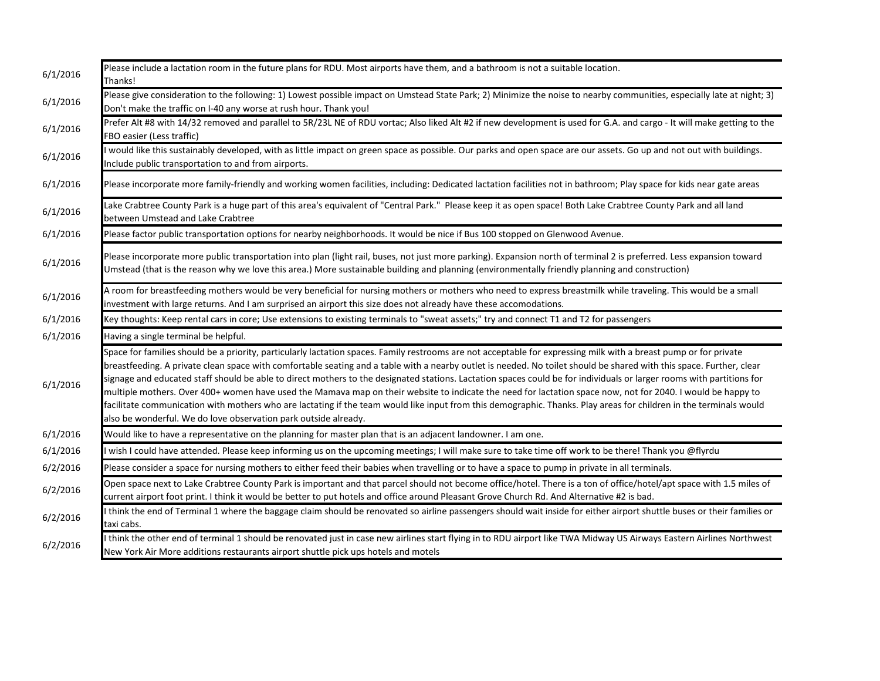| 6/1/2016 | Please include a lactation room in the future plans for RDU. Most airports have them, and a bathroom is not a suitable location.<br>Thanks!                                                                                                                                                                                                                                                                                                                                                                                                                                                                                                                                                                                                                                                                                                                                                                                |
|----------|----------------------------------------------------------------------------------------------------------------------------------------------------------------------------------------------------------------------------------------------------------------------------------------------------------------------------------------------------------------------------------------------------------------------------------------------------------------------------------------------------------------------------------------------------------------------------------------------------------------------------------------------------------------------------------------------------------------------------------------------------------------------------------------------------------------------------------------------------------------------------------------------------------------------------|
| 6/1/2016 | Please give consideration to the following: 1) Lowest possible impact on Umstead State Park; 2) Minimize the noise to nearby communities, especially late at night; 3)<br>Don't make the traffic on I-40 any worse at rush hour. Thank you!                                                                                                                                                                                                                                                                                                                                                                                                                                                                                                                                                                                                                                                                                |
| 6/1/2016 | Prefer Alt #8 with 14/32 removed and parallel to 5R/23L NE of RDU vortac; Also liked Alt #2 if new development is used for G.A. and cargo - It will make getting to the<br>FBO easier (Less traffic)                                                                                                                                                                                                                                                                                                                                                                                                                                                                                                                                                                                                                                                                                                                       |
| 6/1/2016 | would like this sustainably developed, with as little impact on green space as possible. Our parks and open space are our assets. Go up and not out with buildings.<br>Include public transportation to and from airports.                                                                                                                                                                                                                                                                                                                                                                                                                                                                                                                                                                                                                                                                                                 |
| 6/1/2016 | Please incorporate more family-friendly and working women facilities, including: Dedicated lactation facilities not in bathroom; Play space for kids near gate areas                                                                                                                                                                                                                                                                                                                                                                                                                                                                                                                                                                                                                                                                                                                                                       |
| 6/1/2016 | Lake Crabtree County Park is a huge part of this area's equivalent of "Central Park." Please keep it as open space! Both Lake Crabtree County Park and all land<br>between Umstead and Lake Crabtree                                                                                                                                                                                                                                                                                                                                                                                                                                                                                                                                                                                                                                                                                                                       |
| 6/1/2016 | Please factor public transportation options for nearby neighborhoods. It would be nice if Bus 100 stopped on Glenwood Avenue.                                                                                                                                                                                                                                                                                                                                                                                                                                                                                                                                                                                                                                                                                                                                                                                              |
| 6/1/2016 | Please incorporate more public transportation into plan (light rail, buses, not just more parking). Expansion north of terminal 2 is preferred. Less expansion toward<br>Umstead (that is the reason why we love this area.) More sustainable building and planning (environmentally friendly planning and construction)                                                                                                                                                                                                                                                                                                                                                                                                                                                                                                                                                                                                   |
| 6/1/2016 | A room for breastfeeding mothers would be very beneficial for nursing mothers or mothers who need to express breastmilk while traveling. This would be a small<br>investment with large returns. And I am surprised an airport this size does not already have these accomodations.                                                                                                                                                                                                                                                                                                                                                                                                                                                                                                                                                                                                                                        |
| 6/1/2016 | Key thoughts: Keep rental cars in core; Use extensions to existing terminals to "sweat assets;" try and connect T1 and T2 for passengers                                                                                                                                                                                                                                                                                                                                                                                                                                                                                                                                                                                                                                                                                                                                                                                   |
| 6/1/2016 | Having a single terminal be helpful.                                                                                                                                                                                                                                                                                                                                                                                                                                                                                                                                                                                                                                                                                                                                                                                                                                                                                       |
| 6/1/2016 | Space for families should be a priority, particularly lactation spaces. Family restrooms are not acceptable for expressing milk with a breast pump or for private<br>breastfeeding. A private clean space with comfortable seating and a table with a nearby outlet is needed. No toilet should be shared with this space. Further, clear<br>signage and educated staff should be able to direct mothers to the designated stations. Lactation spaces could be for individuals or larger rooms with partitions for<br>multiple mothers. Over 400+ women have used the Mamava map on their website to indicate the need for lactation space now, not for 2040. I would be happy to<br>facilitate communication with mothers who are lactating if the team would like input from this demographic. Thanks. Play areas for children in the terminals would<br>also be wonderful. We do love observation park outside already. |
| 6/1/2016 | Would like to have a representative on the planning for master plan that is an adjacent landowner. I am one.                                                                                                                                                                                                                                                                                                                                                                                                                                                                                                                                                                                                                                                                                                                                                                                                               |
| 6/1/2016 | wish I could have attended. Please keep informing us on the upcoming meetings; I will make sure to take time off work to be there! Thank you @flyrdu                                                                                                                                                                                                                                                                                                                                                                                                                                                                                                                                                                                                                                                                                                                                                                       |
| 6/2/2016 | Please consider a space for nursing mothers to either feed their babies when travelling or to have a space to pump in private in all terminals.                                                                                                                                                                                                                                                                                                                                                                                                                                                                                                                                                                                                                                                                                                                                                                            |
| 6/2/2016 | Open space next to Lake Crabtree County Park is important and that parcel should not become office/hotel. There is a ton of office/hotel/apt space with 1.5 miles of<br>current airport foot print. I think it would be better to put hotels and office around Pleasant Grove Church Rd. And Alternative #2 is bad.                                                                                                                                                                                                                                                                                                                                                                                                                                                                                                                                                                                                        |
| 6/2/2016 | I think the end of Terminal 1 where the baggage claim should be renovated so airline passengers should wait inside for either airport shuttle buses or their families or<br>taxi cabs.                                                                                                                                                                                                                                                                                                                                                                                                                                                                                                                                                                                                                                                                                                                                     |
| 6/2/2016 | think the other end of terminal 1 should be renovated just in case new airlines start flying in to RDU airport like TWA Midway US Airways Eastern Airlines Northwest<br>New York Air More additions restaurants airport shuttle pick ups hotels and motels                                                                                                                                                                                                                                                                                                                                                                                                                                                                                                                                                                                                                                                                 |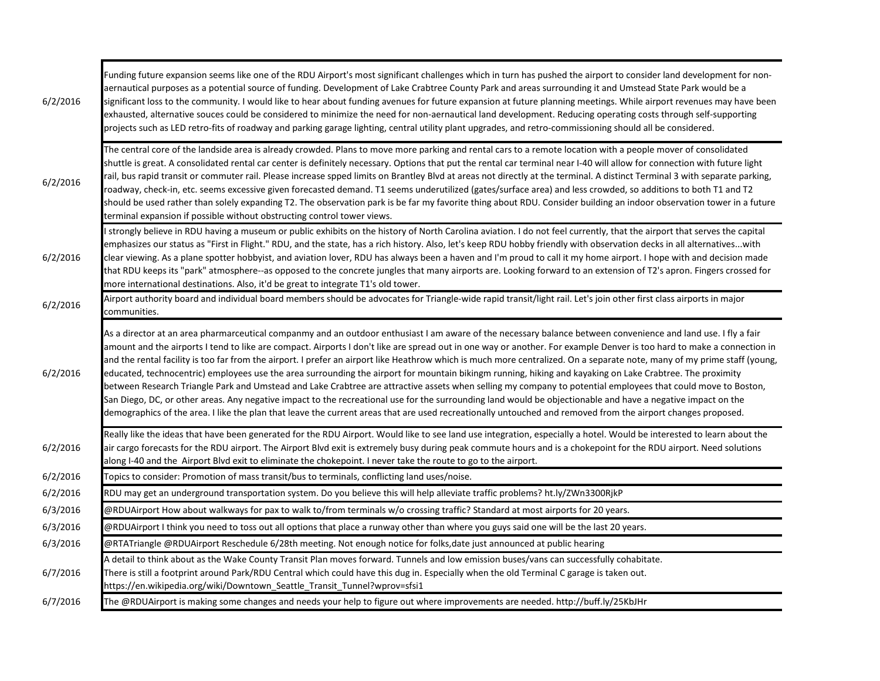| 6/2/2016 | Funding future expansion seems like one of the RDU Airport's most significant challenges which in turn has pushed the airport to consider land development for non-<br>aernautical purposes as a potential source of funding. Development of Lake Crabtree County Park and areas surrounding it and Umstead State Park would be a<br>significant loss to the community. I would like to hear about funding avenues for future expansion at future planning meetings. While airport revenues may have been<br>exhausted, alternative souces could be considered to minimize the need for non-aernautical land development. Reducing operating costs through self-supporting<br>projects such as LED retro-fits of roadway and parking garage lighting, central utility plant upgrades, and retro-commissioning should all be considered.                                                                                                                                                                                                                                                                                                                                            |
|----------|------------------------------------------------------------------------------------------------------------------------------------------------------------------------------------------------------------------------------------------------------------------------------------------------------------------------------------------------------------------------------------------------------------------------------------------------------------------------------------------------------------------------------------------------------------------------------------------------------------------------------------------------------------------------------------------------------------------------------------------------------------------------------------------------------------------------------------------------------------------------------------------------------------------------------------------------------------------------------------------------------------------------------------------------------------------------------------------------------------------------------------------------------------------------------------|
| 6/2/2016 | The central core of the landside area is already crowded. Plans to move more parking and rental cars to a remote location with a people mover of consolidated<br>shuttle is great. A consolidated rental car center is definitely necessary. Options that put the rental car terminal near I-40 will allow for connection with future light<br>rail, bus rapid transit or commuter rail. Please increase spped limits on Brantley Blvd at areas not directly at the terminal. A distinct Terminal 3 with separate parking,<br>roadway, check-in, etc. seems excessive given forecasted demand. T1 seems underutilized (gates/surface area) and less crowded, so additions to both T1 and T2<br>should be used rather than solely expanding T2. The observation park is be far my favorite thing about RDU. Consider building an indoor observation tower in a future<br>terminal expansion if possible without obstructing control tower views.                                                                                                                                                                                                                                    |
| 6/2/2016 | I strongly believe in RDU having a museum or public exhibits on the history of North Carolina aviation. I do not feel currently, that the airport that serves the capital<br>emphasizes our status as "First in Flight." RDU, and the state, has a rich history. Also, let's keep RDU hobby friendly with observation decks in all alternativeswith<br>clear viewing. As a plane spotter hobbyist, and aviation lover, RDU has always been a haven and I'm proud to call it my home airport. I hope with and decision made<br>that RDU keeps its "park" atmosphere--as opposed to the concrete jungles that many airports are. Looking forward to an extension of T2's apron. Fingers crossed for<br>more international destinations. Also, it'd be great to integrate T1's old tower.                                                                                                                                                                                                                                                                                                                                                                                             |
| 6/2/2016 | Airport authority board and individual board members should be advocates for Triangle-wide rapid transit/light rail. Let's join other first class airports in major<br>communities.                                                                                                                                                                                                                                                                                                                                                                                                                                                                                                                                                                                                                                                                                                                                                                                                                                                                                                                                                                                                |
| 6/2/2016 | As a director at an area pharmarceutical companmy and an outdoor enthusiast I am aware of the necessary balance between convenience and land use. I fly a fair<br>amount and the airports I tend to like are compact. Airports I don't like are spread out in one way or another. For example Denver is too hard to make a connection in<br>and the rental facility is too far from the airport. I prefer an airport like Heathrow which is much more centralized. On a separate note, many of my prime staff (young,<br>educated, technocentric) employees use the area surrounding the airport for mountain bikingm running, hiking and kayaking on Lake Crabtree. The proximity<br>between Research Triangle Park and Umstead and Lake Crabtree are attractive assets when selling my company to potential employees that could move to Boston,<br>San Diego, DC, or other areas. Any negative impact to the recreational use for the surrounding land would be objectionable and have a negative impact on the<br>demographics of the area. I like the plan that leave the current areas that are used recreationally untouched and removed from the airport changes proposed. |
| 6/2/2016 | Really like the ideas that have been generated for the RDU Airport. Would like to see land use integration, especially a hotel. Would be interested to learn about the<br>air cargo forecasts for the RDU airport. The Airport Blvd exit is extremely busy during peak commute hours and is a chokepoint for the RDU airport. Need solutions<br>along I-40 and the Airport Blvd exit to eliminate the chokepoint. I never take the route to go to the airport.                                                                                                                                                                                                                                                                                                                                                                                                                                                                                                                                                                                                                                                                                                                     |
| 6/2/2016 | Topics to consider: Promotion of mass transit/bus to terminals, conflicting land uses/noise.                                                                                                                                                                                                                                                                                                                                                                                                                                                                                                                                                                                                                                                                                                                                                                                                                                                                                                                                                                                                                                                                                       |
| 6/2/2016 | RDU may get an underground transportation system. Do you believe this will help alleviate traffic problems? ht.ly/ZWn3300RjkP                                                                                                                                                                                                                                                                                                                                                                                                                                                                                                                                                                                                                                                                                                                                                                                                                                                                                                                                                                                                                                                      |
| 6/3/2016 | @RDUAirport How about walkways for pax to walk to/from terminals w/o crossing traffic? Standard at most airports for 20 years.                                                                                                                                                                                                                                                                                                                                                                                                                                                                                                                                                                                                                                                                                                                                                                                                                                                                                                                                                                                                                                                     |
| 6/3/2016 | @RDUAirport I think you need to toss out all options that place a runway other than where you guys said one will be the last 20 years.                                                                                                                                                                                                                                                                                                                                                                                                                                                                                                                                                                                                                                                                                                                                                                                                                                                                                                                                                                                                                                             |
| 6/3/2016 | @RTATriangle @RDUAirport Reschedule 6/28th meeting. Not enough notice for folks,date just announced at public hearing                                                                                                                                                                                                                                                                                                                                                                                                                                                                                                                                                                                                                                                                                                                                                                                                                                                                                                                                                                                                                                                              |
| 6/7/2016 | A detail to think about as the Wake County Transit Plan moves forward. Tunnels and low emission buses/vans can successfully cohabitate.<br>There is still a footprint around Park/RDU Central which could have this dug in. Especially when the old Terminal C garage is taken out.<br>https://en.wikipedia.org/wiki/Downtown Seattle Transit Tunnel?wprov=sfsi1                                                                                                                                                                                                                                                                                                                                                                                                                                                                                                                                                                                                                                                                                                                                                                                                                   |
| 6/7/2016 | The @RDUAirport is making some changes and needs your help to figure out where improvements are needed. http://buff.ly/25KbJHr                                                                                                                                                                                                                                                                                                                                                                                                                                                                                                                                                                                                                                                                                                                                                                                                                                                                                                                                                                                                                                                     |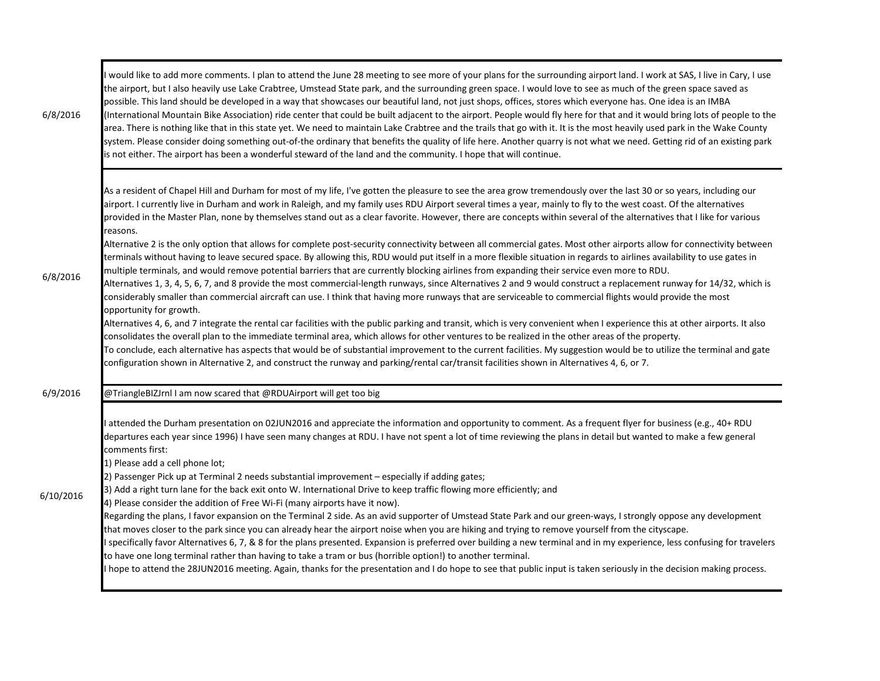| 6/8/2016  | would like to add more comments. I plan to attend the June 28 meeting to see more of your plans for the surrounding airport land. I work at SAS, I live in Cary, I use<br>the airport, but I also heavily use Lake Crabtree, Umstead State park, and the surrounding green space. I would love to see as much of the green space saved as<br>possible. This land should be developed in a way that showcases our beautiful land, not just shops, offices, stores which everyone has. One idea is an IMBA<br>(International Mountain Bike Association) ride center that could be built adjacent to the airport. People would fly here for that and it would bring lots of people to the<br>area. There is nothing like that in this state yet. We need to maintain Lake Crabtree and the trails that go with it. It is the most heavily used park in the Wake County<br>system. Please consider doing something out-of-the ordinary that benefits the quality of life here. Another quarry is not what we need. Getting rid of an existing park<br>is not either. The airport has been a wonderful steward of the land and the community. I hope that will continue.                                                                                                                                                                                                                                                                                                                                                                                                                                                                                                                                                                                                                                                                                                                                                                                                                                                                                           |
|-----------|---------------------------------------------------------------------------------------------------------------------------------------------------------------------------------------------------------------------------------------------------------------------------------------------------------------------------------------------------------------------------------------------------------------------------------------------------------------------------------------------------------------------------------------------------------------------------------------------------------------------------------------------------------------------------------------------------------------------------------------------------------------------------------------------------------------------------------------------------------------------------------------------------------------------------------------------------------------------------------------------------------------------------------------------------------------------------------------------------------------------------------------------------------------------------------------------------------------------------------------------------------------------------------------------------------------------------------------------------------------------------------------------------------------------------------------------------------------------------------------------------------------------------------------------------------------------------------------------------------------------------------------------------------------------------------------------------------------------------------------------------------------------------------------------------------------------------------------------------------------------------------------------------------------------------------------------------------------------------------------------------------------------------------------------------------------|
| 6/8/2016  | As a resident of Chapel Hill and Durham for most of my life, I've gotten the pleasure to see the area grow tremendously over the last 30 or so years, including our<br>airport. I currently live in Durham and work in Raleigh, and my family uses RDU Airport several times a year, mainly to fly to the west coast. Of the alternatives<br>provided in the Master Plan, none by themselves stand out as a clear favorite. However, there are concepts within several of the alternatives that I like for various<br>reasons.<br>Alternative 2 is the only option that allows for complete post-security connectivity between all commercial gates. Most other airports allow for connectivity between<br>terminals without having to leave secured space. By allowing this, RDU would put itself in a more flexible situation in regards to airlines availability to use gates in<br>multiple terminals, and would remove potential barriers that are currently blocking airlines from expanding their service even more to RDU.<br>Alternatives 1, 3, 4, 5, 6, 7, and 8 provide the most commercial-length runways, since Alternatives 2 and 9 would construct a replacement runway for 14/32, which is<br>considerably smaller than commercial aircraft can use. I think that having more runways that are serviceable to commercial flights would provide the most<br>opportunity for growth.<br>Alternatives 4, 6, and 7 integrate the rental car facilities with the public parking and transit, which is very convenient when I experience this at other airports. It also<br>consolidates the overall plan to the immediate terminal area, which allows for other ventures to be realized in the other areas of the property.<br>To conclude, each alternative has aspects that would be of substantial improvement to the current facilities. My suggestion would be to utilize the terminal and gate<br>configuration shown in Alternative 2, and construct the runway and parking/rental car/transit facilities shown in Alternatives 4, 6, or 7. |
| 6/9/2016  | @TriangleBIZJrnl I am now scared that @RDUAirport will get too big                                                                                                                                                                                                                                                                                                                                                                                                                                                                                                                                                                                                                                                                                                                                                                                                                                                                                                                                                                                                                                                                                                                                                                                                                                                                                                                                                                                                                                                                                                                                                                                                                                                                                                                                                                                                                                                                                                                                                                                            |
| 6/10/2016 | attended the Durham presentation on 02JUN2016 and appreciate the information and opportunity to comment. As a frequent flyer for business (e.g., 40+ RDU<br>departures each year since 1996) I have seen many changes at RDU. I have not spent a lot of time reviewing the plans in detail but wanted to make a few general<br>comments first:<br>1) Please add a cell phone lot;<br>2) Passenger Pick up at Terminal 2 needs substantial improvement - especially if adding gates;<br>3) Add a right turn lane for the back exit onto W. International Drive to keep traffic flowing more efficiently; and<br>4) Please consider the addition of Free Wi-Fi (many airports have it now).<br>Regarding the plans, I favor expansion on the Terminal 2 side. As an avid supporter of Umstead State Park and our green-ways, I strongly oppose any development<br>that moves closer to the park since you can already hear the airport noise when you are hiking and trying to remove yourself from the cityscape.<br>specifically favor Alternatives 6, 7, & 8 for the plans presented. Expansion is preferred over building a new terminal and in my experience, less confusing for travelers<br>to have one long terminal rather than having to take a tram or bus (horrible option!) to another terminal.<br>hope to attend the 28JUN2016 meeting. Again, thanks for the presentation and I do hope to see that public input is taken seriously in the decision making process.                                                                                                                                                                                                                                                                                                                                                                                                                                                                                                                                                                             |

п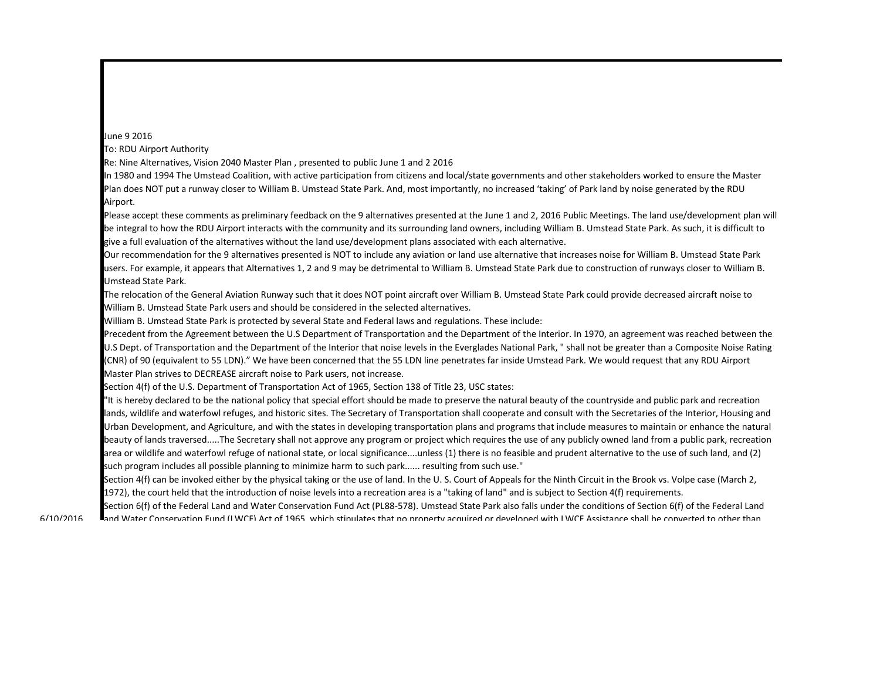## June 9 2016

To: RDU Airport Authority

Re: Nine Alternatives, Vision 2040 Master Plan , presented to public June 1 and 2 2016

In 1980 and 1994 The Umstead Coalition, with active participation from citizens and local/state governments and other stakeholders worked to ensure the Master Plan does NOT put a runway closer to William B. Umstead State Park. And, most importantly, no increased 'taking' of Park land by noise generated by the RDU Airport.

Please accept these comments as preliminary feedback on the 9 alternatives presented at the June 1 and 2, 2016 Public Meetings. The land use/development plan will be integral to how the RDU Airport interacts with the community and its surrounding land owners, including William B. Umstead State Park. As such, it is difficult to give a full evaluation of the alternatives without the land use/development plans associated with each alternative.

Our recommendation for the 9 alternatives presented is NOT to include any aviation or land use alternative that increases noise for William B. Umstead State Park users. For example, it appears that Alternatives 1, 2 and 9 may be detrimental to William B. Umstead State Park due to construction of runways closer to William B. Umstead State Park.

The relocation of the General Aviation Runway such that it does NOT point aircraft over William B. Umstead State Park could provide decreased aircraft noise to William B. Umstead State Park users and should be considered in the selected alternatives.

William B. Umstead State Park is protected by several State and Federal laws and regulations. These include:

Precedent from the Agreement between the U.S Department of Transportation and the Department of the Interior. In 1970, an agreement was reached between the U.S Dept. of Transportation and the Department of the Interior that noise levels in the Everglades National Park, " shall not be greater than a Composite Noise Rating (CNR) of 90 (equivalent to 55 LDN)." We have been concerned that the 55 LDN line penetrates far inside Umstead Park. We would request that any RDU Airport Master Plan strives to DECREASE aircraft noise to Park users, not increase.

Section 4(f) of the U.S. Department of Transportation Act of 1965, Section 138 of Title 23, USC states:

"It is hereby declared to be the national policy that special effort should be made to preserve the natural beauty of the countryside and public park and recreation lands, wildlife and waterfowl refuges, and historic sites. The Secretary of Transportation shall cooperate and consult with the Secretaries of the Interior, Housing and Urban Development, and Agriculture, and with the states in developing transportation plans and programs that include measures to maintain or enhance the natural beauty of lands traversed.....The Secretary shall not approve any program or project which requires the use of any publicly owned land from a public park, recreation area or wildlife and waterfowl refuge of national state, or local significance....unless (1) there is no feasible and prudent alternative to the use of such land, and (2) such program includes all possible planning to minimize harm to such park...... resulting from such use."

Section 4(f) can be invoked either by the physical taking or the use of land. In the U.S. Court of Appeals for the Ninth Circuit in the Brook vs. Volpe case (March 2, 1972), the court held that the introduction of noise levels into a recreation area is a "taking of land" and is subject to Section 4(f) requirements.

Section 6(f) of the Federal Land and Water Conservation Fund Act (PL88-578). Umstead State Park also falls under the conditions of Section 6(f) of the Federal Land and Water Conservation Fund (LWCF) Act of 1965, which stipulates that no property acquired or developed with LWCF Assistance shall be converted to other than

6/10/2016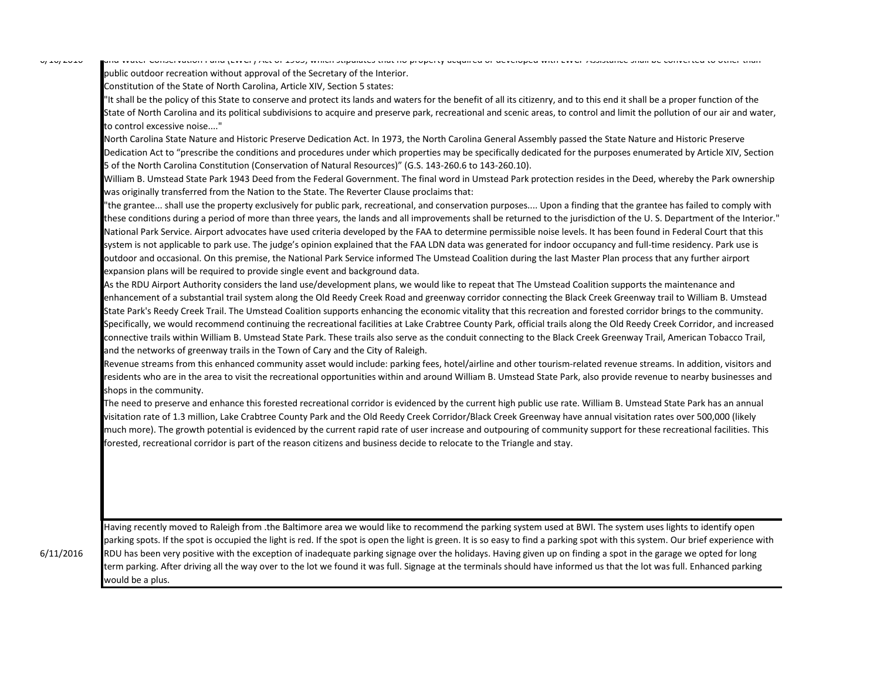$V_1 + V_2 + V_1 + V_2$ 

and water Conservation Fund (LWCF) Act of 1965, which stipulates that no property acquired or developed with LWCF Assistance shall be converted to other than public outdoor recreation without approval of the Secretary of the Interior.

Constitution of the State of North Carolina, Article XIV, Section 5 states:

"It shall be the policy of this State to conserve and protect its lands and waters for the benefit of all its citizenry, and to this end it shall be a proper function of the State of North Carolina and its political subdivisions to acquire and preserve park, recreational and scenic areas, to control and limit the pollution of our air and water, to control excessive noise...."

North Carolina State Nature and Historic Preserve Dedication Act. In 1973, the North Carolina General Assembly passed the State Nature and Historic Preserve Dedication Act to "prescribe the conditions and procedures under which properties may be specifically dedicated for the purposes enumerated by Article XIV, Section 5 of the North Carolina Constitution (Conservation of Natural Resources)" (G.S. 143-260.6 to 143-260.10).

William B. Umstead State Park 1943 Deed from the Federal Government. The final word in Umstead Park protection resides in the Deed, whereby the Park ownership was originally transferred from the Nation to the State. The Reverter Clause proclaims that:

"the grantee... shall use the property exclusively for public park, recreational, and conservation purposes.... Upon a finding that the grantee has failed to comply with these conditions during a period of more than three years, the lands and all improvements shall be returned to the jurisdiction of the U. S. Department of the Interior." National Park Service. Airport advocates have used criteria developed by the FAA to determine permissible noise levels. It has been found in Federal Court that this system is not applicable to park use. The judge's opinion explained that the FAA LDN data was generated for indoor occupancy and full-time residency. Park use is outdoor and occasional. On this premise, the National Park Service informed The Umstead Coalition during the last Master Plan process that any further airport expansion plans will be required to provide single event and background data.

As the RDU Airport Authority considers the land use/development plans, we would like to repeat that The Umstead Coalition supports the maintenance and enhancement of a substantial trail system along the Old Reedy Creek Road and greenway corridor connecting the Black Creek Greenway trail to William B. Umstead State Park's Reedy Creek Trail. The Umstead Coalition supports enhancing the economic vitality that this recreation and forested corridor brings to the community. Specifically, we would recommend continuing the recreational facilities at Lake Crabtree County Park, official trails along the Old Reedy Creek Corridor, and increased connective trails within William B. Umstead State Park. These trails also serve as the conduit connecting to the Black Creek Greenway Trail, American Tobacco Trail, and the networks of greenway trails in the Town of Cary and the City of Raleigh.

Revenue streams from this enhanced community asset would include: parking fees, hotel/airline and other tourism-related revenue streams. In addition, visitors and residents who are in the area to visit the recreational opportunities within and around William B. Umstead State Park, also provide revenue to nearby businesses and shops in the community.

The need to preserve and enhance this forested recreational corridor is evidenced by the current high public use rate. William B. Umstead State Park has an annual visitation rate of 1.3 million, Lake Crabtree County Park and the Old Reedy Creek Corridor/Black Creek Greenway have annual visitation rates over 500,000 (likely much more). The growth potential is evidenced by the current rapid rate of user increase and outpouring of community support for these recreational facilities. This forested, recreational corridor is part of the reason citizens and business decide to relocate to the Triangle and stay.

Having recently moved to Raleigh from .the Baltimore area we would like to recommend the parking system used at BWI. The system uses lights to identify open parking spots. If the spot is occupied the light is red. If the spot is open the light is green. It is so easy to find a parking spot with this system. Our brief experience with RDU has been very positive with the exception of inadequate parking signage over the holidays. Having given up on finding a spot in the garage we opted for long term parking. After driving all the way over to the lot we found it was full. Signage at the terminals should have informed us that the lot was full. Enhanced parking would be a plus.

6/11/2016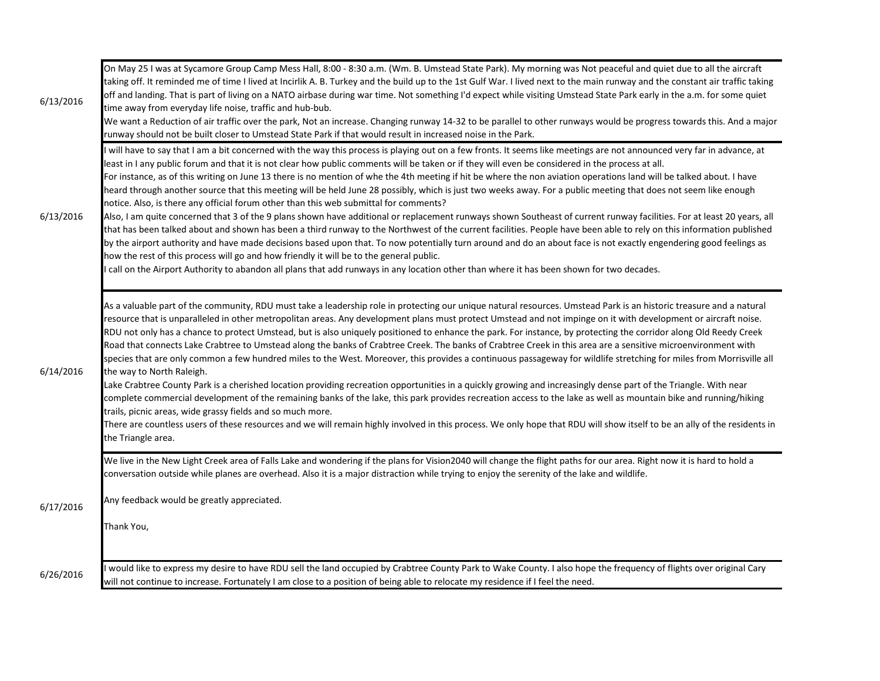| 6/13/2016 | On May 25 I was at Sycamore Group Camp Mess Hall, 8:00 - 8:30 a.m. (Wm. B. Umstead State Park). My morning was Not peaceful and quiet due to all the aircraft<br>taking off. It reminded me of time I lived at Incirlik A. B. Turkey and the build up to the 1st Gulf War. I lived next to the main runway and the constant air traffic taking<br>off and landing. That is part of living on a NATO airbase during war time. Not something I'd expect while visiting Umstead State Park early in the a.m. for some quiet<br>time away from everyday life noise, traffic and hub-bub.<br>We want a Reduction of air traffic over the park, Not an increase. Changing runway 14-32 to be parallel to other runways would be progress towards this. And a major<br>runway should not be built closer to Umstead State Park if that would result in increased noise in the Park.                                                                                                                                                                                                                                                                                                                                                                                                                                                                                                                                                                                                                                               |
|-----------|----------------------------------------------------------------------------------------------------------------------------------------------------------------------------------------------------------------------------------------------------------------------------------------------------------------------------------------------------------------------------------------------------------------------------------------------------------------------------------------------------------------------------------------------------------------------------------------------------------------------------------------------------------------------------------------------------------------------------------------------------------------------------------------------------------------------------------------------------------------------------------------------------------------------------------------------------------------------------------------------------------------------------------------------------------------------------------------------------------------------------------------------------------------------------------------------------------------------------------------------------------------------------------------------------------------------------------------------------------------------------------------------------------------------------------------------------------------------------------------------------------------------------|
| 6/13/2016 | will have to say that I am a bit concerned with the way this process is playing out on a few fronts. It seems like meetings are not announced very far in advance, at<br>least in I any public forum and that it is not clear how public comments will be taken or if they will even be considered in the process at all.<br>For instance, as of this writing on June 13 there is no mention of whe the 4th meeting if hit be where the non aviation operations land will be talked about. I have<br>heard through another source that this meeting will be held June 28 possibly, which is just two weeks away. For a public meeting that does not seem like enough<br>notice. Also, is there any official forum other than this web submittal for comments?<br>Also, I am quite concerned that 3 of the 9 plans shown have additional or replacement runways shown Southeast of current runway facilities. For at least 20 years, all<br>that has been talked about and shown has been a third runway to the Northwest of the current facilities. People have been able to rely on this information published<br>by the airport authority and have made decisions based upon that. To now potentially turn around and do an about face is not exactly engendering good feelings as<br>how the rest of this process will go and how friendly it will be to the general public.<br>call on the Airport Authority to abandon all plans that add runways in any location other than where it has been shown for two decades. |
| 6/14/2016 | As a valuable part of the community, RDU must take a leadership role in protecting our unique natural resources. Umstead Park is an historic treasure and a natural<br>resource that is unparalleled in other metropolitan areas. Any development plans must protect Umstead and not impinge on it with development or aircraft noise.<br>RDU not only has a chance to protect Umstead, but is also uniquely positioned to enhance the park. For instance, by protecting the corridor along Old Reedy Creek<br>Road that connects Lake Crabtree to Umstead along the banks of Crabtree Creek. The banks of Crabtree Creek in this area are a sensitive microenvironment with<br>species that are only common a few hundred miles to the West. Moreover, this provides a continuous passageway for wildlife stretching for miles from Morrisville all<br>the way to North Raleigh.<br>Lake Crabtree County Park is a cherished location providing recreation opportunities in a quickly growing and increasingly dense part of the Triangle. With near<br>complete commercial development of the remaining banks of the lake, this park provides recreation access to the lake as well as mountain bike and running/hiking<br>trails, picnic areas, wide grassy fields and so much more.<br>There are countless users of these resources and we will remain highly involved in this process. We only hope that RDU will show itself to be an ally of the residents in<br>the Triangle area.                                 |
| 6/17/2016 | We live in the New Light Creek area of Falls Lake and wondering if the plans for Vision2040 will change the flight paths for our area. Right now it is hard to hold a<br>conversation outside while planes are overhead. Also it is a major distraction while trying to enjoy the serenity of the lake and wildlife.<br>Any feedback would be greatly appreciated.<br>Thank You,                                                                                                                                                                                                                                                                                                                                                                                                                                                                                                                                                                                                                                                                                                                                                                                                                                                                                                                                                                                                                                                                                                                                           |
| 6/26/2016 | I would like to express my desire to have RDU sell the land occupied by Crabtree County Park to Wake County. I also hope the frequency of flights over original Cary<br>will not continue to increase. Fortunately I am close to a position of being able to relocate my residence if I feel the need.                                                                                                                                                                                                                                                                                                                                                                                                                                                                                                                                                                                                                                                                                                                                                                                                                                                                                                                                                                                                                                                                                                                                                                                                                     |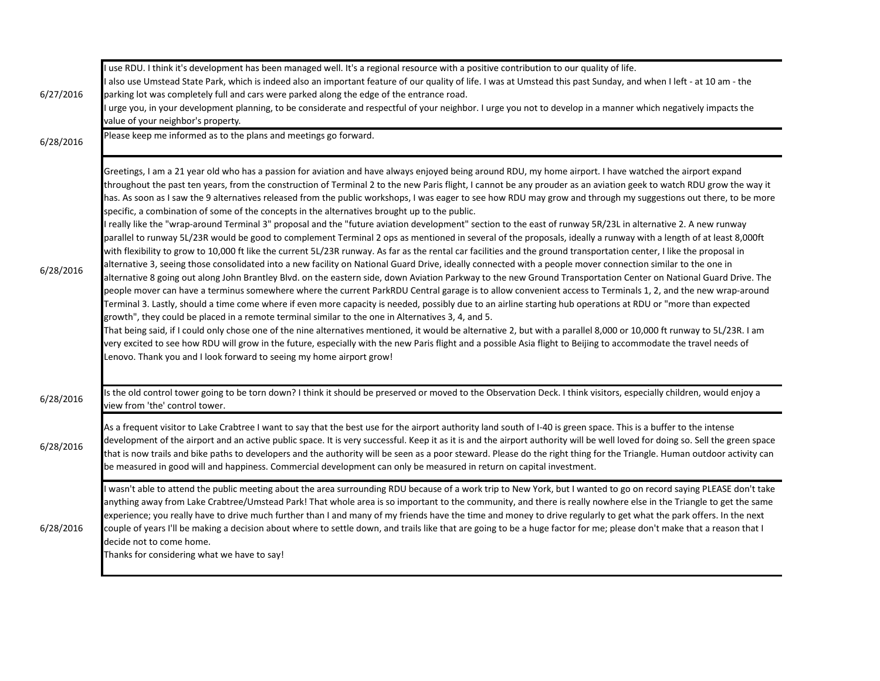| 6/27/2016 | I use RDU. I think it's development has been managed well. It's a regional resource with a positive contribution to our quality of life.<br>I also use Umstead State Park, which is indeed also an important feature of our quality of life. I was at Umstead this past Sunday, and when I left - at 10 am - the<br>parking lot was completely full and cars were parked along the edge of the entrance road.<br>urge you, in your development planning, to be considerate and respectful of your neighbor. I urge you not to develop in a manner which negatively impacts the<br>value of your neighbor's property.                                                                                                                                                                                                                                                                                                                                                                                                                                                                                                                                                                                                                                                                                                                                                                                                                                                                                                                                                                                                                                                                                                                                                                                                                                                                                                                                                                                                                                                                                                                                                                                                                                                                                                          |
|-----------|-------------------------------------------------------------------------------------------------------------------------------------------------------------------------------------------------------------------------------------------------------------------------------------------------------------------------------------------------------------------------------------------------------------------------------------------------------------------------------------------------------------------------------------------------------------------------------------------------------------------------------------------------------------------------------------------------------------------------------------------------------------------------------------------------------------------------------------------------------------------------------------------------------------------------------------------------------------------------------------------------------------------------------------------------------------------------------------------------------------------------------------------------------------------------------------------------------------------------------------------------------------------------------------------------------------------------------------------------------------------------------------------------------------------------------------------------------------------------------------------------------------------------------------------------------------------------------------------------------------------------------------------------------------------------------------------------------------------------------------------------------------------------------------------------------------------------------------------------------------------------------------------------------------------------------------------------------------------------------------------------------------------------------------------------------------------------------------------------------------------------------------------------------------------------------------------------------------------------------------------------------------------------------------------------------------------------------|
| 6/28/2016 | Please keep me informed as to the plans and meetings go forward.                                                                                                                                                                                                                                                                                                                                                                                                                                                                                                                                                                                                                                                                                                                                                                                                                                                                                                                                                                                                                                                                                                                                                                                                                                                                                                                                                                                                                                                                                                                                                                                                                                                                                                                                                                                                                                                                                                                                                                                                                                                                                                                                                                                                                                                              |
| 6/28/2016 | Greetings, I am a 21 year old who has a passion for aviation and have always enjoyed being around RDU, my home airport. I have watched the airport expand<br>throughout the past ten years, from the construction of Terminal 2 to the new Paris flight, I cannot be any prouder as an aviation geek to watch RDU grow the way it<br>has. As soon as I saw the 9 alternatives released from the public workshops, I was eager to see how RDU may grow and through my suggestions out there, to be more<br>specific, a combination of some of the concepts in the alternatives brought up to the public.<br>I really like the "wrap-around Terminal 3" proposal and the "future aviation development" section to the east of runway 5R/23L in alternative 2. A new runway<br>parallel to runway 5L/23R would be good to complement Terminal 2 ops as mentioned in several of the proposals, ideally a runway with a length of at least 8,000ft<br>with flexibility to grow to 10,000 ft like the current 5L/23R runway. As far as the rental car facilities and the ground transportation center, I like the proposal in<br>alternative 3, seeing those consolidated into a new facility on National Guard Drive, ideally connected with a people mover connection similar to the one in<br>alternative 8 going out along John Brantley Blvd. on the eastern side, down Aviation Parkway to the new Ground Transportation Center on National Guard Drive. The<br>people mover can have a terminus somewhere where the current ParkRDU Central garage is to allow convenient access to Terminals 1, 2, and the new wrap-around<br>Terminal 3. Lastly, should a time come where if even more capacity is needed, possibly due to an airline starting hub operations at RDU or "more than expected<br>growth", they could be placed in a remote terminal similar to the one in Alternatives 3, 4, and 5.<br>That being said, if I could only chose one of the nine alternatives mentioned, it would be alternative 2, but with a parallel 8,000 or 10,000 ft runway to 5L/23R. I am<br>very excited to see how RDU will grow in the future, especially with the new Paris flight and a possible Asia flight to Beijing to accommodate the travel needs of<br>Lenovo. Thank you and I look forward to seeing my home airport grow! |
| 6/28/2016 | Is the old control tower going to be torn down? I think it should be preserved or moved to the Observation Deck. I think visitors, especially children, would enjoy a<br>view from 'the' control tower.                                                                                                                                                                                                                                                                                                                                                                                                                                                                                                                                                                                                                                                                                                                                                                                                                                                                                                                                                                                                                                                                                                                                                                                                                                                                                                                                                                                                                                                                                                                                                                                                                                                                                                                                                                                                                                                                                                                                                                                                                                                                                                                       |
| 6/28/2016 | As a frequent visitor to Lake Crabtree I want to say that the best use for the airport authority land south of I-40 is green space. This is a buffer to the intense<br>development of the airport and an active public space. It is very successful. Keep it as it is and the airport authority will be well loved for doing so. Sell the green space<br>that is now trails and bike paths to developers and the authority will be seen as a poor steward. Please do the right thing for the Triangle. Human outdoor activity can<br>be measured in good will and happiness. Commercial development can only be measured in return on capital investment.                                                                                                                                                                                                                                                                                                                                                                                                                                                                                                                                                                                                                                                                                                                                                                                                                                                                                                                                                                                                                                                                                                                                                                                                                                                                                                                                                                                                                                                                                                                                                                                                                                                                     |
| 6/28/2016 | I wasn't able to attend the public meeting about the area surrounding RDU because of a work trip to New York, but I wanted to go on record saying PLEASE don't take<br>anything away from Lake Crabtree/Umstead Park! That whole area is so important to the community, and there is really nowhere else in the Triangle to get the same<br>experience; you really have to drive much further than I and many of my friends have the time and money to drive regularly to get what the park offers. In the next<br>couple of years I'll be making a decision about where to settle down, and trails like that are going to be a huge factor for me; please don't make that a reason that I<br>decide not to come home.<br>Thanks for considering what we have to say!                                                                                                                                                                                                                                                                                                                                                                                                                                                                                                                                                                                                                                                                                                                                                                                                                                                                                                                                                                                                                                                                                                                                                                                                                                                                                                                                                                                                                                                                                                                                                         |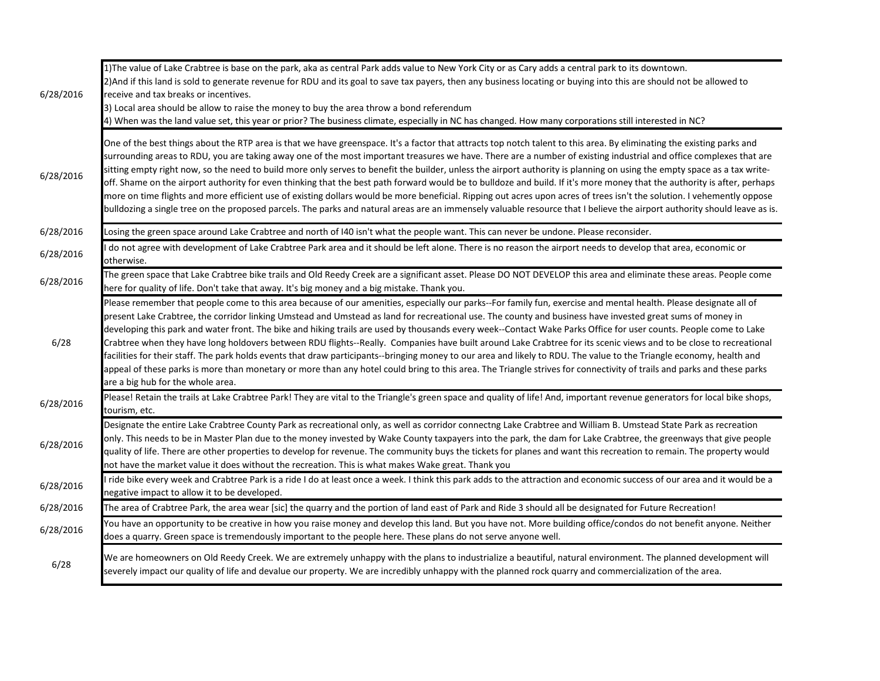| 6/28/2016 | 1)The value of Lake Crabtree is base on the park, aka as central Park adds value to New York City or as Cary adds a central park to its downtown.<br>2) And if this land is sold to generate revenue for RDU and its goal to save tax payers, then any business locating or buying into this are should not be allowed to<br>receive and tax breaks or incentives.<br>3) Local area should be allow to raise the money to buy the area throw a bond referendum<br>4) When was the land value set, this year or prior? The business climate, especially in NC has changed. How many corporations still interested in NC?                                                                                                                                                                                                                                                                                                                                                                                                                                            |
|-----------|--------------------------------------------------------------------------------------------------------------------------------------------------------------------------------------------------------------------------------------------------------------------------------------------------------------------------------------------------------------------------------------------------------------------------------------------------------------------------------------------------------------------------------------------------------------------------------------------------------------------------------------------------------------------------------------------------------------------------------------------------------------------------------------------------------------------------------------------------------------------------------------------------------------------------------------------------------------------------------------------------------------------------------------------------------------------|
| 6/28/2016 | One of the best things about the RTP area is that we have greenspace. It's a factor that attracts top notch talent to this area. By eliminating the existing parks and<br>surrounding areas to RDU, you are taking away one of the most important treasures we have. There are a number of existing industrial and office complexes that are<br>sitting empty right now, so the need to build more only serves to benefit the builder, unless the airport authority is planning on using the empty space as a tax write-<br>off. Shame on the airport authority for even thinking that the best path forward would be to bulldoze and build. If it's more money that the authority is after, perhaps<br>more on time flights and more efficient use of existing dollars would be more beneficial. Ripping out acres upon acres of trees isn't the solution. I vehemently oppose<br>bulldozing a single tree on the proposed parcels. The parks and natural areas are an immensely valuable resource that I believe the airport authority should leave as is.       |
| 6/28/2016 | Losing the green space around Lake Crabtree and north of I40 isn't what the people want. This can never be undone. Please reconsider.                                                                                                                                                                                                                                                                                                                                                                                                                                                                                                                                                                                                                                                                                                                                                                                                                                                                                                                              |
| 6/28/2016 | do not agree with development of Lake Crabtree Park area and it should be left alone. There is no reason the airport needs to develop that area, economic or<br>otherwise.                                                                                                                                                                                                                                                                                                                                                                                                                                                                                                                                                                                                                                                                                                                                                                                                                                                                                         |
| 6/28/2016 | The green space that Lake Crabtree bike trails and Old Reedy Creek are a significant asset. Please DO NOT DEVELOP this area and eliminate these areas. People come<br>here for quality of life. Don't take that away. It's big money and a big mistake. Thank you.                                                                                                                                                                                                                                                                                                                                                                                                                                                                                                                                                                                                                                                                                                                                                                                                 |
| 6/28      | Please remember that people come to this area because of our amenities, especially our parks--For family fun, exercise and mental health. Please designate all of<br>present Lake Crabtree, the corridor linking Umstead and Umstead as land for recreational use. The county and business have invested great sums of money in<br>developing this park and water front. The bike and hiking trails are used by thousands every week--Contact Wake Parks Office for user counts. People come to Lake<br>Crabtree when they have long holdovers between RDU flights--Really. Companies have built around Lake Crabtree for its scenic views and to be close to recreational<br>facilities for their staff. The park holds events that draw participants--bringing money to our area and likely to RDU. The value to the Triangle economy, health and<br>appeal of these parks is more than monetary or more than any hotel could bring to this area. The Triangle strives for connectivity of trails and parks and these parks<br>are a big hub for the whole area. |
| 6/28/2016 | Please! Retain the trails at Lake Crabtree Park! They are vital to the Triangle's green space and quality of life! And, important revenue generators for local bike shops,<br>tourism, etc.                                                                                                                                                                                                                                                                                                                                                                                                                                                                                                                                                                                                                                                                                                                                                                                                                                                                        |
| 6/28/2016 | Designate the entire Lake Crabtree County Park as recreational only, as well as corridor connectng Lake Crabtree and William B. Umstead State Park as recreation<br>only. This needs to be in Master Plan due to the money invested by Wake County taxpayers into the park, the dam for Lake Crabtree, the greenways that give people<br>quality of life. There are other properties to develop for revenue. The community buys the tickets for planes and want this recreation to remain. The property would<br>not have the market value it does without the recreation. This is what makes Wake great. Thank you                                                                                                                                                                                                                                                                                                                                                                                                                                                |
| 6/28/2016 | I ride bike every week and Crabtree Park is a ride I do at least once a week. I think this park adds to the attraction and economic success of our area and it would be a<br>negative impact to allow it to be developed.                                                                                                                                                                                                                                                                                                                                                                                                                                                                                                                                                                                                                                                                                                                                                                                                                                          |
| 6/28/2016 | The area of Crabtree Park, the area wear [sic] the quarry and the portion of land east of Park and Ride 3 should all be designated for Future Recreation!                                                                                                                                                                                                                                                                                                                                                                                                                                                                                                                                                                                                                                                                                                                                                                                                                                                                                                          |
| 6/28/2016 | You have an opportunity to be creative in how you raise money and develop this land. But you have not. More building office/condos do not benefit anyone. Neither<br>does a quarry. Green space is tremendously important to the people here. These plans do not serve anyone well.                                                                                                                                                                                                                                                                                                                                                                                                                                                                                                                                                                                                                                                                                                                                                                                |
| 6/28      | We are homeowners on Old Reedy Creek. We are extremely unhappy with the plans to industrialize a beautiful, natural environment. The planned development will<br>severely impact our quality of life and devalue our property. We are incredibly unhappy with the planned rock quarry and commercialization of the area.                                                                                                                                                                                                                                                                                                                                                                                                                                                                                                                                                                                                                                                                                                                                           |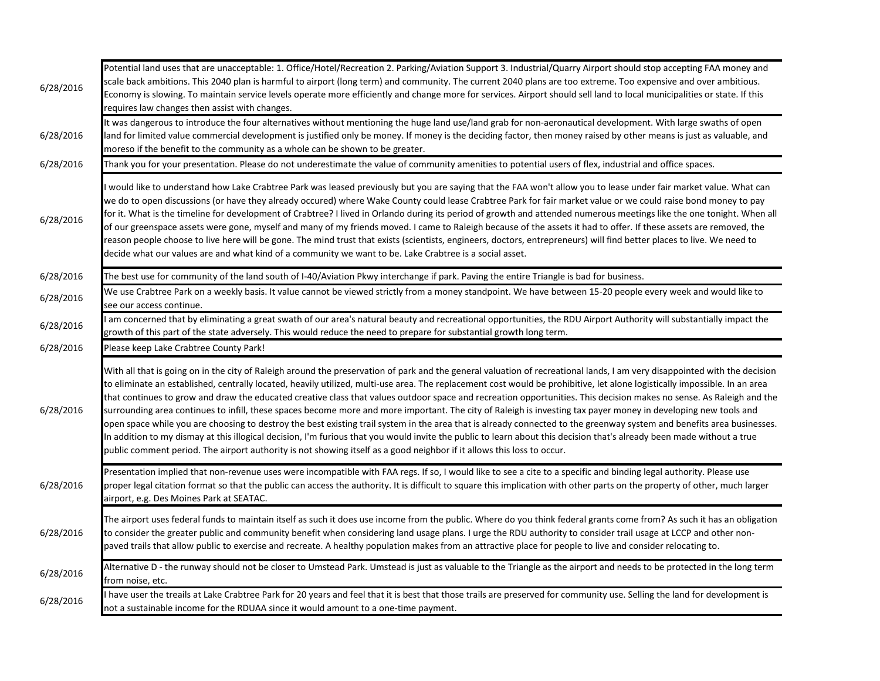| 6/28/2016 | Potential land uses that are unacceptable: 1. Office/Hotel/Recreation 2. Parking/Aviation Support 3. Industrial/Quarry Airport should stop accepting FAA money and<br>scale back ambitions. This 2040 plan is harmful to airport (long term) and community. The current 2040 plans are too extreme. Too expensive and over ambitious.<br>Economy is slowing. To maintain service levels operate more efficiently and change more for services. Airport should sell land to local municipalities or state. If this<br>requires law changes then assist with changes.                                                                                                                                                                                                                                                                                                                                                                                                                                                                                                                                                                                                               |
|-----------|-----------------------------------------------------------------------------------------------------------------------------------------------------------------------------------------------------------------------------------------------------------------------------------------------------------------------------------------------------------------------------------------------------------------------------------------------------------------------------------------------------------------------------------------------------------------------------------------------------------------------------------------------------------------------------------------------------------------------------------------------------------------------------------------------------------------------------------------------------------------------------------------------------------------------------------------------------------------------------------------------------------------------------------------------------------------------------------------------------------------------------------------------------------------------------------|
| 6/28/2016 | It was dangerous to introduce the four alternatives without mentioning the huge land use/land grab for non-aeronautical development. With large swaths of open<br>land for limited value commercial development is justified only be money. If money is the deciding factor, then money raised by other means is just as valuable, and<br>moreso if the benefit to the community as a whole can be shown to be greater.                                                                                                                                                                                                                                                                                                                                                                                                                                                                                                                                                                                                                                                                                                                                                           |
| 6/28/2016 | Thank you for your presentation. Please do not underestimate the value of community amenities to potential users of flex, industrial and office spaces.                                                                                                                                                                                                                                                                                                                                                                                                                                                                                                                                                                                                                                                                                                                                                                                                                                                                                                                                                                                                                           |
| 6/28/2016 | would like to understand how Lake Crabtree Park was leased previously but you are saying that the FAA won't allow you to lease under fair market value. What can<br>we do to open discussions (or have they already occured) where Wake County could lease Crabtree Park for fair market value or we could raise bond money to pay<br>for it. What is the timeline for development of Crabtree? I lived in Orlando during its period of growth and attended numerous meetings like the one tonight. When all<br>of our greenspace assets were gone, myself and many of my friends moved. I came to Raleigh because of the assets it had to offer. If these assets are removed, the<br>reason people choose to live here will be gone. The mind trust that exists (scientists, engineers, doctors, entrepreneurs) will find better places to live. We need to<br>decide what our values are and what kind of a community we want to be. Lake Crabtree is a social asset.                                                                                                                                                                                                           |
| 6/28/2016 | The best use for community of the land south of I-40/Aviation Pkwy interchange if park. Paving the entire Triangle is bad for business.                                                                                                                                                                                                                                                                                                                                                                                                                                                                                                                                                                                                                                                                                                                                                                                                                                                                                                                                                                                                                                           |
| 6/28/2016 | We use Crabtree Park on a weekly basis. It value cannot be viewed strictly from a money standpoint. We have between 15-20 people every week and would like to<br>see our access continue.                                                                                                                                                                                                                                                                                                                                                                                                                                                                                                                                                                                                                                                                                                                                                                                                                                                                                                                                                                                         |
| 6/28/2016 | am concerned that by eliminating a great swath of our area's natural beauty and recreational opportunities, the RDU Airport Authority will substantially impact the<br>growth of this part of the state adversely. This would reduce the need to prepare for substantial growth long term.                                                                                                                                                                                                                                                                                                                                                                                                                                                                                                                                                                                                                                                                                                                                                                                                                                                                                        |
| 6/28/2016 | Please keep Lake Crabtree County Park!                                                                                                                                                                                                                                                                                                                                                                                                                                                                                                                                                                                                                                                                                                                                                                                                                                                                                                                                                                                                                                                                                                                                            |
| 6/28/2016 | With all that is going on in the city of Raleigh around the preservation of park and the general valuation of recreational lands, I am very disappointed with the decision<br>to eliminate an established, centrally located, heavily utilized, multi-use area. The replacement cost would be prohibitive, let alone logistically impossible. In an area<br>that continues to grow and draw the educated creative class that values outdoor space and recreation opportunities. This decision makes no sense. As Raleigh and the<br>surrounding area continues to infill, these spaces become more and more important. The city of Raleigh is investing tax payer money in developing new tools and<br>open space while you are choosing to destroy the best existing trail system in the area that is already connected to the greenway system and benefits area businesses.<br>In addition to my dismay at this illogical decision, I'm furious that you would invite the public to learn about this decision that's already been made without a true<br>public comment period. The airport authority is not showing itself as a good neighbor if it allows this loss to occur. |
| 6/28/2016 | Presentation implied that non-revenue uses were incompatible with FAA regs. If so, I would like to see a cite to a specific and binding legal authority. Please use<br>proper legal citation format so that the public can access the authority. It is difficult to square this implication with other parts on the property of other, much larger<br>airport, e.g. Des Moines Park at SEATAC.                                                                                                                                                                                                                                                                                                                                                                                                                                                                                                                                                                                                                                                                                                                                                                                    |
| 6/28/2016 | The airport uses federal funds to maintain itself as such it does use income from the public. Where do you think federal grants come from? As such it has an obligation<br>to consider the greater public and community benefit when considering land usage plans. I urge the RDU authority to consider trail usage at LCCP and other non-<br>paved trails that allow public to exercise and recreate. A healthy population makes from an attractive place for people to live and consider relocating to.                                                                                                                                                                                                                                                                                                                                                                                                                                                                                                                                                                                                                                                                         |
| 6/28/2016 | Alternative D - the runway should not be closer to Umstead Park. Umstead is just as valuable to the Triangle as the airport and needs to be protected in the long term<br>from noise, etc.                                                                                                                                                                                                                                                                                                                                                                                                                                                                                                                                                                                                                                                                                                                                                                                                                                                                                                                                                                                        |
| 6/28/2016 | have user the treails at Lake Crabtree Park for 20 years and feel that it is best that those trails are preserved for community use. Selling the land for development is<br>not a sustainable income for the RDUAA since it would amount to a one-time payment.                                                                                                                                                                                                                                                                                                                                                                                                                                                                                                                                                                                                                                                                                                                                                                                                                                                                                                                   |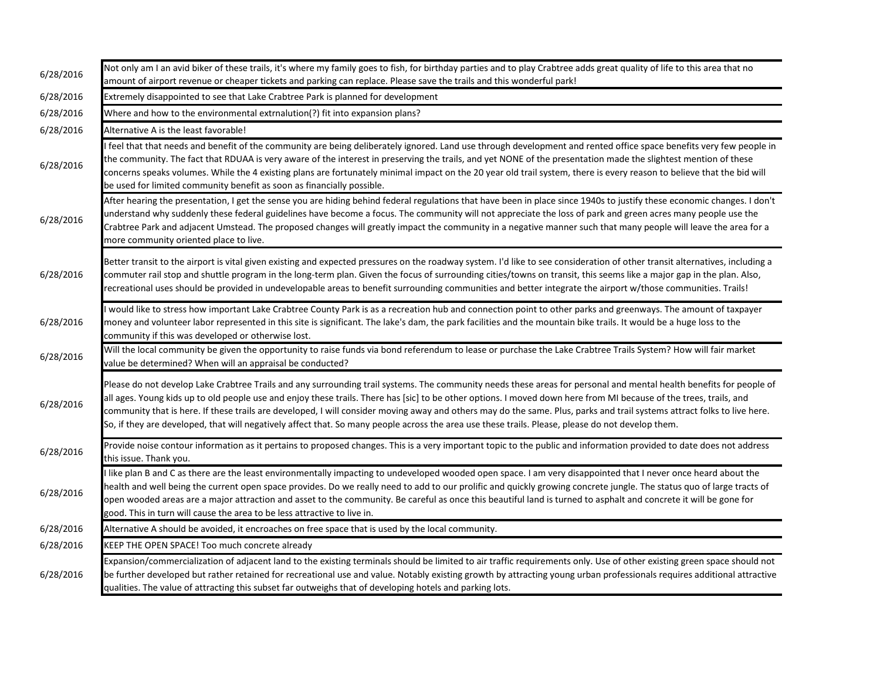| 6/28/2016 | Not only am I an avid biker of these trails, it's where my family goes to fish, for birthday parties and to play Crabtree adds great quality of life to this area that no<br>amount of airport revenue or cheaper tickets and parking can replace. Please save the trails and this wonderful park!                                                                                                                                                                                                                                                                                                                                                                         |
|-----------|----------------------------------------------------------------------------------------------------------------------------------------------------------------------------------------------------------------------------------------------------------------------------------------------------------------------------------------------------------------------------------------------------------------------------------------------------------------------------------------------------------------------------------------------------------------------------------------------------------------------------------------------------------------------------|
| 6/28/2016 | Extremely disappointed to see that Lake Crabtree Park is planned for development                                                                                                                                                                                                                                                                                                                                                                                                                                                                                                                                                                                           |
| 6/28/2016 | Where and how to the environmental extrnalution(?) fit into expansion plans?                                                                                                                                                                                                                                                                                                                                                                                                                                                                                                                                                                                               |
| 6/28/2016 | Alternative A is the least favorable!                                                                                                                                                                                                                                                                                                                                                                                                                                                                                                                                                                                                                                      |
| 6/28/2016 | feel that that needs and benefit of the community are being deliberately ignored. Land use through development and rented office space benefits very few people in<br>the community. The fact that RDUAA is very aware of the interest in preserving the trails, and yet NONE of the presentation made the slightest mention of these<br>concerns speaks volumes. While the 4 existing plans are fortunately minimal impact on the 20 year old trail system, there is every reason to believe that the bid will<br>be used for limited community benefit as soon as financially possible.                                                                                  |
| 6/28/2016 | After hearing the presentation, I get the sense you are hiding behind federal regulations that have been in place since 1940s to justify these economic changes. I don't<br>understand why suddenly these federal guidelines have become a focus. The community will not appreciate the loss of park and green acres many people use the<br>Crabtree Park and adjacent Umstead. The proposed changes will greatly impact the community in a negative manner such that many people will leave the area for a<br>more community oriented place to live.                                                                                                                      |
| 6/28/2016 | Better transit to the airport is vital given existing and expected pressures on the roadway system. I'd like to see consideration of other transit alternatives, including a<br>commuter rail stop and shuttle program in the long-term plan. Given the focus of surrounding cities/towns on transit, this seems like a major gap in the plan. Also,<br>recreational uses should be provided in undevelopable areas to benefit surrounding communities and better integrate the airport w/those communities. Trails!                                                                                                                                                       |
| 6/28/2016 | would like to stress how important Lake Crabtree County Park is as a recreation hub and connection point to other parks and greenways. The amount of taxpayer<br>money and volunteer labor represented in this site is significant. The lake's dam, the park facilities and the mountain bike trails. It would be a huge loss to the<br>community if this was developed or otherwise lost.                                                                                                                                                                                                                                                                                 |
| 6/28/2016 | Will the local community be given the opportunity to raise funds via bond referendum to lease or purchase the Lake Crabtree Trails System? How will fair market<br>value be determined? When will an appraisal be conducted?                                                                                                                                                                                                                                                                                                                                                                                                                                               |
| 6/28/2016 | Please do not develop Lake Crabtree Trails and any surrounding trail systems. The community needs these areas for personal and mental health benefits for people of<br>all ages. Young kids up to old people use and enjoy these trails. There has [sic] to be other options. I moved down here from MI because of the trees, trails, and<br>community that is here. If these trails are developed, I will consider moving away and others may do the same. Plus, parks and trail systems attract folks to live here.<br>So, if they are developed, that will negatively affect that. So many people across the area use these trails. Please, please do not develop them. |
| 6/28/2016 | Provide noise contour information as it pertains to proposed changes. This is a very important topic to the public and information provided to date does not address<br>this issue. Thank you.                                                                                                                                                                                                                                                                                                                                                                                                                                                                             |
| 6/28/2016 | I like plan B and C as there are the least environmentally impacting to undeveloped wooded open space. I am very disappointed that I never once heard about the<br>health and well being the current open space provides. Do we really need to add to our prolific and quickly growing concrete jungle. The status quo of large tracts of<br>open wooded areas are a major attraction and asset to the community. Be careful as once this beautiful land is turned to asphalt and concrete it will be gone for<br>good. This in turn will cause the area to be less attractive to live in.                                                                                 |
| 6/28/2016 | Alternative A should be avoided, it encroaches on free space that is used by the local community.                                                                                                                                                                                                                                                                                                                                                                                                                                                                                                                                                                          |
| 6/28/2016 | KEEP THE OPEN SPACE! Too much concrete already                                                                                                                                                                                                                                                                                                                                                                                                                                                                                                                                                                                                                             |
| 6/28/2016 | Expansion/commercialization of adjacent land to the existing terminals should be limited to air traffic requirements only. Use of other existing green space should not<br>be further developed but rather retained for recreational use and value. Notably existing growth by attracting young urban professionals requires additional attractive<br>qualities. The value of attracting this subset far outweighs that of developing hotels and parking lots.                                                                                                                                                                                                             |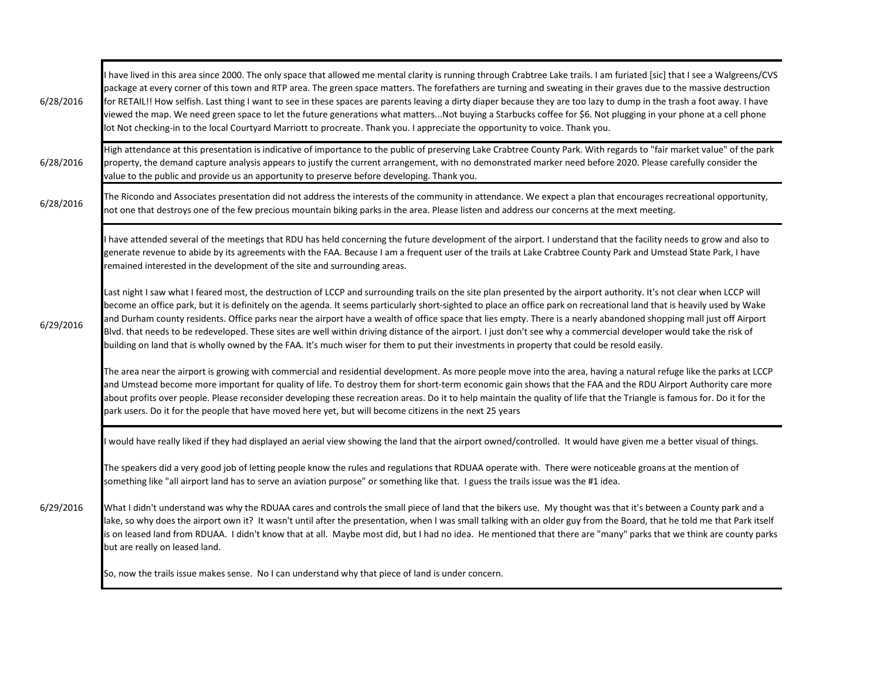| 6/28/2016 | I have lived in this area since 2000. The only space that allowed me mental clarity is running through Crabtree Lake trails. I am furiated [sic] that I see a Walgreens/CVS<br>package at every corner of this town and RTP area. The green space matters. The forefathers are turning and sweating in their graves due to the massive destruction<br>for RETAIL!! How selfish. Last thing I want to see in these spaces are parents leaving a dirty diaper because they are too lazy to dump in the trash a foot away. I have<br>viewed the map. We need green space to let the future generations what mattersNot buying a Starbucks coffee for \$6. Not plugging in your phone at a cell phone<br>lot Not checking-in to the local Courtyard Marriott to procreate. Thank you. I appreciate the opportunity to voice. Thank you.               |
|-----------|---------------------------------------------------------------------------------------------------------------------------------------------------------------------------------------------------------------------------------------------------------------------------------------------------------------------------------------------------------------------------------------------------------------------------------------------------------------------------------------------------------------------------------------------------------------------------------------------------------------------------------------------------------------------------------------------------------------------------------------------------------------------------------------------------------------------------------------------------|
| 6/28/2016 | High attendance at this presentation is indicative of importance to the public of preserving Lake Crabtree County Park. With regards to "fair market value" of the park<br>property, the demand capture analysis appears to justify the current arrangement, with no demonstrated marker need before 2020. Please carefully consider the<br>value to the public and provide us an apportunity to preserve before developing. Thank you.                                                                                                                                                                                                                                                                                                                                                                                                           |
| 6/28/2016 | The Ricondo and Associates presentation did not address the interests of the community in attendance. We expect a plan that encourages recreational opportunity,<br>not one that destroys one of the few precious mountain biking parks in the area. Please listen and address our concerns at the mext meeting.                                                                                                                                                                                                                                                                                                                                                                                                                                                                                                                                  |
|           | I have attended several of the meetings that RDU has held concerning the future development of the airport. I understand that the facility needs to grow and also to<br>generate revenue to abide by its agreements with the FAA. Because I am a frequent user of the trails at Lake Crabtree County Park and Umstead State Park, I have<br>remained interested in the development of the site and surrounding areas.                                                                                                                                                                                                                                                                                                                                                                                                                             |
| 6/29/2016 | Last night I saw what I feared most, the destruction of LCCP and surrounding trails on the site plan presented by the airport authority. It's not clear when LCCP will<br>become an office park, but it is definitely on the agenda. It seems particularly short-sighted to place an office park on recreational land that is heavily used by Wake<br>and Durham county residents. Office parks near the airport have a wealth of office space that lies empty. There is a nearly abandoned shopping mall just off Airport<br>Blvd. that needs to be redeveloped. These sites are well within driving distance of the airport. I just don't see why a commercial developer would take the risk of<br>building on land that is wholly owned by the FAA. It's much wiser for them to put their investments in property that could be resold easily. |
|           | The area near the airport is growing with commercial and residential development. As more people move into the area, having a natural refuge like the parks at LCCP<br>and Umstead become more important for quality of life. To destroy them for short-term economic gain shows that the FAA and the RDU Airport Authority care more<br>about profits over people. Please reconsider developing these recreation areas. Do it to help maintain the quality of life that the Triangle is famous for. Do it for the<br>park users. Do it for the people that have moved here yet, but will become citizens in the next 25 years                                                                                                                                                                                                                    |
|           | would have really liked if they had displayed an aerial view showing the land that the airport owned/controlled. It would have given me a better visual of things.                                                                                                                                                                                                                                                                                                                                                                                                                                                                                                                                                                                                                                                                                |
|           | The speakers did a very good job of letting people know the rules and regulations that RDUAA operate with. There were noticeable groans at the mention of<br>something like "all airport land has to serve an aviation purpose" or something like that. I guess the trails issue was the #1 idea.                                                                                                                                                                                                                                                                                                                                                                                                                                                                                                                                                 |
| 6/29/2016 | What I didn't understand was why the RDUAA cares and controls the small piece of land that the bikers use. My thought was that it's between a County park and a<br>lake, so why does the airport own it? It wasn't until after the presentation, when I was small talking with an older guy from the Board, that he told me that Park itself<br>is on leased land from RDUAA. I didn't know that at all. Maybe most did, but I had no idea. He mentioned that there are "many" parks that we think are county parks<br>but are really on leased land.                                                                                                                                                                                                                                                                                             |
|           | So, now the trails issue makes sense. No I can understand why that piece of land is under concern.                                                                                                                                                                                                                                                                                                                                                                                                                                                                                                                                                                                                                                                                                                                                                |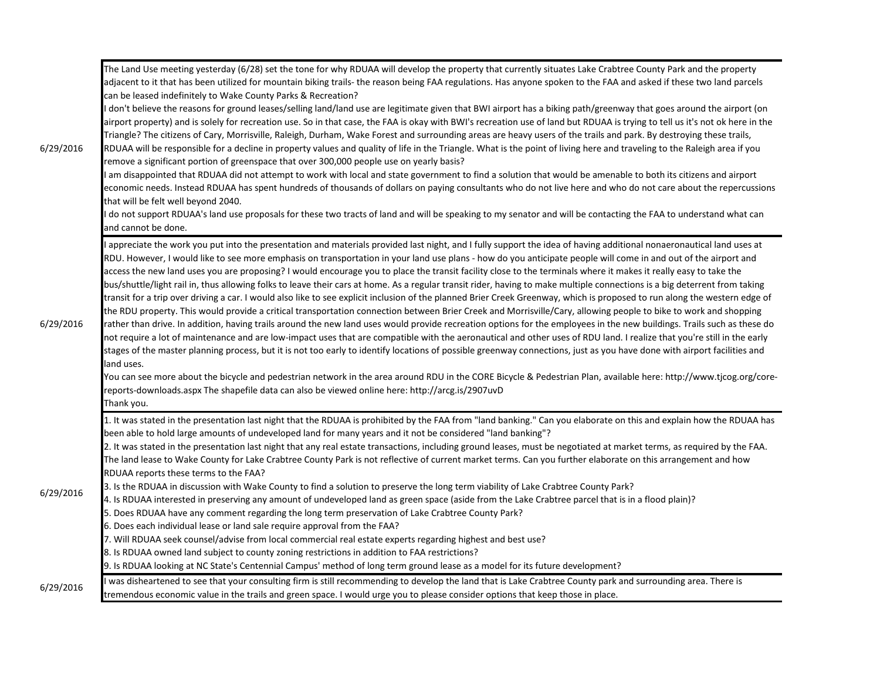| 6/29/2016 | The Land Use meeting yesterday (6/28) set the tone for why RDUAA will develop the property that currently situates Lake Crabtree County Park and the property<br>adjacent to it that has been utilized for mountain biking trails- the reason being FAA regulations. Has anyone spoken to the FAA and asked if these two land parcels<br>can be leased indefinitely to Wake County Parks & Recreation?<br>I don't believe the reasons for ground leases/selling land/land use are legitimate given that BWI airport has a biking path/greenway that goes around the airport (on<br>airport property) and is solely for recreation use. So in that case, the FAA is okay with BWI's recreation use of land but RDUAA is trying to tell us it's not ok here in the<br>Triangle? The citizens of Cary, Morrisville, Raleigh, Durham, Wake Forest and surrounding areas are heavy users of the trails and park. By destroying these trails,<br>RDUAA will be responsible for a decline in property values and quality of life in the Triangle. What is the point of living here and traveling to the Raleigh area if you<br>remove a significant portion of greenspace that over 300,000 people use on yearly basis?<br>I am disappointed that RDUAA did not attempt to work with local and state government to find a solution that would be amenable to both its citizens and airport<br>economic needs. Instead RDUAA has spent hundreds of thousands of dollars on paying consultants who do not live here and who do not care about the repercussions<br>that will be felt well beyond 2040.<br>do not support RDUAA's land use proposals for these two tracts of land and will be speaking to my senator and will be contacting the FAA to understand what can<br>and cannot be done.                                                                                              |
|-----------|--------------------------------------------------------------------------------------------------------------------------------------------------------------------------------------------------------------------------------------------------------------------------------------------------------------------------------------------------------------------------------------------------------------------------------------------------------------------------------------------------------------------------------------------------------------------------------------------------------------------------------------------------------------------------------------------------------------------------------------------------------------------------------------------------------------------------------------------------------------------------------------------------------------------------------------------------------------------------------------------------------------------------------------------------------------------------------------------------------------------------------------------------------------------------------------------------------------------------------------------------------------------------------------------------------------------------------------------------------------------------------------------------------------------------------------------------------------------------------------------------------------------------------------------------------------------------------------------------------------------------------------------------------------------------------------------------------------------------------------------------------------------------------------------------------------------------------------------------------------------------------------|
| 6/29/2016 | I appreciate the work you put into the presentation and materials provided last night, and I fully support the idea of having additional nonaeronautical land uses at<br>RDU. However, I would like to see more emphasis on transportation in your land use plans - how do you anticipate people will come in and out of the airport and<br>access the new land uses you are proposing? I would encourage you to place the transit facility close to the terminals where it makes it really easy to take the<br>bus/shuttle/light rail in, thus allowing folks to leave their cars at home. As a regular transit rider, having to make multiple connections is a big deterrent from taking<br>transit for a trip over driving a car. I would also like to see explicit inclusion of the planned Brier Creek Greenway, which is proposed to run along the western edge of<br>the RDU property. This would provide a critical transportation connection between Brier Creek and Morrisville/Cary, allowing people to bike to work and shopping<br>rather than drive. In addition, having trails around the new land uses would provide recreation options for the employees in the new buildings. Trails such as these do<br>not require a lot of maintenance and are low-impact uses that are compatible with the aeronautical and other uses of RDU land. I realize that you're still in the early<br>stages of the master planning process, but it is not too early to identify locations of possible greenway connections, just as you have done with airport facilities and<br>land uses.<br>You can see more about the bicycle and pedestrian network in the area around RDU in the CORE Bicycle & Pedestrian Plan, available here: http://www.tjcog.org/core-<br>reports-downloads.aspx The shapefile data can also be viewed online here: http://arcg.is/2907uvD<br>Thank you. |
| 6/29/2016 | 1. It was stated in the presentation last night that the RDUAA is prohibited by the FAA from "land banking." Can you elaborate on this and explain how the RDUAA has<br>been able to hold large amounts of undeveloped land for many years and it not be considered "land banking"?<br>2. It was stated in the presentation last night that any real estate transactions, including ground leases, must be negotiated at market terms, as required by the FAA.<br>The land lease to Wake County for Lake Crabtree County Park is not reflective of current market terms. Can you further elaborate on this arrangement and how<br>RDUAA reports these terms to the FAA?<br>3. Is the RDUAA in discussion with Wake County to find a solution to preserve the long term viability of Lake Crabtree County Park?<br>4. Is RDUAA interested in preserving any amount of undeveloped land as green space (aside from the Lake Crabtree parcel that is in a flood plain)?<br>5. Does RDUAA have any comment regarding the long term preservation of Lake Crabtree County Park?<br>6. Does each individual lease or land sale require approval from the FAA?<br>7. Will RDUAA seek counsel/advise from local commercial real estate experts regarding highest and best use?<br>8. Is RDUAA owned land subject to county zoning restrictions in addition to FAA restrictions?<br>9. Is RDUAA looking at NC State's Centennial Campus' method of long term ground lease as a model for its future development?                                                                                                                                                                                                                                                                                                                                                                               |
| 6/29/2016 | was disheartened to see that your consulting firm is still recommending to develop the land that is Lake Crabtree County park and surrounding area. There is<br>tremendous economic value in the trails and green space. I would urge you to please consider options that keep those in place.                                                                                                                                                                                                                                                                                                                                                                                                                                                                                                                                                                                                                                                                                                                                                                                                                                                                                                                                                                                                                                                                                                                                                                                                                                                                                                                                                                                                                                                                                                                                                                                       |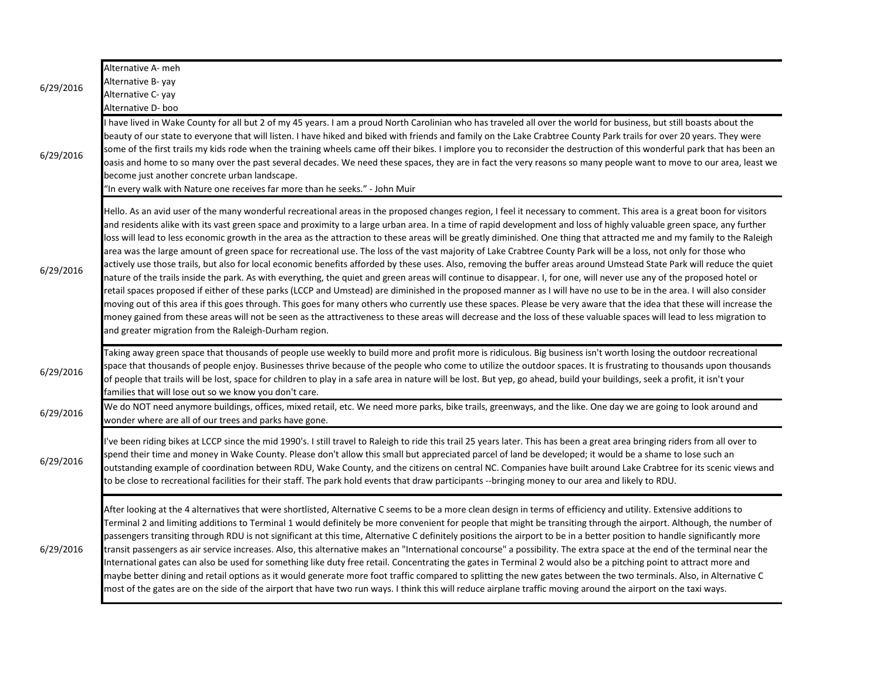| 6/29/2016 | Alternative A- meh<br>Alternative B- yay<br>Alternative C-yay<br>Alternative D- boo                                                                                                                                                                                                                                                                                                                                                                                                                                                                                                                                                                                                                                                                                                                                                                                                                                                                                                                                                                                                                                                                                                                                                                                                                                                                                                                                                                                                                                                                                                                                                            |
|-----------|------------------------------------------------------------------------------------------------------------------------------------------------------------------------------------------------------------------------------------------------------------------------------------------------------------------------------------------------------------------------------------------------------------------------------------------------------------------------------------------------------------------------------------------------------------------------------------------------------------------------------------------------------------------------------------------------------------------------------------------------------------------------------------------------------------------------------------------------------------------------------------------------------------------------------------------------------------------------------------------------------------------------------------------------------------------------------------------------------------------------------------------------------------------------------------------------------------------------------------------------------------------------------------------------------------------------------------------------------------------------------------------------------------------------------------------------------------------------------------------------------------------------------------------------------------------------------------------------------------------------------------------------|
| 6/29/2016 | I have lived in Wake County for all but 2 of my 45 years. I am a proud North Carolinian who has traveled all over the world for business, but still boasts about the<br>beauty of our state to everyone that will listen. I have hiked and biked with friends and family on the Lake Crabtree County Park trails for over 20 years. They were<br>some of the first trails my kids rode when the training wheels came off their bikes. I implore you to reconsider the destruction of this wonderful park that has been an<br>oasis and home to so many over the past several decades. We need these spaces, they are in fact the very reasons so many people want to move to our area, least we<br>become just another concrete urban landscape.<br>'In every walk with Nature one receives far more than he seeks." - John Muir                                                                                                                                                                                                                                                                                                                                                                                                                                                                                                                                                                                                                                                                                                                                                                                                               |
| 6/29/2016 | Hello. As an avid user of the many wonderful recreational areas in the proposed changes region, I feel it necessary to comment. This area is a great boon for visitors<br>and residents alike with its vast green space and proximity to a large urban area. In a time of rapid development and loss of highly valuable green space, any further<br>loss will lead to less economic growth in the area as the attraction to these areas will be greatly diminished. One thing that attracted me and my family to the Raleigh<br>area was the large amount of green space for recreational use. The loss of the vast majority of Lake Crabtree County Park will be a loss, not only for those who<br>actively use those trails, but also for local economic benefits afforded by these uses. Also, removing the buffer areas around Umstead State Park will reduce the quiet<br>nature of the trails inside the park. As with everything, the quiet and green areas will continue to disappear. I, for one, will never use any of the proposed hotel or<br>retail spaces proposed if either of these parks (LCCP and Umstead) are diminished in the proposed manner as I will have no use to be in the area. I will also consider<br>moving out of this area if this goes through. This goes for many others who currently use these spaces. Please be very aware that the idea that these will increase the<br>money gained from these areas will not be seen as the attractiveness to these areas will decrease and the loss of these valuable spaces will lead to less migration to<br>and greater migration from the Raleigh-Durham region. |
| 6/29/2016 | Taking away green space that thousands of people use weekly to build more and profit more is ridiculous. Big business isn't worth losing the outdoor recreational<br>space that thousands of people enjoy. Businesses thrive because of the people who come to utilize the outdoor spaces. It is frustrating to thousands upon thousands<br>of people that trails will be lost, space for children to play in a safe area in nature will be lost. But yep, go ahead, build your buildings, seek a profit, it isn't your<br>families that will lose out so we know you don't care.                                                                                                                                                                                                                                                                                                                                                                                                                                                                                                                                                                                                                                                                                                                                                                                                                                                                                                                                                                                                                                                              |
| 6/29/2016 | We do NOT need anymore buildings, offices, mixed retail, etc. We need more parks, bike trails, greenways, and the like. One day we are going to look around and<br>wonder where are all of our trees and parks have gone.                                                                                                                                                                                                                                                                                                                                                                                                                                                                                                                                                                                                                                                                                                                                                                                                                                                                                                                                                                                                                                                                                                                                                                                                                                                                                                                                                                                                                      |
| 6/29/2016 | l've been riding bikes at LCCP since the mid 1990's. I still travel to Raleigh to ride this trail 25 years later. This has been a great area bringing riders from all over to<br>spend their time and money in Wake County. Please don't allow this small but appreciated parcel of land be developed; it would be a shame to lose such an<br>outstanding example of coordination between RDU, Wake County, and the citizens on central NC. Companies have built around Lake Crabtree for its scenic views and<br>to be close to recreational facilities for their staff. The park hold events that draw participants --bringing money to our area and likely to RDU.                                                                                                                                                                                                                                                                                                                                                                                                                                                                                                                                                                                                                                                                                                                                                                                                                                                                                                                                                                          |
| 6/29/2016 | After looking at the 4 alternatives that were shortlisted, Alternative C seems to be a more clean design in terms of efficiency and utility. Extensive additions to<br>Terminal 2 and limiting additions to Terminal 1 would definitely be more convenient for people that might be transiting through the airport. Although, the number of<br>passengers transiting through RDU is not significant at this time, Alternative C definitely positions the airport to be in a better position to handle significantly more<br>transit passengers as air service increases. Also, this alternative makes an "International concourse" a possibility. The extra space at the end of the terminal near the<br>International gates can also be used for something like duty free retail. Concentrating the gates in Terminal 2 would also be a pitching point to attract more and<br>maybe better dining and retail options as it would generate more foot traffic compared to splitting the new gates between the two terminals. Also, in Alternative C<br>most of the gates are on the side of the airport that have two run ways. I think this will reduce airplane traffic moving around the airport on the taxi ways.                                                                                                                                                                                                                                                                                                                                                                                                                           |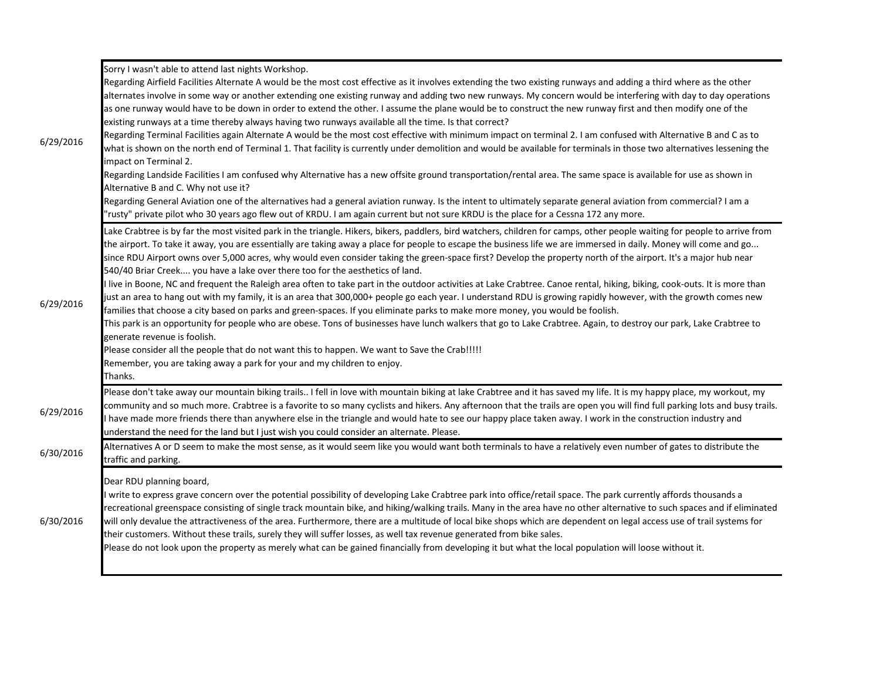|           | Sorry I wasn't able to attend last nights Workshop.                                                                                                                                                                                                                                                                                                                                                                                                                                                                                                                                                                                                                                                                                                                                                                                  |
|-----------|--------------------------------------------------------------------------------------------------------------------------------------------------------------------------------------------------------------------------------------------------------------------------------------------------------------------------------------------------------------------------------------------------------------------------------------------------------------------------------------------------------------------------------------------------------------------------------------------------------------------------------------------------------------------------------------------------------------------------------------------------------------------------------------------------------------------------------------|
| 6/29/2016 | Regarding Airfield Facilities Alternate A would be the most cost effective as it involves extending the two existing runways and adding a third where as the other<br>alternates involve in some way or another extending one existing runway and adding two new runways. My concern would be interfering with day to day operations<br>as one runway would have to be down in order to extend the other. I assume the plane would be to construct the new runway first and then modify one of the<br>existing runways at a time thereby always having two runways available all the time. Is that correct?                                                                                                                                                                                                                          |
|           | Regarding Terminal Facilities again Alternate A would be the most cost effective with minimum impact on terminal 2. I am confused with Alternative B and C as to<br>what is shown on the north end of Terminal 1. That facility is currently under demolition and would be available for terminals in those two alternatives lessening the<br>impact on Terminal 2.                                                                                                                                                                                                                                                                                                                                                                                                                                                                  |
|           | Regarding Landside Facilities I am confused why Alternative has a new offsite ground transportation/rental area. The same space is available for use as shown in<br>Alternative B and C. Why not use it?                                                                                                                                                                                                                                                                                                                                                                                                                                                                                                                                                                                                                             |
|           | Regarding General Aviation one of the alternatives had a general aviation runway. Is the intent to ultimately separate general aviation from commercial? I am a<br>"rusty" private pilot who 30 years ago flew out of KRDU. I am again current but not sure KRDU is the place for a Cessna 172 any more.                                                                                                                                                                                                                                                                                                                                                                                                                                                                                                                             |
|           | Lake Crabtree is by far the most visited park in the triangle. Hikers, bikers, paddlers, bird watchers, children for camps, other people waiting for people to arrive from<br>the airport. To take it away, you are essentially are taking away a place for people to escape the business life we are immersed in daily. Money will come and go<br>since RDU Airport owns over 5,000 acres, why would even consider taking the green-space first? Develop the property north of the airport. It's a major hub near<br>540/40 Briar Creek you have a lake over there too for the aesthetics of land.                                                                                                                                                                                                                                  |
| 6/29/2016 | I live in Boone, NC and frequent the Raleigh area often to take part in the outdoor activities at Lake Crabtree. Canoe rental, hiking, biking, cook-outs. It is more than<br>just an area to hang out with my family, it is an area that 300,000+ people go each year. I understand RDU is growing rapidly however, with the growth comes new<br>families that choose a city based on parks and green-spaces. If you eliminate parks to make more money, you would be foolish.                                                                                                                                                                                                                                                                                                                                                       |
|           | This park is an opportunity for people who are obese. Tons of businesses have lunch walkers that go to Lake Crabtree. Again, to destroy our park, Lake Crabtree to<br>generate revenue is foolish.                                                                                                                                                                                                                                                                                                                                                                                                                                                                                                                                                                                                                                   |
|           | Please consider all the people that do not want this to happen. We want to Save the Crab!!!!!                                                                                                                                                                                                                                                                                                                                                                                                                                                                                                                                                                                                                                                                                                                                        |
|           | Remember, you are taking away a park for your and my children to enjoy.                                                                                                                                                                                                                                                                                                                                                                                                                                                                                                                                                                                                                                                                                                                                                              |
|           | Thanks.<br>Please don't take away our mountain biking trails I fell in love with mountain biking at lake Crabtree and it has saved my life. It is my happy place, my workout, my                                                                                                                                                                                                                                                                                                                                                                                                                                                                                                                                                                                                                                                     |
| 6/29/2016 | community and so much more. Crabtree is a favorite to so many cyclists and hikers. Any afternoon that the trails are open you will find full parking lots and busy trails.<br>I have made more friends there than anywhere else in the triangle and would hate to see our happy place taken away. I work in the construction industry and<br>understand the need for the land but I just wish you could consider an alternate. Please.                                                                                                                                                                                                                                                                                                                                                                                               |
| 6/30/2016 | Alternatives A or D seem to make the most sense, as it would seem like you would want both terminals to have a relatively even number of gates to distribute the<br>traffic and parking.                                                                                                                                                                                                                                                                                                                                                                                                                                                                                                                                                                                                                                             |
| 6/30/2016 | Dear RDU planning board,<br>I write to express grave concern over the potential possibility of developing Lake Crabtree park into office/retail space. The park currently affords thousands a<br>recreational greenspace consisting of single track mountain bike, and hiking/walking trails. Many in the area have no other alternative to such spaces and if eliminated<br>will only devalue the attractiveness of the area. Furthermore, there are a multitude of local bike shops which are dependent on legal access use of trail systems for<br>their customers. Without these trails, surely they will suffer losses, as well tax revenue generated from bike sales.<br>Please do not look upon the property as merely what can be gained financially from developing it but what the local population will loose without it. |
|           |                                                                                                                                                                                                                                                                                                                                                                                                                                                                                                                                                                                                                                                                                                                                                                                                                                      |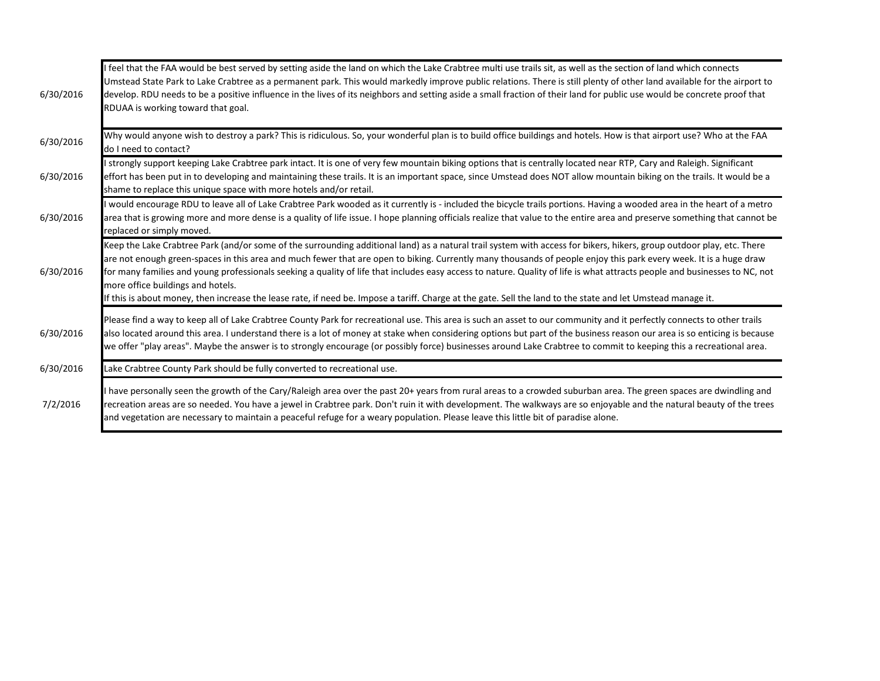| 6/30/2016 | feel that the FAA would be best served by setting aside the land on which the Lake Crabtree multi use trails sit, as well as the section of land which connects<br>Umstead State Park to Lake Crabtree as a permanent park. This would markedly improve public relations. There is still plenty of other land available for the airport to<br>develop. RDU needs to be a positive influence in the lives of its neighbors and setting aside a small fraction of their land for public use would be concrete proof that<br>RDUAA is working toward that goal.                                                                                                                                                                  |
|-----------|-------------------------------------------------------------------------------------------------------------------------------------------------------------------------------------------------------------------------------------------------------------------------------------------------------------------------------------------------------------------------------------------------------------------------------------------------------------------------------------------------------------------------------------------------------------------------------------------------------------------------------------------------------------------------------------------------------------------------------|
| 6/30/2016 | Why would anyone wish to destroy a park? This is ridiculous. So, your wonderful plan is to build office buildings and hotels. How is that airport use? Who at the FAA<br>do I need to contact?                                                                                                                                                                                                                                                                                                                                                                                                                                                                                                                                |
| 6/30/2016 | strongly support keeping Lake Crabtree park intact. It is one of very few mountain biking options that is centrally located near RTP, Cary and Raleigh. Significant<br>effort has been put in to developing and maintaining these trails. It is an important space, since Umstead does NOT allow mountain biking on the trails. It would be a<br>shame to replace this unique space with more hotels and/or retail.                                                                                                                                                                                                                                                                                                           |
| 6/30/2016 | would encourage RDU to leave all of Lake Crabtree Park wooded as it currently is - included the bicycle trails portions. Having a wooded area in the heart of a metro<br>area that is growing more and more dense is a quality of life issue. I hope planning officials realize that value to the entire area and preserve something that cannot be<br>replaced or simply moved.                                                                                                                                                                                                                                                                                                                                              |
| 6/30/2016 | Keep the Lake Crabtree Park (and/or some of the surrounding additional land) as a natural trail system with access for bikers, hikers, group outdoor play, etc. There<br>are not enough green-spaces in this area and much fewer that are open to biking. Currently many thousands of people enjoy this park every week. It is a huge draw<br>for many families and young professionals seeking a quality of life that includes easy access to nature. Quality of life is what attracts people and businesses to NC, not<br>more office buildings and hotels.<br>If this is about money, then increase the lease rate, if need be. Impose a tariff. Charge at the gate. Sell the land to the state and let Umstead manage it. |
| 6/30/2016 | Please find a way to keep all of Lake Crabtree County Park for recreational use. This area is such an asset to our community and it perfectly connects to other trails<br>also located around this area. I understand there is a lot of money at stake when considering options but part of the business reason our area is so enticing is because<br>we offer "play areas". Maybe the answer is to strongly encourage (or possibly force) businesses around Lake Crabtree to commit to keeping this a recreational area.                                                                                                                                                                                                     |
| 6/30/2016 | Lake Crabtree County Park should be fully converted to recreational use.                                                                                                                                                                                                                                                                                                                                                                                                                                                                                                                                                                                                                                                      |
| 7/2/2016  | have personally seen the growth of the Cary/Raleigh area over the past 20+ years from rural areas to a crowded suburban area. The green spaces are dwindling and<br>recreation areas are so needed. You have a jewel in Crabtree park. Don't ruin it with development. The walkways are so enjoyable and the natural beauty of the trees<br>and vegetation are necessary to maintain a peaceful refuge for a weary population. Please leave this little bit of paradise alone.                                                                                                                                                                                                                                                |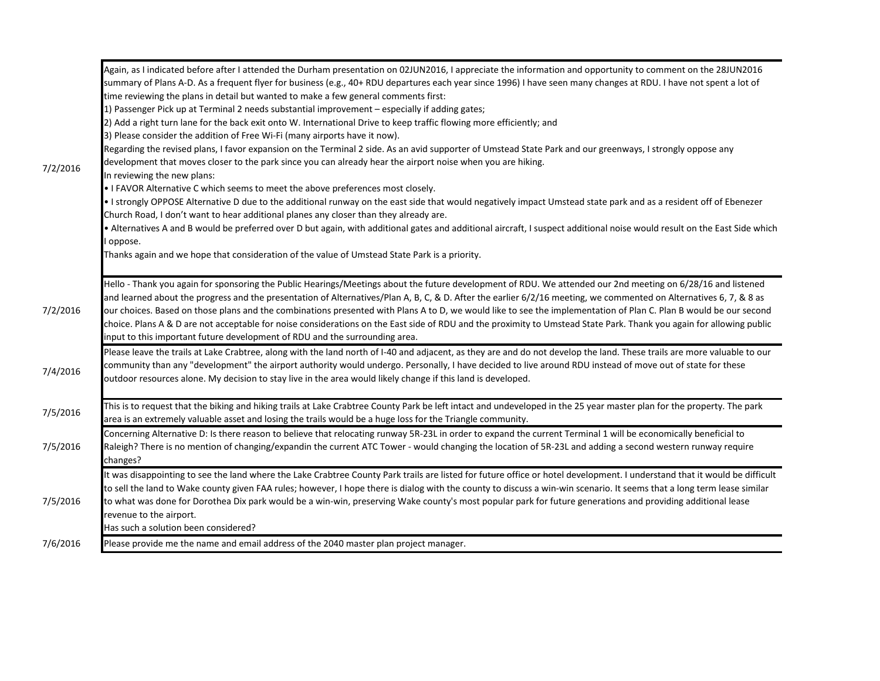| 7/2/2016 | Again, as I indicated before after I attended the Durham presentation on 02JUN2016, I appreciate the information and opportunity to comment on the 28JUN2016<br>summary of Plans A-D. As a frequent flyer for business (e.g., 40+ RDU departures each year since 1996) I have seen many changes at RDU. I have not spent a lot of<br>time reviewing the plans in detail but wanted to make a few general comments first:<br>1) Passenger Pick up at Terminal 2 needs substantial improvement - especially if adding gates;<br>2) Add a right turn lane for the back exit onto W. International Drive to keep traffic flowing more efficiently; and<br>3) Please consider the addition of Free Wi-Fi (many airports have it now).<br>Regarding the revised plans, I favor expansion on the Terminal 2 side. As an avid supporter of Umstead State Park and our greenways, I strongly oppose any<br>development that moves closer to the park since you can already hear the airport noise when you are hiking.<br>In reviewing the new plans:<br>. I FAVOR Alternative C which seems to meet the above preferences most closely.<br>• I strongly OPPOSE Alternative D due to the additional runway on the east side that would negatively impact Umstead state park and as a resident off of Ebenezer<br>Church Road, I don't want to hear additional planes any closer than they already are.<br>• Alternatives A and B would be preferred over D but again, with additional gates and additional aircraft, I suspect additional noise would result on the East Side which<br>oppose.<br>Thanks again and we hope that consideration of the value of Umstead State Park is a priority. |
|----------|----------------------------------------------------------------------------------------------------------------------------------------------------------------------------------------------------------------------------------------------------------------------------------------------------------------------------------------------------------------------------------------------------------------------------------------------------------------------------------------------------------------------------------------------------------------------------------------------------------------------------------------------------------------------------------------------------------------------------------------------------------------------------------------------------------------------------------------------------------------------------------------------------------------------------------------------------------------------------------------------------------------------------------------------------------------------------------------------------------------------------------------------------------------------------------------------------------------------------------------------------------------------------------------------------------------------------------------------------------------------------------------------------------------------------------------------------------------------------------------------------------------------------------------------------------------------------------------------------------------------------------------------------------------------------------------|
| 7/2/2016 | Hello - Thank you again for sponsoring the Public Hearings/Meetings about the future development of RDU. We attended our 2nd meeting on 6/28/16 and listened<br>and learned about the progress and the presentation of Alternatives/Plan A, B, C, & D. After the earlier 6/2/16 meeting, we commented on Alternatives 6, 7, & 8 as<br>our choices. Based on those plans and the combinations presented with Plans A to D, we would like to see the implementation of Plan C. Plan B would be our second<br>choice. Plans A & D are not acceptable for noise considerations on the East side of RDU and the proximity to Umstead State Park. Thank you again for allowing public<br>input to this important future development of RDU and the surrounding area.                                                                                                                                                                                                                                                                                                                                                                                                                                                                                                                                                                                                                                                                                                                                                                                                                                                                                                                         |
| 7/4/2016 | Please leave the trails at Lake Crabtree, along with the land north of I-40 and adjacent, as they are and do not develop the land. These trails are more valuable to our<br>community than any "development" the airport authority would undergo. Personally, I have decided to live around RDU instead of move out of state for these<br>outdoor resources alone. My decision to stay live in the area would likely change if this land is developed.                                                                                                                                                                                                                                                                                                                                                                                                                                                                                                                                                                                                                                                                                                                                                                                                                                                                                                                                                                                                                                                                                                                                                                                                                                 |
| 7/5/2016 | This is to request that the biking and hiking trails at Lake Crabtree County Park be left intact and undeveloped in the 25 year master plan for the property. The park<br>area is an extremely valuable asset and losing the trails would be a huge loss for the Triangle community.                                                                                                                                                                                                                                                                                                                                                                                                                                                                                                                                                                                                                                                                                                                                                                                                                                                                                                                                                                                                                                                                                                                                                                                                                                                                                                                                                                                                   |
| 7/5/2016 | Concerning Alternative D: Is there reason to believe that relocating runway 5R-23L in order to expand the current Terminal 1 will be economically beneficial to<br>Raleigh? There is no mention of changing/expandin the current ATC Tower - would changing the location of 5R-23L and adding a second western runway require<br>changes?                                                                                                                                                                                                                                                                                                                                                                                                                                                                                                                                                                                                                                                                                                                                                                                                                                                                                                                                                                                                                                                                                                                                                                                                                                                                                                                                              |
| 7/5/2016 | It was disappointing to see the land where the Lake Crabtree County Park trails are listed for future office or hotel development. I understand that it would be difficult<br>to sell the land to Wake county given FAA rules; however, I hope there is dialog with the county to discuss a win-win scenario. It seems that a long term lease similar<br>to what was done for Dorothea Dix park would be a win-win, preserving Wake county's most popular park for future generations and providing additional lease<br>revenue to the airport.<br>Has such a solution been considered?                                                                                                                                                                                                                                                                                                                                                                                                                                                                                                                                                                                                                                                                                                                                                                                                                                                                                                                                                                                                                                                                                                |
| 7/6/2016 | Please provide me the name and email address of the 2040 master plan project manager.                                                                                                                                                                                                                                                                                                                                                                                                                                                                                                                                                                                                                                                                                                                                                                                                                                                                                                                                                                                                                                                                                                                                                                                                                                                                                                                                                                                                                                                                                                                                                                                                  |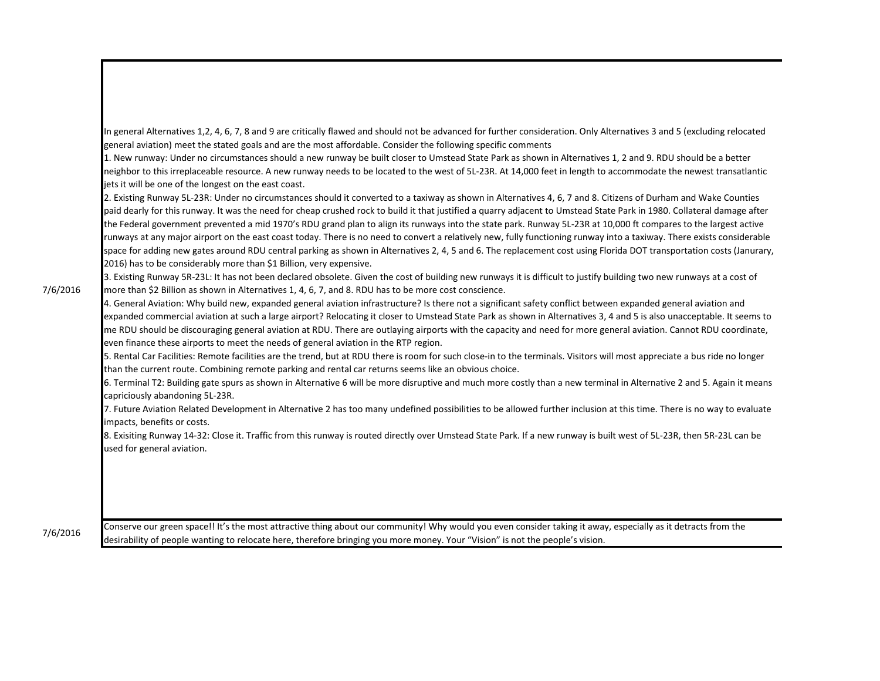In general Alternatives 1,2, 4, 6, 7, 8 and 9 are critically flawed and should not be advanced for further consideration. Only Alternatives 3 and 5 (excluding relocated general aviation) meet the stated goals and are the most affordable. Consider the following specific comments

1. New runway: Under no circumstances should a new runway be built closer to Umstead State Park as shown in Alternatives 1, 2 and 9. RDU should be a better neighbor to this irreplaceable resource. A new runway needs to be located to the west of 5L-23R. At 14,000 feet in length to accommodate the newest transatlantic jets it will be one of the longest on the east coast.

2. Existing Runway 5L-23R: Under no circumstances should it converted to a taxiway as shown in Alternatives 4, 6, 7 and 8. Citizens of Durham and Wake Counties paid dearly for this runway. It was the need for cheap crushed rock to build it that justified a quarry adjacent to Umstead State Park in 1980. Collateral damage after the Federal government prevented a mid 1970's RDU grand plan to align its runways into the state park. Runway 5L-23R at 10,000 ft compares to the largest active runways at any major airport on the east coast today. There is no need to convert a relatively new, fully functioning runway into a taxiway. There exists considerable space for adding new gates around RDU central parking as shown in Alternatives 2, 4, 5 and 6. The replacement cost using Florida DOT transportation costs (Janurary, 2016) has to be considerably more than \$1 Billion, very expensive.

3. Existing Runway 5R-23L: It has not been declared obsolete. Given the cost of building new runways it is difficult to justify building two new runways at a cost of more than \$2 Billion as shown in Alternatives 1, 4, 6, 7, and 8. RDU has to be more cost conscience.

4. General Aviation: Why build new, expanded general aviation infrastructure? Is there not a significant safety conflict between expanded general aviation and expanded commercial aviation at such a large airport? Relocating it closer to Umstead State Park as shown in Alternatives 3, 4 and 5 is also unacceptable. It seems to me RDU should be discouraging general aviation at RDU. There are outlaying airports with the capacity and need for more general aviation. Cannot RDU coordinate, even finance these airports to meet the needs of general aviation in the RTP region.

5. Rental Car Facilities: Remote facilities are the trend, but at RDU there is room for such close-in to the terminals. Visitors will most appreciate a bus ride no longer than the current route. Combining remote parking and rental car returns seems like an obvious choice.

6. Terminal T2: Building gate spurs as shown in Alternative 6 will be more disruptive and much more costly than a new terminal in Alternative 2 and 5. Again it means capriciously abandoning 5L-23R.

7. Future Aviation Related Development in Alternative 2 has too many undefined possibilities to be allowed further inclusion at this time. There is no way to evaluate impacts, benefits or costs.

8. Exisiting Runway 14-32: Close it. Traffic from this runway is routed directly over Umstead State Park. If a new runway is built west of 5L-23R, then 5R-23L can be used for general aviation.

7/6/2016

T/6/2016 Conserve our green space!! It's the most attractive thing about our community! Why would you even consider taking it away, especially as it detracts from the desirability of people wanting to relocate here, therefore bringing you more money. Your "Vision" is not the people's vision.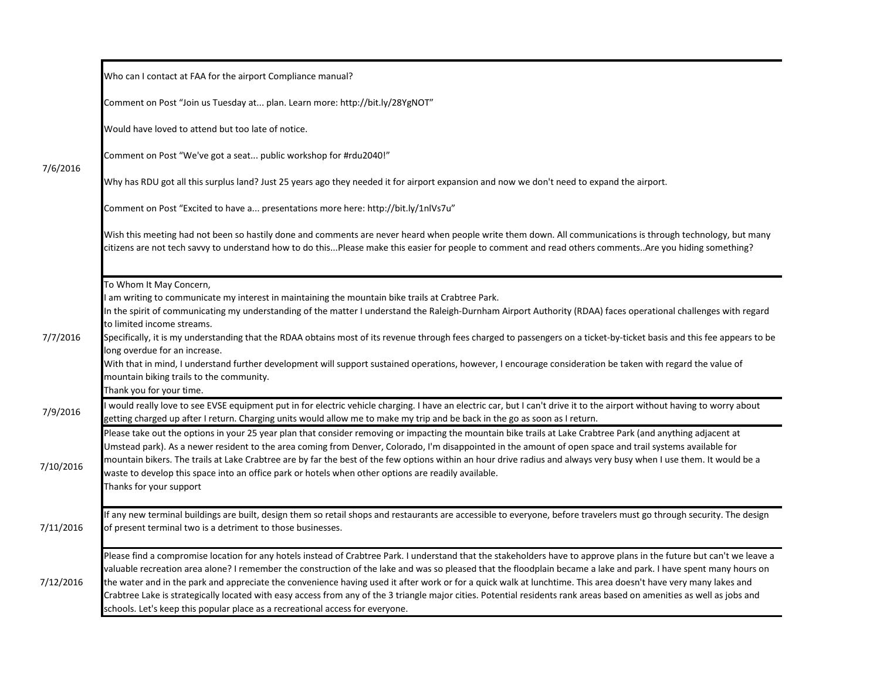|           | Who can I contact at FAA for the airport Compliance manual?                                                                                                                                                                                                                                                                                                                                                                                                                                                                                                                                                                                                                                                                                                               |
|-----------|---------------------------------------------------------------------------------------------------------------------------------------------------------------------------------------------------------------------------------------------------------------------------------------------------------------------------------------------------------------------------------------------------------------------------------------------------------------------------------------------------------------------------------------------------------------------------------------------------------------------------------------------------------------------------------------------------------------------------------------------------------------------------|
|           | Comment on Post "Join us Tuesday at plan. Learn more: http://bit.ly/28YgNOT"                                                                                                                                                                                                                                                                                                                                                                                                                                                                                                                                                                                                                                                                                              |
|           | Would have loved to attend but too late of notice.                                                                                                                                                                                                                                                                                                                                                                                                                                                                                                                                                                                                                                                                                                                        |
|           | Comment on Post "We've got a seat public workshop for #rdu2040!"                                                                                                                                                                                                                                                                                                                                                                                                                                                                                                                                                                                                                                                                                                          |
| 7/6/2016  | Why has RDU got all this surplus land? Just 25 years ago they needed it for airport expansion and now we don't need to expand the airport.                                                                                                                                                                                                                                                                                                                                                                                                                                                                                                                                                                                                                                |
|           | Comment on Post "Excited to have a presentations more here: http://bit.ly/1nlVs7u"                                                                                                                                                                                                                                                                                                                                                                                                                                                                                                                                                                                                                                                                                        |
|           | Wish this meeting had not been so hastily done and comments are never heard when people write them down. All communications is through technology, but many<br>citizens are not tech savvy to understand how to do thisPlease make this easier for people to comment and read others commentsAre you hiding something?                                                                                                                                                                                                                                                                                                                                                                                                                                                    |
| 7/7/2016  | To Whom It May Concern,<br>am writing to communicate my interest in maintaining the mountain bike trails at Crabtree Park.<br>In the spirit of communicating my understanding of the matter I understand the Raleigh-Durnham Airport Authority (RDAA) faces operational challenges with regard<br>to limited income streams.<br>Specifically, it is my understanding that the RDAA obtains most of its revenue through fees charged to passengers on a ticket-by-ticket basis and this fee appears to be<br>long overdue for an increase.<br>With that in mind, I understand further development will support sustained operations, however, I encourage consideration be taken with regard the value of                                                                  |
|           | mountain biking trails to the community.<br>Thank you for your time.                                                                                                                                                                                                                                                                                                                                                                                                                                                                                                                                                                                                                                                                                                      |
| 7/9/2016  | would really love to see EVSE equipment put in for electric vehicle charging. I have an electric car, but I can't drive it to the airport without having to worry about<br>getting charged up after I return. Charging units would allow me to make my trip and be back in the go as soon as I return.                                                                                                                                                                                                                                                                                                                                                                                                                                                                    |
| 7/10/2016 | Please take out the options in your 25 year plan that consider removing or impacting the mountain bike trails at Lake Crabtree Park (and anything adjacent at<br>Umstead park). As a newer resident to the area coming from Denver, Colorado, I'm disappointed in the amount of open space and trail systems available for<br>mountain bikers. The trails at Lake Crabtree are by far the best of the few options within an hour drive radius and always very busy when I use them. It would be a<br>waste to develop this space into an office park or hotels when other options are readily available.<br>Thanks for your support                                                                                                                                       |
| 7/11/2016 | If any new terminal buildings are built, design them so retail shops and restaurants are accessible to everyone, before travelers must go through security. The design<br>of present terminal two is a detriment to those businesses.                                                                                                                                                                                                                                                                                                                                                                                                                                                                                                                                     |
| 7/12/2016 | Please find a compromise location for any hotels instead of Crabtree Park. I understand that the stakeholders have to approve plans in the future but can't we leave a<br>valuable recreation area alone? I remember the construction of the lake and was so pleased that the floodplain became a lake and park. I have spent many hours on<br>the water and in the park and appreciate the convenience having used it after work or for a quick walk at lunchtime. This area doesn't have very many lakes and<br>Crabtree Lake is strategically located with easy access from any of the 3 triangle major cities. Potential residents rank areas based on amenities as well as jobs and<br>schools. Let's keep this popular place as a recreational access for everyone. |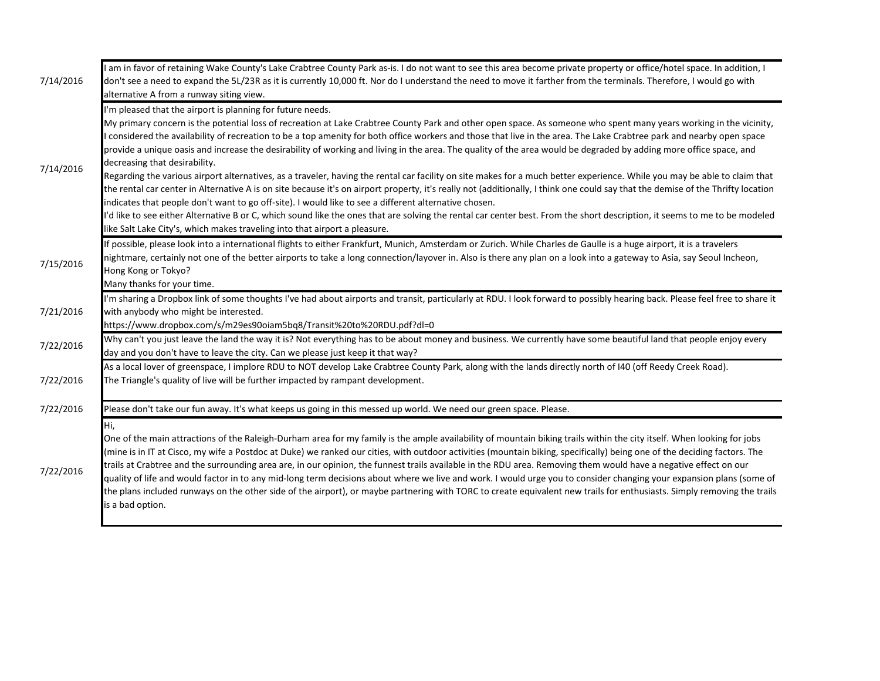| 7/14/2016 | am in favor of retaining Wake County's Lake Crabtree County Park as-is. I do not want to see this area become private property or office/hotel space. In addition, I<br>don't see a need to expand the 5L/23R as it is currently 10,000 ft. Nor do I understand the need to move it farther from the terminals. Therefore, I would go with<br>alternative A from a runway siting view.                                                                                                                                                                                                                                                                                                                                                                                                                                                                                                                                                                                                                                                                                                                                                                                                                                                                                                                                                               |
|-----------|------------------------------------------------------------------------------------------------------------------------------------------------------------------------------------------------------------------------------------------------------------------------------------------------------------------------------------------------------------------------------------------------------------------------------------------------------------------------------------------------------------------------------------------------------------------------------------------------------------------------------------------------------------------------------------------------------------------------------------------------------------------------------------------------------------------------------------------------------------------------------------------------------------------------------------------------------------------------------------------------------------------------------------------------------------------------------------------------------------------------------------------------------------------------------------------------------------------------------------------------------------------------------------------------------------------------------------------------------|
| 7/14/2016 | I'm pleased that the airport is planning for future needs.<br>My primary concern is the potential loss of recreation at Lake Crabtree County Park and other open space. As someone who spent many years working in the vicinity,<br>considered the availability of recreation to be a top amenity for both office workers and those that live in the area. The Lake Crabtree park and nearby open space<br>provide a unique oasis and increase the desirability of working and living in the area. The quality of the area would be degraded by adding more office space, and<br>decreasing that desirability.<br>Regarding the various airport alternatives, as a traveler, having the rental car facility on site makes for a much better experience. While you may be able to claim that<br>the rental car center in Alternative A is on site because it's on airport property, it's really not (additionally, I think one could say that the demise of the Thrifty location<br>indicates that people don't want to go off-site). I would like to see a different alternative chosen.<br>I'd like to see either Alternative B or C, which sound like the ones that are solving the rental car center best. From the short description, it seems to me to be modeled<br>like Salt Lake City's, which makes traveling into that airport a pleasure. |
| 7/15/2016 | If possible, please look into a international flights to either Frankfurt, Munich, Amsterdam or Zurich. While Charles de Gaulle is a huge airport, it is a travelers<br>nightmare, certainly not one of the better airports to take a long connection/layover in. Also is there any plan on a look into a gateway to Asia, say Seoul Incheon,<br>Hong Kong or Tokyo?<br>Many thanks for your time.                                                                                                                                                                                                                                                                                                                                                                                                                                                                                                                                                                                                                                                                                                                                                                                                                                                                                                                                                   |
| 7/21/2016 | I'm sharing a Dropbox link of some thoughts I've had about airports and transit, particularly at RDU. I look forward to possibly hearing back. Please feel free to share it<br>with anybody who might be interested.<br>https://www.dropbox.com/s/m29es90oiam5bq8/Transit%20to%20RDU.pdf?dl=0                                                                                                                                                                                                                                                                                                                                                                                                                                                                                                                                                                                                                                                                                                                                                                                                                                                                                                                                                                                                                                                        |
| 7/22/2016 | Why can't you just leave the land the way it is? Not everything has to be about money and business. We currently have some beautiful land that people enjoy every<br>day and you don't have to leave the city. Can we please just keep it that way?                                                                                                                                                                                                                                                                                                                                                                                                                                                                                                                                                                                                                                                                                                                                                                                                                                                                                                                                                                                                                                                                                                  |
| 7/22/2016 | As a local lover of greenspace, I implore RDU to NOT develop Lake Crabtree County Park, along with the lands directly north of I40 (off Reedy Creek Road).<br>The Triangle's quality of live will be further impacted by rampant development.                                                                                                                                                                                                                                                                                                                                                                                                                                                                                                                                                                                                                                                                                                                                                                                                                                                                                                                                                                                                                                                                                                        |
| 7/22/2016 | Please don't take our fun away. It's what keeps us going in this messed up world. We need our green space. Please.                                                                                                                                                                                                                                                                                                                                                                                                                                                                                                                                                                                                                                                                                                                                                                                                                                                                                                                                                                                                                                                                                                                                                                                                                                   |
| 7/22/2016 | Hi.<br>One of the main attractions of the Raleigh-Durham area for my family is the ample availability of mountain biking trails within the city itself. When looking for jobs<br>(mine is in IT at Cisco, my wife a Postdoc at Duke) we ranked our cities, with outdoor activities (mountain biking, specifically) being one of the deciding factors. The<br>trails at Crabtree and the surrounding area are, in our opinion, the funnest trails available in the RDU area. Removing them would have a negative effect on our<br>quality of life and would factor in to any mid-long term decisions about where we live and work. I would urge you to consider changing your expansion plans (some of<br>the plans included runways on the other side of the airport), or maybe partnering with TORC to create equivalent new trails for enthusiasts. Simply removing the trails<br>is a bad option.                                                                                                                                                                                                                                                                                                                                                                                                                                                 |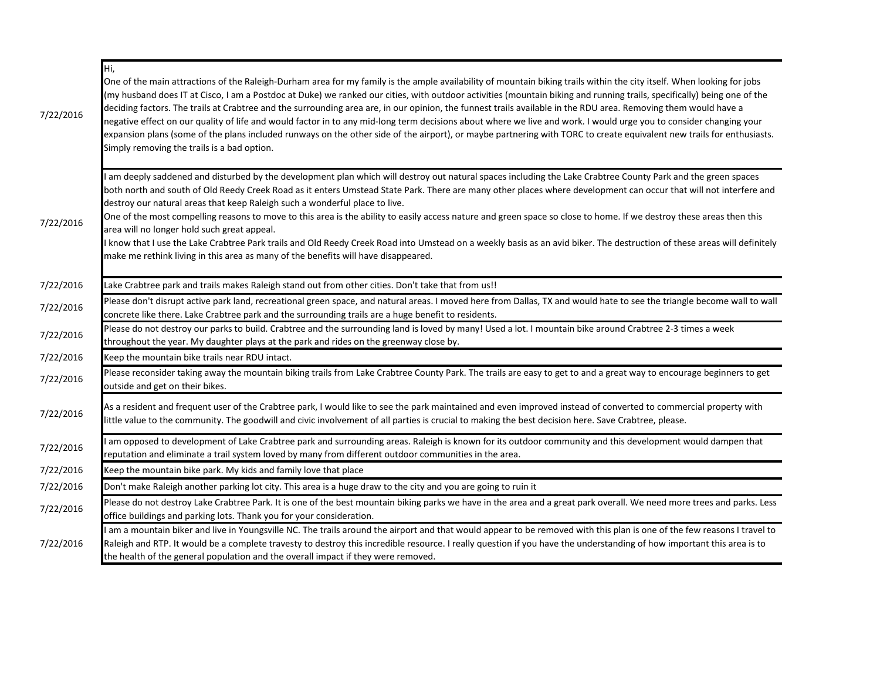| 7/22/2016 | Hi,<br>One of the main attractions of the Raleigh-Durham area for my family is the ample availability of mountain biking trails within the city itself. When looking for jobs<br>(my husband does IT at Cisco, I am a Postdoc at Duke) we ranked our cities, with outdoor activities (mountain biking and running trails, specifically) being one of the<br>deciding factors. The trails at Crabtree and the surrounding area are, in our opinion, the funnest trails available in the RDU area. Removing them would have a<br>negative effect on our quality of life and would factor in to any mid-long term decisions about where we live and work. I would urge you to consider changing your<br>expansion plans (some of the plans included runways on the other side of the airport), or maybe partnering with TORC to create equivalent new trails for enthusiasts.<br>Simply removing the trails is a bad option. |
|-----------|---------------------------------------------------------------------------------------------------------------------------------------------------------------------------------------------------------------------------------------------------------------------------------------------------------------------------------------------------------------------------------------------------------------------------------------------------------------------------------------------------------------------------------------------------------------------------------------------------------------------------------------------------------------------------------------------------------------------------------------------------------------------------------------------------------------------------------------------------------------------------------------------------------------------------|
| 7/22/2016 | am deeply saddened and disturbed by the development plan which will destroy out natural spaces including the Lake Crabtree County Park and the green spaces<br>both north and south of Old Reedy Creek Road as it enters Umstead State Park. There are many other places where development can occur that will not interfere and<br>destroy our natural areas that keep Raleigh such a wonderful place to live.<br>One of the most compelling reasons to move to this area is the ability to easily access nature and green space so close to home. If we destroy these areas then this<br>area will no longer hold such great appeal.<br>know that I use the Lake Crabtree Park trails and Old Reedy Creek Road into Umstead on a weekly basis as an avid biker. The destruction of these areas will definitely<br>make me rethink living in this area as many of the benefits will have disappeared.                    |
| 7/22/2016 | Lake Crabtree park and trails makes Raleigh stand out from other cities. Don't take that from us!!                                                                                                                                                                                                                                                                                                                                                                                                                                                                                                                                                                                                                                                                                                                                                                                                                        |
| 7/22/2016 | Please don't disrupt active park land, recreational green space, and natural areas. I moved here from Dallas, TX and would hate to see the triangle become wall to wall<br>concrete like there. Lake Crabtree park and the surrounding trails are a huge benefit to residents.                                                                                                                                                                                                                                                                                                                                                                                                                                                                                                                                                                                                                                            |
| 7/22/2016 | Please do not destroy our parks to build. Crabtree and the surrounding land is loved by many! Used a lot. I mountain bike around Crabtree 2-3 times a week<br>throughout the year. My daughter plays at the park and rides on the greenway close by.                                                                                                                                                                                                                                                                                                                                                                                                                                                                                                                                                                                                                                                                      |
| 7/22/2016 | Keep the mountain bike trails near RDU intact.                                                                                                                                                                                                                                                                                                                                                                                                                                                                                                                                                                                                                                                                                                                                                                                                                                                                            |
| 7/22/2016 | Please reconsider taking away the mountain biking trails from Lake Crabtree County Park. The trails are easy to get to and a great way to encourage beginners to get<br>outside and get on their bikes.                                                                                                                                                                                                                                                                                                                                                                                                                                                                                                                                                                                                                                                                                                                   |
| 7/22/2016 | As a resident and frequent user of the Crabtree park, I would like to see the park maintained and even improved instead of converted to commercial property with<br>little value to the community. The goodwill and civic involvement of all parties is crucial to making the best decision here. Save Crabtree, please.                                                                                                                                                                                                                                                                                                                                                                                                                                                                                                                                                                                                  |
| 7/22/2016 | am opposed to development of Lake Crabtree park and surrounding areas. Raleigh is known for its outdoor community and this development would dampen that<br>reputation and eliminate a trail system loved by many from different outdoor communities in the area.                                                                                                                                                                                                                                                                                                                                                                                                                                                                                                                                                                                                                                                         |
| 7/22/2016 | Keep the mountain bike park. My kids and family love that place                                                                                                                                                                                                                                                                                                                                                                                                                                                                                                                                                                                                                                                                                                                                                                                                                                                           |
| 7/22/2016 | Don't make Raleigh another parking lot city. This area is a huge draw to the city and you are going to ruin it                                                                                                                                                                                                                                                                                                                                                                                                                                                                                                                                                                                                                                                                                                                                                                                                            |
| 7/22/2016 | Please do not destroy Lake Crabtree Park. It is one of the best mountain biking parks we have in the area and a great park overall. We need more trees and parks. Less<br>office buildings and parking lots. Thank you for your consideration.                                                                                                                                                                                                                                                                                                                                                                                                                                                                                                                                                                                                                                                                            |
| 7/22/2016 | am a mountain biker and live in Youngsville NC. The trails around the airport and that would appear to be removed with this plan is one of the few reasons I travel to<br>Raleigh and RTP. It would be a complete travesty to destroy this incredible resource. I really question if you have the understanding of how important this area is to<br>the health of the general population and the overall impact if they were removed.                                                                                                                                                                                                                                                                                                                                                                                                                                                                                     |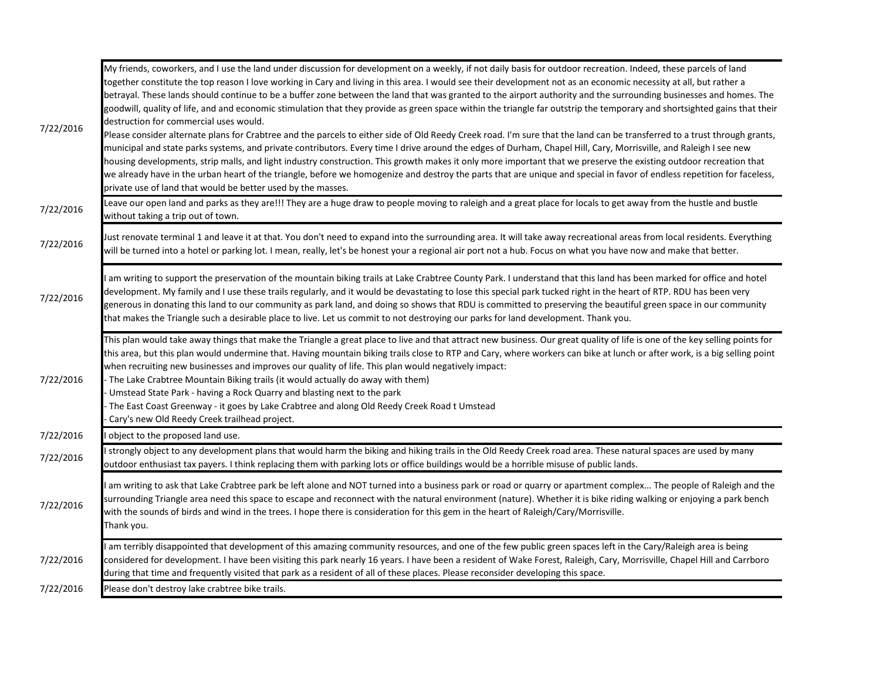| 7/22/2016 | My friends, coworkers, and I use the land under discussion for development on a weekly, if not daily basis for outdoor recreation. Indeed, these parcels of land<br>together constitute the top reason I love working in Cary and living in this area. I would see their development not as an economic necessity at all, but rather a<br>betrayal. These lands should continue to be a buffer zone between the land that was granted to the airport authority and the surrounding businesses and homes. The<br>goodwill, quality of life, and and economic stimulation that they provide as green space within the triangle far outstrip the temporary and shortsighted gains that their<br>destruction for commercial uses would.<br>Please consider alternate plans for Crabtree and the parcels to either side of Old Reedy Creek road. I'm sure that the land can be transferred to a trust through grants,<br>municipal and state parks systems, and private contributors. Every time I drive around the edges of Durham, Chapel Hill, Cary, Morrisville, and Raleigh I see new<br>housing developments, strip malls, and light industry construction. This growth makes it only more important that we preserve the existing outdoor recreation that<br>we already have in the urban heart of the triangle, before we homogenize and destroy the parts that are unique and special in favor of endless repetition for faceless,<br>private use of land that would be better used by the masses.<br>Leave our open land and parks as they are!!! They are a huge draw to people moving to raleigh and a great place for locals to get away from the hustle and bustle |
|-----------|-----------------------------------------------------------------------------------------------------------------------------------------------------------------------------------------------------------------------------------------------------------------------------------------------------------------------------------------------------------------------------------------------------------------------------------------------------------------------------------------------------------------------------------------------------------------------------------------------------------------------------------------------------------------------------------------------------------------------------------------------------------------------------------------------------------------------------------------------------------------------------------------------------------------------------------------------------------------------------------------------------------------------------------------------------------------------------------------------------------------------------------------------------------------------------------------------------------------------------------------------------------------------------------------------------------------------------------------------------------------------------------------------------------------------------------------------------------------------------------------------------------------------------------------------------------------------------------------------------------------------------------------------------------------------------|
| 7/22/2016 | without taking a trip out of town.                                                                                                                                                                                                                                                                                                                                                                                                                                                                                                                                                                                                                                                                                                                                                                                                                                                                                                                                                                                                                                                                                                                                                                                                                                                                                                                                                                                                                                                                                                                                                                                                                                          |
| 7/22/2016 | Just renovate terminal 1 and leave it at that. You don't need to expand into the surrounding area. It will take away recreational areas from local residents. Everything<br>will be turned into a hotel or parking lot. I mean, really, let's be honest your a regional air port not a hub. Focus on what you have now and make that better.                                                                                                                                                                                                                                                                                                                                                                                                                                                                                                                                                                                                                                                                                                                                                                                                                                                                                                                                                                                                                                                                                                                                                                                                                                                                                                                                |
| 7/22/2016 | am writing to support the preservation of the mountain biking trails at Lake Crabtree County Park. I understand that this land has been marked for office and hotel<br>development. My family and I use these trails regularly, and it would be devastating to lose this special park tucked right in the heart of RTP. RDU has been very<br>generous in donating this land to our community as park land, and doing so shows that RDU is committed to preserving the beautiful green space in our community<br>that makes the Triangle such a desirable place to live. Let us commit to not destroying our parks for land development. Thank you.                                                                                                                                                                                                                                                                                                                                                                                                                                                                                                                                                                                                                                                                                                                                                                                                                                                                                                                                                                                                                          |
| 7/22/2016 | This plan would take away things that make the Triangle a great place to live and that attract new business. Our great quality of life is one of the key selling points for<br>this area, but this plan would undermine that. Having mountain biking trails close to RTP and Cary, where workers can bike at lunch or after work, is a big selling point<br>when recruiting new businesses and improves our quality of life. This plan would negatively impact:<br>The Lake Crabtree Mountain Biking trails (it would actually do away with them)<br>Umstead State Park - having a Rock Quarry and blasting next to the park<br>The East Coast Greenway - it goes by Lake Crabtree and along Old Reedy Creek Road t Umstead<br>Cary's new Old Reedy Creek trailhead project.                                                                                                                                                                                                                                                                                                                                                                                                                                                                                                                                                                                                                                                                                                                                                                                                                                                                                                |
| 7/22/2016 | object to the proposed land use.                                                                                                                                                                                                                                                                                                                                                                                                                                                                                                                                                                                                                                                                                                                                                                                                                                                                                                                                                                                                                                                                                                                                                                                                                                                                                                                                                                                                                                                                                                                                                                                                                                            |
| 7/22/2016 | strongly object to any development plans that would harm the biking and hiking trails in the Old Reedy Creek road area. These natural spaces are used by many<br>outdoor enthusiast tax payers. I think replacing them with parking lots or office buildings would be a horrible misuse of public lands.                                                                                                                                                                                                                                                                                                                                                                                                                                                                                                                                                                                                                                                                                                                                                                                                                                                                                                                                                                                                                                                                                                                                                                                                                                                                                                                                                                    |
| 7/22/2016 | am writing to ask that Lake Crabtree park be left alone and NOT turned into a business park or road or quarry or apartment complex The people of Raleigh and the<br>surrounding Triangle area need this space to escape and reconnect with the natural environment (nature). Whether it is bike riding walking or enjoying a park bench<br>with the sounds of birds and wind in the trees. I hope there is consideration for this gem in the heart of Raleigh/Cary/Morrisville.<br>Thank you.                                                                                                                                                                                                                                                                                                                                                                                                                                                                                                                                                                                                                                                                                                                                                                                                                                                                                                                                                                                                                                                                                                                                                                               |
| 7/22/2016 | am terribly disappointed that development of this amazing community resources, and one of the few public green spaces left in the Cary/Raleigh area is being<br>considered for development. I have been visiting this park nearly 16 years. I have been a resident of Wake Forest, Raleigh, Cary, Morrisville, Chapel Hill and Carrboro<br>during that time and frequently visited that park as a resident of all of these places. Please reconsider developing this space.                                                                                                                                                                                                                                                                                                                                                                                                                                                                                                                                                                                                                                                                                                                                                                                                                                                                                                                                                                                                                                                                                                                                                                                                 |
| 7/22/2016 | Please don't destroy lake crabtree bike trails.                                                                                                                                                                                                                                                                                                                                                                                                                                                                                                                                                                                                                                                                                                                                                                                                                                                                                                                                                                                                                                                                                                                                                                                                                                                                                                                                                                                                                                                                                                                                                                                                                             |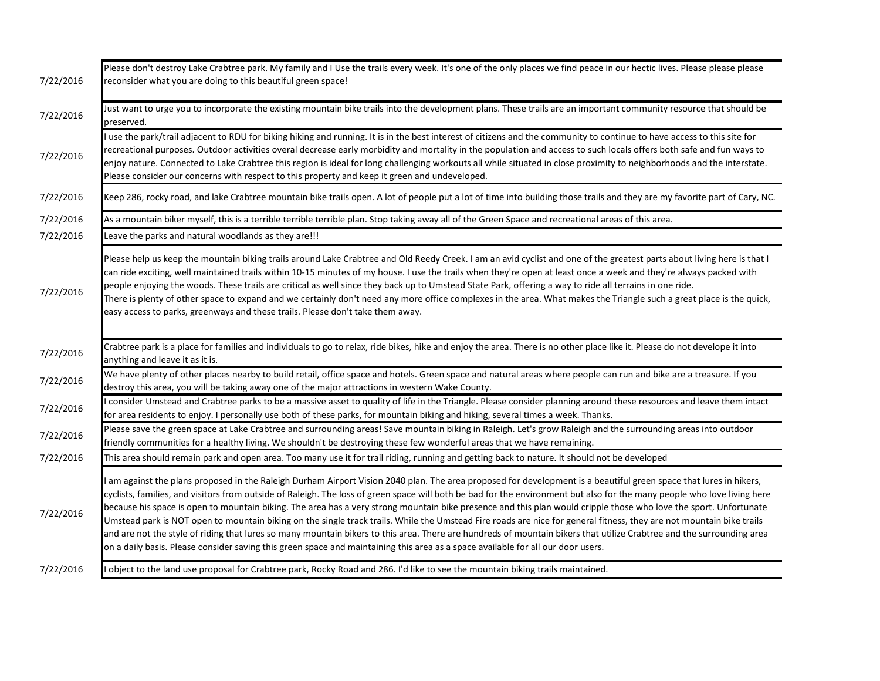| 7/22/2016 | Please don't destroy Lake Crabtree park. My family and I Use the trails every week. It's one of the only places we find peace in our hectic lives. Please please please<br>reconsider what you are doing to this beautiful green space!                                                                                                                                                                                                                                                                                                                                                                                                                                                                                                                                                                                                                                                                                                                                                                |
|-----------|--------------------------------------------------------------------------------------------------------------------------------------------------------------------------------------------------------------------------------------------------------------------------------------------------------------------------------------------------------------------------------------------------------------------------------------------------------------------------------------------------------------------------------------------------------------------------------------------------------------------------------------------------------------------------------------------------------------------------------------------------------------------------------------------------------------------------------------------------------------------------------------------------------------------------------------------------------------------------------------------------------|
| 7/22/2016 | Just want to urge you to incorporate the existing mountain bike trails into the development plans. These trails are an important community resource that should be<br>preserved.                                                                                                                                                                                                                                                                                                                                                                                                                                                                                                                                                                                                                                                                                                                                                                                                                       |
| 7/22/2016 | use the park/trail adjacent to RDU for biking hiking and running. It is in the best interest of citizens and the community to continue to have access to this site for<br>recreational purposes. Outdoor activities overal decrease early morbidity and mortality in the population and access to such locals offers both safe and fun ways to<br>enjoy nature. Connected to Lake Crabtree this region is ideal for long challenging workouts all while situated in close proximity to neighborhoods and the interstate.<br>Please consider our concerns with respect to this property and keep it green and undeveloped.                                                                                                                                                                                                                                                                                                                                                                              |
| 7/22/2016 | Keep 286, rocky road, and lake Crabtree mountain bike trails open. A lot of people put a lot of time into building those trails and they are my favorite part of Cary, NC.                                                                                                                                                                                                                                                                                                                                                                                                                                                                                                                                                                                                                                                                                                                                                                                                                             |
| 7/22/2016 | As a mountain biker myself, this is a terrible terrible terrible plan. Stop taking away all of the Green Space and recreational areas of this area.                                                                                                                                                                                                                                                                                                                                                                                                                                                                                                                                                                                                                                                                                                                                                                                                                                                    |
| 7/22/2016 | Leave the parks and natural woodlands as they are!!!                                                                                                                                                                                                                                                                                                                                                                                                                                                                                                                                                                                                                                                                                                                                                                                                                                                                                                                                                   |
| 7/22/2016 | Please help us keep the mountain biking trails around Lake Crabtree and Old Reedy Creek. I am an avid cyclist and one of the greatest parts about living here is that I<br>can ride exciting, well maintained trails within 10-15 minutes of my house. I use the trails when they're open at least once a week and they're always packed with<br>people enjoying the woods. These trails are critical as well since they back up to Umstead State Park, offering a way to ride all terrains in one ride.<br>There is plenty of other space to expand and we certainly don't need any more office complexes in the area. What makes the Triangle such a great place is the quick,<br>easy access to parks, greenways and these trails. Please don't take them away.                                                                                                                                                                                                                                     |
| 7/22/2016 | Crabtree park is a place for families and individuals to go to relax, ride bikes, hike and enjoy the area. There is no other place like it. Please do not develope it into<br>anything and leave it as it is.                                                                                                                                                                                                                                                                                                                                                                                                                                                                                                                                                                                                                                                                                                                                                                                          |
| 7/22/2016 | We have plenty of other places nearby to build retail, office space and hotels. Green space and natural areas where people can run and bike are a treasure. If you<br>destroy this area, you will be taking away one of the major attractions in western Wake County.                                                                                                                                                                                                                                                                                                                                                                                                                                                                                                                                                                                                                                                                                                                                  |
| 7/22/2016 | consider Umstead and Crabtree parks to be a massive asset to quality of life in the Triangle. Please consider planning around these resources and leave them intact<br>for area residents to enjoy. I personally use both of these parks, for mountain biking and hiking, several times a week. Thanks.                                                                                                                                                                                                                                                                                                                                                                                                                                                                                                                                                                                                                                                                                                |
| 7/22/2016 | Please save the green space at Lake Crabtree and surrounding areas! Save mountain biking in Raleigh. Let's grow Raleigh and the surrounding areas into outdoor<br>friendly communities for a healthy living. We shouldn't be destroying these few wonderful areas that we have remaining.                                                                                                                                                                                                                                                                                                                                                                                                                                                                                                                                                                                                                                                                                                              |
| 7/22/2016 | This area should remain park and open area. Too many use it for trail riding, running and getting back to nature. It should not be developed                                                                                                                                                                                                                                                                                                                                                                                                                                                                                                                                                                                                                                                                                                                                                                                                                                                           |
| 7/22/2016 | am against the plans proposed in the Raleigh Durham Airport Vision 2040 plan. The area proposed for development is a beautiful green space that lures in hikers,<br>cyclists, families, and visitors from outside of Raleigh. The loss of green space will both be bad for the environment but also for the many people who love living here<br>because his space is open to mountain biking. The area has a very strong mountain bike presence and this plan would cripple those who love the sport. Unfortunate<br>Umstead park is NOT open to mountain biking on the single track trails. While the Umstead Fire roads are nice for general fitness, they are not mountain bike trails<br>and are not the style of riding that lures so many mountain bikers to this area. There are hundreds of mountain bikers that utilize Crabtree and the surrounding area<br>on a daily basis. Please consider saving this green space and maintaining this area as a space available for all our door users. |
| 7/22/2016 | I object to the land use proposal for Crabtree park, Rocky Road and 286. I'd like to see the mountain biking trails maintained.                                                                                                                                                                                                                                                                                                                                                                                                                                                                                                                                                                                                                                                                                                                                                                                                                                                                        |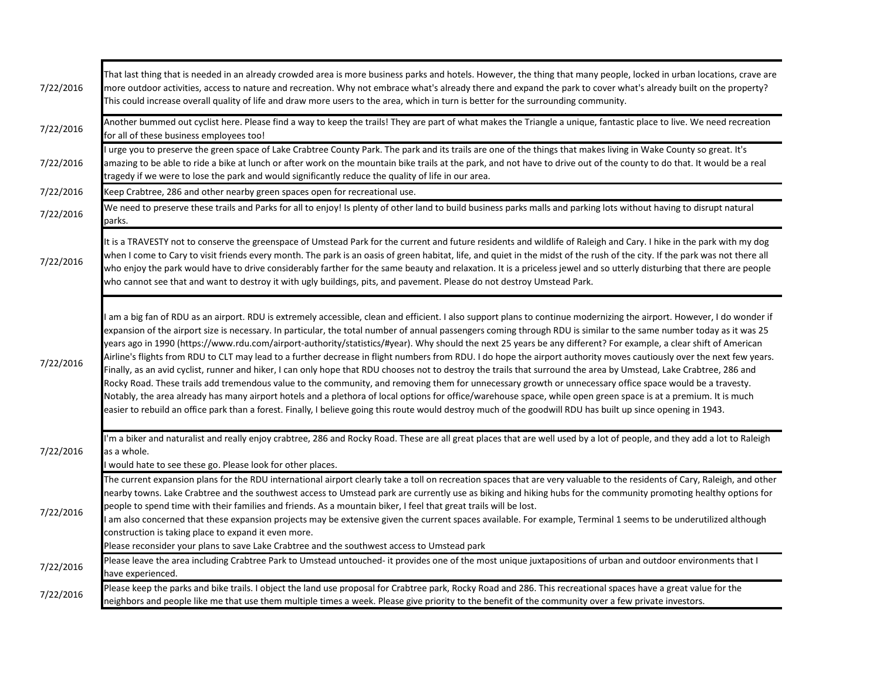| 7/22/2016 | That last thing that is needed in an already crowded area is more business parks and hotels. However, the thing that many people, locked in urban locations, crave are<br>more outdoor activities, access to nature and recreation. Why not embrace what's already there and expand the park to cover what's already built on the property?<br>This could increase overall quality of life and draw more users to the area, which in turn is better for the surrounding community.                                                                                                                                                                                                                                                                                                                                                                                                                                                                                                                                                                                                                                                                                                                                                                                                                                                                                      |
|-----------|-------------------------------------------------------------------------------------------------------------------------------------------------------------------------------------------------------------------------------------------------------------------------------------------------------------------------------------------------------------------------------------------------------------------------------------------------------------------------------------------------------------------------------------------------------------------------------------------------------------------------------------------------------------------------------------------------------------------------------------------------------------------------------------------------------------------------------------------------------------------------------------------------------------------------------------------------------------------------------------------------------------------------------------------------------------------------------------------------------------------------------------------------------------------------------------------------------------------------------------------------------------------------------------------------------------------------------------------------------------------------|
| 7/22/2016 | Another bummed out cyclist here. Please find a way to keep the trails! They are part of what makes the Triangle a unique, fantastic place to live. We need recreation<br>for all of these business employees too!                                                                                                                                                                                                                                                                                                                                                                                                                                                                                                                                                                                                                                                                                                                                                                                                                                                                                                                                                                                                                                                                                                                                                       |
| 7/22/2016 | urge you to preserve the green space of Lake Crabtree County Park. The park and its trails are one of the things that makes living in Wake County so great. It's<br>amazing to be able to ride a bike at lunch or after work on the mountain bike trails at the park, and not have to drive out of the county to do that. It would be a real<br>tragedy if we were to lose the park and would significantly reduce the quality of life in our area.                                                                                                                                                                                                                                                                                                                                                                                                                                                                                                                                                                                                                                                                                                                                                                                                                                                                                                                     |
| 7/22/2016 | Keep Crabtree, 286 and other nearby green spaces open for recreational use.                                                                                                                                                                                                                                                                                                                                                                                                                                                                                                                                                                                                                                                                                                                                                                                                                                                                                                                                                                                                                                                                                                                                                                                                                                                                                             |
| 7/22/2016 | We need to preserve these trails and Parks for all to enjoy! Is plenty of other land to build business parks malls and parking lots without having to disrupt natural<br>parks.                                                                                                                                                                                                                                                                                                                                                                                                                                                                                                                                                                                                                                                                                                                                                                                                                                                                                                                                                                                                                                                                                                                                                                                         |
| 7/22/2016 | It is a TRAVESTY not to conserve the greenspace of Umstead Park for the current and future residents and wildlife of Raleigh and Cary. I hike in the park with my dog<br>when I come to Cary to visit friends every month. The park is an oasis of green habitat, life, and quiet in the midst of the rush of the city. If the park was not there all<br>who enjoy the park would have to drive considerably farther for the same beauty and relaxation. It is a priceless jewel and so utterly disturbing that there are people<br>who cannot see that and want to destroy it with ugly buildings, pits, and pavement. Please do not destroy Umstead Park.                                                                                                                                                                                                                                                                                                                                                                                                                                                                                                                                                                                                                                                                                                             |
| 7/22/2016 | am a big fan of RDU as an airport. RDU is extremely accessible, clean and efficient. I also support plans to continue modernizing the airport. However, I do wonder if<br>expansion of the airport size is necessary. In particular, the total number of annual passengers coming through RDU is similar to the same number today as it was 25<br>years ago in 1990 (https://www.rdu.com/airport-authority/statistics/#year). Why should the next 25 years be any different? For example, a clear shift of American<br>Airline's flights from RDU to CLT may lead to a further decrease in flight numbers from RDU. I do hope the airport authority moves cautiously over the next few years.<br>Finally, as an avid cyclist, runner and hiker, I can only hope that RDU chooses not to destroy the trails that surround the area by Umstead, Lake Crabtree, 286 and<br>Rocky Road. These trails add tremendous value to the community, and removing them for unnecessary growth or unnecessary office space would be a travesty.<br>Notably, the area already has many airport hotels and a plethora of local options for office/warehouse space, while open green space is at a premium. It is much<br>easier to rebuild an office park than a forest. Finally, I believe going this route would destroy much of the goodwill RDU has built up since opening in 1943. |
| 7/22/2016 | I'm a biker and naturalist and really enjoy crabtree, 286 and Rocky Road. These are all great places that are well used by a lot of people, and they add a lot to Raleigh<br>as a whole.<br>would hate to see these go. Please look for other places.                                                                                                                                                                                                                                                                                                                                                                                                                                                                                                                                                                                                                                                                                                                                                                                                                                                                                                                                                                                                                                                                                                                   |
| 7/22/2016 | The current expansion plans for the RDU international airport clearly take a toll on recreation spaces that are very valuable to the residents of Cary, Raleigh, and other<br>nearby towns. Lake Crabtree and the southwest access to Umstead park are currently use as biking and hiking hubs for the community promoting healthy options for<br>people to spend time with their families and friends. As a mountain biker, I feel that great trails will be lost.<br>am also concerned that these expansion projects may be extensive given the current spaces available. For example, Terminal 1 seems to be underutilized although<br>construction is taking place to expand it even more.<br>Please reconsider your plans to save Lake Crabtree and the southwest access to Umstead park                                                                                                                                                                                                                                                                                                                                                                                                                                                                                                                                                                           |
| 7/22/2016 | Please leave the area including Crabtree Park to Umstead untouched- it provides one of the most unique juxtapositions of urban and outdoor environments that I<br>have experienced.                                                                                                                                                                                                                                                                                                                                                                                                                                                                                                                                                                                                                                                                                                                                                                                                                                                                                                                                                                                                                                                                                                                                                                                     |
| 7/22/2016 | Please keep the parks and bike trails. I object the land use proposal for Crabtree park, Rocky Road and 286. This recreational spaces have a great value for the<br>neighbors and people like me that use them multiple times a week. Please give priority to the benefit of the community over a few private investors.                                                                                                                                                                                                                                                                                                                                                                                                                                                                                                                                                                                                                                                                                                                                                                                                                                                                                                                                                                                                                                                |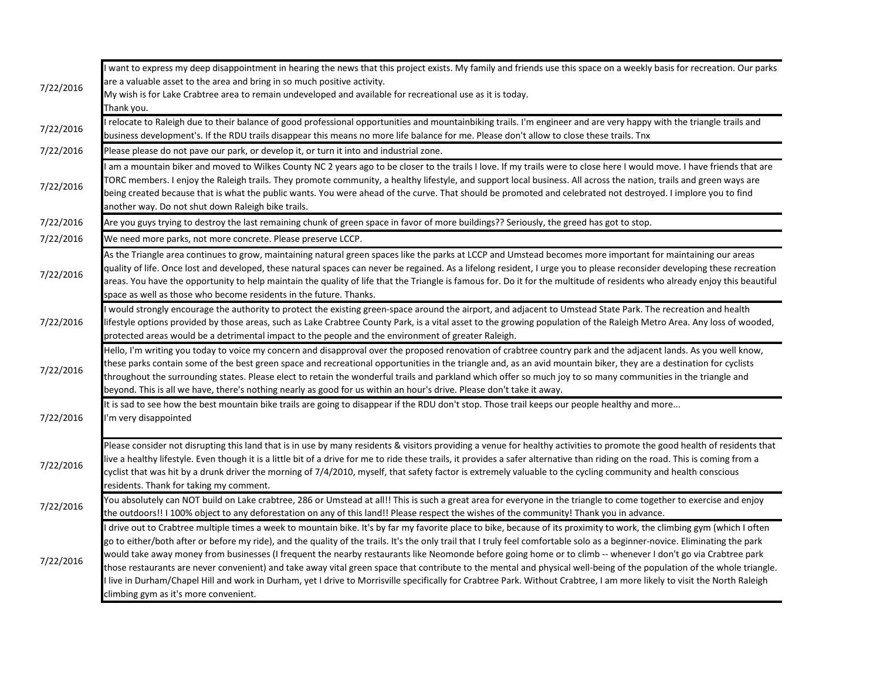| 7/22/2016 | want to express my deep disappointment in hearing the news that this project exists. My family and friends use this space on a weekly basis for recreation. Our parks                                                                                                                                                                                         |
|-----------|---------------------------------------------------------------------------------------------------------------------------------------------------------------------------------------------------------------------------------------------------------------------------------------------------------------------------------------------------------------|
|           | are a valuable asset to the area and bring in so much positive activity.                                                                                                                                                                                                                                                                                      |
|           | My wish is for Lake Crabtree area to remain undeveloped and available for recreational use as it is today.<br>Thank you.                                                                                                                                                                                                                                      |
|           | I relocate to Raleigh due to their balance of good professional opportunities and mountainbiking trails. I'm engineer and are very happy with the triangle trails and                                                                                                                                                                                         |
| 7/22/2016 | business development's. If the RDU trails disappear this means no more life balance for me. Please don't allow to close these trails. Tnx                                                                                                                                                                                                                     |
| 7/22/2016 | Please please do not pave our park, or develop it, or turn it into and industrial zone.                                                                                                                                                                                                                                                                       |
|           | am a mountain biker and moved to Wilkes County NC 2 years ago to be closer to the trails I love. If my trails were to close here I would move. I have friends that are                                                                                                                                                                                        |
| 7/22/2016 | TORC members. I enjoy the Raleigh trails. They promote community, a healthy lifestyle, and support local business. All across the nation, trails and green ways are                                                                                                                                                                                           |
|           | being created because that is what the public wants. You were ahead of the curve. That should be promoted and celebrated not destroyed. I implore you to find                                                                                                                                                                                                 |
|           | another way. Do not shut down Raleigh bike trails.                                                                                                                                                                                                                                                                                                            |
| 7/22/2016 | Are you guys trying to destroy the last remaining chunk of green space in favor of more buildings?? Seriously, the greed has got to stop.                                                                                                                                                                                                                     |
| 7/22/2016 | We need more parks, not more concrete. Please preserve LCCP.                                                                                                                                                                                                                                                                                                  |
|           | As the Triangle area continues to grow, maintaining natural green spaces like the parks at LCCP and Umstead becomes more important for maintaining our areas                                                                                                                                                                                                  |
| 7/22/2016 | quality of life. Once lost and developed, these natural spaces can never be regained. As a lifelong resident, I urge you to please reconsider developing these recreation                                                                                                                                                                                     |
|           | areas. You have the opportunity to help maintain the quality of life that the Triangle is famous for. Do it for the multitude of residents who already enjoy this beautiful                                                                                                                                                                                   |
|           | space as well as those who become residents in the future. Thanks.                                                                                                                                                                                                                                                                                            |
|           | I would strongly encourage the authority to protect the existing green-space around the airport, and adjacent to Umstead State Park. The recreation and health                                                                                                                                                                                                |
| 7/22/2016 | lifestyle options provided by those areas, such as Lake Crabtree County Park, is a vital asset to the growing population of the Raleigh Metro Area. Any loss of wooded,                                                                                                                                                                                       |
|           | protected areas would be a detrimental impact to the people and the environment of greater Raleigh.                                                                                                                                                                                                                                                           |
|           | Hello, I'm writing you today to voice my concern and disapproval over the proposed renovation of crabtree country park and the adjacent lands. As you well know,                                                                                                                                                                                              |
| 7/22/2016 | these parks contain some of the best green space and recreational opportunities in the triangle and, as an avid mountain biker, they are a destination for cyclists                                                                                                                                                                                           |
|           | throughout the surrounding states. Please elect to retain the wonderful trails and parkland which offer so much joy to so many communities in the triangle and                                                                                                                                                                                                |
|           | beyond. This is all we have, there's nothing nearly as good for us within an hour's drive. Please don't take it away.                                                                                                                                                                                                                                         |
|           | It is sad to see how the best mountain bike trails are going to disappear if the RDU don't stop. Those trail keeps our people healthy and more                                                                                                                                                                                                                |
| 7/22/2016 | I'm very disappointed                                                                                                                                                                                                                                                                                                                                         |
|           |                                                                                                                                                                                                                                                                                                                                                               |
|           | Please consider not disrupting this land that is in use by many residents & visitors providing a venue for healthy activities to promote the good health of residents that<br>live a healthy lifestyle. Even though it is a little bit of a drive for me to ride these trails, it provides a safer alternative than riding on the road. This is coming from a |
| 7/22/2016 | cyclist that was hit by a drunk driver the morning of 7/4/2010, myself, that safety factor is extremely valuable to the cycling community and health conscious                                                                                                                                                                                                |
|           | residents. Thank for taking my comment.                                                                                                                                                                                                                                                                                                                       |
|           | You absolutely can NOT build on Lake crabtree, 286 or Umstead at all!! This is such a great area for everyone in the triangle to come together to exercise and enjoy                                                                                                                                                                                          |
| 7/22/2016 | the outdoors!! I 100% object to any deforestation on any of this land!! Please respect the wishes of the community! Thank you in advance.                                                                                                                                                                                                                     |
|           | I drive out to Crabtree multiple times a week to mountain bike. It's by far my favorite place to bike, because of its proximity to work, the climbing gym (which I often                                                                                                                                                                                      |
| 7/22/2016 | go to either/both after or before my ride), and the quality of the trails. It's the only trail that I truly feel comfortable solo as a beginner-novice. Eliminating the park                                                                                                                                                                                  |
|           | would take away money from businesses (I frequent the nearby restaurants like Neomonde before going home or to climb -- whenever I don't go via Crabtree park                                                                                                                                                                                                 |
|           | those restaurants are never convenient) and take away vital green space that contribute to the mental and physical well-being of the population of the whole triangle.                                                                                                                                                                                        |
|           | I live in Durham/Chapel Hill and work in Durham, yet I drive to Morrisville specifically for Crabtree Park. Without Crabtree, I am more likely to visit the North Raleigh                                                                                                                                                                                     |
|           | climbing gym as it's more convenient.                                                                                                                                                                                                                                                                                                                         |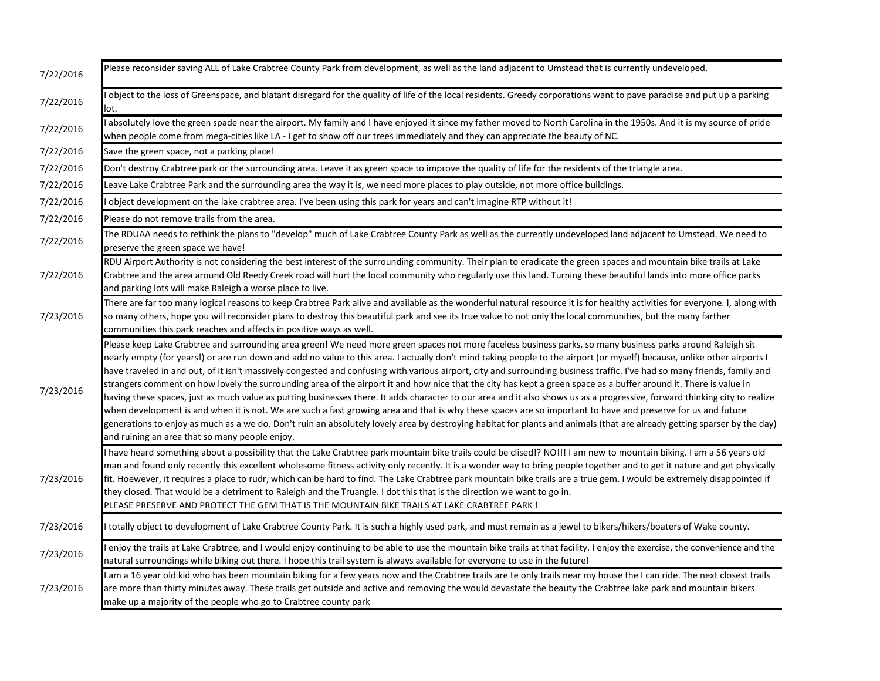| 7/22/2016 | Please reconsider saving ALL of Lake Crabtree County Park from development, as well as the land adjacent to Umstead that is currently undeveloped.                                                                                                                                                                                                                                                                                                                                                                                                                                                                                                                                                                                                                                                                                                                                                                                                                                                                                                                                                                                                                                                                                                                    |
|-----------|-----------------------------------------------------------------------------------------------------------------------------------------------------------------------------------------------------------------------------------------------------------------------------------------------------------------------------------------------------------------------------------------------------------------------------------------------------------------------------------------------------------------------------------------------------------------------------------------------------------------------------------------------------------------------------------------------------------------------------------------------------------------------------------------------------------------------------------------------------------------------------------------------------------------------------------------------------------------------------------------------------------------------------------------------------------------------------------------------------------------------------------------------------------------------------------------------------------------------------------------------------------------------|
| 7/22/2016 | object to the loss of Greenspace, and blatant disregard for the quality of life of the local residents. Greedy corporations want to pave paradise and put up a parking<br>lot.                                                                                                                                                                                                                                                                                                                                                                                                                                                                                                                                                                                                                                                                                                                                                                                                                                                                                                                                                                                                                                                                                        |
| 7/22/2016 | absolutely love the green spade near the airport. My family and I have enjoyed it since my father moved to North Carolina in the 1950s. And it is my source of pride<br>when people come from mega-cities like LA - I get to show off our trees immediately and they can appreciate the beauty of NC.                                                                                                                                                                                                                                                                                                                                                                                                                                                                                                                                                                                                                                                                                                                                                                                                                                                                                                                                                                 |
| 7/22/2016 | Save the green space, not a parking place!                                                                                                                                                                                                                                                                                                                                                                                                                                                                                                                                                                                                                                                                                                                                                                                                                                                                                                                                                                                                                                                                                                                                                                                                                            |
| 7/22/2016 | Don't destroy Crabtree park or the surrounding area. Leave it as green space to improve the quality of life for the residents of the triangle area.                                                                                                                                                                                                                                                                                                                                                                                                                                                                                                                                                                                                                                                                                                                                                                                                                                                                                                                                                                                                                                                                                                                   |
| 7/22/2016 | Leave Lake Crabtree Park and the surrounding area the way it is, we need more places to play outside, not more office buildings.                                                                                                                                                                                                                                                                                                                                                                                                                                                                                                                                                                                                                                                                                                                                                                                                                                                                                                                                                                                                                                                                                                                                      |
| 7/22/2016 | object development on the lake crabtree area. I've been using this park for years and can't imagine RTP without it!                                                                                                                                                                                                                                                                                                                                                                                                                                                                                                                                                                                                                                                                                                                                                                                                                                                                                                                                                                                                                                                                                                                                                   |
| 7/22/2016 | Please do not remove trails from the area.                                                                                                                                                                                                                                                                                                                                                                                                                                                                                                                                                                                                                                                                                                                                                                                                                                                                                                                                                                                                                                                                                                                                                                                                                            |
| 7/22/2016 | The RDUAA needs to rethink the plans to "develop" much of Lake Crabtree County Park as well as the currently undeveloped land adjacent to Umstead. We need to<br>preserve the green space we have!                                                                                                                                                                                                                                                                                                                                                                                                                                                                                                                                                                                                                                                                                                                                                                                                                                                                                                                                                                                                                                                                    |
| 7/22/2016 | RDU Airport Authority is not considering the best interest of the surrounding community. Their plan to eradicate the green spaces and mountain bike trails at Lake<br>Crabtree and the area around Old Reedy Creek road will hurt the local community who regularly use this land. Turning these beautiful lands into more office parks<br>and parking lots will make Raleigh a worse place to live.                                                                                                                                                                                                                                                                                                                                                                                                                                                                                                                                                                                                                                                                                                                                                                                                                                                                  |
| 7/23/2016 | There are far too many logical reasons to keep Crabtree Park alive and available as the wonderful natural resource it is for healthy activities for everyone. I, along with<br>so many others, hope you will reconsider plans to destroy this beautiful park and see its true value to not only the local communities, but the many farther<br>communities this park reaches and affects in positive ways as well.                                                                                                                                                                                                                                                                                                                                                                                                                                                                                                                                                                                                                                                                                                                                                                                                                                                    |
| 7/23/2016 | Please keep Lake Crabtree and surrounding area green! We need more green spaces not more faceless business parks, so many business parks around Raleigh sit<br>nearly empty (for years!) or are run down and add no value to this area. I actually don't mind taking people to the airport (or myself) because, unlike other airports I<br>have traveled in and out, of it isn't massively congested and confusing with various airport, city and surrounding business traffic. I've had so many friends, family and<br>strangers comment on how lovely the surrounding area of the airport it and how nice that the city has kept a green space as a buffer around it. There is value in<br>having these spaces, just as much value as putting businesses there. It adds character to our area and it also shows us as a progressive, forward thinking city to realize<br>when development is and when it is not. We are such a fast growing area and that is why these spaces are so important to have and preserve for us and future<br>generations to enjoy as much as a we do. Don't ruin an absolutely lovely area by destroying habitat for plants and animals (that are already getting sparser by the day)<br>and ruining an area that so many people enjoy. |
| 7/23/2016 | I have heard something about a possibility that the Lake Crabtree park mountain bike trails could be clised!? NO!!! I am new to mountain biking. I am a 56 years old<br>man and found only recently this excellent wholesome fitness activity only recently. It is a wonder way to bring people together and to get it nature and get physically<br>fit. Hoewever, it requires a place to rudr, which can be hard to find. The Lake Crabtree park mountain bike trails are a true gem. I would be extremely disappointed if<br>they closed. That would be a detriment to Raleigh and the Truangle. I dot this that is the direction we want to go in.<br>PLEASE PRESERVE AND PROTECT THE GEM THAT IS THE MOUNTAIN BIKE TRAILS AT LAKE CRABTREE PARK !                                                                                                                                                                                                                                                                                                                                                                                                                                                                                                                 |
| 7/23/2016 | totally object to development of Lake Crabtree County Park. It is such a highly used park, and must remain as a jewel to bikers/hikers/boaters of Wake county.                                                                                                                                                                                                                                                                                                                                                                                                                                                                                                                                                                                                                                                                                                                                                                                                                                                                                                                                                                                                                                                                                                        |
| 7/23/2016 | enjoy the trails at Lake Crabtree, and I would enjoy continuing to be able to use the mountain bike trails at that facility. I enjoy the exercise, the convenience and the<br>natural surroundings while biking out there. I hope this trail system is always available for everyone to use in the future!                                                                                                                                                                                                                                                                                                                                                                                                                                                                                                                                                                                                                                                                                                                                                                                                                                                                                                                                                            |
| 7/23/2016 | I am a 16 year old kid who has been mountain biking for a few years now and the Crabtree trails are te only trails near my house the I can ride. The next closest trails<br>are more than thirty minutes away. These trails get outside and active and removing the would devastate the beauty the Crabtree lake park and mountain bikers<br>make up a majority of the people who go to Crabtree county park                                                                                                                                                                                                                                                                                                                                                                                                                                                                                                                                                                                                                                                                                                                                                                                                                                                          |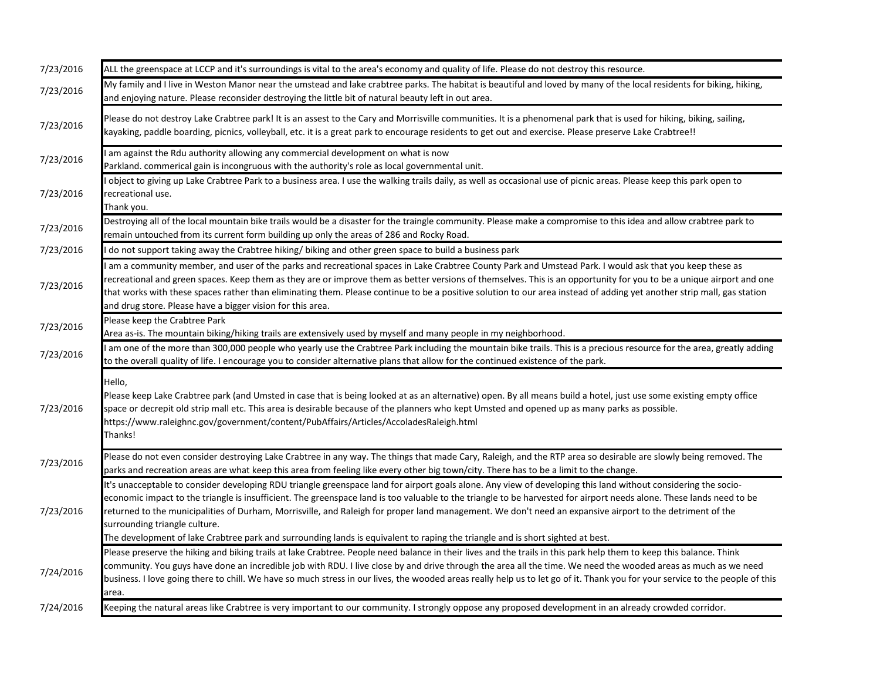| 7/23/2016 | ALL the greenspace at LCCP and it's surroundings is vital to the area's economy and quality of life. Please do not destroy this resource.                                                                                                                                                                                                                                                                                                                                                                                                                                                                                                                              |
|-----------|------------------------------------------------------------------------------------------------------------------------------------------------------------------------------------------------------------------------------------------------------------------------------------------------------------------------------------------------------------------------------------------------------------------------------------------------------------------------------------------------------------------------------------------------------------------------------------------------------------------------------------------------------------------------|
| 7/23/2016 | My family and I live in Weston Manor near the umstead and lake crabtree parks. The habitat is beautiful and loved by many of the local residents for biking, hiking,<br>and enjoying nature. Please reconsider destroying the little bit of natural beauty left in out area.                                                                                                                                                                                                                                                                                                                                                                                           |
| 7/23/2016 | Please do not destroy Lake Crabtree park! It is an assest to the Cary and Morrisville communities. It is a phenomenal park that is used for hiking, biking, sailing,<br>kayaking, paddle boarding, picnics, volleyball, etc. it is a great park to encourage residents to get out and exercise. Please preserve Lake Crabtree!!                                                                                                                                                                                                                                                                                                                                        |
| 7/23/2016 | am against the Rdu authority allowing any commercial development on what is now<br>Parkland. commerical gain is incongruous with the authority's role as local governmental unit.                                                                                                                                                                                                                                                                                                                                                                                                                                                                                      |
| 7/23/2016 | I object to giving up Lake Crabtree Park to a business area. I use the walking trails daily, as well as occasional use of picnic areas. Please keep this park open to<br>recreational use.<br>Thank you.                                                                                                                                                                                                                                                                                                                                                                                                                                                               |
| 7/23/2016 | Destroying all of the local mountain bike trails would be a disaster for the traingle community. Please make a compromise to this idea and allow crabtree park to<br>remain untouched from its current form building up only the areas of 286 and Rocky Road.                                                                                                                                                                                                                                                                                                                                                                                                          |
| 7/23/2016 | do not support taking away the Crabtree hiking/biking and other green space to build a business park                                                                                                                                                                                                                                                                                                                                                                                                                                                                                                                                                                   |
| 7/23/2016 | am a community member, and user of the parks and recreational spaces in Lake Crabtree County Park and Umstead Park. I would ask that you keep these as<br>recreational and green spaces. Keep them as they are or improve them as better versions of themselves. This is an opportunity for you to be a unique airport and one<br>that works with these spaces rather than eliminating them. Please continue to be a positive solution to our area instead of adding yet another strip mall, gas station<br>and drug store. Please have a bigger vision for this area.                                                                                                 |
| 7/23/2016 | Please keep the Crabtree Park<br>Area as-is. The mountain biking/hiking trails are extensively used by myself and many people in my neighborhood.                                                                                                                                                                                                                                                                                                                                                                                                                                                                                                                      |
| 7/23/2016 | am one of the more than 300,000 people who yearly use the Crabtree Park including the mountain bike trails. This is a precious resource for the area, greatly adding<br>to the overall quality of life. I encourage you to consider alternative plans that allow for the continued existence of the park.                                                                                                                                                                                                                                                                                                                                                              |
| 7/23/2016 | Hello,<br>Please keep Lake Crabtree park (and Umsted in case that is being looked at as an alternative) open. By all means build a hotel, just use some existing empty office<br>space or decrepit old strip mall etc. This area is desirable because of the planners who kept Umsted and opened up as many parks as possible.<br>https://www.raleighnc.gov/government/content/PubAffairs/Articles/AccoladesRaleigh.html<br>Thanks!                                                                                                                                                                                                                                    |
| 7/23/2016 | Please do not even consider destroying Lake Crabtree in any way. The things that made Cary, Raleigh, and the RTP area so desirable are slowly being removed. The<br>parks and recreation areas are what keep this area from feeling like every other big town/city. There has to be a limit to the change.                                                                                                                                                                                                                                                                                                                                                             |
| 7/23/2016 | It's unacceptable to consider developing RDU triangle greenspace land for airport goals alone. Any view of developing this land without considering the socio-<br>economic impact to the triangle is insufficient. The greenspace land is too valuable to the triangle to be harvested for airport needs alone. These lands need to be<br>returned to the municipalities of Durham, Morrisville, and Raleigh for proper land management. We don't need an expansive airport to the detriment of the<br>surrounding triangle culture.<br>The development of lake Crabtree park and surrounding lands is equivalent to raping the triangle and is short sighted at best. |
| 7/24/2016 | Please preserve the hiking and biking trails at lake Crabtree. People need balance in their lives and the trails in this park help them to keep this balance. Think<br>community. You guys have done an incredible job with RDU. I live close by and drive through the area all the time. We need the wooded areas as much as we need<br>business. I love going there to chill. We have so much stress in our lives, the wooded areas really help us to let go of it. Thank you for your service to the people of this<br>area.                                                                                                                                        |
| 7/24/2016 | Keeping the natural areas like Crabtree is very important to our community. I strongly oppose any proposed development in an already crowded corridor.                                                                                                                                                                                                                                                                                                                                                                                                                                                                                                                 |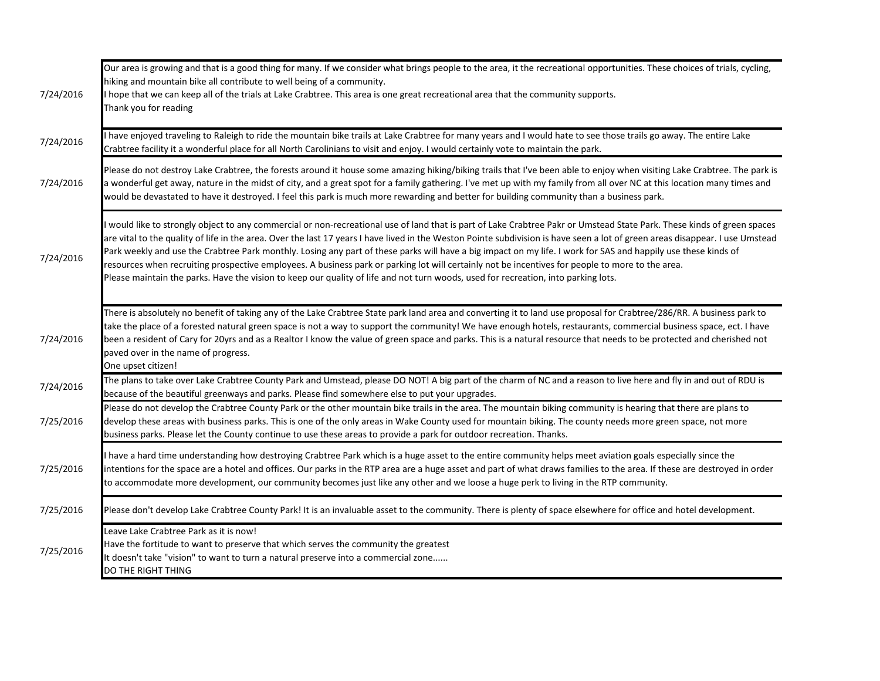| 7/24/2016 | Our area is growing and that is a good thing for many. If we consider what brings people to the area, it the recreational opportunities. These choices of trials, cycling,<br>hiking and mountain bike all contribute to well being of a community.<br>I hope that we can keep all of the trials at Lake Crabtree. This area is one great recreational area that the community supports.<br>Thank you for reading                                                                                                                                                                                                                                                                                                                                                                                                  |
|-----------|--------------------------------------------------------------------------------------------------------------------------------------------------------------------------------------------------------------------------------------------------------------------------------------------------------------------------------------------------------------------------------------------------------------------------------------------------------------------------------------------------------------------------------------------------------------------------------------------------------------------------------------------------------------------------------------------------------------------------------------------------------------------------------------------------------------------|
| 7/24/2016 | have enjoyed traveling to Raleigh to ride the mountain bike trails at Lake Crabtree for many years and I would hate to see those trails go away. The entire Lake<br>Crabtree facility it a wonderful place for all North Carolinians to visit and enjoy. I would certainly vote to maintain the park.                                                                                                                                                                                                                                                                                                                                                                                                                                                                                                              |
| 7/24/2016 | Please do not destroy Lake Crabtree, the forests around it house some amazing hiking/biking trails that I've been able to enjoy when visiting Lake Crabtree. The park is<br>a wonderful get away, nature in the midst of city, and a great spot for a family gathering. I've met up with my family from all over NC at this location many times and<br>would be devastated to have it destroyed. I feel this park is much more rewarding and better for building community than a business park.                                                                                                                                                                                                                                                                                                                   |
| 7/24/2016 | would like to strongly object to any commercial or non-recreational use of land that is part of Lake Crabtree Pakr or Umstead State Park. These kinds of green spaces<br>are vital to the quality of life in the area. Over the last 17 years I have lived in the Weston Pointe subdivision is have seen a lot of green areas disappear. I use Umstead<br>Park weekly and use the Crabtree Park monthly. Losing any part of these parks will have a big impact on my life. I work for SAS and happily use these kinds of<br>resources when recruiting prospective employees. A business park or parking lot will certainly not be incentives for people to more to the area.<br>Please maintain the parks. Have the vision to keep our quality of life and not turn woods, used for recreation, into parking lots. |
| 7/24/2016 | There is absolutely no benefit of taking any of the Lake Crabtree State park land area and converting it to land use proposal for Crabtree/286/RR. A business park to<br>take the place of a forested natural green space is not a way to support the community! We have enough hotels, restaurants, commercial business space, ect. I have<br>been a resident of Cary for 20yrs and as a Realtor I know the value of green space and parks. This is a natural resource that needs to be protected and cherished not<br>paved over in the name of progress.<br>One upset citizen!                                                                                                                                                                                                                                  |
| 7/24/2016 | The plans to take over Lake Crabtree County Park and Umstead, please DO NOT! A big part of the charm of NC and a reason to live here and fly in and out of RDU is<br>because of the beautiful greenways and parks. Please find somewhere else to put your upgrades.                                                                                                                                                                                                                                                                                                                                                                                                                                                                                                                                                |
| 7/25/2016 | Please do not develop the Crabtree County Park or the other mountain bike trails in the area. The mountain biking community is hearing that there are plans to<br>develop these areas with business parks. This is one of the only areas in Wake County used for mountain biking. The county needs more green space, not more<br>business parks. Please let the County continue to use these areas to provide a park for outdoor recreation. Thanks.                                                                                                                                                                                                                                                                                                                                                               |
| 7/25/2016 | have a hard time understanding how destroying Crabtree Park which is a huge asset to the entire community helps meet aviation goals especially since the<br>intentions for the space are a hotel and offices. Our parks in the RTP area are a huge asset and part of what draws families to the area. If these are destroyed in order<br>to accommodate more development, our community becomes just like any other and we loose a huge perk to living in the RTP community.                                                                                                                                                                                                                                                                                                                                       |
| 7/25/2016 | Please don't develop Lake Crabtree County Park! It is an invaluable asset to the community. There is plenty of space elsewhere for office and hotel development.                                                                                                                                                                                                                                                                                                                                                                                                                                                                                                                                                                                                                                                   |
| 7/25/2016 | Leave Lake Crabtree Park as it is now!<br>Have the fortitude to want to preserve that which serves the community the greatest<br>It doesn't take "vision" to want to turn a natural preserve into a commercial zone<br>DO THE RIGHT THING                                                                                                                                                                                                                                                                                                                                                                                                                                                                                                                                                                          |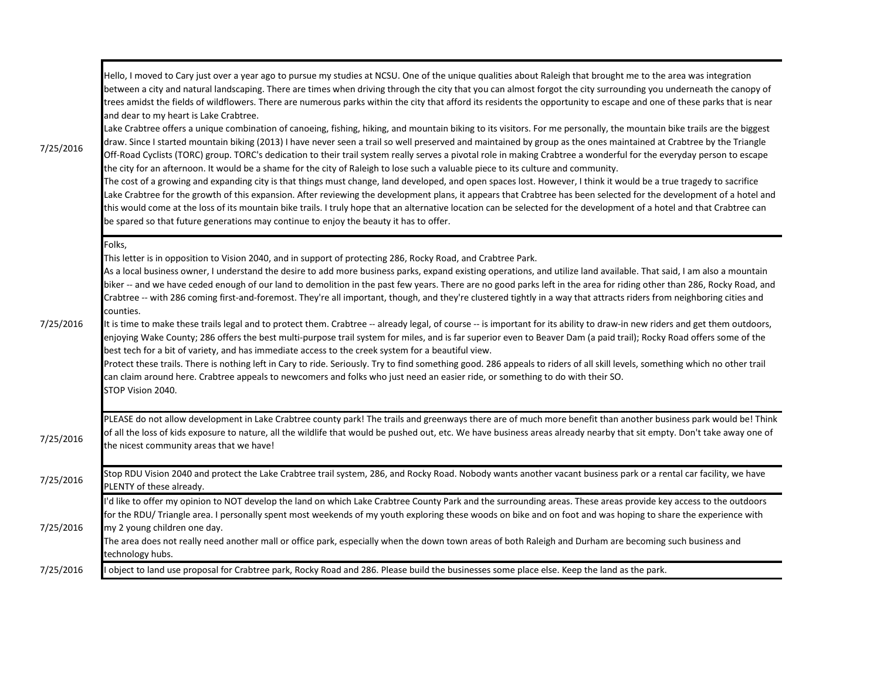| 7/25/2016 | Hello, I moved to Cary just over a year ago to pursue my studies at NCSU. One of the unique qualities about Raleigh that brought me to the area was integration<br>between a city and natural landscaping. There are times when driving through the city that you can almost forgot the city surrounding you underneath the canopy of<br>trees amidst the fields of wildflowers. There are numerous parks within the city that afford its residents the opportunity to escape and one of these parks that is near<br>and dear to my heart is Lake Crabtree.<br>Lake Crabtree offers a unique combination of canoeing, fishing, hiking, and mountain biking to its visitors. For me personally, the mountain bike trails are the biggest<br>draw. Since I started mountain biking (2013) I have never seen a trail so well preserved and maintained by group as the ones maintained at Crabtree by the Triangle<br>Off-Road Cyclists (TORC) group. TORC's dedication to their trail system really serves a pivotal role in making Crabtree a wonderful for the everyday person to escape<br>the city for an afternoon. It would be a shame for the city of Raleigh to lose such a valuable piece to its culture and community.<br>The cost of a growing and expanding city is that things must change, land developed, and open spaces lost. However, I think it would be a true tragedy to sacrifice<br>Lake Crabtree for the growth of this expansion. After reviewing the development plans, it appears that Crabtree has been selected for the development of a hotel and<br>this would come at the loss of its mountain bike trails. I truly hope that an alternative location can be selected for the development of a hotel and that Crabtree can<br>be spared so that future generations may continue to enjoy the beauty it has to offer. |
|-----------|---------------------------------------------------------------------------------------------------------------------------------------------------------------------------------------------------------------------------------------------------------------------------------------------------------------------------------------------------------------------------------------------------------------------------------------------------------------------------------------------------------------------------------------------------------------------------------------------------------------------------------------------------------------------------------------------------------------------------------------------------------------------------------------------------------------------------------------------------------------------------------------------------------------------------------------------------------------------------------------------------------------------------------------------------------------------------------------------------------------------------------------------------------------------------------------------------------------------------------------------------------------------------------------------------------------------------------------------------------------------------------------------------------------------------------------------------------------------------------------------------------------------------------------------------------------------------------------------------------------------------------------------------------------------------------------------------------------------------------------------------------------------------------------------------------------------------------------------------|
| 7/25/2016 | Folks,<br>This letter is in opposition to Vision 2040, and in support of protecting 286, Rocky Road, and Crabtree Park.<br>As a local business owner, I understand the desire to add more business parks, expand existing operations, and utilize land available. That said, I am also a mountain<br>biker -- and we have ceded enough of our land to demolition in the past few years. There are no good parks left in the area for riding other than 286, Rocky Road, and<br>Crabtree -- with 286 coming first-and-foremost. They're all important, though, and they're clustered tightly in a way that attracts riders from neighboring cities and<br>counties.<br>It is time to make these trails legal and to protect them. Crabtree -- already legal, of course -- is important for its ability to draw-in new riders and get them outdoors,<br>enjoying Wake County; 286 offers the best multi-purpose trail system for miles, and is far superior even to Beaver Dam (a paid trail); Rocky Road offers some of the<br>best tech for a bit of variety, and has immediate access to the creek system for a beautiful view.<br>Protect these trails. There is nothing left in Cary to ride. Seriously. Try to find something good. 286 appeals to riders of all skill levels, something which no other trail<br>can claim around here. Crabtree appeals to newcomers and folks who just need an easier ride, or something to do with their SO.<br>STOP Vision 2040.                                                                                                                                                                                                                                                                                                                                                                          |
| 7/25/2016 | PLEASE do not allow development in Lake Crabtree county park! The trails and greenways there are of much more benefit than another business park would be! Think<br>of all the loss of kids exposure to nature, all the wildlife that would be pushed out, etc. We have business areas already nearby that sit empty. Don't take away one of<br>the nicest community areas that we have!                                                                                                                                                                                                                                                                                                                                                                                                                                                                                                                                                                                                                                                                                                                                                                                                                                                                                                                                                                                                                                                                                                                                                                                                                                                                                                                                                                                                                                                          |
| 7/25/2016 | Stop RDU Vision 2040 and protect the Lake Crabtree trail system, 286, and Rocky Road. Nobody wants another vacant business park or a rental car facility, we have<br>PLENTY of these already.                                                                                                                                                                                                                                                                                                                                                                                                                                                                                                                                                                                                                                                                                                                                                                                                                                                                                                                                                                                                                                                                                                                                                                                                                                                                                                                                                                                                                                                                                                                                                                                                                                                     |
| 7/25/2016 | I'd like to offer my opinion to NOT develop the land on which Lake Crabtree County Park and the surrounding areas. These areas provide key access to the outdoors<br>for the RDU/ Triangle area. I personally spent most weekends of my youth exploring these woods on bike and on foot and was hoping to share the experience with<br>my 2 young children one day.<br>The area does not really need another mall or office park, especially when the down town areas of both Raleigh and Durham are becoming such business and<br>technology hubs.                                                                                                                                                                                                                                                                                                                                                                                                                                                                                                                                                                                                                                                                                                                                                                                                                                                                                                                                                                                                                                                                                                                                                                                                                                                                                               |
| 7/25/2016 | object to land use proposal for Crabtree park, Rocky Road and 286. Please build the businesses some place else. Keep the land as the park.                                                                                                                                                                                                                                                                                                                                                                                                                                                                                                                                                                                                                                                                                                                                                                                                                                                                                                                                                                                                                                                                                                                                                                                                                                                                                                                                                                                                                                                                                                                                                                                                                                                                                                        |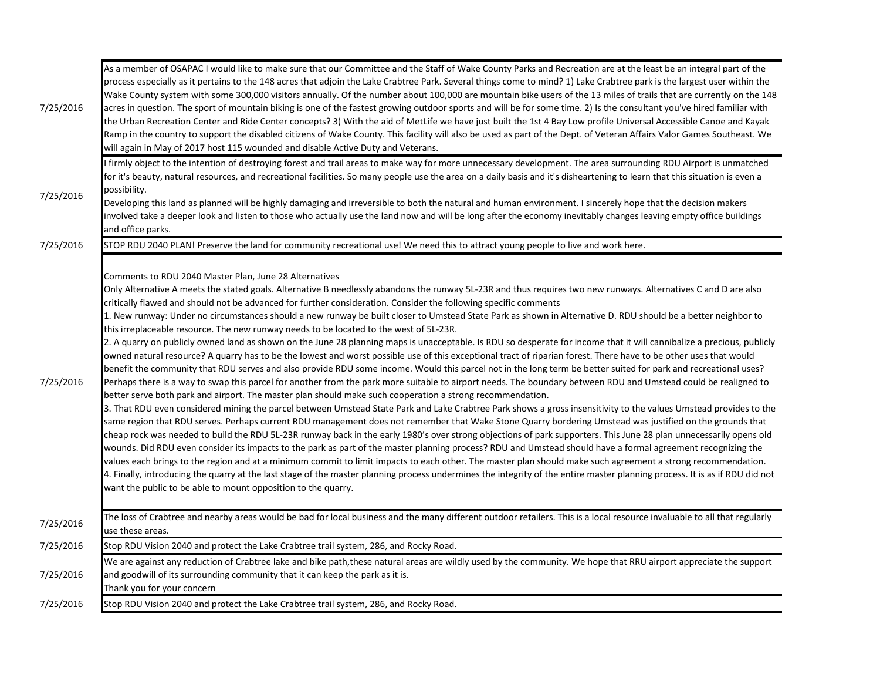| 7/25/2016 | As a member of OSAPAC I would like to make sure that our Committee and the Staff of Wake County Parks and Recreation are at the least be an integral part of the<br>process especially as it pertains to the 148 acres that adjoin the Lake Crabtree Park. Several things come to mind? 1) Lake Crabtree park is the largest user within the<br>Wake County system with some 300,000 visitors annually. Of the number about 100,000 are mountain bike users of the 13 miles of trails that are currently on the 148<br>acres in question. The sport of mountain biking is one of the fastest growing outdoor sports and will be for some time. 2) Is the consultant you've hired familiar with<br>the Urban Recreation Center and Ride Center concepts? 3) With the aid of MetLife we have just built the 1st 4 Bay Low profile Universal Accessible Canoe and Kayak<br>Ramp in the country to support the disabled citizens of Wake County. This facility will also be used as part of the Dept. of Veteran Affairs Valor Games Southeast. We<br>will again in May of 2017 host 115 wounded and disable Active Duty and Veterans.                                                                                                                                                                                                                                                                                                                                                                                                                                                                                                                                                                                                                                                                                                                                                                                                                                                                                                                                                                                                                                                                                                                                                                                                                                                                                                                                                                |
|-----------|---------------------------------------------------------------------------------------------------------------------------------------------------------------------------------------------------------------------------------------------------------------------------------------------------------------------------------------------------------------------------------------------------------------------------------------------------------------------------------------------------------------------------------------------------------------------------------------------------------------------------------------------------------------------------------------------------------------------------------------------------------------------------------------------------------------------------------------------------------------------------------------------------------------------------------------------------------------------------------------------------------------------------------------------------------------------------------------------------------------------------------------------------------------------------------------------------------------------------------------------------------------------------------------------------------------------------------------------------------------------------------------------------------------------------------------------------------------------------------------------------------------------------------------------------------------------------------------------------------------------------------------------------------------------------------------------------------------------------------------------------------------------------------------------------------------------------------------------------------------------------------------------------------------------------------------------------------------------------------------------------------------------------------------------------------------------------------------------------------------------------------------------------------------------------------------------------------------------------------------------------------------------------------------------------------------------------------------------------------------------------------------------------------------------------------------------------------------------------------------------------|
| 7/25/2016 | I firmly object to the intention of destroying forest and trail areas to make way for more unnecessary development. The area surrounding RDU Airport is unmatched<br>for it's beauty, natural resources, and recreational facilities. So many people use the area on a daily basis and it's disheartening to learn that this situation is even a<br>possibility.<br>Developing this land as planned will be highly damaging and irreversible to both the natural and human environment. I sincerely hope that the decision makers<br>involved take a deeper look and listen to those who actually use the land now and will be long after the economy inevitably changes leaving empty office buildings<br>and office parks.                                                                                                                                                                                                                                                                                                                                                                                                                                                                                                                                                                                                                                                                                                                                                                                                                                                                                                                                                                                                                                                                                                                                                                                                                                                                                                                                                                                                                                                                                                                                                                                                                                                                                                                                                                      |
| 7/25/2016 | STOP RDU 2040 PLAN! Preserve the land for community recreational use! We need this to attract young people to live and work here.                                                                                                                                                                                                                                                                                                                                                                                                                                                                                                                                                                                                                                                                                                                                                                                                                                                                                                                                                                                                                                                                                                                                                                                                                                                                                                                                                                                                                                                                                                                                                                                                                                                                                                                                                                                                                                                                                                                                                                                                                                                                                                                                                                                                                                                                                                                                                                 |
| 7/25/2016 | Comments to RDU 2040 Master Plan, June 28 Alternatives<br>Only Alternative A meets the stated goals. Alternative B needlessly abandons the runway 5L-23R and thus requires two new runways. Alternatives C and D are also<br>critically flawed and should not be advanced for further consideration. Consider the following specific comments<br>1. New runway: Under no circumstances should a new runway be built closer to Umstead State Park as shown in Alternative D. RDU should be a better neighbor to<br>this irreplaceable resource. The new runway needs to be located to the west of 5L-23R.<br>2. A quarry on publicly owned land as shown on the June 28 planning maps is unacceptable. Is RDU so desperate for income that it will cannibalize a precious, publicly<br>owned natural resource? A quarry has to be the lowest and worst possible use of this exceptional tract of riparian forest. There have to be other uses that would<br>benefit the community that RDU serves and also provide RDU some income. Would this parcel not in the long term be better suited for park and recreational uses?<br>Perhaps there is a way to swap this parcel for another from the park more suitable to airport needs. The boundary between RDU and Umstead could be realigned to<br>better serve both park and airport. The master plan should make such cooperation a strong recommendation.<br>3. That RDU even considered mining the parcel between Umstead State Park and Lake Crabtree Park shows a gross insensitivity to the values Umstead provides to the<br>same region that RDU serves. Perhaps current RDU management does not remember that Wake Stone Quarry bordering Umstead was justified on the grounds that<br>cheap rock was needed to build the RDU 5L-23R runway back in the early 1980's over strong objections of park supporters. This June 28 plan unnecessarily opens old<br>wounds. Did RDU even consider its impacts to the park as part of the master planning process? RDU and Umstead should have a formal agreement recognizing the<br>values each brings to the region and at a minimum commit to limit impacts to each other. The master plan should make such agreement a strong recommendation.<br>4. Finally, introducing the quarry at the last stage of the master planning process undermines the integrity of the entire master planning process. It is as if RDU did not<br>want the public to be able to mount opposition to the quarry. |
| 7/25/2016 | The loss of Crabtree and nearby areas would be bad for local business and the many different outdoor retailers. This is a local resource invaluable to all that regularly<br>use these areas.                                                                                                                                                                                                                                                                                                                                                                                                                                                                                                                                                                                                                                                                                                                                                                                                                                                                                                                                                                                                                                                                                                                                                                                                                                                                                                                                                                                                                                                                                                                                                                                                                                                                                                                                                                                                                                                                                                                                                                                                                                                                                                                                                                                                                                                                                                     |
| 7/25/2016 | Stop RDU Vision 2040 and protect the Lake Crabtree trail system, 286, and Rocky Road.                                                                                                                                                                                                                                                                                                                                                                                                                                                                                                                                                                                                                                                                                                                                                                                                                                                                                                                                                                                                                                                                                                                                                                                                                                                                                                                                                                                                                                                                                                                                                                                                                                                                                                                                                                                                                                                                                                                                                                                                                                                                                                                                                                                                                                                                                                                                                                                                             |
| 7/25/2016 | We are against any reduction of Crabtree lake and bike path, these natural areas are wildly used by the community. We hope that RRU airport appreciate the support<br>and goodwill of its surrounding community that it can keep the park as it is.<br>Thank you for your concern                                                                                                                                                                                                                                                                                                                                                                                                                                                                                                                                                                                                                                                                                                                                                                                                                                                                                                                                                                                                                                                                                                                                                                                                                                                                                                                                                                                                                                                                                                                                                                                                                                                                                                                                                                                                                                                                                                                                                                                                                                                                                                                                                                                                                 |
| 7/25/2016 | Stop RDU Vision 2040 and protect the Lake Crabtree trail system, 286, and Rocky Road.                                                                                                                                                                                                                                                                                                                                                                                                                                                                                                                                                                                                                                                                                                                                                                                                                                                                                                                                                                                                                                                                                                                                                                                                                                                                                                                                                                                                                                                                                                                                                                                                                                                                                                                                                                                                                                                                                                                                                                                                                                                                                                                                                                                                                                                                                                                                                                                                             |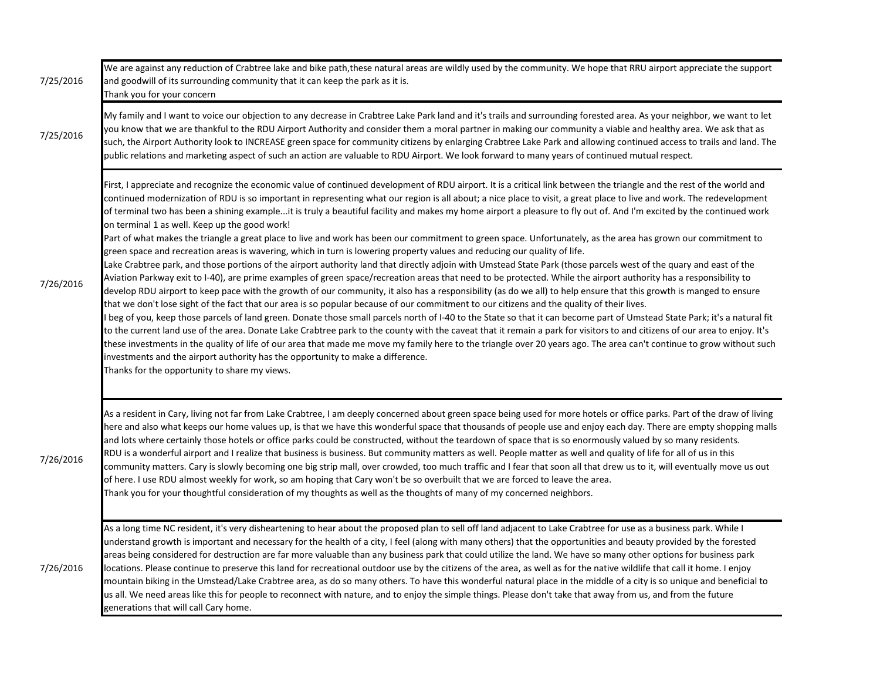| 7/25/2016 | We are against any reduction of Crabtree lake and bike path, these natural areas are wildly used by the community. We hope that RRU airport appreciate the support<br>and goodwill of its surrounding community that it can keep the park as it is.<br>Thank you for your concern                                                                                                                                                                                                                                                                                                                                                                                                                                                                                                                                                                                                                                                                                                                                                                                                                                                                                                                                                                                                                                                                                                                                                                                                                                                                                                                                                                                                                                                                                                                                                                                                                                                                                                                                                                                                                                                                                                                              |
|-----------|----------------------------------------------------------------------------------------------------------------------------------------------------------------------------------------------------------------------------------------------------------------------------------------------------------------------------------------------------------------------------------------------------------------------------------------------------------------------------------------------------------------------------------------------------------------------------------------------------------------------------------------------------------------------------------------------------------------------------------------------------------------------------------------------------------------------------------------------------------------------------------------------------------------------------------------------------------------------------------------------------------------------------------------------------------------------------------------------------------------------------------------------------------------------------------------------------------------------------------------------------------------------------------------------------------------------------------------------------------------------------------------------------------------------------------------------------------------------------------------------------------------------------------------------------------------------------------------------------------------------------------------------------------------------------------------------------------------------------------------------------------------------------------------------------------------------------------------------------------------------------------------------------------------------------------------------------------------------------------------------------------------------------------------------------------------------------------------------------------------------------------------------------------------------------------------------------------------|
| 7/25/2016 | My family and I want to voice our objection to any decrease in Crabtree Lake Park land and it's trails and surrounding forested area. As your neighbor, we want to let<br>you know that we are thankful to the RDU Airport Authority and consider them a moral partner in making our community a viable and healthy area. We ask that as<br>such, the Airport Authority look to INCREASE green space for community citizens by enlarging Crabtree Lake Park and allowing continued access to trails and land. The<br>public relations and marketing aspect of such an action are valuable to RDU Airport. We look forward to many years of continued mutual respect.                                                                                                                                                                                                                                                                                                                                                                                                                                                                                                                                                                                                                                                                                                                                                                                                                                                                                                                                                                                                                                                                                                                                                                                                                                                                                                                                                                                                                                                                                                                                           |
| 7/26/2016 | First, I appreciate and recognize the economic value of continued development of RDU airport. It is a critical link between the triangle and the rest of the world and<br>continued modernization of RDU is so important in representing what our region is all about; a nice place to visit, a great place to live and work. The redevelopment<br>of terminal two has been a shining exampleit is truly a beautiful facility and makes my home airport a pleasure to fly out of. And I'm excited by the continued work<br>on terminal 1 as well. Keep up the good work!<br>Part of what makes the triangle a great place to live and work has been our commitment to green space. Unfortunately, as the area has grown our commitment to<br>green space and recreation areas is wavering, which in turn is lowering property values and reducing our quality of life.<br>Lake Crabtree park, and those portions of the airport authority land that directly adjoin with Umstead State Park (those parcels west of the quary and east of the<br>Aviation Parkway exit to I-40), are prime examples of green space/recreation areas that need to be protected. While the airport authority has a responsibility to<br>develop RDU airport to keep pace with the growth of our community, it also has a responsibility (as do we all) to help ensure that this growth is manged to ensure<br>that we don't lose sight of the fact that our area is so popular because of our commitment to our citizens and the quality of their lives.<br>I beg of you, keep those parcels of land green. Donate those small parcels north of I-40 to the State so that it can become part of Umstead State Park; it's a natural fit<br>to the current land use of the area. Donate Lake Crabtree park to the county with the caveat that it remain a park for visitors to and citizens of our area to enjoy. It's<br>these investments in the quality of life of our area that made me move my family here to the triangle over 20 years ago. The area can't continue to grow without such<br>investments and the airport authority has the opportunity to make a difference.<br>Thanks for the opportunity to share my views. |
| 7/26/2016 | As a resident in Cary, living not far from Lake Crabtree, I am deeply concerned about green space being used for more hotels or office parks. Part of the draw of living<br>here and also what keeps our home values up, is that we have this wonderful space that thousands of people use and enjoy each day. There are empty shopping malls<br>and lots where certainly those hotels or office parks could be constructed, without the teardown of space that is so enormously valued by so many residents.<br>RDU is a wonderful airport and I realize that business is business. But community matters as well. People matter as well and quality of life for all of us in this<br>community matters. Cary is slowly becoming one big strip mall, over crowded, too much traffic and I fear that soon all that drew us to it, will eventually move us out<br>of here. I use RDU almost weekly for work, so am hoping that Cary won't be so overbuilt that we are forced to leave the area.<br>Thank you for your thoughtful consideration of my thoughts as well as the thoughts of many of my concerned neighbors.                                                                                                                                                                                                                                                                                                                                                                                                                                                                                                                                                                                                                                                                                                                                                                                                                                                                                                                                                                                                                                                                                        |
| 7/26/2016 | As a long time NC resident, it's very disheartening to hear about the proposed plan to sell off land adjacent to Lake Crabtree for use as a business park. While I<br>understand growth is important and necessary for the health of a city, I feel (along with many others) that the opportunities and beauty provided by the forested<br>areas being considered for destruction are far more valuable than any business park that could utilize the land. We have so many other options for business park<br>locations. Please continue to preserve this land for recreational outdoor use by the citizens of the area, as well as for the native wildlife that call it home. I enjoy<br>mountain biking in the Umstead/Lake Crabtree area, as do so many others. To have this wonderful natural place in the middle of a city is so unique and beneficial to<br>us all. We need areas like this for people to reconnect with nature, and to enjoy the simple things. Please don't take that away from us, and from the future<br>generations that will call Cary home.                                                                                                                                                                                                                                                                                                                                                                                                                                                                                                                                                                                                                                                                                                                                                                                                                                                                                                                                                                                                                                                                                                                                      |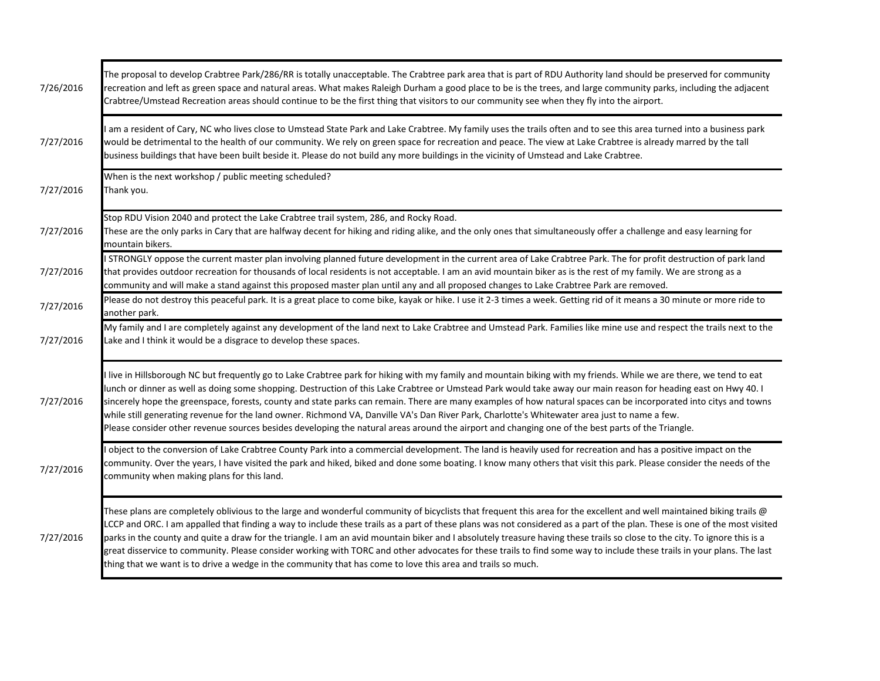| 7/26/2016 | The proposal to develop Crabtree Park/286/RR is totally unacceptable. The Crabtree park area that is part of RDU Authority land should be preserved for community<br>recreation and left as green space and natural areas. What makes Raleigh Durham a good place to be is the trees, and large community parks, including the adjacent<br>Crabtree/Umstead Recreation areas should continue to be the first thing that visitors to our community see when they fly into the airport.                                                                                                                                                                                                                                                                                                                                      |
|-----------|----------------------------------------------------------------------------------------------------------------------------------------------------------------------------------------------------------------------------------------------------------------------------------------------------------------------------------------------------------------------------------------------------------------------------------------------------------------------------------------------------------------------------------------------------------------------------------------------------------------------------------------------------------------------------------------------------------------------------------------------------------------------------------------------------------------------------|
| 7/27/2016 | I am a resident of Cary, NC who lives close to Umstead State Park and Lake Crabtree. My family uses the trails often and to see this area turned into a business park<br>would be detrimental to the health of our community. We rely on green space for recreation and peace. The view at Lake Crabtree is already marred by the tall<br>business buildings that have been built beside it. Please do not build any more buildings in the vicinity of Umstead and Lake Crabtree.                                                                                                                                                                                                                                                                                                                                          |
| 7/27/2016 | When is the next workshop / public meeting scheduled?<br>Thank you.                                                                                                                                                                                                                                                                                                                                                                                                                                                                                                                                                                                                                                                                                                                                                        |
| 7/27/2016 | Stop RDU Vision 2040 and protect the Lake Crabtree trail system, 286, and Rocky Road.<br>These are the only parks in Cary that are halfway decent for hiking and riding alike, and the only ones that simultaneously offer a challenge and easy learning for<br>mountain bikers.                                                                                                                                                                                                                                                                                                                                                                                                                                                                                                                                           |
| 7/27/2016 | I STRONGLY oppose the current master plan involving planned future development in the current area of Lake Crabtree Park. The for profit destruction of park land<br>that provides outdoor recreation for thousands of local residents is not acceptable. I am an avid mountain biker as is the rest of my family. We are strong as a<br>community and will make a stand against this proposed master plan until any and all proposed changes to Lake Crabtree Park are removed.                                                                                                                                                                                                                                                                                                                                           |
| 7/27/2016 | Please do not destroy this peaceful park. It is a great place to come bike, kayak or hike. I use it 2-3 times a week. Getting rid of it means a 30 minute or more ride to<br>another park.                                                                                                                                                                                                                                                                                                                                                                                                                                                                                                                                                                                                                                 |
| 7/27/2016 | My family and I are completely against any development of the land next to Lake Crabtree and Umstead Park. Families like mine use and respect the trails next to the<br>Lake and I think it would be a disgrace to develop these spaces.                                                                                                                                                                                                                                                                                                                                                                                                                                                                                                                                                                                   |
| 7/27/2016 | I live in Hillsborough NC but frequently go to Lake Crabtree park for hiking with my family and mountain biking with my friends. While we are there, we tend to eat<br>lunch or dinner as well as doing some shopping. Destruction of this Lake Crabtree or Umstead Park would take away our main reason for heading east on Hwy 40. I<br>sincerely hope the greenspace, forests, county and state parks can remain. There are many examples of how natural spaces can be incorporated into citys and towns<br>while still generating revenue for the land owner. Richmond VA, Danville VA's Dan River Park, Charlotte's Whitewater area just to name a few.<br>Please consider other revenue sources besides developing the natural areas around the airport and changing one of the best parts of the Triangle.          |
| 7/27/2016 | I object to the conversion of Lake Crabtree County Park into a commercial development. The land is heavily used for recreation and has a positive impact on the<br>community. Over the years, I have visited the park and hiked, biked and done some boating. I know many others that visit this park. Please consider the needs of the<br>community when making plans for this land.                                                                                                                                                                                                                                                                                                                                                                                                                                      |
| 7/27/2016 | These plans are completely oblivious to the large and wonderful community of bicyclists that frequent this area for the excellent and well maintained biking trails @<br>LCCP and ORC. I am appalled that finding a way to include these trails as a part of these plans was not considered as a part of the plan. These is one of the most visited<br>parks in the county and quite a draw for the triangle. I am an avid mountain biker and I absolutely treasure having these trails so close to the city. To ignore this is a<br>great disservice to community. Please consider working with TORC and other advocates for these trails to find some way to include these trails in your plans. The last<br>thing that we want is to drive a wedge in the community that has come to love this area and trails so much. |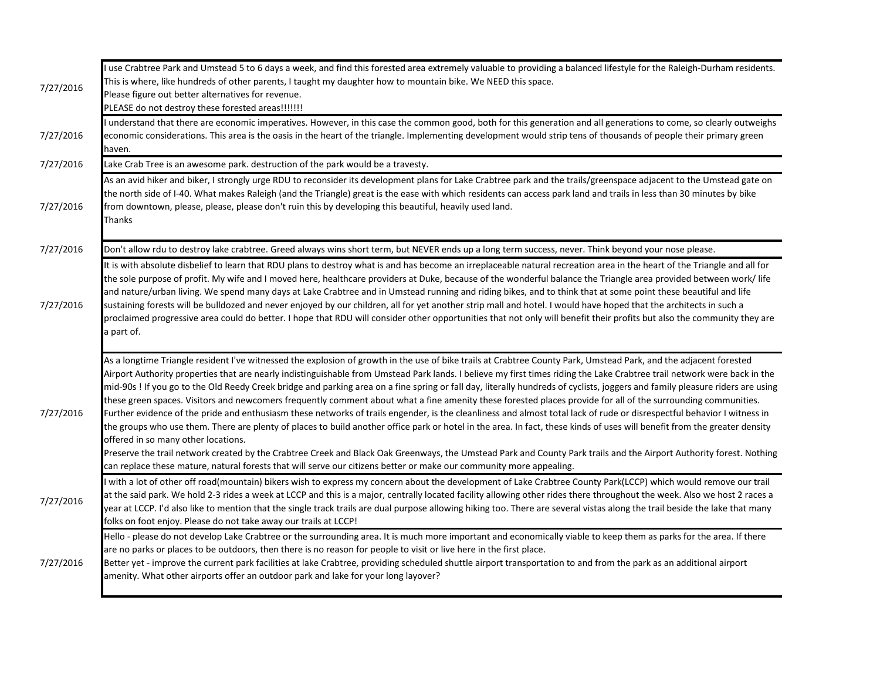| 7/27/2016 | I use Crabtree Park and Umstead 5 to 6 days a week, and find this forested area extremely valuable to providing a balanced lifestyle for the Raleigh-Durham residents.<br>This is where, like hundreds of other parents, I taught my daughter how to mountain bike. We NEED this space.<br>Please figure out better alternatives for revenue.<br>PLEASE do not destroy these forested areas!!!!!!!                                                                                                                                                                                                                                                                                                                                                                                                                                                                                                                                                                                                                                                                                                                                                                                                                                                                                                                                                                                          |
|-----------|---------------------------------------------------------------------------------------------------------------------------------------------------------------------------------------------------------------------------------------------------------------------------------------------------------------------------------------------------------------------------------------------------------------------------------------------------------------------------------------------------------------------------------------------------------------------------------------------------------------------------------------------------------------------------------------------------------------------------------------------------------------------------------------------------------------------------------------------------------------------------------------------------------------------------------------------------------------------------------------------------------------------------------------------------------------------------------------------------------------------------------------------------------------------------------------------------------------------------------------------------------------------------------------------------------------------------------------------------------------------------------------------|
| 7/27/2016 | I understand that there are economic imperatives. However, in this case the common good, both for this generation and all generations to come, so clearly outweighs<br>economic considerations. This area is the oasis in the heart of the triangle. Implementing development would strip tens of thousands of people their primary green<br>haven.                                                                                                                                                                                                                                                                                                                                                                                                                                                                                                                                                                                                                                                                                                                                                                                                                                                                                                                                                                                                                                         |
| 7/27/2016 | Lake Crab Tree is an awesome park. destruction of the park would be a travesty.                                                                                                                                                                                                                                                                                                                                                                                                                                                                                                                                                                                                                                                                                                                                                                                                                                                                                                                                                                                                                                                                                                                                                                                                                                                                                                             |
| 7/27/2016 | As an avid hiker and biker, I strongly urge RDU to reconsider its development plans for Lake Crabtree park and the trails/greenspace adjacent to the Umstead gate on<br>the north side of I-40. What makes Raleigh (and the Triangle) great is the ease with which residents can access park land and trails in less than 30 minutes by bike<br>from downtown, please, please, please don't ruin this by developing this beautiful, heavily used land.<br>Thanks                                                                                                                                                                                                                                                                                                                                                                                                                                                                                                                                                                                                                                                                                                                                                                                                                                                                                                                            |
| 7/27/2016 | Don't allow rdu to destroy lake crabtree. Greed always wins short term, but NEVER ends up a long term success, never. Think beyond your nose please.                                                                                                                                                                                                                                                                                                                                                                                                                                                                                                                                                                                                                                                                                                                                                                                                                                                                                                                                                                                                                                                                                                                                                                                                                                        |
| 7/27/2016 | It is with absolute disbelief to learn that RDU plans to destroy what is and has become an irreplaceable natural recreation area in the heart of the Triangle and all for<br>the sole purpose of profit. My wife and I moved here, healthcare providers at Duke, because of the wonderful balance the Triangle area provided between work/ life<br>and nature/urban living. We spend many days at Lake Crabtree and in Umstead running and riding bikes, and to think that at some point these beautiful and life<br>sustaining forests will be bulldozed and never enjoyed by our children, all for yet another strip mall and hotel. I would have hoped that the architects in such a<br>proclaimed progressive area could do better. I hope that RDU will consider other opportunities that not only will benefit their profits but also the community they are<br>a part of.                                                                                                                                                                                                                                                                                                                                                                                                                                                                                                            |
| 7/27/2016 | As a longtime Triangle resident I've witnessed the explosion of growth in the use of bike trails at Crabtree County Park, Umstead Park, and the adjacent forested<br>Airport Authority properties that are nearly indistinguishable from Umstead Park lands. I believe my first times riding the Lake Crabtree trail network were back in the<br>mid-90s! If you go to the Old Reedy Creek bridge and parking area on a fine spring or fall day, literally hundreds of cyclists, joggers and family pleasure riders are using<br>these green spaces. Visitors and newcomers frequently comment about what a fine amenity these forested places provide for all of the surrounding communities.<br>Further evidence of the pride and enthusiasm these networks of trails engender, is the cleanliness and almost total lack of rude or disrespectful behavior I witness in<br>the groups who use them. There are plenty of places to build another office park or hotel in the area. In fact, these kinds of uses will benefit from the greater density<br>offered in so many other locations.<br>Preserve the trail network created by the Crabtree Creek and Black Oak Greenways, the Umstead Park and County Park trails and the Airport Authority forest. Nothing<br>can replace these mature, natural forests that will serve our citizens better or make our community more appealing. |
| 7/27/2016 | I with a lot of other off road(mountain) bikers wish to express my concern about the development of Lake Crabtree County Park(LCCP) which would remove our trail<br>at the said park. We hold 2-3 rides a week at LCCP and this is a major, centrally located facility allowing other rides there throughout the week. Also we host 2 races a<br>year at LCCP. I'd also like to mention that the single track trails are dual purpose allowing hiking too. There are several vistas along the trail beside the lake that many<br>folks on foot enjoy. Please do not take away our trails at LCCP!                                                                                                                                                                                                                                                                                                                                                                                                                                                                                                                                                                                                                                                                                                                                                                                           |
| 7/27/2016 | Hello - please do not develop Lake Crabtree or the surrounding area. It is much more important and economically viable to keep them as parks for the area. If there<br>are no parks or places to be outdoors, then there is no reason for people to visit or live here in the first place.<br>Better yet - improve the current park facilities at lake Crabtree, providing scheduled shuttle airport transportation to and from the park as an additional airport<br>amenity. What other airports offer an outdoor park and lake for your long layover?                                                                                                                                                                                                                                                                                                                                                                                                                                                                                                                                                                                                                                                                                                                                                                                                                                     |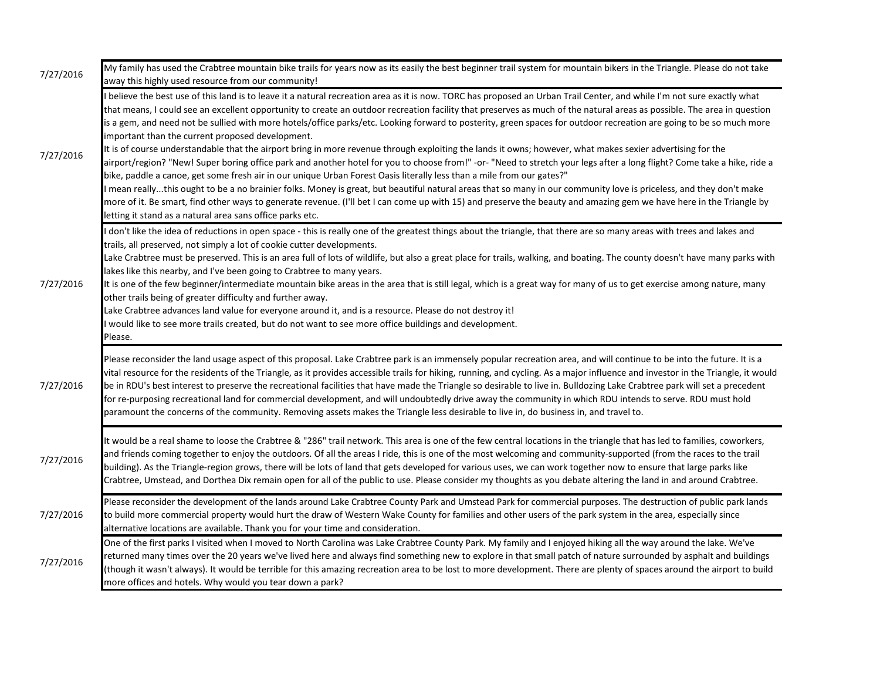| 7/27/2016 | My family has used the Crabtree mountain bike trails for years now as its easily the best beginner trail system for mountain bikers in the Triangle. Please do not take<br>away this highly used resource from our community!                                                                                                                                                                                                                                                                                                                                                                                                                                                                                                                                                                                                                                                                                                                                                                                                                                                                                                                                                                                                                                                                                                                                                                                                                            |
|-----------|----------------------------------------------------------------------------------------------------------------------------------------------------------------------------------------------------------------------------------------------------------------------------------------------------------------------------------------------------------------------------------------------------------------------------------------------------------------------------------------------------------------------------------------------------------------------------------------------------------------------------------------------------------------------------------------------------------------------------------------------------------------------------------------------------------------------------------------------------------------------------------------------------------------------------------------------------------------------------------------------------------------------------------------------------------------------------------------------------------------------------------------------------------------------------------------------------------------------------------------------------------------------------------------------------------------------------------------------------------------------------------------------------------------------------------------------------------|
| 7/27/2016 | I believe the best use of this land is to leave it a natural recreation area as it is now. TORC has proposed an Urban Trail Center, and while I'm not sure exactly what<br>that means, I could see an excellent opportunity to create an outdoor recreation facility that preserves as much of the natural areas as possible. The area in question<br>is a gem, and need not be sullied with more hotels/office parks/etc. Looking forward to posterity, green spaces for outdoor recreation are going to be so much more<br>important than the current proposed development.<br>It is of course understandable that the airport bring in more revenue through exploiting the lands it owns; however, what makes sexier advertising for the<br>airport/region? "New! Super boring office park and another hotel for you to choose from!" -or- "Need to stretch your legs after a long flight? Come take a hike, ride a<br>bike, paddle a canoe, get some fresh air in our unique Urban Forest Oasis literally less than a mile from our gates?"<br>mean reallythis ought to be a no brainier folks. Money is great, but beautiful natural areas that so many in our community love is priceless, and they don't make<br>more of it. Be smart, find other ways to generate revenue. (I'll bet I can come up with 15) and preserve the beauty and amazing gem we have here in the Triangle by<br>letting it stand as a natural area sans office parks etc. |
| 7/27/2016 | don't like the idea of reductions in open space - this is really one of the greatest things about the triangle, that there are so many areas with trees and lakes and<br>trails, all preserved, not simply a lot of cookie cutter developments.<br>Lake Crabtree must be preserved. This is an area full of lots of wildlife, but also a great place for trails, walking, and boating. The county doesn't have many parks with<br>lakes like this nearby, and I've been going to Crabtree to many years.<br>It is one of the few beginner/intermediate mountain bike areas in the area that is still legal, which is a great way for many of us to get exercise among nature, many<br>other trails being of greater difficulty and further away.<br>Lake Crabtree advances land value for everyone around it, and is a resource. Please do not destroy it!<br>would like to see more trails created, but do not want to see more office buildings and development.<br>Please.                                                                                                                                                                                                                                                                                                                                                                                                                                                                            |
| 7/27/2016 | Please reconsider the land usage aspect of this proposal. Lake Crabtree park is an immensely popular recreation area, and will continue to be into the future. It is a<br>vital resource for the residents of the Triangle, as it provides accessible trails for hiking, running, and cycling. As a major influence and investor in the Triangle, it would<br>be in RDU's best interest to preserve the recreational facilities that have made the Triangle so desirable to live in. Bulldozing Lake Crabtree park will set a precedent<br>for re-purposing recreational land for commercial development, and will undoubtedly drive away the community in which RDU intends to serve. RDU must hold<br>paramount the concerns of the community. Removing assets makes the Triangle less desirable to live in, do business in, and travel to.                                                                                                                                                                                                                                                                                                                                                                                                                                                                                                                                                                                                            |
| 7/27/2016 | It would be a real shame to loose the Crabtree & "286" trail network. This area is one of the few central locations in the triangle that has led to families, coworkers,<br>and friends coming together to enjoy the outdoors. Of all the areas I ride, this is one of the most welcoming and community-supported (from the races to the trail<br>building). As the Triangle-region grows, there will be lots of land that gets developed for various uses, we can work together now to ensure that large parks like<br>Crabtree, Umstead, and Dorthea Dix remain open for all of the public to use. Please consider my thoughts as you debate altering the land in and around Crabtree.                                                                                                                                                                                                                                                                                                                                                                                                                                                                                                                                                                                                                                                                                                                                                                 |
| 7/27/2016 | Please reconsider the development of the lands around Lake Crabtree County Park and Umstead Park for commercial purposes. The destruction of public park lands<br>to build more commercial property would hurt the draw of Western Wake County for families and other users of the park system in the area, especially since<br>alternative locations are available. Thank you for your time and consideration.                                                                                                                                                                                                                                                                                                                                                                                                                                                                                                                                                                                                                                                                                                                                                                                                                                                                                                                                                                                                                                          |
| 7/27/2016 | One of the first parks I visited when I moved to North Carolina was Lake Crabtree County Park. My family and I enjoyed hiking all the way around the lake. We've<br>returned many times over the 20 years we've lived here and always find something new to explore in that small patch of nature surrounded by asphalt and buildings<br>(though it wasn't always). It would be terrible for this amazing recreation area to be lost to more development. There are plenty of spaces around the airport to build<br>more offices and hotels. Why would you tear down a park?                                                                                                                                                                                                                                                                                                                                                                                                                                                                                                                                                                                                                                                                                                                                                                                                                                                                             |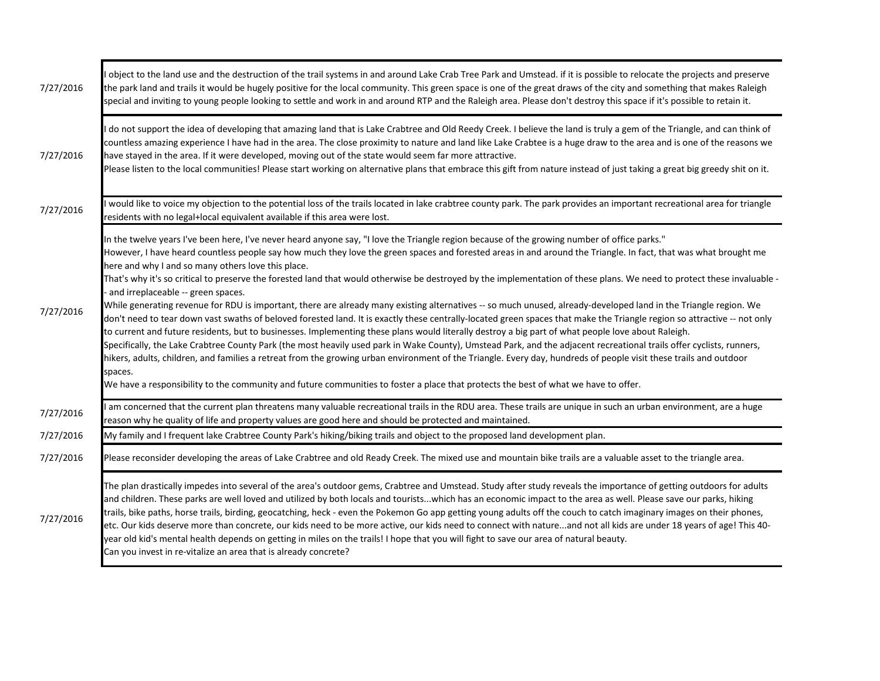| 7/27/2016 | object to the land use and the destruction of the trail systems in and around Lake Crab Tree Park and Umstead. if it is possible to relocate the projects and preserve<br>the park land and trails it would be hugely positive for the local community. This green space is one of the great draws of the city and something that makes Raleigh<br>special and inviting to young people looking to settle and work in and around RTP and the Raleigh area. Please don't destroy this space if it's possible to retain it.                                                                                                                                                                                                                                                                                                                                                                                                                                                                                                                                                                                                                                                                                                                                                                                                                                                                                                                                                                                                                                                                   |
|-----------|---------------------------------------------------------------------------------------------------------------------------------------------------------------------------------------------------------------------------------------------------------------------------------------------------------------------------------------------------------------------------------------------------------------------------------------------------------------------------------------------------------------------------------------------------------------------------------------------------------------------------------------------------------------------------------------------------------------------------------------------------------------------------------------------------------------------------------------------------------------------------------------------------------------------------------------------------------------------------------------------------------------------------------------------------------------------------------------------------------------------------------------------------------------------------------------------------------------------------------------------------------------------------------------------------------------------------------------------------------------------------------------------------------------------------------------------------------------------------------------------------------------------------------------------------------------------------------------------|
| 7/27/2016 | do not support the idea of developing that amazing land that is Lake Crabtree and Old Reedy Creek. I believe the land is truly a gem of the Triangle, and can think of<br>countless amazing experience I have had in the area. The close proximity to nature and land like Lake Crabtee is a huge draw to the area and is one of the reasons we<br>have stayed in the area. If it were developed, moving out of the state would seem far more attractive.<br>Please listen to the local communities! Please start working on alternative plans that embrace this gift from nature instead of just taking a great big greedy shit on it.                                                                                                                                                                                                                                                                                                                                                                                                                                                                                                                                                                                                                                                                                                                                                                                                                                                                                                                                                     |
| 7/27/2016 | would like to voice my objection to the potential loss of the trails located in lake crabtree county park. The park provides an important recreational area for triangle<br>residents with no legal+local equivalent available if this area were lost.                                                                                                                                                                                                                                                                                                                                                                                                                                                                                                                                                                                                                                                                                                                                                                                                                                                                                                                                                                                                                                                                                                                                                                                                                                                                                                                                      |
| 7/27/2016 | In the twelve years I've been here, I've never heard anyone say, "I love the Triangle region because of the growing number of office parks."<br>However, I have heard countless people say how much they love the green spaces and forested areas in and around the Triangle. In fact, that was what brought me<br>here and why I and so many others love this place.<br>That's why it's so critical to preserve the forested land that would otherwise be destroyed by the implementation of these plans. We need to protect these invaluable -<br>and irreplaceable -- green spaces.<br>While generating revenue for RDU is important, there are already many existing alternatives -- so much unused, already-developed land in the Triangle region. We<br>don't need to tear down vast swaths of beloved forested land. It is exactly these centrally-located green spaces that make the Triangle region so attractive -- not only<br>to current and future residents, but to businesses. Implementing these plans would literally destroy a big part of what people love about Raleigh.<br>Specifically, the Lake Crabtree County Park (the most heavily used park in Wake County), Umstead Park, and the adjacent recreational trails offer cyclists, runners,<br>hikers, adults, children, and families a retreat from the growing urban environment of the Triangle. Every day, hundreds of people visit these trails and outdoor<br>spaces.<br>We have a responsibility to the community and future communities to foster a place that protects the best of what we have to offer. |
| 7/27/2016 | am concerned that the current plan threatens many valuable recreational trails in the RDU area. These trails are unique in such an urban environment, are a huge<br>reason why he quality of life and property values are good here and should be protected and maintained.                                                                                                                                                                                                                                                                                                                                                                                                                                                                                                                                                                                                                                                                                                                                                                                                                                                                                                                                                                                                                                                                                                                                                                                                                                                                                                                 |
| 7/27/2016 | My family and I frequent lake Crabtree County Park's hiking/biking trails and object to the proposed land development plan.                                                                                                                                                                                                                                                                                                                                                                                                                                                                                                                                                                                                                                                                                                                                                                                                                                                                                                                                                                                                                                                                                                                                                                                                                                                                                                                                                                                                                                                                 |
| 7/27/2016 | Please reconsider developing the areas of Lake Crabtree and old Ready Creek. The mixed use and mountain bike trails are a valuable asset to the triangle area.                                                                                                                                                                                                                                                                                                                                                                                                                                                                                                                                                                                                                                                                                                                                                                                                                                                                                                                                                                                                                                                                                                                                                                                                                                                                                                                                                                                                                              |
| 7/27/2016 | The plan drastically impedes into several of the area's outdoor gems, Crabtree and Umstead. Study after study reveals the importance of getting outdoors for adults<br>and children. These parks are well loved and utilized by both locals and touristswhich has an economic impact to the area as well. Please save our parks, hiking<br>trails, bike paths, horse trails, birding, geocatching, heck - even the Pokemon Go app getting young adults off the couch to catch imaginary images on their phones,<br>etc. Our kids deserve more than concrete, our kids need to be more active, our kids need to connect with natureand not all kids are under 18 years of age! This 40-<br>year old kid's mental health depends on getting in miles on the trails! I hope that you will fight to save our area of natural beauty.<br>Can you invest in re-vitalize an area that is already concrete?                                                                                                                                                                                                                                                                                                                                                                                                                                                                                                                                                                                                                                                                                         |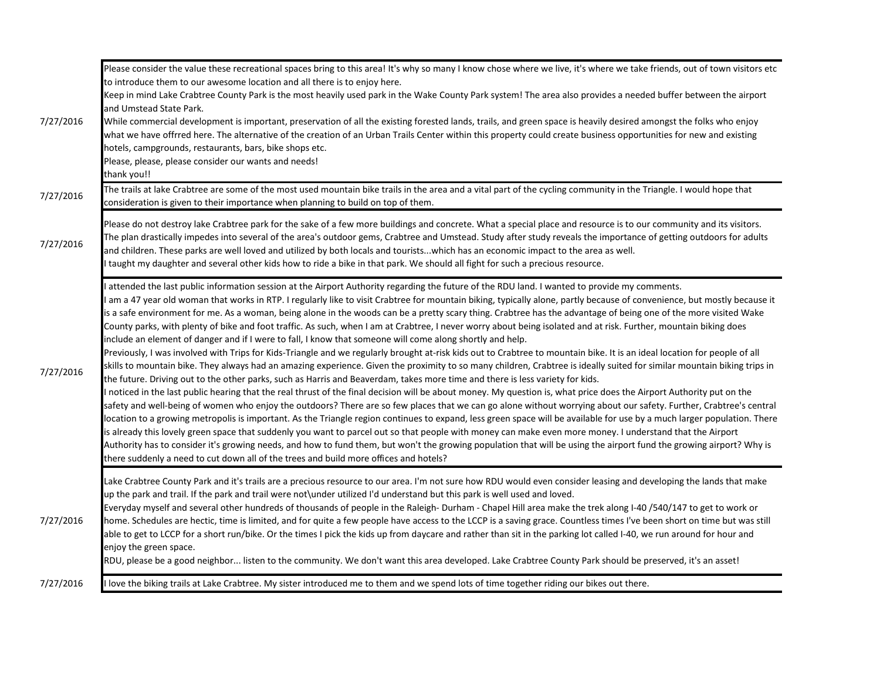|           | Please consider the value these recreational spaces bring to this area! It's why so many I know chose where we live, it's where we take friends, out of town visitors etc<br>to introduce them to our awesome location and all there is to enjoy here.                                                                                                                                                                                                                                                                                                                                                                                                                                                                                                                                                                                                                                                                                                                                                                                                                                                                                                                                                                                                                                                                                                                                                                                                                                                                                                                                                                                                                                                                                                                                                                                                                                                                                                                                                                                                                                                                                                                                                                           |
|-----------|----------------------------------------------------------------------------------------------------------------------------------------------------------------------------------------------------------------------------------------------------------------------------------------------------------------------------------------------------------------------------------------------------------------------------------------------------------------------------------------------------------------------------------------------------------------------------------------------------------------------------------------------------------------------------------------------------------------------------------------------------------------------------------------------------------------------------------------------------------------------------------------------------------------------------------------------------------------------------------------------------------------------------------------------------------------------------------------------------------------------------------------------------------------------------------------------------------------------------------------------------------------------------------------------------------------------------------------------------------------------------------------------------------------------------------------------------------------------------------------------------------------------------------------------------------------------------------------------------------------------------------------------------------------------------------------------------------------------------------------------------------------------------------------------------------------------------------------------------------------------------------------------------------------------------------------------------------------------------------------------------------------------------------------------------------------------------------------------------------------------------------------------------------------------------------------------------------------------------------|
|           | Keep in mind Lake Crabtree County Park is the most heavily used park in the Wake County Park system! The area also provides a needed buffer between the airport<br>and Umstead State Park.                                                                                                                                                                                                                                                                                                                                                                                                                                                                                                                                                                                                                                                                                                                                                                                                                                                                                                                                                                                                                                                                                                                                                                                                                                                                                                                                                                                                                                                                                                                                                                                                                                                                                                                                                                                                                                                                                                                                                                                                                                       |
| 7/27/2016 | While commercial development is important, preservation of all the existing forested lands, trails, and green space is heavily desired amongst the folks who enjoy<br>what we have offrred here. The alternative of the creation of an Urban Trails Center within this property could create business opportunities for new and existing<br>hotels, campgrounds, restaurants, bars, bike shops etc.<br>Please, please, please consider our wants and needs!<br>thank you!!                                                                                                                                                                                                                                                                                                                                                                                                                                                                                                                                                                                                                                                                                                                                                                                                                                                                                                                                                                                                                                                                                                                                                                                                                                                                                                                                                                                                                                                                                                                                                                                                                                                                                                                                                       |
| 7/27/2016 | The trails at lake Crabtree are some of the most used mountain bike trails in the area and a vital part of the cycling community in the Triangle. I would hope that<br>consideration is given to their importance when planning to build on top of them.                                                                                                                                                                                                                                                                                                                                                                                                                                                                                                                                                                                                                                                                                                                                                                                                                                                                                                                                                                                                                                                                                                                                                                                                                                                                                                                                                                                                                                                                                                                                                                                                                                                                                                                                                                                                                                                                                                                                                                         |
| 7/27/2016 | Please do not destroy lake Crabtree park for the sake of a few more buildings and concrete. What a special place and resource is to our community and its visitors.<br>The plan drastically impedes into several of the area's outdoor gems, Crabtree and Umstead. Study after study reveals the importance of getting outdoors for adults<br>and children. These parks are well loved and utilized by both locals and touristswhich has an economic impact to the area as well.<br>I taught my daughter and several other kids how to ride a bike in that park. We should all fight for such a precious resource.                                                                                                                                                                                                                                                                                                                                                                                                                                                                                                                                                                                                                                                                                                                                                                                                                                                                                                                                                                                                                                                                                                                                                                                                                                                                                                                                                                                                                                                                                                                                                                                                               |
| 7/27/2016 | attended the last public information session at the Airport Authority regarding the future of the RDU land. I wanted to provide my comments.<br>am a 47 year old woman that works in RTP. I regularly like to visit Crabtree for mountain biking, typically alone, partly because of convenience, but mostly because it<br>is a safe environment for me. As a woman, being alone in the woods can be a pretty scary thing. Crabtree has the advantage of being one of the more visited Wake<br>County parks, with plenty of bike and foot traffic. As such, when I am at Crabtree, I never worry about being isolated and at risk. Further, mountain biking does<br>include an element of danger and if I were to fall, I know that someone will come along shortly and help.<br>Previously, I was involved with Trips for Kids-Triangle and we regularly brought at-risk kids out to Crabtree to mountain bike. It is an ideal location for people of all<br>skills to mountain bike. They always had an amazing experience. Given the proximity to so many children, Crabtree is ideally suited for similar mountain biking trips in<br>the future. Driving out to the other parks, such as Harris and Beaverdam, takes more time and there is less variety for kids.<br>I noticed in the last public hearing that the real thrust of the final decision will be about money. My question is, what price does the Airport Authority put on the<br>safety and well-being of women who enjoy the outdoors? There are so few places that we can go alone without worrying about our safety. Further, Crabtree's central<br>location to a growing metropolis is important. As the Triangle region continues to expand, less green space will be available for use by a much larger population. There<br>is already this lovely green space that suddenly you want to parcel out so that people with money can make even more money. I understand that the Airport<br>Authority has to consider it's growing needs, and how to fund them, but won't the growing population that will be using the airport fund the growing airport? Why is<br>there suddenly a need to cut down all of the trees and build more offices and hotels? |
| 7/27/2016 | Lake Crabtree County Park and it's trails are a precious resource to our area. I'm not sure how RDU would even consider leasing and developing the lands that make<br>up the park and trail. If the park and trail were not\under utilized I'd understand but this park is well used and loved.<br>Everyday myself and several other hundreds of thousands of people in the Raleigh- Durham - Chapel Hill area make the trek along I-40 /540/147 to get to work or<br>home. Schedules are hectic, time is limited, and for quite a few people have access to the LCCP is a saving grace. Countless times I've been short on time but was still<br>able to get to LCCP for a short run/bike. Or the times I pick the kids up from daycare and rather than sit in the parking lot called I-40, we run around for hour and<br>enjoy the green space.<br>RDU, please be a good neighbor listen to the community. We don't want this area developed. Lake Crabtree County Park should be preserved, it's an asset!                                                                                                                                                                                                                                                                                                                                                                                                                                                                                                                                                                                                                                                                                                                                                                                                                                                                                                                                                                                                                                                                                                                                                                                                                    |
| 7/27/2016 | I love the biking trails at Lake Crabtree. My sister introduced me to them and we spend lots of time together riding our bikes out there.                                                                                                                                                                                                                                                                                                                                                                                                                                                                                                                                                                                                                                                                                                                                                                                                                                                                                                                                                                                                                                                                                                                                                                                                                                                                                                                                                                                                                                                                                                                                                                                                                                                                                                                                                                                                                                                                                                                                                                                                                                                                                        |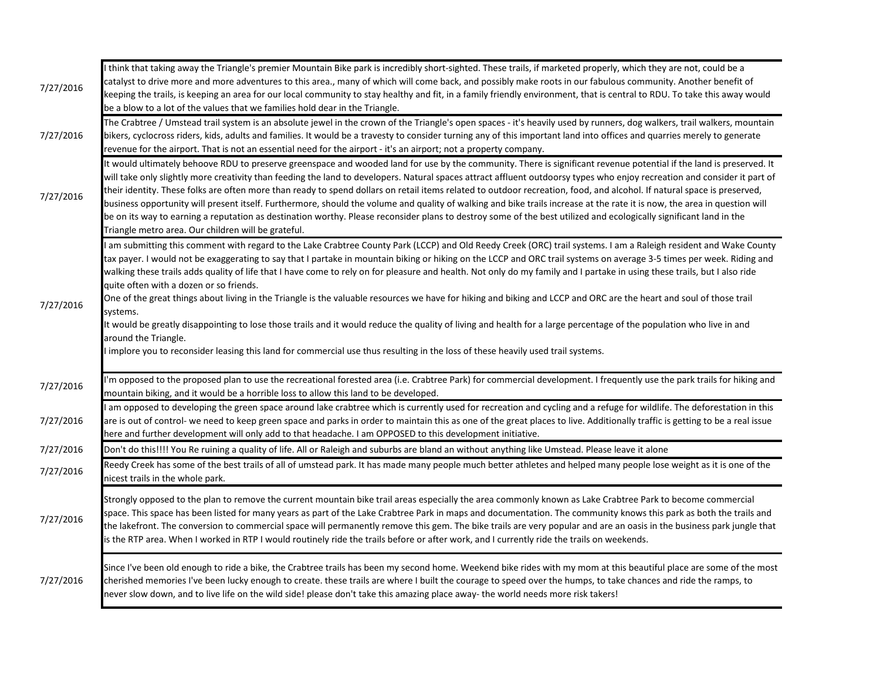| 7/27/2016 | I think that taking away the Triangle's premier Mountain Bike park is incredibly short-sighted. These trails, if marketed properly, which they are not, could be a<br>catalyst to drive more and more adventures to this area., many of which will come back, and possibly make roots in our fabulous community. Another benefit of<br>keeping the trails, is keeping an area for our local community to stay healthy and fit, in a family friendly environment, that is central to RDU. To take this away would<br>be a blow to a lot of the values that we families hold dear in the Triangle.                                                                                                                                                                                                                                                                                                                                                                                                                                                                                          |
|-----------|-------------------------------------------------------------------------------------------------------------------------------------------------------------------------------------------------------------------------------------------------------------------------------------------------------------------------------------------------------------------------------------------------------------------------------------------------------------------------------------------------------------------------------------------------------------------------------------------------------------------------------------------------------------------------------------------------------------------------------------------------------------------------------------------------------------------------------------------------------------------------------------------------------------------------------------------------------------------------------------------------------------------------------------------------------------------------------------------|
| 7/27/2016 | The Crabtree / Umstead trail system is an absolute jewel in the crown of the Triangle's open spaces - it's heavily used by runners, dog walkers, trail walkers, mountain<br>bikers, cyclocross riders, kids, adults and families. It would be a travesty to consider turning any of this important land into offices and quarries merely to generate<br>revenue for the airport. That is not an essential need for the airport - it's an airport; not a property company.                                                                                                                                                                                                                                                                                                                                                                                                                                                                                                                                                                                                                 |
| 7/27/2016 | It would ultimately behoove RDU to preserve greenspace and wooded land for use by the community. There is significant revenue potential if the land is preserved. It<br>will take only slightly more creativity than feeding the land to developers. Natural spaces attract affluent outdoorsy types who enjoy recreation and consider it part of<br>their identity. These folks are often more than ready to spend dollars on retail items related to outdoor recreation, food, and alcohol. If natural space is preserved,<br>business opportunity will present itself. Furthermore, should the volume and quality of walking and bike trails increase at the rate it is now, the area in question will<br>be on its way to earning a reputation as destination worthy. Please reconsider plans to destroy some of the best utilized and ecologically significant land in the<br>Triangle metro area. Our children will be grateful.                                                                                                                                                    |
| 7/27/2016 | I am submitting this comment with regard to the Lake Crabtree County Park (LCCP) and Old Reedy Creek (ORC) trail systems. I am a Raleigh resident and Wake County<br>tax payer. I would not be exaggerating to say that I partake in mountain biking or hiking on the LCCP and ORC trail systems on average 3-5 times per week. Riding and<br>walking these trails adds quality of life that I have come to rely on for pleasure and health. Not only do my family and I partake in using these trails, but I also ride<br>quite often with a dozen or so friends.<br>One of the great things about living in the Triangle is the valuable resources we have for hiking and biking and LCCP and ORC are the heart and soul of those trail<br>systems.<br>It would be greatly disappointing to lose those trails and it would reduce the quality of living and health for a large percentage of the population who live in and<br>around the Triangle.<br>I implore you to reconsider leasing this land for commercial use thus resulting in the loss of these heavily used trail systems. |
| 7/27/2016 | I'm opposed to the proposed plan to use the recreational forested area (i.e. Crabtree Park) for commercial development. I frequently use the park trails for hiking and<br>mountain biking, and it would be a horrible loss to allow this land to be developed.                                                                                                                                                                                                                                                                                                                                                                                                                                                                                                                                                                                                                                                                                                                                                                                                                           |
| 7/27/2016 | I am opposed to developing the green space around lake crabtree which is currently used for recreation and cycling and a refuge for wildlife. The deforestation in this<br>are is out of control- we need to keep green space and parks in order to maintain this as one of the great places to live. Additionally traffic is getting to be a real issue<br>here and further development will only add to that headache. I am OPPOSED to this development initiative.                                                                                                                                                                                                                                                                                                                                                                                                                                                                                                                                                                                                                     |
| 7/27/2016 | Don't do this!!!! You Re ruining a quality of life. All or Raleigh and suburbs are bland an without anything like Umstead. Please leave it alone                                                                                                                                                                                                                                                                                                                                                                                                                                                                                                                                                                                                                                                                                                                                                                                                                                                                                                                                          |
| 7/27/2016 | Reedy Creek has some of the best trails of all of umstead park. It has made many people much better athletes and helped many people lose weight as it is one of the<br>nicest trails in the whole park.                                                                                                                                                                                                                                                                                                                                                                                                                                                                                                                                                                                                                                                                                                                                                                                                                                                                                   |
| 7/27/2016 | Strongly opposed to the plan to remove the current mountain bike trail areas especially the area commonly known as Lake Crabtree Park to become commercial<br>space. This space has been listed for many years as part of the Lake Crabtree Park in maps and documentation. The community knows this park as both the trails and<br>the lakefront. The conversion to commercial space will permanently remove this gem. The bike trails are very popular and are an oasis in the business park jungle that<br>is the RTP area. When I worked in RTP I would routinely ride the trails before or after work, and I currently ride the trails on weekends.                                                                                                                                                                                                                                                                                                                                                                                                                                  |
| 7/27/2016 | Since I've been old enough to ride a bike, the Crabtree trails has been my second home. Weekend bike rides with my mom at this beautiful place are some of the most<br>cherished memories I've been lucky enough to create. these trails are where I built the courage to speed over the humps, to take chances and ride the ramps, to<br>never slow down, and to live life on the wild side! please don't take this amazing place away- the world needs more risk takers!                                                                                                                                                                                                                                                                                                                                                                                                                                                                                                                                                                                                                |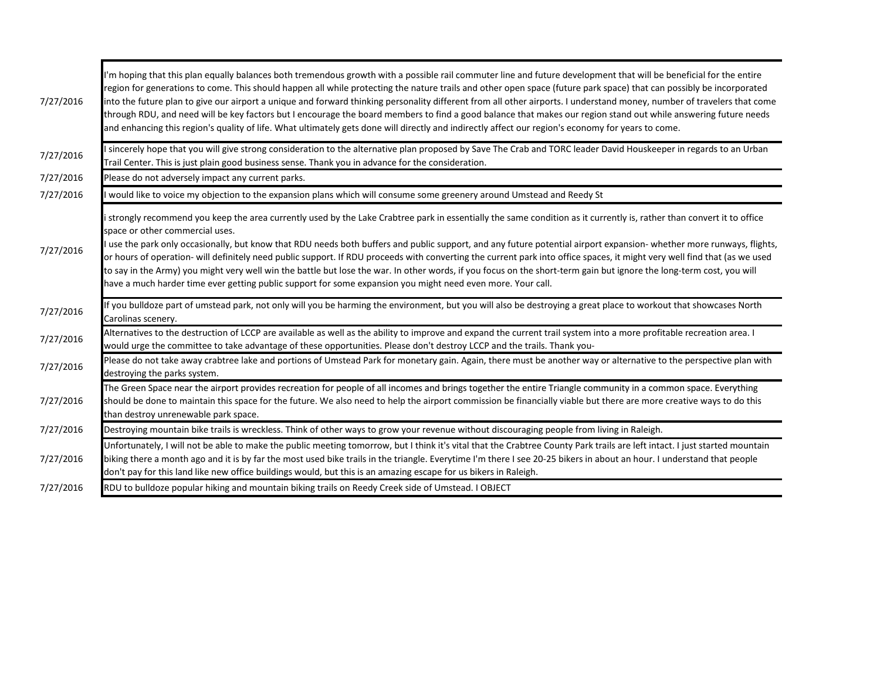| 7/27/2016 | I'm hoping that this plan equally balances both tremendous growth with a possible rail commuter line and future development that will be beneficial for the entire<br>region for generations to come. This should happen all while protecting the nature trails and other open space (future park space) that can possibly be incorporated<br>into the future plan to give our airport a unique and forward thinking personality different from all other airports. I understand money, number of travelers that come<br>through RDU, and need will be key factors but I encourage the board members to find a good balance that makes our region stand out while answering future needs<br>and enhancing this region's quality of life. What ultimately gets done will directly and indirectly affect our region's economy for years to come.        |
|-----------|-------------------------------------------------------------------------------------------------------------------------------------------------------------------------------------------------------------------------------------------------------------------------------------------------------------------------------------------------------------------------------------------------------------------------------------------------------------------------------------------------------------------------------------------------------------------------------------------------------------------------------------------------------------------------------------------------------------------------------------------------------------------------------------------------------------------------------------------------------|
| 7/27/2016 | I sincerely hope that you will give strong consideration to the alternative plan proposed by Save The Crab and TORC leader David Houskeeper in regards to an Urban<br>Trail Center. This is just plain good business sense. Thank you in advance for the consideration.                                                                                                                                                                                                                                                                                                                                                                                                                                                                                                                                                                               |
| 7/27/2016 | Please do not adversely impact any current parks.                                                                                                                                                                                                                                                                                                                                                                                                                                                                                                                                                                                                                                                                                                                                                                                                     |
| 7/27/2016 | would like to voice my objection to the expansion plans which will consume some greenery around Umstead and Reedy St                                                                                                                                                                                                                                                                                                                                                                                                                                                                                                                                                                                                                                                                                                                                  |
| 7/27/2016 | istrongly recommend you keep the area currently used by the Lake Crabtree park in essentially the same condition as it currently is, rather than convert it to office<br>space or other commercial uses.<br>I use the park only occasionally, but know that RDU needs both buffers and public support, and any future potential airport expansion- whether more runways, flights,<br>or hours of operation- will definitely need public support. If RDU proceeds with converting the current park into office spaces, it might very well find that (as we used<br>to say in the Army) you might very well win the battle but lose the war. In other words, if you focus on the short-term gain but ignore the long-term cost, you will<br>have a much harder time ever getting public support for some expansion you might need even more. Your call. |
| 7/27/2016 | If you bulldoze part of umstead park, not only will you be harming the environment, but you will also be destroying a great place to workout that showcases North<br>Carolinas scenery.                                                                                                                                                                                                                                                                                                                                                                                                                                                                                                                                                                                                                                                               |
| 7/27/2016 | Alternatives to the destruction of LCCP are available as well as the ability to improve and expand the current trail system into a more profitable recreation area. I<br>would urge the committee to take advantage of these opportunities. Please don't destroy LCCP and the trails. Thank you-                                                                                                                                                                                                                                                                                                                                                                                                                                                                                                                                                      |
| 7/27/2016 | Please do not take away crabtree lake and portions of Umstead Park for monetary gain. Again, there must be another way or alternative to the perspective plan with<br>destroying the parks system.                                                                                                                                                                                                                                                                                                                                                                                                                                                                                                                                                                                                                                                    |
| 7/27/2016 | The Green Space near the airport provides recreation for people of all incomes and brings together the entire Triangle community in a common space. Everything<br>should be done to maintain this space for the future. We also need to help the airport commission be financially viable but there are more creative ways to do this<br>than destroy unrenewable park space.                                                                                                                                                                                                                                                                                                                                                                                                                                                                         |
| 7/27/2016 | Destroying mountain bike trails is wreckless. Think of other ways to grow your revenue without discouraging people from living in Raleigh.                                                                                                                                                                                                                                                                                                                                                                                                                                                                                                                                                                                                                                                                                                            |
| 7/27/2016 | Unfortunately, I will not be able to make the public meeting tomorrow, but I think it's vital that the Crabtree County Park trails are left intact. I just started mountain<br>biking there a month ago and it is by far the most used bike trails in the triangle. Everytime I'm there I see 20-25 bikers in about an hour. I understand that people<br>don't pay for this land like new office buildings would, but this is an amazing escape for us bikers in Raleigh.                                                                                                                                                                                                                                                                                                                                                                             |
| 7/27/2016 | RDU to bulldoze popular hiking and mountain biking trails on Reedy Creek side of Umstead. I OBJECT                                                                                                                                                                                                                                                                                                                                                                                                                                                                                                                                                                                                                                                                                                                                                    |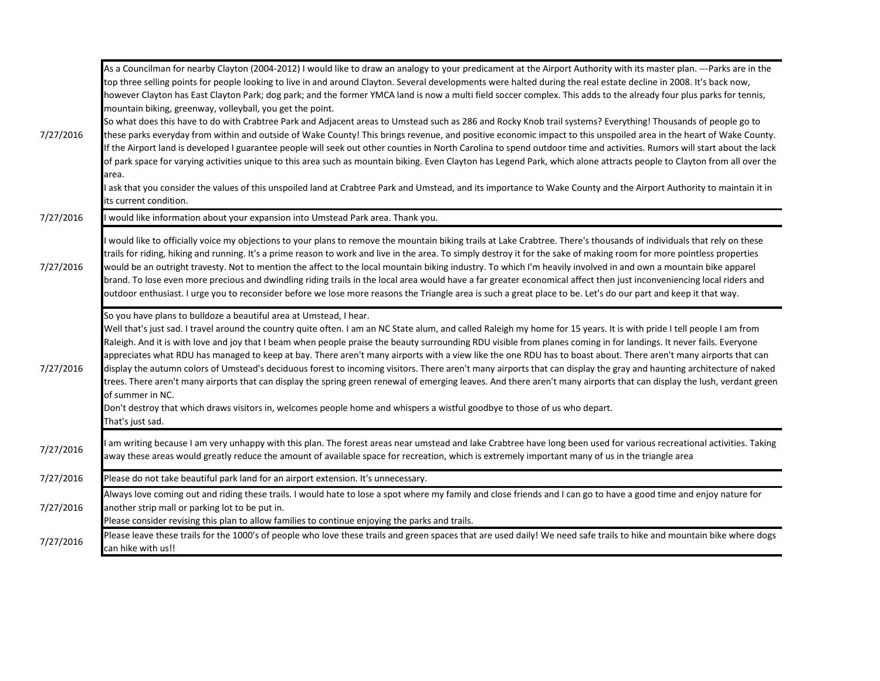| 7/27/2016 | As a Councilman for nearby Clayton (2004-2012) I would like to draw an analogy to your predicament at the Airport Authority with its master plan. ---Parks are in the<br>top three selling points for people looking to live in and around Clayton. Several developments were halted during the real estate decline in 2008. It's back now,<br>however Clayton has East Clayton Park; dog park; and the former YMCA land is now a multi field soccer complex. This adds to the already four plus parks for tennis,<br>mountain biking, greenway, volleyball, you get the point.<br>So what does this have to do with Crabtree Park and Adjacent areas to Umstead such as 286 and Rocky Knob trail systems? Everything! Thousands of people go to<br>these parks everyday from within and outside of Wake County! This brings revenue, and positive economic impact to this unspoiled area in the heart of Wake County.<br>If the Airport land is developed I guarantee people will seek out other counties in North Carolina to spend outdoor time and activities. Rumors will start about the lack<br>of park space for varying activities unique to this area such as mountain biking. Even Clayton has Legend Park, which alone attracts people to Clayton from all over the<br>area.<br>ask that you consider the values of this unspoiled land at Crabtree Park and Umstead, and its importance to Wake County and the Airport Authority to maintain it in |
|-----------|-----------------------------------------------------------------------------------------------------------------------------------------------------------------------------------------------------------------------------------------------------------------------------------------------------------------------------------------------------------------------------------------------------------------------------------------------------------------------------------------------------------------------------------------------------------------------------------------------------------------------------------------------------------------------------------------------------------------------------------------------------------------------------------------------------------------------------------------------------------------------------------------------------------------------------------------------------------------------------------------------------------------------------------------------------------------------------------------------------------------------------------------------------------------------------------------------------------------------------------------------------------------------------------------------------------------------------------------------------------------------------------------------------------------------------------------------------------------|
| 7/27/2016 | its current condition.<br>would like information about your expansion into Umstead Park area. Thank you.                                                                                                                                                                                                                                                                                                                                                                                                                                                                                                                                                                                                                                                                                                                                                                                                                                                                                                                                                                                                                                                                                                                                                                                                                                                                                                                                                        |
| 7/27/2016 | would like to officially voice my objections to your plans to remove the mountain biking trails at Lake Crabtree. There's thousands of individuals that rely on these<br>trails for riding, hiking and running. It's a prime reason to work and live in the area. To simply destroy it for the sake of making room for more pointless properties<br>would be an outright travesty. Not to mention the affect to the local mountain biking industry. To which I'm heavily involved in and own a mountain bike apparel<br>brand. To lose even more precious and dwindling riding trails in the local area would have a far greater economical affect then just inconveniencing local riders and<br>outdoor enthusiast. I urge you to reconsider before we lose more reasons the Triangle area is such a great place to be. Let's do our part and keep it that way.                                                                                                                                                                                                                                                                                                                                                                                                                                                                                                                                                                                                |
| 7/27/2016 | So you have plans to bulldoze a beautiful area at Umstead, I hear.<br>Well that's just sad. I travel around the country quite often. I am an NC State alum, and called Raleigh my home for 15 years. It is with pride I tell people I am from<br>Raleigh. And it is with love and joy that I beam when people praise the beauty surrounding RDU visible from planes coming in for landings. It never fails. Everyone<br>appreciates what RDU has managed to keep at bay. There aren't many airports with a view like the one RDU has to boast about. There aren't many airports that can<br>display the autumn colors of Umstead's deciduous forest to incoming visitors. There aren't many airports that can display the gray and haunting architecture of naked<br>trees. There aren't many airports that can display the spring green renewal of emerging leaves. And there aren't many airports that can display the lush, verdant green<br>of summer in NC.<br>Don't destroy that which draws visitors in, welcomes people home and whispers a wistful goodbye to those of us who depart.<br>That's just sad.                                                                                                                                                                                                                                                                                                                                              |
| 7/27/2016 | am writing because I am very unhappy with this plan. The forest areas near umstead and lake Crabtree have long been used for various recreational activities. Taking<br>away these areas would greatly reduce the amount of available space for recreation, which is extremely important many of us in the triangle area                                                                                                                                                                                                                                                                                                                                                                                                                                                                                                                                                                                                                                                                                                                                                                                                                                                                                                                                                                                                                                                                                                                                        |
| 7/27/2016 | Please do not take beautiful park land for an airport extension. It's unnecessary.                                                                                                                                                                                                                                                                                                                                                                                                                                                                                                                                                                                                                                                                                                                                                                                                                                                                                                                                                                                                                                                                                                                                                                                                                                                                                                                                                                              |
| 7/27/2016 | Always love coming out and riding these trails. I would hate to lose a spot where my family and close friends and I can go to have a good time and enjoy nature for<br>another strip mall or parking lot to be put in.<br>Please consider revising this plan to allow families to continue enjoying the parks and trails.                                                                                                                                                                                                                                                                                                                                                                                                                                                                                                                                                                                                                                                                                                                                                                                                                                                                                                                                                                                                                                                                                                                                       |
| 7/27/2016 | Please leave these trails for the 1000's of people who love these trails and green spaces that are used daily! We need safe trails to hike and mountain bike where dogs                                                                                                                                                                                                                                                                                                                                                                                                                                                                                                                                                                                                                                                                                                                                                                                                                                                                                                                                                                                                                                                                                                                                                                                                                                                                                         |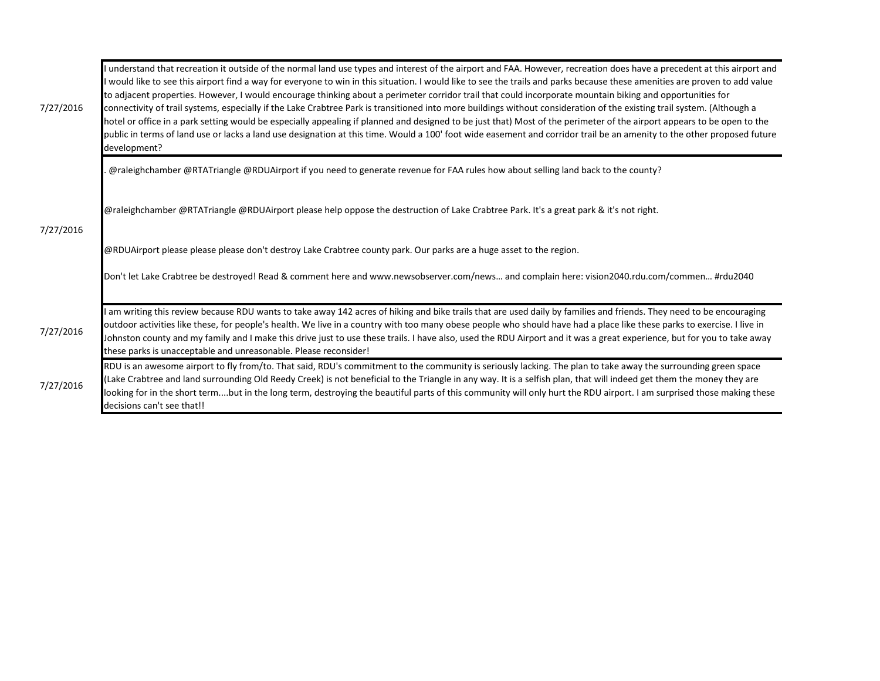| 7/27/2016 | understand that recreation it outside of the normal land use types and interest of the airport and FAA. However, recreation does have a precedent at this airport and<br>would like to see this airport find a way for everyone to win in this situation. I would like to see the trails and parks because these amenities are proven to add value<br>to adjacent properties. However, I would encourage thinking about a perimeter corridor trail that could incorporate mountain biking and opportunities for<br>connectivity of trail systems, especially if the Lake Crabtree Park is transitioned into more buildings without consideration of the existing trail system. (Although a<br>hotel or office in a park setting would be especially appealing if planned and designed to be just that) Most of the perimeter of the airport appears to be open to the<br>public in terms of land use or lacks a land use designation at this time. Would a 100' foot wide easement and corridor trail be an amenity to the other proposed future<br>development? |
|-----------|------------------------------------------------------------------------------------------------------------------------------------------------------------------------------------------------------------------------------------------------------------------------------------------------------------------------------------------------------------------------------------------------------------------------------------------------------------------------------------------------------------------------------------------------------------------------------------------------------------------------------------------------------------------------------------------------------------------------------------------------------------------------------------------------------------------------------------------------------------------------------------------------------------------------------------------------------------------------------------------------------------------------------------------------------------------|
|           | @raleighchamber @RTATriangle @RDUAirport if you need to generate revenue for FAA rules how about selling land back to the county?                                                                                                                                                                                                                                                                                                                                                                                                                                                                                                                                                                                                                                                                                                                                                                                                                                                                                                                                |
|           | @raleighchamber @RTATriangle @RDUAirport please help oppose the destruction of Lake Crabtree Park. It's a great park & it's not right.                                                                                                                                                                                                                                                                                                                                                                                                                                                                                                                                                                                                                                                                                                                                                                                                                                                                                                                           |
| 7/27/2016 | @RDUAirport please please please don't destroy Lake Crabtree county park. Our parks are a huge asset to the region.                                                                                                                                                                                                                                                                                                                                                                                                                                                                                                                                                                                                                                                                                                                                                                                                                                                                                                                                              |
|           | Don't let Lake Crabtree be destroyed! Read & comment here and www.newsobserver.com/news and complain here: vision2040.rdu.com/commen #rdu2040                                                                                                                                                                                                                                                                                                                                                                                                                                                                                                                                                                                                                                                                                                                                                                                                                                                                                                                    |
| 7/27/2016 | am writing this review because RDU wants to take away 142 acres of hiking and bike trails that are used daily by families and friends. They need to be encouraging<br>outdoor activities like these, for people's health. We live in a country with too many obese people who should have had a place like these parks to exercise. I live in<br>Johnston county and my family and I make this drive just to use these trails. I have also, used the RDU Airport and it was a great experience, but for you to take away<br>these parks is unacceptable and unreasonable. Please reconsider!                                                                                                                                                                                                                                                                                                                                                                                                                                                                     |
| 7/27/2016 | RDU is an awesome airport to fly from/to. That said, RDU's commitment to the community is seriously lacking. The plan to take away the surrounding green space<br>(Lake Crabtree and land surrounding Old Reedy Creek) is not beneficial to the Triangle in any way. It is a selfish plan, that will indeed get them the money they are<br>looking for in the short termbut in the long term, destroying the beautiful parts of this community will only hurt the RDU airport. I am surprised those making these<br>decisions can't see that!!                                                                                                                                                                                                                                                                                                                                                                                                                                                                                                                   |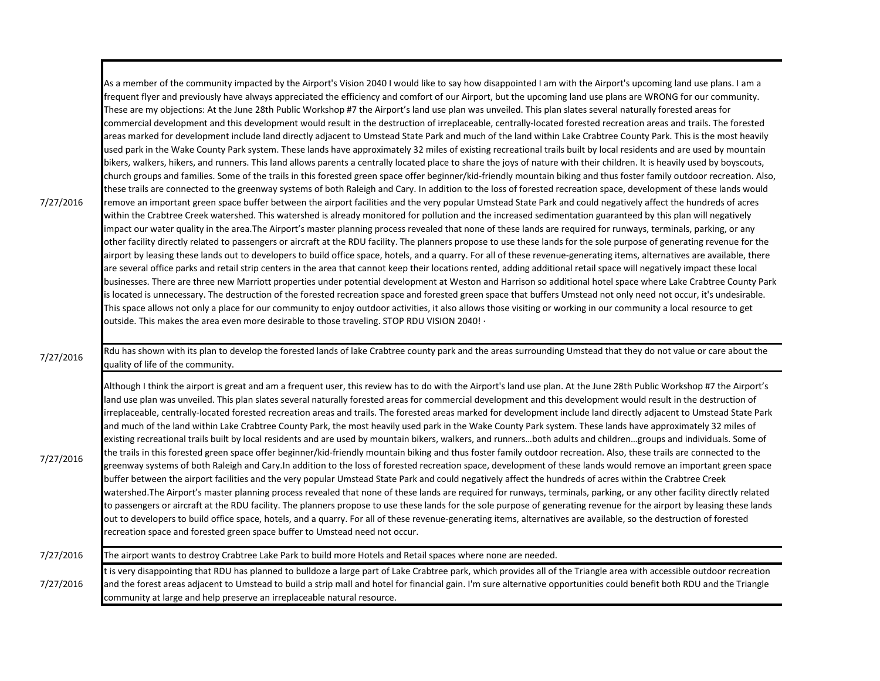| 7/27/2016 | As a member of the community impacted by the Airport's Vision 2040 I would like to say how disappointed I am with the Airport's upcoming land use plans. I am a<br>frequent flyer and previously have always appreciated the efficiency and comfort of our Airport, but the upcoming land use plans are WRONG for our community.<br>These are my objections: At the June 28th Public Workshop #7 the Airport's land use plan was unveiled. This plan slates several naturally forested areas for<br>commercial development and this development would result in the destruction of irreplaceable, centrally-located forested recreation areas and trails. The forested<br>areas marked for development include land directly adjacent to Umstead State Park and much of the land within Lake Crabtree County Park. This is the most heavily<br>used park in the Wake County Park system. These lands have approximately 32 miles of existing recreational trails built by local residents and are used by mountain<br>bikers, walkers, hikers, and runners. This land allows parents a centrally located place to share the joys of nature with their children. It is heavily used by boyscouts,<br>church groups and families. Some of the trails in this forested green space offer beginner/kid-friendly mountain biking and thus foster family outdoor recreation. Also,<br>these trails are connected to the greenway systems of both Raleigh and Cary. In addition to the loss of forested recreation space, development of these lands would<br>remove an important green space buffer between the airport facilities and the very popular Umstead State Park and could negatively affect the hundreds of acres<br>within the Crabtree Creek watershed. This watershed is already monitored for pollution and the increased sedimentation guaranteed by this plan will negatively<br>impact our water quality in the area. The Airport's master planning process revealed that none of these lands are required for runways, terminals, parking, or any<br>other facility directly related to passengers or aircraft at the RDU facility. The planners propose to use these lands for the sole purpose of generating revenue for the<br>airport by leasing these lands out to developers to build office space, hotels, and a quarry. For all of these revenue-generating items, alternatives are available, there<br>are several office parks and retail strip centers in the area that cannot keep their locations rented, adding additional retail space will negatively impact these local<br>businesses. There are three new Marriott properties under potential development at Weston and Harrison so additional hotel space where Lake Crabtree County Park<br>is located is unnecessary. The destruction of the forested recreation space and forested green space that buffers Umstead not only need not occur, it's undesirable.<br>This space allows not only a place for our community to enjoy outdoor activities, it also allows those visiting or working in our community a local resource to get<br>outside. This makes the area even more desirable to those traveling. STOP RDU VISION 2040! . |
|-----------|--------------------------------------------------------------------------------------------------------------------------------------------------------------------------------------------------------------------------------------------------------------------------------------------------------------------------------------------------------------------------------------------------------------------------------------------------------------------------------------------------------------------------------------------------------------------------------------------------------------------------------------------------------------------------------------------------------------------------------------------------------------------------------------------------------------------------------------------------------------------------------------------------------------------------------------------------------------------------------------------------------------------------------------------------------------------------------------------------------------------------------------------------------------------------------------------------------------------------------------------------------------------------------------------------------------------------------------------------------------------------------------------------------------------------------------------------------------------------------------------------------------------------------------------------------------------------------------------------------------------------------------------------------------------------------------------------------------------------------------------------------------------------------------------------------------------------------------------------------------------------------------------------------------------------------------------------------------------------------------------------------------------------------------------------------------------------------------------------------------------------------------------------------------------------------------------------------------------------------------------------------------------------------------------------------------------------------------------------------------------------------------------------------------------------------------------------------------------------------------------------------------------------------------------------------------------------------------------------------------------------------------------------------------------------------------------------------------------------------------------------------------------------------------------------------------------------------------------------------------------------------------------------------------------------------------------------------------------------------------------------------------------------------------------------------------------------------------------------------------------------------------------------------------------------------------------------------------------------|
| 7/27/2016 | Rdu has shown with its plan to develop the forested lands of lake Crabtree county park and the areas surrounding Umstead that they do not value or care about the<br>quality of life of the community.                                                                                                                                                                                                                                                                                                                                                                                                                                                                                                                                                                                                                                                                                                                                                                                                                                                                                                                                                                                                                                                                                                                                                                                                                                                                                                                                                                                                                                                                                                                                                                                                                                                                                                                                                                                                                                                                                                                                                                                                                                                                                                                                                                                                                                                                                                                                                                                                                                                                                                                                                                                                                                                                                                                                                                                                                                                                                                                                                                                                                   |
| 7/27/2016 | Although I think the airport is great and am a frequent user, this review has to do with the Airport's land use plan. At the June 28th Public Workshop #7 the Airport's<br>land use plan was unveiled. This plan slates several naturally forested areas for commercial development and this development would result in the destruction of<br>irreplaceable, centrally-located forested recreation areas and trails. The forested areas marked for development include land directly adjacent to Umstead State Park<br>and much of the land within Lake Crabtree County Park, the most heavily used park in the Wake County Park system. These lands have approximately 32 miles of<br>existing recreational trails built by local residents and are used by mountain bikers, walkers, and runnersboth adults and childrengroups and individuals. Some of<br>the trails in this forested green space offer beginner/kid-friendly mountain biking and thus foster family outdoor recreation. Also, these trails are connected to the<br>greenway systems of both Raleigh and Cary.In addition to the loss of forested recreation space, development of these lands would remove an important green space<br>buffer between the airport facilities and the very popular Umstead State Park and could negatively affect the hundreds of acres within the Crabtree Creek<br>watershed.The Airport's master planning process revealed that none of these lands are required for runways, terminals, parking, or any other facility directly related<br>to passengers or aircraft at the RDU facility. The planners propose to use these lands for the sole purpose of generating revenue for the airport by leasing these lands<br>out to developers to build office space, hotels, and a quarry. For all of these revenue-generating items, alternatives are available, so the destruction of forested<br>recreation space and forested green space buffer to Umstead need not occur.                                                                                                                                                                                                                                                                                                                                                                                                                                                                                                                                                                                                                                                                                                                                                                                                                                                                                                                                                                                                                                                                                                                                                                                                                                       |
| 7/27/2016 | The airport wants to destroy Crabtree Lake Park to build more Hotels and Retail spaces where none are needed.                                                                                                                                                                                                                                                                                                                                                                                                                                                                                                                                                                                                                                                                                                                                                                                                                                                                                                                                                                                                                                                                                                                                                                                                                                                                                                                                                                                                                                                                                                                                                                                                                                                                                                                                                                                                                                                                                                                                                                                                                                                                                                                                                                                                                                                                                                                                                                                                                                                                                                                                                                                                                                                                                                                                                                                                                                                                                                                                                                                                                                                                                                            |
| 7/27/2016 | t is very disappointing that RDU has planned to bulldoze a large part of Lake Crabtree park, which provides all of the Triangle area with accessible outdoor recreation<br>and the forest areas adjacent to Umstead to build a strip mall and hotel for financial gain. I'm sure alternative opportunities could benefit both RDU and the Triangle<br>community at large and help preserve an irreplaceable natural resource.                                                                                                                                                                                                                                                                                                                                                                                                                                                                                                                                                                                                                                                                                                                                                                                                                                                                                                                                                                                                                                                                                                                                                                                                                                                                                                                                                                                                                                                                                                                                                                                                                                                                                                                                                                                                                                                                                                                                                                                                                                                                                                                                                                                                                                                                                                                                                                                                                                                                                                                                                                                                                                                                                                                                                                                            |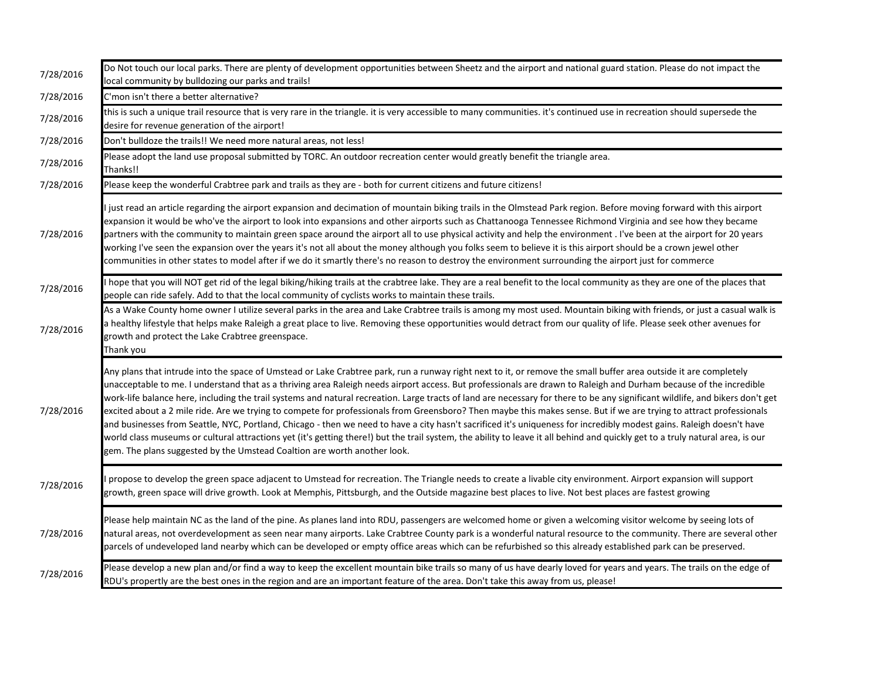| 7/28/2016 | Do Not touch our local parks. There are plenty of development opportunities between Sheetz and the airport and national guard station. Please do not impact the<br>local community by bulldozing our parks and trails!                                                                                                                                                                                                                                                                                                                                                                                                                                                                                                                                                                                                                                                                                                                                                                                                                                                                                                                |
|-----------|---------------------------------------------------------------------------------------------------------------------------------------------------------------------------------------------------------------------------------------------------------------------------------------------------------------------------------------------------------------------------------------------------------------------------------------------------------------------------------------------------------------------------------------------------------------------------------------------------------------------------------------------------------------------------------------------------------------------------------------------------------------------------------------------------------------------------------------------------------------------------------------------------------------------------------------------------------------------------------------------------------------------------------------------------------------------------------------------------------------------------------------|
| 7/28/2016 | C'mon isn't there a better alternative?                                                                                                                                                                                                                                                                                                                                                                                                                                                                                                                                                                                                                                                                                                                                                                                                                                                                                                                                                                                                                                                                                               |
| 7/28/2016 | this is such a unique trail resource that is very rare in the triangle. it is very accessible to many communities. it's continued use in recreation should supersede the<br>desire for revenue generation of the airport!                                                                                                                                                                                                                                                                                                                                                                                                                                                                                                                                                                                                                                                                                                                                                                                                                                                                                                             |
| 7/28/2016 | Don't bulldoze the trails!! We need more natural areas, not less!                                                                                                                                                                                                                                                                                                                                                                                                                                                                                                                                                                                                                                                                                                                                                                                                                                                                                                                                                                                                                                                                     |
| 7/28/2016 | Please adopt the land use proposal submitted by TORC. An outdoor recreation center would greatly benefit the triangle area.<br>Thanks!!                                                                                                                                                                                                                                                                                                                                                                                                                                                                                                                                                                                                                                                                                                                                                                                                                                                                                                                                                                                               |
| 7/28/2016 | Please keep the wonderful Crabtree park and trails as they are - both for current citizens and future citizens!                                                                                                                                                                                                                                                                                                                                                                                                                                                                                                                                                                                                                                                                                                                                                                                                                                                                                                                                                                                                                       |
| 7/28/2016 | just read an article regarding the airport expansion and decimation of mountain biking trails in the Olmstead Park region. Before moving forward with this airport<br>expansion it would be who've the airport to look into expansions and other airports such as Chattanooga Tennessee Richmond Virginia and see how they became<br>partners with the community to maintain green space around the airport all to use physical activity and help the environment. I've been at the airport for 20 years<br>working I've seen the expansion over the years it's not all about the money although you folks seem to believe it is this airport should be a crown jewel other<br>communities in other states to model after if we do it smartly there's no reason to destroy the environment surrounding the airport just for commerce                                                                                                                                                                                                                                                                                                  |
| 7/28/2016 | I hope that you will NOT get rid of the legal biking/hiking trails at the crabtree lake. They are a real benefit to the local community as they are one of the places that<br>people can ride safely. Add to that the local community of cyclists works to maintain these trails.                                                                                                                                                                                                                                                                                                                                                                                                                                                                                                                                                                                                                                                                                                                                                                                                                                                     |
| 7/28/2016 | As a Wake County home owner I utilize several parks in the area and Lake Crabtree trails is among my most used. Mountain biking with friends, or just a casual walk is<br>a healthy lifestyle that helps make Raleigh a great place to live. Removing these opportunities would detract from our quality of life. Please seek other avenues for<br>growth and protect the Lake Crabtree greenspace.<br>Thank you                                                                                                                                                                                                                                                                                                                                                                                                                                                                                                                                                                                                                                                                                                                      |
| 7/28/2016 | Any plans that intrude into the space of Umstead or Lake Crabtree park, run a runway right next to it, or remove the small buffer area outside it are completely<br>unacceptable to me. I understand that as a thriving area Raleigh needs airport access. But professionals are drawn to Raleigh and Durham because of the incredible<br>work-life balance here, including the trail systems and natural recreation. Large tracts of land are necessary for there to be any significant wildlife, and bikers don't get<br>excited about a 2 mile ride. Are we trying to compete for professionals from Greensboro? Then maybe this makes sense. But if we are trying to attract professionals<br>and businesses from Seattle, NYC, Portland, Chicago - then we need to have a city hasn't sacrificed it's uniqueness for incredibly modest gains. Raleigh doesn't have<br>world class museums or cultural attractions yet (it's getting there!) but the trail system, the ability to leave it all behind and quickly get to a truly natural area, is our<br>gem. The plans suggested by the Umstead Coaltion are worth another look. |
| 7/28/2016 | propose to develop the green space adjacent to Umstead for recreation. The Triangle needs to create a livable city environment. Airport expansion will support<br>growth, green space will drive growth. Look at Memphis, Pittsburgh, and the Outside magazine best places to live. Not best places are fastest growing                                                                                                                                                                                                                                                                                                                                                                                                                                                                                                                                                                                                                                                                                                                                                                                                               |
| 7/28/2016 | Please help maintain NC as the land of the pine. As planes land into RDU, passengers are welcomed home or given a welcoming visitor welcome by seeing lots of<br>natural areas, not overdevelopment as seen near many airports. Lake Crabtree County park is a wonderful natural resource to the community. There are several other<br>parcels of undeveloped land nearby which can be developed or empty office areas which can be refurbished so this already established park can be preserved.                                                                                                                                                                                                                                                                                                                                                                                                                                                                                                                                                                                                                                    |
| 7/28/2016 | Please develop a new plan and/or find a way to keep the excellent mountain bike trails so many of us have dearly loved for years and years. The trails on the edge of<br>RDU's propertly are the best ones in the region and are an important feature of the area. Don't take this away from us, please!                                                                                                                                                                                                                                                                                                                                                                                                                                                                                                                                                                                                                                                                                                                                                                                                                              |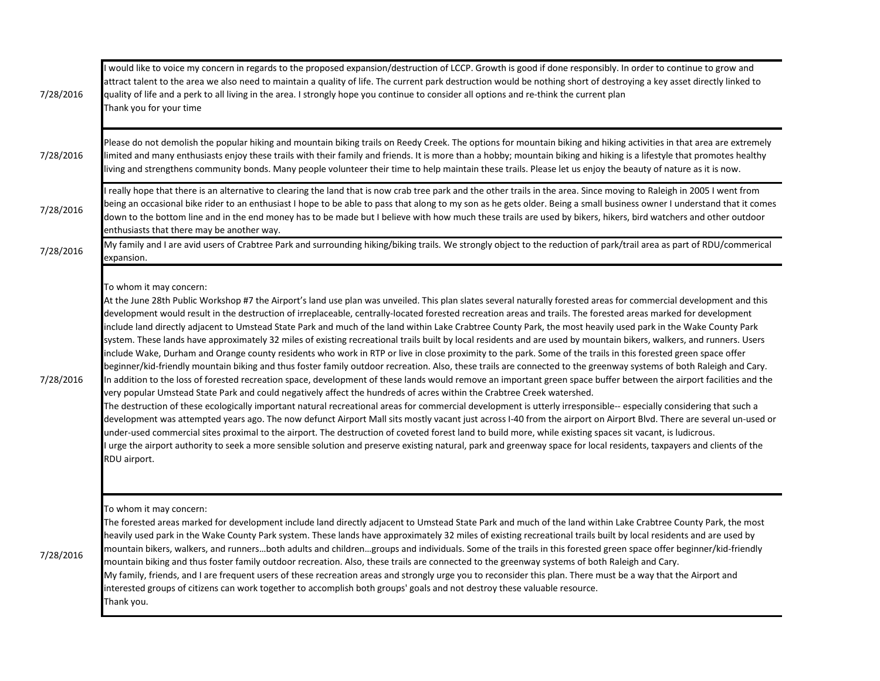| 7/28/2016 | would like to voice my concern in regards to the proposed expansion/destruction of LCCP. Growth is good if done responsibly. In order to continue to grow and<br>attract talent to the area we also need to maintain a quality of life. The current park destruction would be nothing short of destroying a key asset directly linked to<br>quality of life and a perk to all living in the area. I strongly hope you continue to consider all options and re-think the current plan<br>Thank you for your time                                                                                                                                                                                                                                                                                                                                                                                                                                                                                                                                                                                                                                                                                                                                                                                                                                                                                                                                                                                                                                                                                                                                                                                                                                                                                                                                                                                                                                                                                                                                              |
|-----------|--------------------------------------------------------------------------------------------------------------------------------------------------------------------------------------------------------------------------------------------------------------------------------------------------------------------------------------------------------------------------------------------------------------------------------------------------------------------------------------------------------------------------------------------------------------------------------------------------------------------------------------------------------------------------------------------------------------------------------------------------------------------------------------------------------------------------------------------------------------------------------------------------------------------------------------------------------------------------------------------------------------------------------------------------------------------------------------------------------------------------------------------------------------------------------------------------------------------------------------------------------------------------------------------------------------------------------------------------------------------------------------------------------------------------------------------------------------------------------------------------------------------------------------------------------------------------------------------------------------------------------------------------------------------------------------------------------------------------------------------------------------------------------------------------------------------------------------------------------------------------------------------------------------------------------------------------------------------------------------------------------------------------------------------------------------|
| 7/28/2016 | Please do not demolish the popular hiking and mountain biking trails on Reedy Creek. The options for mountain biking and hiking activities in that area are extremely<br>limited and many enthusiasts enjoy these trails with their family and friends. It is more than a hobby; mountain biking and hiking is a lifestyle that promotes healthy<br>living and strengthens community bonds. Many people volunteer their time to help maintain these trails. Please let us enjoy the beauty of nature as it is now.                                                                                                                                                                                                                                                                                                                                                                                                                                                                                                                                                                                                                                                                                                                                                                                                                                                                                                                                                                                                                                                                                                                                                                                                                                                                                                                                                                                                                                                                                                                                           |
| 7/28/2016 | really hope that there is an alternative to clearing the land that is now crab tree park and the other trails in the area. Since moving to Raleigh in 2005 I went from<br>being an occasional bike rider to an enthusiast I hope to be able to pass that along to my son as he gets older. Being a small business owner I understand that it comes<br>down to the bottom line and in the end money has to be made but I believe with how much these trails are used by bikers, hikers, bird watchers and other outdoor<br>enthusiasts that there may be another way.                                                                                                                                                                                                                                                                                                                                                                                                                                                                                                                                                                                                                                                                                                                                                                                                                                                                                                                                                                                                                                                                                                                                                                                                                                                                                                                                                                                                                                                                                         |
| 7/28/2016 | My family and I are avid users of Crabtree Park and surrounding hiking/biking trails. We strongly object to the reduction of park/trail area as part of RDU/commerical<br>expansion.                                                                                                                                                                                                                                                                                                                                                                                                                                                                                                                                                                                                                                                                                                                                                                                                                                                                                                                                                                                                                                                                                                                                                                                                                                                                                                                                                                                                                                                                                                                                                                                                                                                                                                                                                                                                                                                                         |
| 7/28/2016 | To whom it may concern:<br>At the June 28th Public Workshop #7 the Airport's land use plan was unveiled. This plan slates several naturally forested areas for commercial development and this<br>development would result in the destruction of irreplaceable, centrally-located forested recreation areas and trails. The forested areas marked for development<br>include land directly adjacent to Umstead State Park and much of the land within Lake Crabtree County Park, the most heavily used park in the Wake County Park<br>system. These lands have approximately 32 miles of existing recreational trails built by local residents and are used by mountain bikers, walkers, and runners. Users<br>include Wake, Durham and Orange county residents who work in RTP or live in close proximity to the park. Some of the trails in this forested green space offer<br>beginner/kid-friendly mountain biking and thus foster family outdoor recreation. Also, these trails are connected to the greenway systems of both Raleigh and Cary.<br>In addition to the loss of forested recreation space, development of these lands would remove an important green space buffer between the airport facilities and the<br>very popular Umstead State Park and could negatively affect the hundreds of acres within the Crabtree Creek watershed.<br>The destruction of these ecologically important natural recreational areas for commercial development is utterly irresponsible-- especially considering that such a<br>development was attempted years ago. The now defunct Airport Mall sits mostly vacant just across I-40 from the airport on Airport Blvd. There are several un-used or<br>under-used commercial sites proximal to the airport. The destruction of coveted forest land to build more, while existing spaces sit vacant, is ludicrous.<br>urge the airport authority to seek a more sensible solution and preserve existing natural, park and greenway space for local residents, taxpayers and clients of the<br>RDU airport. |
| 7/28/2016 | To whom it may concern:<br>The forested areas marked for development include land directly adjacent to Umstead State Park and much of the land within Lake Crabtree County Park, the most<br>heavily used park in the Wake County Park system. These lands have approximately 32 miles of existing recreational trails built by local residents and are used by<br>mountain bikers, walkers, and runnersboth adults and childrengroups and individuals. Some of the trails in this forested green space offer beginner/kid-friendly<br>mountain biking and thus foster family outdoor recreation. Also, these trails are connected to the greenway systems of both Raleigh and Cary.<br>My family, friends, and I are frequent users of these recreation areas and strongly urge you to reconsider this plan. There must be a way that the Airport and<br>interested groups of citizens can work together to accomplish both groups' goals and not destroy these valuable resource.<br>Thank you.                                                                                                                                                                                                                                                                                                                                                                                                                                                                                                                                                                                                                                                                                                                                                                                                                                                                                                                                                                                                                                                            |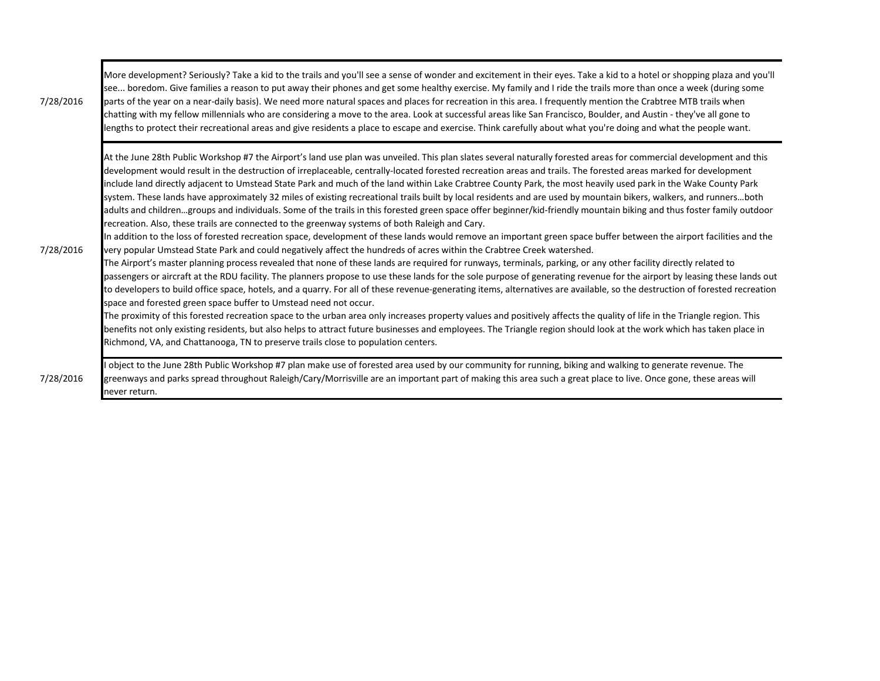| 7/28/2016 | More development? Seriously? Take a kid to the trails and you'll see a sense of wonder and excitement in their eyes. Take a kid to a hotel or shopping plaza and you'll<br>see boredom. Give families a reason to put away their phones and get some healthy exercise. My family and I ride the trails more than once a week (during some<br>parts of the year on a near-daily basis). We need more natural spaces and places for recreation in this area. I frequently mention the Crabtree MTB trails when<br>chatting with my fellow millennials who are considering a move to the area. Look at successful areas like San Francisco, Boulder, and Austin - they've all gone to<br>lengths to protect their recreational areas and give residents a place to escape and exercise. Think carefully about what you're doing and what the people want.                                                                                                                                                                                                                                                                                                                                                                                                                                                                                                                                                                                                                                                                                                                                                                                                                                                                                                                                                                                                                                                                                                                                                                                                                                                                                                                                                                                                                                                   |
|-----------|----------------------------------------------------------------------------------------------------------------------------------------------------------------------------------------------------------------------------------------------------------------------------------------------------------------------------------------------------------------------------------------------------------------------------------------------------------------------------------------------------------------------------------------------------------------------------------------------------------------------------------------------------------------------------------------------------------------------------------------------------------------------------------------------------------------------------------------------------------------------------------------------------------------------------------------------------------------------------------------------------------------------------------------------------------------------------------------------------------------------------------------------------------------------------------------------------------------------------------------------------------------------------------------------------------------------------------------------------------------------------------------------------------------------------------------------------------------------------------------------------------------------------------------------------------------------------------------------------------------------------------------------------------------------------------------------------------------------------------------------------------------------------------------------------------------------------------------------------------------------------------------------------------------------------------------------------------------------------------------------------------------------------------------------------------------------------------------------------------------------------------------------------------------------------------------------------------------------------------------------------------------------------------------------------------|
| 7/28/2016 | At the June 28th Public Workshop #7 the Airport's land use plan was unveiled. This plan slates several naturally forested areas for commercial development and this<br>development would result in the destruction of irreplaceable, centrally-located forested recreation areas and trails. The forested areas marked for development<br>include land directly adjacent to Umstead State Park and much of the land within Lake Crabtree County Park, the most heavily used park in the Wake County Park<br>system. These lands have approximately 32 miles of existing recreational trails built by local residents and are used by mountain bikers, walkers, and runnersboth<br>adults and childrengroups and individuals. Some of the trails in this forested green space offer beginner/kid-friendly mountain biking and thus foster family outdoor<br>recreation. Also, these trails are connected to the greenway systems of both Raleigh and Cary.<br>In addition to the loss of forested recreation space, development of these lands would remove an important green space buffer between the airport facilities and the<br>very popular Umstead State Park and could negatively affect the hundreds of acres within the Crabtree Creek watershed.<br>The Airport's master planning process revealed that none of these lands are required for runways, terminals, parking, or any other facility directly related to<br>passengers or aircraft at the RDU facility. The planners propose to use these lands for the sole purpose of generating revenue for the airport by leasing these lands out<br>to developers to build office space, hotels, and a quarry. For all of these revenue-generating items, alternatives are available, so the destruction of forested recreation<br>space and forested green space buffer to Umstead need not occur.<br>The proximity of this forested recreation space to the urban area only increases property values and positively affects the quality of life in the Triangle region. This<br>benefits not only existing residents, but also helps to attract future businesses and employees. The Triangle region should look at the work which has taken place in<br>Richmond, VA, and Chattanooga, TN to preserve trails close to population centers. |
| 7/28/2016 | object to the June 28th Public Workshop #7 plan make use of forested area used by our community for running, biking and walking to generate revenue. The<br>greenways and parks spread throughout Raleigh/Cary/Morrisville are an important part of making this area such a great place to live. Once gone, these areas will<br>never return.                                                                                                                                                                                                                                                                                                                                                                                                                                                                                                                                                                                                                                                                                                                                                                                                                                                                                                                                                                                                                                                                                                                                                                                                                                                                                                                                                                                                                                                                                                                                                                                                                                                                                                                                                                                                                                                                                                                                                            |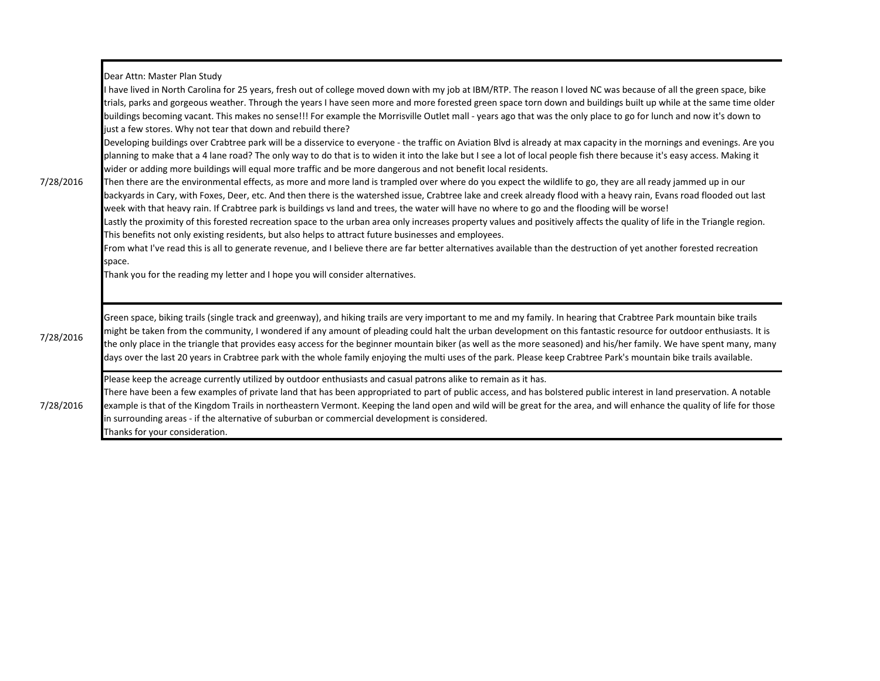| 7/28/2016 | Dear Attn: Master Plan Study<br>I have lived in North Carolina for 25 years, fresh out of college moved down with my job at IBM/RTP. The reason I loved NC was because of all the green space, bike<br>trials, parks and gorgeous weather. Through the years I have seen more and more forested green space torn down and buildings built up while at the same time older<br>buildings becoming vacant. This makes no sense!!! For example the Morrisville Outlet mall - years ago that was the only place to go for lunch and now it's down to<br>just a few stores. Why not tear that down and rebuild there?<br>Developing buildings over Crabtree park will be a disservice to everyone - the traffic on Aviation Blvd is already at max capacity in the mornings and evenings. Are you<br>planning to make that a 4 lane road? The only way to do that is to widen it into the lake but I see a lot of local people fish there because it's easy access. Making it<br>wider or adding more buildings will equal more traffic and be more dangerous and not benefit local residents.<br>Then there are the environmental effects, as more and more land is trampled over where do you expect the wildlife to go, they are all ready jammed up in our<br>backyards in Cary, with Foxes, Deer, etc. And then there is the watershed issue, Crabtree lake and creek already flood with a heavy rain, Evans road flooded out last<br>week with that heavy rain. If Crabtree park is buildings vs land and trees, the water will have no where to go and the flooding will be worse!<br>Lastly the proximity of this forested recreation space to the urban area only increases property values and positively affects the quality of life in the Triangle region.<br>This benefits not only existing residents, but also helps to attract future businesses and employees.<br>From what I've read this is all to generate revenue, and I believe there are far better alternatives available than the destruction of yet another forested recreation<br>space.<br>Thank you for the reading my letter and I hope you will consider alternatives. |
|-----------|--------------------------------------------------------------------------------------------------------------------------------------------------------------------------------------------------------------------------------------------------------------------------------------------------------------------------------------------------------------------------------------------------------------------------------------------------------------------------------------------------------------------------------------------------------------------------------------------------------------------------------------------------------------------------------------------------------------------------------------------------------------------------------------------------------------------------------------------------------------------------------------------------------------------------------------------------------------------------------------------------------------------------------------------------------------------------------------------------------------------------------------------------------------------------------------------------------------------------------------------------------------------------------------------------------------------------------------------------------------------------------------------------------------------------------------------------------------------------------------------------------------------------------------------------------------------------------------------------------------------------------------------------------------------------------------------------------------------------------------------------------------------------------------------------------------------------------------------------------------------------------------------------------------------------------------------------------------------------------------------------------------------------------------------------------------------------------------------------------------------------------------------------|
| 7/28/2016 | Green space, biking trails (single track and greenway), and hiking trails are very important to me and my family. In hearing that Crabtree Park mountain bike trails<br>might be taken from the community, I wondered if any amount of pleading could halt the urban development on this fantastic resource for outdoor enthusiasts. It is<br>the only place in the triangle that provides easy access for the beginner mountain biker (as well as the more seasoned) and his/her family. We have spent many, many<br>days over the last 20 years in Crabtree park with the whole family enjoying the multi uses of the park. Please keep Crabtree Park's mountain bike trails available.                                                                                                                                                                                                                                                                                                                                                                                                                                                                                                                                                                                                                                                                                                                                                                                                                                                                                                                                                                                                                                                                                                                                                                                                                                                                                                                                                                                                                                                        |
| 7/28/2016 | Please keep the acreage currently utilized by outdoor enthusiasts and casual patrons alike to remain as it has.<br>There have been a few examples of private land that has been appropriated to part of public access, and has bolstered public interest in land preservation. A notable<br>example is that of the Kingdom Trails in northeastern Vermont. Keeping the land open and wild will be great for the area, and will enhance the quality of life for those<br>in surrounding areas - if the alternative of suburban or commercial development is considered.<br>Thanks for your consideration.                                                                                                                                                                                                                                                                                                                                                                                                                                                                                                                                                                                                                                                                                                                                                                                                                                                                                                                                                                                                                                                                                                                                                                                                                                                                                                                                                                                                                                                                                                                                         |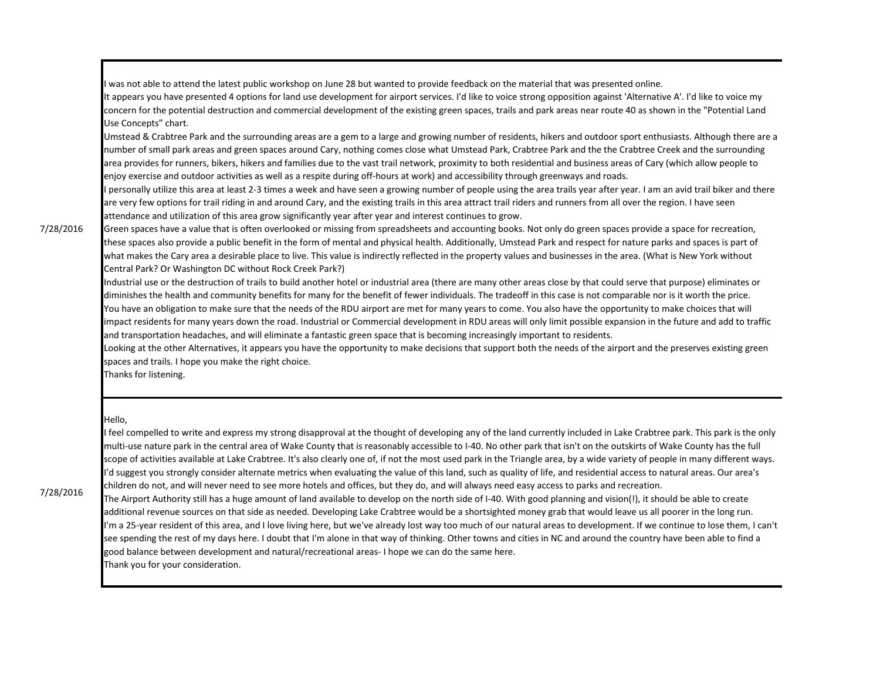I was not able to attend the latest public workshop on June 28 but wanted to provide feedback on the material that was presented online.

It appears you have presented 4 options for land use development for airport services. I'd like to voice strong opposition against 'Alternative A'. I'd like to voice my concern for the potential destruction and commercial development of the existing green spaces, trails and park areas near route 40 as shown in the "Potential Land Use Concepts" chart.

Umstead & Crabtree Park and the surrounding areas are a gem to a large and growing number of residents, hikers and outdoor sport enthusiasts. Although there are a number of small park areas and green spaces around Cary, nothing comes close what Umstead Park, Crabtree Park and the the Crabtree Creek and the surrounding area provides for runners, bikers, hikers and families due to the vast trail network, proximity to both residential and business areas of Cary (which allow people to enjoy exercise and outdoor activities as well as a respite during off-hours at work) and accessibility through greenways and roads.

I personally utilize this area at least 2-3 times a week and have seen a growing number of people using the area trails year after year. I am an avid trail biker and there are very few options for trail riding in and around Cary, and the existing trails in this area attract trail riders and runners from all over the region. I have seen attendance and utilization of this area grow significantly year after year and interest continues to grow.

## 7/28/2016

Green spaces have a value that is often overlooked or missing from spreadsheets and accounting books. Not only do green spaces provide a space for recreation, these spaces also provide a public benefit in the form of mental and physical health. Additionally, Umstead Park and respect for nature parks and spaces is part of what makes the Cary area a desirable place to live. This value is indirectly reflected in the property values and businesses in the area. (What is New York without Central Park? Or Washington DC without Rock Creek Park?)

Industrial use or the destruction of trails to build another hotel or industrial area (there are many other areas close by that could serve that purpose) eliminates or diminishes the health and community benefits for many for the benefit of fewer individuals. The tradeoff in this case is not comparable nor is it worth the price. You have an obligation to make sure that the needs of the RDU airport are met for many years to come. You also have the opportunity to make choices that will impact residents for many years down the road. Industrial or Commercial development in RDU areas will only limit possible expansion in the future and add to traffic and transportation headaches, and will eliminate a fantastic green space that is becoming increasingly important to residents.

Looking at the other Alternatives, it appears you have the opportunity to make decisions that support both the needs of the airport and the preserves existing green spaces and trails. I hope you make the right choice.

Thanks for listening.

## Hello,

I feel compelled to write and express my strong disapproval at the thought of developing any of the land currently included in Lake Crabtree park. This park is the only multi-use nature park in the central area of Wake County that is reasonably accessible to I-40. No other park that isn't on the outskirts of Wake County has the full scope of activities available at Lake Crabtree. It's also clearly one of, if not the most used park in the Triangle area, by a wide variety of people in many different ways. I'd suggest you strongly consider alternate metrics when evaluating the value of this land, such as quality of life, and residential access to natural areas. Our area's children do not, and will never need to see more hotels and offices, but they do, and will always need easy access to parks and recreation.

7/28/2016

The Airport Authority still has a huge amount of land available to develop on the north side of I-40. With good planning and vision(!), it should be able to create additional revenue sources on that side as needed. Developing Lake Crabtree would be a shortsighted money grab that would leave us all poorer in the long run. I'm a 25-year resident of this area, and I love living here, but we've already lost way too much of our natural areas to development. If we continue to lose them, I can't see spending the rest of my days here. I doubt that I'm alone in that way of thinking. Other towns and cities in NC and around the country have been able to find a good balance between development and natural/recreational areas- I hope we can do the same here. Thank you for your consideration.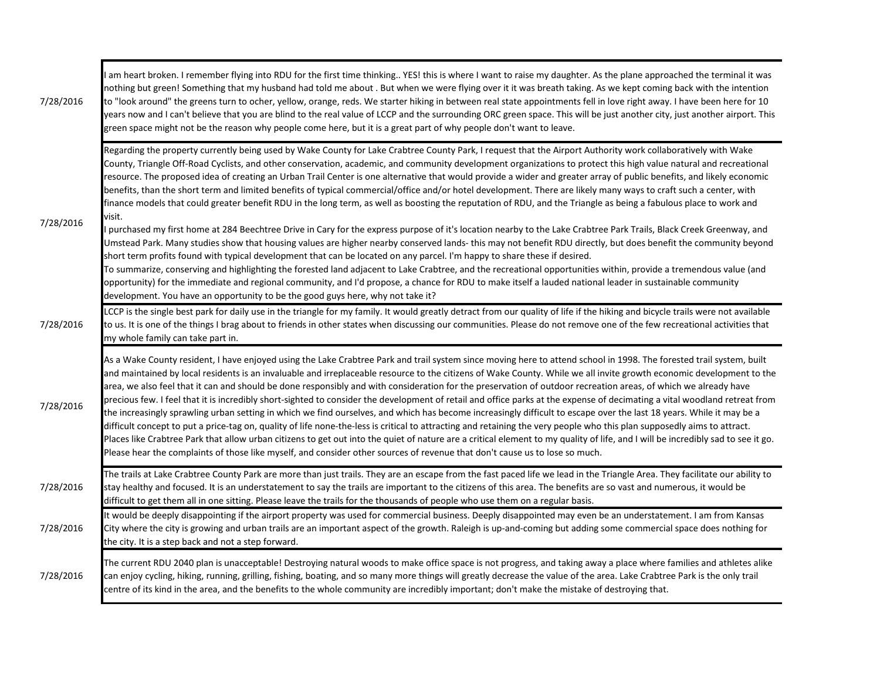| 7/28/2016 | am heart broken. I remember flying into RDU for the first time thinking YES! this is where I want to raise my daughter. As the plane approached the terminal it was<br>nothing but green! Something that my husband had told me about . But when we were flying over it it was breath taking. As we kept coming back with the intention<br>to "look around" the greens turn to ocher, yellow, orange, reds. We starter hiking in between real state appointments fell in love right away. I have been here for 10<br>years now and I can't believe that you are blind to the real value of LCCP and the surrounding ORC green space. This will be just another city, just another airport. This<br>green space might not be the reason why people come here, but it is a great part of why people don't want to leave.                                                                                                                                                                                                                                                                                                                                                                                                                                                                                                                                                                                                                                                                                                                                                                                                                                                                                                                                      |
|-----------|-------------------------------------------------------------------------------------------------------------------------------------------------------------------------------------------------------------------------------------------------------------------------------------------------------------------------------------------------------------------------------------------------------------------------------------------------------------------------------------------------------------------------------------------------------------------------------------------------------------------------------------------------------------------------------------------------------------------------------------------------------------------------------------------------------------------------------------------------------------------------------------------------------------------------------------------------------------------------------------------------------------------------------------------------------------------------------------------------------------------------------------------------------------------------------------------------------------------------------------------------------------------------------------------------------------------------------------------------------------------------------------------------------------------------------------------------------------------------------------------------------------------------------------------------------------------------------------------------------------------------------------------------------------------------------------------------------------------------------------------------------------|
| 7/28/2016 | Regarding the property currently being used by Wake County for Lake Crabtree County Park, I request that the Airport Authority work collaboratively with Wake<br>County, Triangle Off-Road Cyclists, and other conservation, academic, and community development organizations to protect this high value natural and recreational<br>resource. The proposed idea of creating an Urban Trail Center is one alternative that would provide a wider and greater array of public benefits, and likely economic<br>benefits, than the short term and limited benefits of typical commercial/office and/or hotel development. There are likely many ways to craft such a center, with<br>finance models that could greater benefit RDU in the long term, as well as boosting the reputation of RDU, and the Triangle as being a fabulous place to work and<br>visit.<br>I purchased my first home at 284 Beechtree Drive in Cary for the express purpose of it's location nearby to the Lake Crabtree Park Trails, Black Creek Greenway, and<br>Umstead Park. Many studies show that housing values are higher nearby conserved lands-this may not benefit RDU directly, but does benefit the community beyond<br>short term profits found with typical development that can be located on any parcel. I'm happy to share these if desired.<br>To summarize, conserving and highlighting the forested land adjacent to Lake Crabtree, and the recreational opportunities within, provide a tremendous value (and<br>opportunity) for the immediate and regional community, and I'd propose, a chance for RDU to make itself a lauded national leader in sustainable community<br>development. You have an opportunity to be the good guys here, why not take it? |
| 7/28/2016 | LCCP is the single best park for daily use in the triangle for my family. It would greatly detract from our quality of life if the hiking and bicycle trails were not available<br>to us. It is one of the things I brag about to friends in other states when discussing our communities. Please do not remove one of the few recreational activities that<br>my whole family can take part in.                                                                                                                                                                                                                                                                                                                                                                                                                                                                                                                                                                                                                                                                                                                                                                                                                                                                                                                                                                                                                                                                                                                                                                                                                                                                                                                                                            |
| 7/28/2016 | As a Wake County resident, I have enjoyed using the Lake Crabtree Park and trail system since moving here to attend school in 1998. The forested trail system, built<br>and maintained by local residents is an invaluable and irreplaceable resource to the citizens of Wake County. While we all invite growth economic development to the<br>area, we also feel that it can and should be done responsibly and with consideration for the preservation of outdoor recreation areas, of which we already have<br>precious few. I feel that it is incredibly short-sighted to consider the development of retail and office parks at the expense of decimating a vital woodland retreat from<br>the increasingly sprawling urban setting in which we find ourselves, and which has become increasingly difficult to escape over the last 18 years. While it may be a<br>difficult concept to put a price-tag on, quality of life none-the-less is critical to attracting and retaining the very people who this plan supposedly aims to attract.<br>Places like Crabtree Park that allow urban citizens to get out into the quiet of nature are a critical element to my quality of life, and I will be incredibly sad to see it go.<br>Please hear the complaints of those like myself, and consider other sources of revenue that don't cause us to lose so much.                                                                                                                                                                                                                                                                                                                                                                                        |
| 7/28/2016 | The trails at Lake Crabtree County Park are more than just trails. They are an escape from the fast paced life we lead in the Triangle Area. They facilitate our ability to<br>stay healthy and focused. It is an understatement to say the trails are important to the citizens of this area. The benefits are so vast and numerous, it would be<br>difficult to get them all in one sitting. Please leave the trails for the thousands of people who use them on a regular basis.                                                                                                                                                                                                                                                                                                                                                                                                                                                                                                                                                                                                                                                                                                                                                                                                                                                                                                                                                                                                                                                                                                                                                                                                                                                                         |
| 7/28/2016 | It would be deeply disappointing if the airport property was used for commercial business. Deeply disappointed may even be an understatement. I am from Kansas<br>City where the city is growing and urban trails are an important aspect of the growth. Raleigh is up-and-coming but adding some commercial space does nothing for<br>the city. It is a step back and not a step forward.                                                                                                                                                                                                                                                                                                                                                                                                                                                                                                                                                                                                                                                                                                                                                                                                                                                                                                                                                                                                                                                                                                                                                                                                                                                                                                                                                                  |
| 7/28/2016 | The current RDU 2040 plan is unacceptable! Destroying natural woods to make office space is not progress, and taking away a place where families and athletes alike<br>can enjoy cycling, hiking, running, grilling, fishing, boating, and so many more things will greatly decrease the value of the area. Lake Crabtree Park is the only trail<br>centre of its kind in the area, and the benefits to the whole community are incredibly important; don't make the mistake of destroying that.                                                                                                                                                                                                                                                                                                                                                                                                                                                                                                                                                                                                                                                                                                                                                                                                                                                                                                                                                                                                                                                                                                                                                                                                                                                            |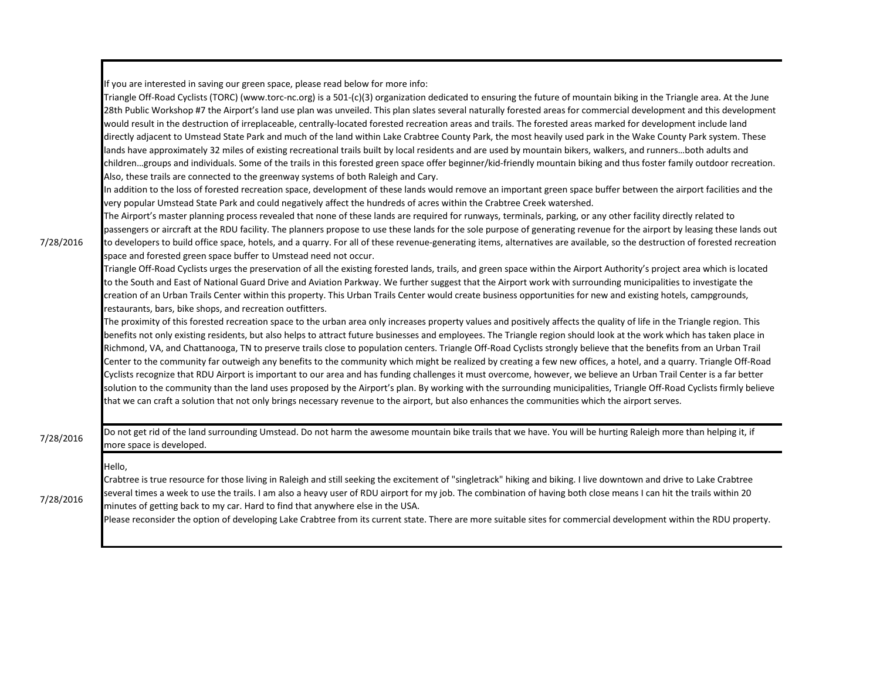If you are interested in saving our green space, please read below for more info:

| 7/28/2016 | Triangle Off-Road Cyclists (TORC) (www.torc-nc.org) is a 501-(c)(3) organization dedicated to ensuring the future of mountain biking in the Triangle area. At the June<br>28th Public Workshop #7 the Airport's land use plan was unveiled. This plan slates several naturally forested areas for commercial development and this development<br>would result in the destruction of irreplaceable, centrally-located forested recreation areas and trails. The forested areas marked for development include land<br>directly adjacent to Umstead State Park and much of the land within Lake Crabtree County Park, the most heavily used park in the Wake County Park system. These<br>lands have approximately 32 miles of existing recreational trails built by local residents and are used by mountain bikers, walkers, and runnersboth adults and<br>childrengroups and individuals. Some of the trails in this forested green space offer beginner/kid-friendly mountain biking and thus foster family outdoor recreation.<br>Also, these trails are connected to the greenway systems of both Raleigh and Cary.<br>In addition to the loss of forested recreation space, development of these lands would remove an important green space buffer between the airport facilities and the<br>very popular Umstead State Park and could negatively affect the hundreds of acres within the Crabtree Creek watershed.<br>The Airport's master planning process revealed that none of these lands are required for runways, terminals, parking, or any other facility directly related to<br>passengers or aircraft at the RDU facility. The planners propose to use these lands for the sole purpose of generating revenue for the airport by leasing these lands out<br>to developers to build office space, hotels, and a quarry. For all of these revenue-generating items, alternatives are available, so the destruction of forested recreation<br>space and forested green space buffer to Umstead need not occur.<br>Triangle Off-Road Cyclists urges the preservation of all the existing forested lands, trails, and green space within the Airport Authority's project area which is located<br>to the South and East of National Guard Drive and Aviation Parkway. We further suggest that the Airport work with surrounding municipalities to investigate the<br>creation of an Urban Trails Center within this property. This Urban Trails Center would create business opportunities for new and existing hotels, campgrounds,<br>restaurants, bars, bike shops, and recreation outfitters.<br>The proximity of this forested recreation space to the urban area only increases property values and positively affects the quality of life in the Triangle region. This<br>benefits not only existing residents, but also helps to attract future businesses and employees. The Triangle region should look at the work which has taken place in<br>Richmond, VA, and Chattanooga, TN to preserve trails close to population centers. Triangle Off-Road Cyclists strongly believe that the benefits from an Urban Trail<br>Center to the community far outweigh any benefits to the community which might be realized by creating a few new offices, a hotel, and a quarry. Triangle Off-Road<br>Cyclists recognize that RDU Airport is important to our area and has funding challenges it must overcome, however, we believe an Urban Trail Center is a far better<br>solution to the community than the land uses proposed by the Airport's plan. By working with the surrounding municipalities, Triangle Off-Road Cyclists firmly believe<br>that we can craft a solution that not only brings necessary revenue to the airport, but also enhances the communities which the airport serves. |
|-----------|---------------------------------------------------------------------------------------------------------------------------------------------------------------------------------------------------------------------------------------------------------------------------------------------------------------------------------------------------------------------------------------------------------------------------------------------------------------------------------------------------------------------------------------------------------------------------------------------------------------------------------------------------------------------------------------------------------------------------------------------------------------------------------------------------------------------------------------------------------------------------------------------------------------------------------------------------------------------------------------------------------------------------------------------------------------------------------------------------------------------------------------------------------------------------------------------------------------------------------------------------------------------------------------------------------------------------------------------------------------------------------------------------------------------------------------------------------------------------------------------------------------------------------------------------------------------------------------------------------------------------------------------------------------------------------------------------------------------------------------------------------------------------------------------------------------------------------------------------------------------------------------------------------------------------------------------------------------------------------------------------------------------------------------------------------------------------------------------------------------------------------------------------------------------------------------------------------------------------------------------------------------------------------------------------------------------------------------------------------------------------------------------------------------------------------------------------------------------------------------------------------------------------------------------------------------------------------------------------------------------------------------------------------------------------------------------------------------------------------------------------------------------------------------------------------------------------------------------------------------------------------------------------------------------------------------------------------------------------------------------------------------------------------------------------------------------------------------------------------------------------------------------------------------------------------------------------------------------------------------------------------------------------------------------------------------------------------------------------------------------------------------------------------------------------------------------------------------------------------------------------------------------------------------------------------------------------------------------------------------------------------------------------------------------------------------------------------------------------------------------------------------------------------------------------------------------|
| 7/28/2016 | Do not get rid of the land surrounding Umstead. Do not harm the awesome mountain bike trails that we have. You will be hurting Raleigh more than helping it, if<br>more space is developed.                                                                                                                                                                                                                                                                                                                                                                                                                                                                                                                                                                                                                                                                                                                                                                                                                                                                                                                                                                                                                                                                                                                                                                                                                                                                                                                                                                                                                                                                                                                                                                                                                                                                                                                                                                                                                                                                                                                                                                                                                                                                                                                                                                                                                                                                                                                                                                                                                                                                                                                                                                                                                                                                                                                                                                                                                                                                                                                                                                                                                                                                                                                                                                                                                                                                                                                                                                                                                                                                                                                                                                                                                         |
| 7/28/2016 | Hello.<br>Crabtree is true resource for those living in Raleigh and still seeking the excitement of "singletrack" hiking and biking. I live downtown and drive to Lake Crabtree<br>several times a week to use the trails. I am also a heavy user of RDU airport for my job. The combination of having both close means I can hit the trails within 20<br>minutes of getting back to my car. Hard to find that anywhere else in the USA.<br>Please reconsider the option of developing Lake Crabtree from its current state. There are more suitable sites for commercial development within the RDU property.                                                                                                                                                                                                                                                                                                                                                                                                                                                                                                                                                                                                                                                                                                                                                                                                                                                                                                                                                                                                                                                                                                                                                                                                                                                                                                                                                                                                                                                                                                                                                                                                                                                                                                                                                                                                                                                                                                                                                                                                                                                                                                                                                                                                                                                                                                                                                                                                                                                                                                                                                                                                                                                                                                                                                                                                                                                                                                                                                                                                                                                                                                                                                                                                      |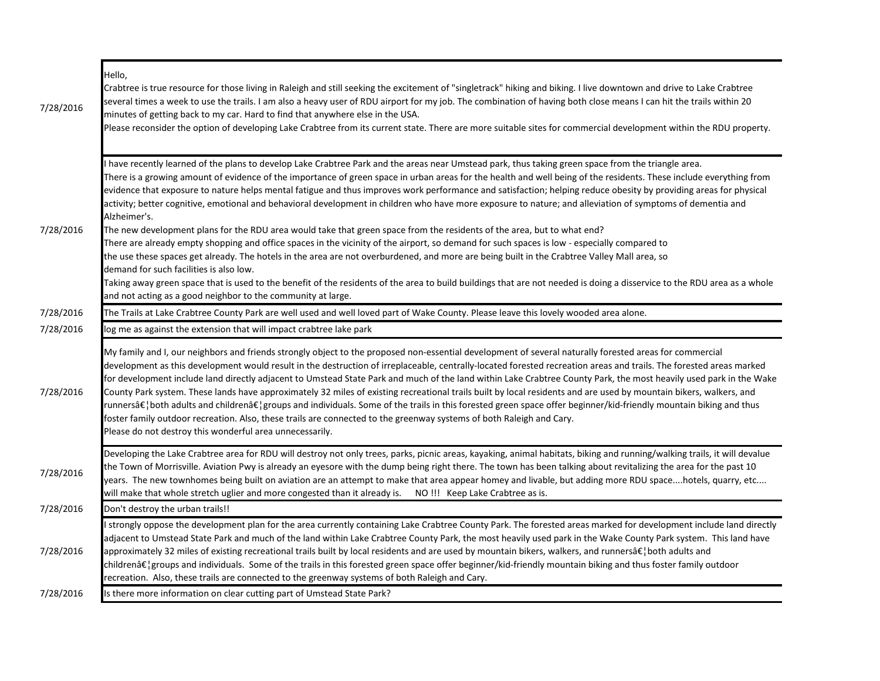| 7/28/2016 | Hello,<br>Crabtree is true resource for those living in Raleigh and still seeking the excitement of "singletrack" hiking and biking. I live downtown and drive to Lake Crabtree<br>several times a week to use the trails. I am also a heavy user of RDU airport for my job. The combination of having both close means I can hit the trails within 20<br>minutes of getting back to my car. Hard to find that anywhere else in the USA.<br>Please reconsider the option of developing Lake Crabtree from its current state. There are more suitable sites for commercial development within the RDU property.                                                                                                                                                                                                                                                                                                                                                                                                                                                                                                                                                                                                                                                                                                                                                                                |
|-----------|-----------------------------------------------------------------------------------------------------------------------------------------------------------------------------------------------------------------------------------------------------------------------------------------------------------------------------------------------------------------------------------------------------------------------------------------------------------------------------------------------------------------------------------------------------------------------------------------------------------------------------------------------------------------------------------------------------------------------------------------------------------------------------------------------------------------------------------------------------------------------------------------------------------------------------------------------------------------------------------------------------------------------------------------------------------------------------------------------------------------------------------------------------------------------------------------------------------------------------------------------------------------------------------------------------------------------------------------------------------------------------------------------|
| 7/28/2016 | have recently learned of the plans to develop Lake Crabtree Park and the areas near Umstead park, thus taking green space from the triangle area.<br>There is a growing amount of evidence of the importance of green space in urban areas for the health and well being of the residents. These include everything from<br>evidence that exposure to nature helps mental fatigue and thus improves work performance and satisfaction; helping reduce obesity by providing areas for physical<br>activity; better cognitive, emotional and behavioral development in children who have more exposure to nature; and alleviation of symptoms of dementia and<br>Alzheimer's.<br>The new development plans for the RDU area would take that green space from the residents of the area, but to what end?<br>There are already empty shopping and office spaces in the vicinity of the airport, so demand for such spaces is low - especially compared to<br>the use these spaces get already. The hotels in the area are not overburdened, and more are being built in the Crabtree Valley Mall area, so<br>demand for such facilities is also low.<br>Taking away green space that is used to the benefit of the residents of the area to build buildings that are not needed is doing a disservice to the RDU area as a whole<br>and not acting as a good neighbor to the community at large. |
| 7/28/2016 | The Trails at Lake Crabtree County Park are well used and well loved part of Wake County. Please leave this lovely wooded area alone.                                                                                                                                                                                                                                                                                                                                                                                                                                                                                                                                                                                                                                                                                                                                                                                                                                                                                                                                                                                                                                                                                                                                                                                                                                                         |
| 7/28/2016 | log me as against the extension that will impact crabtree lake park                                                                                                                                                                                                                                                                                                                                                                                                                                                                                                                                                                                                                                                                                                                                                                                                                                                                                                                                                                                                                                                                                                                                                                                                                                                                                                                           |
| 7/28/2016 | My family and I, our neighbors and friends strongly object to the proposed non-essential development of several naturally forested areas for commercial<br>development as this development would result in the destruction of irreplaceable, centrally-located forested recreation areas and trails. The forested areas marked<br>for development include land directly adjacent to Umstead State Park and much of the land within Lake Crabtree County Park, the most heavily used park in the Wake<br>County Park system. These lands have approximately 32 miles of existing recreational trails built by local residents and are used by mountain bikers, walkers, and<br>runners…both adults and children…groups and individuals. Some of the trails in this forested green space offer beginner/kid-friendly mountain biking and thus<br>foster family outdoor recreation. Also, these trails are connected to the greenway systems of both Raleigh and Cary.<br>Please do not destroy this wonderful area unnecessarily.                                                                                                                                                                                                                                                                                                                                                               |
| 7/28/2016 | Developing the Lake Crabtree area for RDU will destroy not only trees, parks, picnic areas, kayaking, animal habitats, biking and running/walking trails, it will devalue<br>the Town of Morrisville. Aviation Pwy is already an eyesore with the dump being right there. The town has been talking about revitalizing the area for the past 10<br>years. The new townhomes being built on aviation are an attempt to make that area appear homey and livable, but adding more RDU spacehotels, quarry, etc<br>will make that whole stretch uglier and more congested than it already is.   NO !!! Keep Lake Crabtree as is.                                                                                                                                                                                                                                                                                                                                                                                                                                                                                                                                                                                                                                                                                                                                                                  |
| 7/28/2016 | Don't destroy the urban trails!!                                                                                                                                                                                                                                                                                                                                                                                                                                                                                                                                                                                                                                                                                                                                                                                                                                                                                                                                                                                                                                                                                                                                                                                                                                                                                                                                                              |
| 7/28/2016 | strongly oppose the development plan for the area currently containing Lake Crabtree County Park. The forested areas marked for development include land directly<br>adjacent to Umstead State Park and much of the land within Lake Crabtree County Park, the most heavily used park in the Wake County Park system. This land have<br>approximately 32 miles of existing recreational trails built by local residents and are used by mountain bikers, walkers, and runners…both adults and<br>children…groups and individuals. Some of the trails in this forested green space offer beginner/kid-friendly mountain biking and thus foster family outdoor<br>recreation. Also, these trails are connected to the greenway systems of both Raleigh and Cary.                                                                                                                                                                                                                                                                                                                                                                                                                                                                                                                                                                                                                                |
| 7/28/2016 | Is there more information on clear cutting part of Umstead State Park?                                                                                                                                                                                                                                                                                                                                                                                                                                                                                                                                                                                                                                                                                                                                                                                                                                                                                                                                                                                                                                                                                                                                                                                                                                                                                                                        |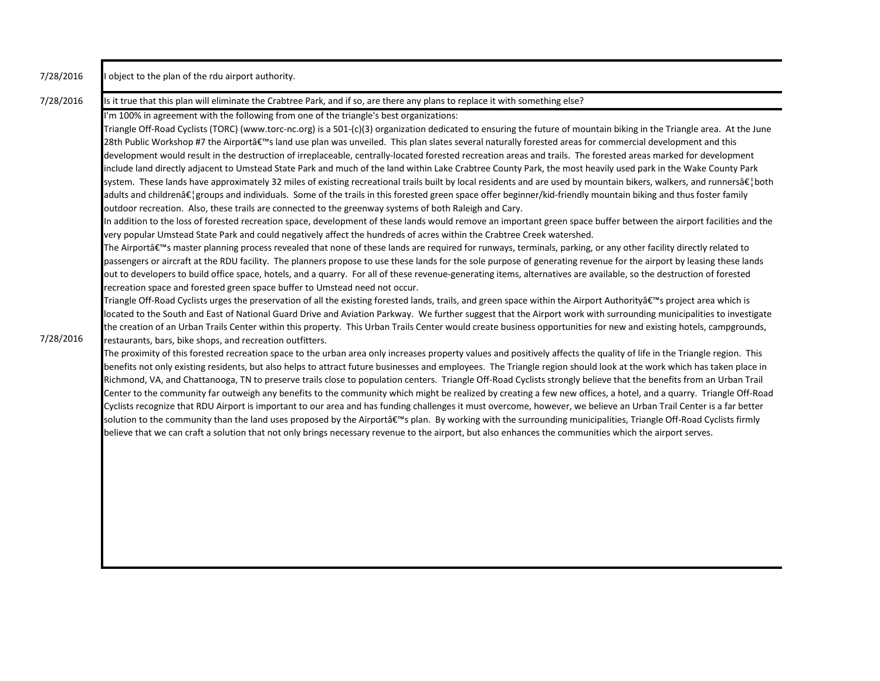| 7/28/2016 | I object to the plan of the rdu airport authority.                                                                                                                                                                                                                                                                                                                                                                                                                                                                                                                                                                                                                                                                                                                                                                                                                                                                                                                                                                                                                                                                                                                                                                                                                                                                                                                                                                                                                                                                                                                                                                                                                                                                                                                                                                                                                                                                                                                                                                                                                                                                                                                                                                                                                                                                                                                                                                                                                                                                                                                                                                     |
|-----------|------------------------------------------------------------------------------------------------------------------------------------------------------------------------------------------------------------------------------------------------------------------------------------------------------------------------------------------------------------------------------------------------------------------------------------------------------------------------------------------------------------------------------------------------------------------------------------------------------------------------------------------------------------------------------------------------------------------------------------------------------------------------------------------------------------------------------------------------------------------------------------------------------------------------------------------------------------------------------------------------------------------------------------------------------------------------------------------------------------------------------------------------------------------------------------------------------------------------------------------------------------------------------------------------------------------------------------------------------------------------------------------------------------------------------------------------------------------------------------------------------------------------------------------------------------------------------------------------------------------------------------------------------------------------------------------------------------------------------------------------------------------------------------------------------------------------------------------------------------------------------------------------------------------------------------------------------------------------------------------------------------------------------------------------------------------------------------------------------------------------------------------------------------------------------------------------------------------------------------------------------------------------------------------------------------------------------------------------------------------------------------------------------------------------------------------------------------------------------------------------------------------------------------------------------------------------------------------------------------------------|
| 7/28/2016 | Is it true that this plan will eliminate the Crabtree Park, and if so, are there any plans to replace it with something else?<br>I'm 100% in agreement with the following from one of the triangle's best organizations:<br>Triangle Off-Road Cyclists (TORC) (www.torc-nc.org) is a 501-(c)(3) organization dedicated to ensuring the future of mountain biking in the Triangle area. At the June<br>28th Public Workshop #7 the Airportâ€ <sup>™</sup> s land use plan was unveiled. This plan slates several naturally forested areas for commercial development and this<br>development would result in the destruction of irreplaceable, centrally-located forested recreation areas and trails. The forested areas marked for development<br>include land directly adjacent to Umstead State Park and much of the land within Lake Crabtree County Park, the most heavily used park in the Wake County Park<br>system. These lands have approximately 32 miles of existing recreational trails built by local residents and are used by mountain bikers, walkers, and runners…both<br>adults and children…groups and individuals. Some of the trails in this forested green space offer beginner/kid-friendly mountain biking and thus foster family<br>outdoor recreation. Also, these trails are connected to the greenway systems of both Raleigh and Cary.<br>In addition to the loss of forested recreation space, development of these lands would remove an important green space buffer between the airport facilities and the<br>very popular Umstead State Park and could negatively affect the hundreds of acres within the Crabtree Creek watershed.<br>The Airport's master planning process revealed that none of these lands are required for runways, terminals, parking, or any other facility directly related to<br>passengers or aircraft at the RDU facility. The planners propose to use these lands for the sole purpose of generating revenue for the airport by leasing these lands<br>out to developers to build office space, hotels, and a quarry. For all of these revenue-generating items, alternatives are available, so the destruction of forested<br>recreation space and forested green space buffer to Umstead need not occur.<br>Triangle Off-Road Cyclists urges the preservation of all the existing forested lands, trails, and green space within the Airport Authority's project area which is<br>located to the South and East of National Guard Drive and Aviation Parkway. We further suggest that the Airport work with surrounding municipalities to investigate |
| 7/28/2016 | the creation of an Urban Trails Center within this property. This Urban Trails Center would create business opportunities for new and existing hotels, campgrounds,<br>restaurants, bars, bike shops, and recreation outfitters.<br>The proximity of this forested recreation space to the urban area only increases property values and positively affects the quality of life in the Triangle region. This<br>benefits not only existing residents, but also helps to attract future businesses and employees. The Triangle region should look at the work which has taken place in<br>Richmond, VA, and Chattanooga, TN to preserve trails close to population centers. Triangle Off-Road Cyclists strongly believe that the benefits from an Urban Trail<br>Center to the community far outweigh any benefits to the community which might be realized by creating a few new offices, a hotel, and a quarry. Triangle Off-Road<br>Cyclists recognize that RDU Airport is important to our area and has funding challenges it must overcome, however, we believe an Urban Trail Center is a far better<br>solution to the community than the land uses proposed by the Airport's plan. By working with the surrounding municipalities, Triangle Off-Road Cyclists firmly<br>believe that we can craft a solution that not only brings necessary revenue to the airport, but also enhances the communities which the airport serves.                                                                                                                                                                                                                                                                                                                                                                                                                                                                                                                                                                                                                                                                                                                                                                                                                                                                                                                                                                                                                                                                                                                                                                                 |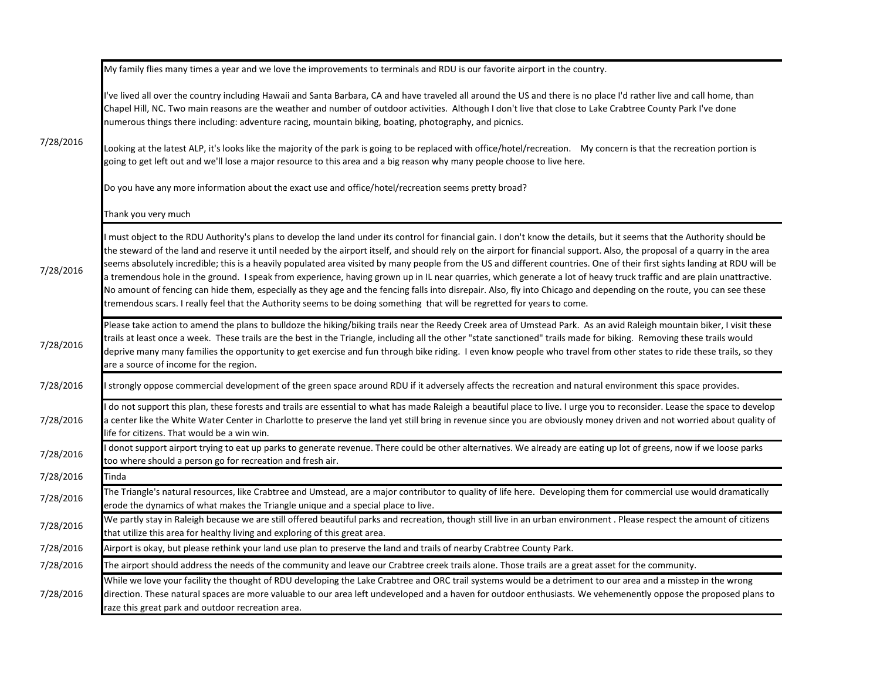|           | My family flies many times a year and we love the improvements to terminals and RDU is our favorite airport in the country.                                                                                                                                                                                                                                                                                                                                                                                                                                                                                                                                                                                                                                                                                                                                                                                                                                                                                          |
|-----------|----------------------------------------------------------------------------------------------------------------------------------------------------------------------------------------------------------------------------------------------------------------------------------------------------------------------------------------------------------------------------------------------------------------------------------------------------------------------------------------------------------------------------------------------------------------------------------------------------------------------------------------------------------------------------------------------------------------------------------------------------------------------------------------------------------------------------------------------------------------------------------------------------------------------------------------------------------------------------------------------------------------------|
| 7/28/2016 | I've lived all over the country including Hawaii and Santa Barbara, CA and have traveled all around the US and there is no place I'd rather live and call home, than<br>Chapel Hill, NC. Two main reasons are the weather and number of outdoor activities. Although I don't live that close to Lake Crabtree County Park I've done<br>numerous things there including: adventure racing, mountain biking, boating, photography, and picnics.                                                                                                                                                                                                                                                                                                                                                                                                                                                                                                                                                                        |
|           | Looking at the latest ALP, it's looks like the majority of the park is going to be replaced with office/hotel/recreation. My concern is that the recreation portion is<br>going to get left out and we'll lose a major resource to this area and a big reason why many people choose to live here.                                                                                                                                                                                                                                                                                                                                                                                                                                                                                                                                                                                                                                                                                                                   |
|           | Do you have any more information about the exact use and office/hotel/recreation seems pretty broad?                                                                                                                                                                                                                                                                                                                                                                                                                                                                                                                                                                                                                                                                                                                                                                                                                                                                                                                 |
|           | Thank you very much                                                                                                                                                                                                                                                                                                                                                                                                                                                                                                                                                                                                                                                                                                                                                                                                                                                                                                                                                                                                  |
| 7/28/2016 | I must object to the RDU Authority's plans to develop the land under its control for financial gain. I don't know the details, but it seems that the Authority should be<br>the steward of the land and reserve it until needed by the airport itself, and should rely on the airport for financial support. Also, the proposal of a quarry in the area<br>seems absolutely incredible; this is a heavily populated area visited by many people from the US and different countries. One of their first sights landing at RDU will be<br>a tremendous hole in the ground. I speak from experience, having grown up in IL near quarries, which generate a lot of heavy truck traffic and are plain unattractive.<br>No amount of fencing can hide them, especially as they age and the fencing falls into disrepair. Also, fly into Chicago and depending on the route, you can see these<br>tremendous scars. I really feel that the Authority seems to be doing something that will be regretted for years to come. |
| 7/28/2016 | Please take action to amend the plans to bulldoze the hiking/biking trails near the Reedy Creek area of Umstead Park. As an avid Raleigh mountain biker, I visit these<br>trails at least once a week. These trails are the best in the Triangle, including all the other "state sanctioned" trails made for biking. Removing these trails would<br>deprive many many families the opportunity to get exercise and fun through bike riding. I even know people who travel from other states to ride these trails, so they<br>are a source of income for the region.                                                                                                                                                                                                                                                                                                                                                                                                                                                  |
| 7/28/2016 | I strongly oppose commercial development of the green space around RDU if it adversely affects the recreation and natural environment this space provides.                                                                                                                                                                                                                                                                                                                                                                                                                                                                                                                                                                                                                                                                                                                                                                                                                                                           |
| 7/28/2016 | do not support this plan, these forests and trails are essential to what has made Raleigh a beautiful place to live. I urge you to reconsider. Lease the space to develop<br>a center like the White Water Center in Charlotte to preserve the land yet still bring in revenue since you are obviously money driven and not worried about quality of<br>life for citizens. That would be a win win.                                                                                                                                                                                                                                                                                                                                                                                                                                                                                                                                                                                                                  |
| 7/28/2016 | I donot support airport trying to eat up parks to generate revenue. There could be other alternatives. We already are eating up lot of greens, now if we loose parks<br>too where should a person go for recreation and fresh air.                                                                                                                                                                                                                                                                                                                                                                                                                                                                                                                                                                                                                                                                                                                                                                                   |
| 7/28/2016 | Tinda                                                                                                                                                                                                                                                                                                                                                                                                                                                                                                                                                                                                                                                                                                                                                                                                                                                                                                                                                                                                                |
| 7/28/2016 | The Triangle's natural resources, like Crabtree and Umstead, are a major contributor to quality of life here. Developing them for commercial use would dramatically<br>erode the dynamics of what makes the Triangle unique and a special place to live.                                                                                                                                                                                                                                                                                                                                                                                                                                                                                                                                                                                                                                                                                                                                                             |
| 7/28/2016 | We partly stay in Raleigh because we are still offered beautiful parks and recreation, though still live in an urban environment. Please respect the amount of citizens<br>that utilize this area for healthy living and exploring of this great area.                                                                                                                                                                                                                                                                                                                                                                                                                                                                                                                                                                                                                                                                                                                                                               |
| 7/28/2016 | Airport is okay, but please rethink your land use plan to preserve the land and trails of nearby Crabtree County Park.                                                                                                                                                                                                                                                                                                                                                                                                                                                                                                                                                                                                                                                                                                                                                                                                                                                                                               |
| 7/28/2016 | The airport should address the needs of the community and leave our Crabtree creek trails alone. Those trails are a great asset for the community.                                                                                                                                                                                                                                                                                                                                                                                                                                                                                                                                                                                                                                                                                                                                                                                                                                                                   |
| 7/28/2016 | While we love your facility the thought of RDU developing the Lake Crabtree and ORC trail systems would be a detriment to our area and a misstep in the wrong<br>direction. These natural spaces are more valuable to our area left undeveloped and a haven for outdoor enthusiasts. We vehemenently oppose the proposed plans to<br>raze this great park and outdoor recreation area.                                                                                                                                                                                                                                                                                                                                                                                                                                                                                                                                                                                                                               |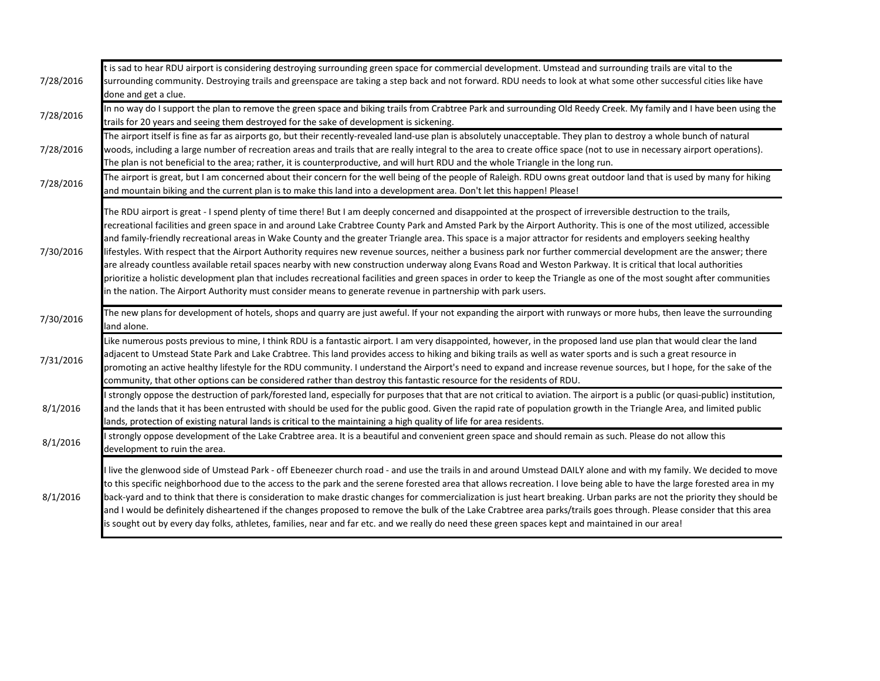| 7/28/2016 | t is sad to hear RDU airport is considering destroying surrounding green space for commercial development. Umstead and surrounding trails are vital to the<br>surrounding community. Destroying trails and greenspace are taking a step back and not forward. RDU needs to look at what some other successful cities like have<br>done and get a clue.                                                                                                                                                                                                                                                                                                                                                                                                                                                                                                                                                                                                                                                                                                                                                                                          |
|-----------|-------------------------------------------------------------------------------------------------------------------------------------------------------------------------------------------------------------------------------------------------------------------------------------------------------------------------------------------------------------------------------------------------------------------------------------------------------------------------------------------------------------------------------------------------------------------------------------------------------------------------------------------------------------------------------------------------------------------------------------------------------------------------------------------------------------------------------------------------------------------------------------------------------------------------------------------------------------------------------------------------------------------------------------------------------------------------------------------------------------------------------------------------|
| 7/28/2016 | In no way do I support the plan to remove the green space and biking trails from Crabtree Park and surrounding Old Reedy Creek. My family and I have been using the<br>trails for 20 years and seeing them destroyed for the sake of development is sickening.                                                                                                                                                                                                                                                                                                                                                                                                                                                                                                                                                                                                                                                                                                                                                                                                                                                                                  |
| 7/28/2016 | The airport itself is fine as far as airports go, but their recently-revealed land-use plan is absolutely unacceptable. They plan to destroy a whole bunch of natural<br>woods, including a large number of recreation areas and trails that are really integral to the area to create office space (not to use in necessary airport operations).<br>The plan is not beneficial to the area; rather, it is counterproductive, and will hurt RDU and the whole Triangle in the long run.                                                                                                                                                                                                                                                                                                                                                                                                                                                                                                                                                                                                                                                         |
| 7/28/2016 | The airport is great, but I am concerned about their concern for the well being of the people of Raleigh. RDU owns great outdoor land that is used by many for hiking<br>and mountain biking and the current plan is to make this land into a development area. Don't let this happen! Please!                                                                                                                                                                                                                                                                                                                                                                                                                                                                                                                                                                                                                                                                                                                                                                                                                                                  |
| 7/30/2016 | The RDU airport is great - I spend plenty of time there! But I am deeply concerned and disappointed at the prospect of irreversible destruction to the trails,<br>recreational facilities and green space in and around Lake Crabtree County Park and Amsted Park by the Airport Authority. This is one of the most utilized, accessible<br>and family-friendly recreational areas in Wake County and the greater Triangle area. This space is a major attractor for residents and employers seeking healthy<br>lifestyles. With respect that the Airport Authority requires new revenue sources, neither a business park nor further commercial development are the answer; there<br>are already countless available retail spaces nearby with new construction underway along Evans Road and Weston Parkway. It is critical that local authorities<br>prioritize a holistic development plan that includes recreational facilities and green spaces in order to keep the Triangle as one of the most sought after communities<br>in the nation. The Airport Authority must consider means to generate revenue in partnership with park users. |
| 7/30/2016 | The new plans for development of hotels, shops and quarry are just aweful. If your not expanding the airport with runways or more hubs, then leave the surrounding<br>land alone.                                                                                                                                                                                                                                                                                                                                                                                                                                                                                                                                                                                                                                                                                                                                                                                                                                                                                                                                                               |
| 7/31/2016 | Like numerous posts previous to mine, I think RDU is a fantastic airport. I am very disappointed, however, in the proposed land use plan that would clear the land<br>adjacent to Umstead State Park and Lake Crabtree. This land provides access to hiking and biking trails as well as water sports and is such a great resource in<br>promoting an active healthy lifestyle for the RDU community. I understand the Airport's need to expand and increase revenue sources, but I hope, for the sake of the<br>community, that other options can be considered rather than destroy this fantastic resource for the residents of RDU.                                                                                                                                                                                                                                                                                                                                                                                                                                                                                                          |
| 8/1/2016  | strongly oppose the destruction of park/forested land, especially for purposes that that are not critical to aviation. The airport is a public (or quasi-public) institution,<br>and the lands that it has been entrusted with should be used for the public good. Given the rapid rate of population growth in the Triangle Area, and limited public<br>lands, protection of existing natural lands is critical to the maintaining a high quality of life for area residents.                                                                                                                                                                                                                                                                                                                                                                                                                                                                                                                                                                                                                                                                  |
| 8/1/2016  | strongly oppose development of the Lake Crabtree area. It is a beautiful and convenient green space and should remain as such. Please do not allow this<br>development to ruin the area.                                                                                                                                                                                                                                                                                                                                                                                                                                                                                                                                                                                                                                                                                                                                                                                                                                                                                                                                                        |
| 8/1/2016  | I live the glenwood side of Umstead Park - off Ebeneezer church road - and use the trails in and around Umstead DAILY alone and with my family. We decided to move<br>to this specific neighborhood due to the access to the park and the serene forested area that allows recreation. I love being able to have the large forested area in my<br>back-yard and to think that there is consideration to make drastic changes for commercialization is just heart breaking. Urban parks are not the priority they should be<br>and I would be definitely disheartened if the changes proposed to remove the bulk of the Lake Crabtree area parks/trails goes through. Please consider that this area<br>is sought out by every day folks, athletes, families, near and far etc. and we really do need these green spaces kept and maintained in our area!                                                                                                                                                                                                                                                                                        |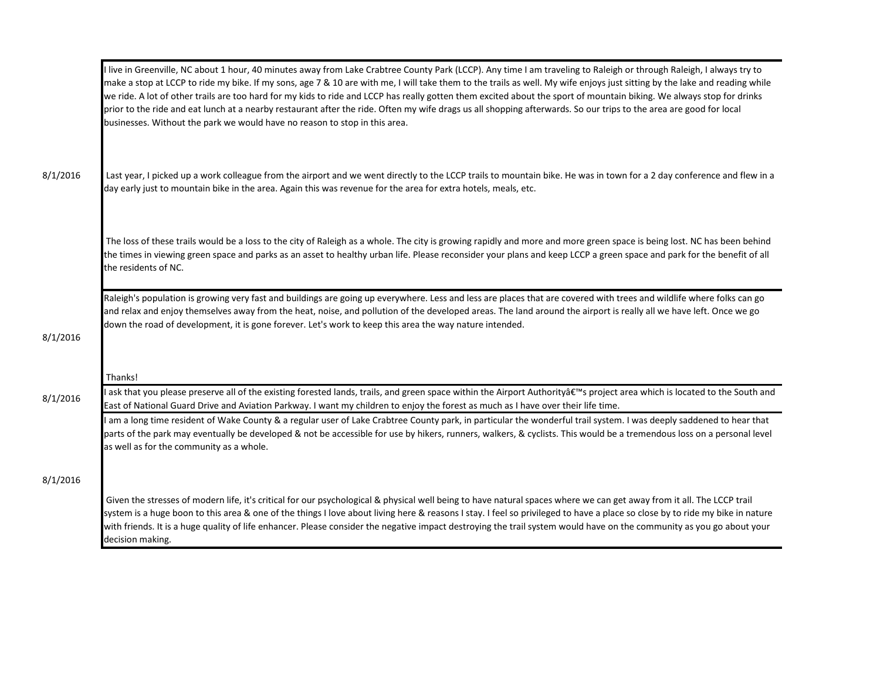|          | I live in Greenville, NC about 1 hour, 40 minutes away from Lake Crabtree County Park (LCCP). Any time I am traveling to Raleigh or through Raleigh, I always try to<br>make a stop at LCCP to ride my bike. If my sons, age 7 & 10 are with me, I will take them to the trails as well. My wife enjoys just sitting by the lake and reading while<br>we ride. A lot of other trails are too hard for my kids to ride and LCCP has really gotten them excited about the sport of mountain biking. We always stop for drinks<br>prior to the ride and eat lunch at a nearby restaurant after the ride. Often my wife drags us all shopping afterwards. So our trips to the area are good for local<br>businesses. Without the park we would have no reason to stop in this area. |
|----------|---------------------------------------------------------------------------------------------------------------------------------------------------------------------------------------------------------------------------------------------------------------------------------------------------------------------------------------------------------------------------------------------------------------------------------------------------------------------------------------------------------------------------------------------------------------------------------------------------------------------------------------------------------------------------------------------------------------------------------------------------------------------------------|
| 8/1/2016 | Last year, I picked up a work colleague from the airport and we went directly to the LCCP trails to mountain bike. He was in town for a 2 day conference and flew in a<br>day early just to mountain bike in the area. Again this was revenue for the area for extra hotels, meals, etc.                                                                                                                                                                                                                                                                                                                                                                                                                                                                                        |
|          | The loss of these trails would be a loss to the city of Raleigh as a whole. The city is growing rapidly and more and more green space is being lost. NC has been behind<br>the times in viewing green space and parks as an asset to healthy urban life. Please reconsider your plans and keep LCCP a green space and park for the benefit of all<br>the residents of NC.                                                                                                                                                                                                                                                                                                                                                                                                       |
| 8/1/2016 | Raleigh's population is growing very fast and buildings are going up everywhere. Less and less are places that are covered with trees and wildlife where folks can go<br>and relax and enjoy themselves away from the heat, noise, and pollution of the developed areas. The land around the airport is really all we have left. Once we go<br>down the road of development, it is gone forever. Let's work to keep this area the way nature intended.                                                                                                                                                                                                                                                                                                                          |
|          | Thanks!                                                                                                                                                                                                                                                                                                                                                                                                                                                                                                                                                                                                                                                                                                                                                                         |
| 8/1/2016 | I ask that you please preserve all of the existing forested lands, trails, and green space within the Airport Authority's project area which is located to the South and<br>East of National Guard Drive and Aviation Parkway. I want my children to enjoy the forest as much as I have over their life time.                                                                                                                                                                                                                                                                                                                                                                                                                                                                   |
|          | am a long time resident of Wake County & a regular user of Lake Crabtree County park, in particular the wonderful trail system. I was deeply saddened to hear that<br>parts of the park may eventually be developed & not be accessible for use by hikers, runners, walkers, & cyclists. This would be a tremendous loss on a personal level<br>as well as for the community as a whole.                                                                                                                                                                                                                                                                                                                                                                                        |
| 8/1/2016 |                                                                                                                                                                                                                                                                                                                                                                                                                                                                                                                                                                                                                                                                                                                                                                                 |
|          | Given the stresses of modern life, it's critical for our psychological & physical well being to have natural spaces where we can get away from it all. The LCCP trail<br>system is a huge boon to this area & one of the things I love about living here & reasons I stay. I feel so privileged to have a place so close by to ride my bike in nature<br>with friends. It is a huge quality of life enhancer. Please consider the negative impact destroying the trail system would have on the community as you go about your<br>decision making.                                                                                                                                                                                                                              |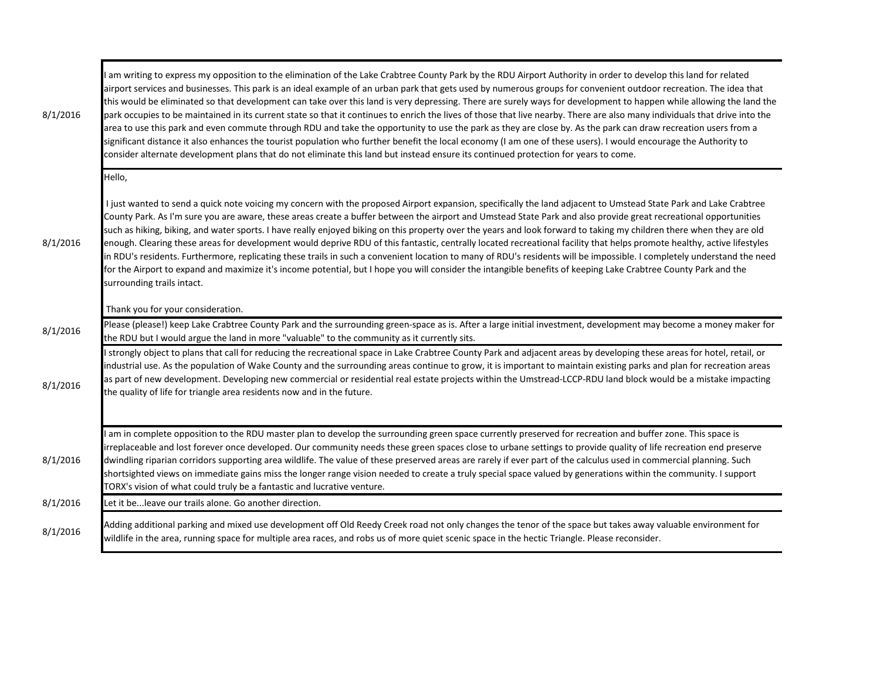| 8/1/2016 | am writing to express my opposition to the elimination of the Lake Crabtree County Park by the RDU Airport Authority in order to develop this land for related<br>airport services and businesses. This park is an ideal example of an urban park that gets used by numerous groups for convenient outdoor recreation. The idea that<br>this would be eliminated so that development can take over this land is very depressing. There are surely ways for development to happen while allowing the land the<br>park occupies to be maintained in its current state so that it continues to enrich the lives of those that live nearby. There are also many individuals that drive into the<br>area to use this park and even commute through RDU and take the opportunity to use the park as they are close by. As the park can draw recreation users from a<br>significant distance it also enhances the tourist population who further benefit the local economy (I am one of these users). I would encourage the Authority to<br>consider alternate development plans that do not eliminate this land but instead ensure its continued protection for years to come. |
|----------|--------------------------------------------------------------------------------------------------------------------------------------------------------------------------------------------------------------------------------------------------------------------------------------------------------------------------------------------------------------------------------------------------------------------------------------------------------------------------------------------------------------------------------------------------------------------------------------------------------------------------------------------------------------------------------------------------------------------------------------------------------------------------------------------------------------------------------------------------------------------------------------------------------------------------------------------------------------------------------------------------------------------------------------------------------------------------------------------------------------------------------------------------------------------------|
|          | Hello,                                                                                                                                                                                                                                                                                                                                                                                                                                                                                                                                                                                                                                                                                                                                                                                                                                                                                                                                                                                                                                                                                                                                                                   |
| 8/1/2016 | I just wanted to send a quick note voicing my concern with the proposed Airport expansion, specifically the land adjacent to Umstead State Park and Lake Crabtree<br>County Park. As I'm sure you are aware, these areas create a buffer between the airport and Umstead State Park and also provide great recreational opportunities<br>such as hiking, biking, and water sports. I have really enjoyed biking on this property over the years and look forward to taking my children there when they are old<br>enough. Clearing these areas for development would deprive RDU of this fantastic, centrally located recreational facility that helps promote healthy, active lifestyles<br>in RDU's residents. Furthermore, replicating these trails in such a convenient location to many of RDU's residents will be impossible. I completely understand the need<br>for the Airport to expand and maximize it's income potential, but I hope you will consider the intangible benefits of keeping Lake Crabtree County Park and the<br>surrounding trails intact.                                                                                                    |
|          | Thank you for your consideration.                                                                                                                                                                                                                                                                                                                                                                                                                                                                                                                                                                                                                                                                                                                                                                                                                                                                                                                                                                                                                                                                                                                                        |
| 8/1/2016 | Please (please!) keep Lake Crabtree County Park and the surrounding green-space as is. After a large initial investment, development may become a money maker for<br>the RDU but I would argue the land in more "valuable" to the community as it currently sits.                                                                                                                                                                                                                                                                                                                                                                                                                                                                                                                                                                                                                                                                                                                                                                                                                                                                                                        |
| 8/1/2016 | I strongly object to plans that call for reducing the recreational space in Lake Crabtree County Park and adjacent areas by developing these areas for hotel, retail, or<br>industrial use. As the population of Wake County and the surrounding areas continue to grow, it is important to maintain existing parks and plan for recreation areas<br>as part of new development. Developing new commercial or residential real estate projects within the Umstread-LCCP-RDU land block would be a mistake impacting<br>the quality of life for triangle area residents now and in the future.                                                                                                                                                                                                                                                                                                                                                                                                                                                                                                                                                                            |
| 8/1/2016 | am in complete opposition to the RDU master plan to develop the surrounding green space currently preserved for recreation and buffer zone. This space is<br>irreplaceable and lost forever once developed. Our community needs these green spaces close to urbane settings to provide quality of life recreation end preserve<br>dwindling riparian corridors supporting area wildlife. The value of these preserved areas are rarely if ever part of the calculus used in commercial planning. Such<br>shortsighted views on immediate gains miss the longer range vision needed to create a truly special space valued by generations within the community. I support<br>TORX's vision of what could truly be a fantastic and lucrative venture.                                                                                                                                                                                                                                                                                                                                                                                                                      |
| 8/1/2016 | Let it be leave our trails alone. Go another direction.                                                                                                                                                                                                                                                                                                                                                                                                                                                                                                                                                                                                                                                                                                                                                                                                                                                                                                                                                                                                                                                                                                                  |
| 8/1/2016 | Adding additional parking and mixed use development off Old Reedy Creek road not only changes the tenor of the space but takes away valuable environment for<br>wildlife in the area, running space for multiple area races, and robs us of more quiet scenic space in the hectic Triangle. Please reconsider.                                                                                                                                                                                                                                                                                                                                                                                                                                                                                                                                                                                                                                                                                                                                                                                                                                                           |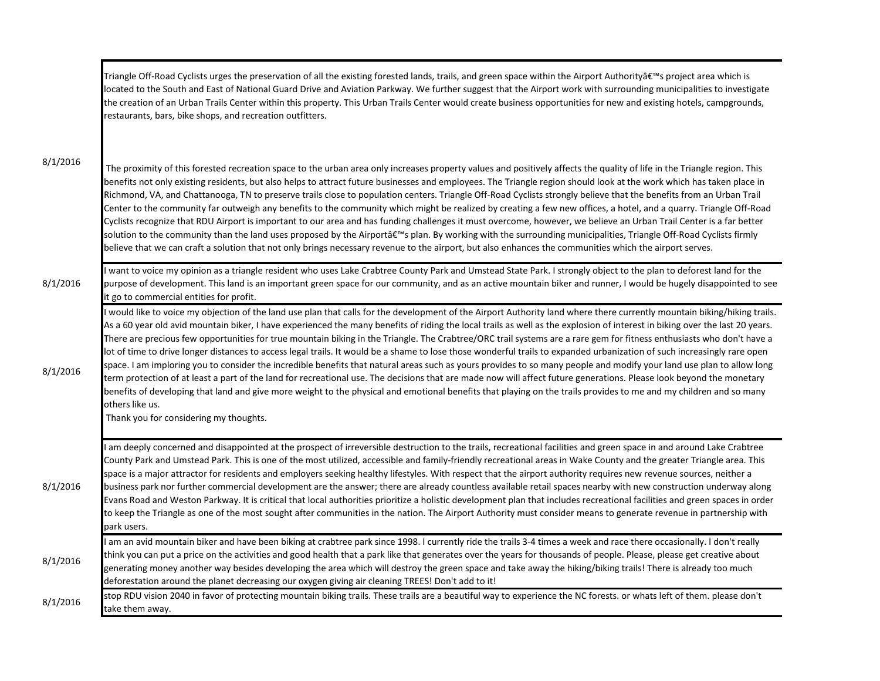| 8/1/2016 | Triangle Off-Road Cyclists urges the preservation of all the existing forested lands, trails, and green space within the Airport Authority's project area which is<br>located to the South and East of National Guard Drive and Aviation Parkway. We further suggest that the Airport work with surrounding municipalities to investigate<br>the creation of an Urban Trails Center within this property. This Urban Trails Center would create business opportunities for new and existing hotels, campgrounds,<br>restaurants, bars, bike shops, and recreation outfitters.                                                                                                                                                                                                                                                                                                                                                                                                                                                                                                                                                                                                                                                                                                                    |
|----------|--------------------------------------------------------------------------------------------------------------------------------------------------------------------------------------------------------------------------------------------------------------------------------------------------------------------------------------------------------------------------------------------------------------------------------------------------------------------------------------------------------------------------------------------------------------------------------------------------------------------------------------------------------------------------------------------------------------------------------------------------------------------------------------------------------------------------------------------------------------------------------------------------------------------------------------------------------------------------------------------------------------------------------------------------------------------------------------------------------------------------------------------------------------------------------------------------------------------------------------------------------------------------------------------------|
|          | The proximity of this forested recreation space to the urban area only increases property values and positively affects the quality of life in the Triangle region. This<br>benefits not only existing residents, but also helps to attract future businesses and employees. The Triangle region should look at the work which has taken place in<br>Richmond, VA, and Chattanooga, TN to preserve trails close to population centers. Triangle Off-Road Cyclists strongly believe that the benefits from an Urban Trail<br>Center to the community far outweigh any benefits to the community which might be realized by creating a few new offices, a hotel, and a quarry. Triangle Off-Road<br>Cyclists recognize that RDU Airport is important to our area and has funding challenges it must overcome, however, we believe an Urban Trail Center is a far better<br>solution to the community than the land uses proposed by the Airport's plan. By working with the surrounding municipalities, Triangle Off-Road Cyclists firmly<br>believe that we can craft a solution that not only brings necessary revenue to the airport, but also enhances the communities which the airport serves.                                                                                               |
| 8/1/2016 | want to voice my opinion as a triangle resident who uses Lake Crabtree County Park and Umstead State Park. I strongly object to the plan to deforest land for the<br>purpose of development. This land is an important green space for our community, and as an active mountain biker and runner, I would be hugely disappointed to see<br>it go to commercial entities for profit.                                                                                                                                                                                                                                                                                                                                                                                                                                                                                                                                                                                                                                                                                                                                                                                                                                                                                                              |
| 8/1/2016 | would like to voice my objection of the land use plan that calls for the development of the Airport Authority land where there currently mountain biking/hiking trails.<br>As a 60 year old avid mountain biker, I have experienced the many benefits of riding the local trails as well as the explosion of interest in biking over the last 20 years.<br>There are precious few opportunities for true mountain biking in the Triangle. The Crabtree/ORC trail systems are a rare gem for fitness enthusiasts who don't have a<br>lot of time to drive longer distances to access legal trails. It would be a shame to lose those wonderful trails to expanded urbanization of such increasingly rare open<br>space. I am imploring you to consider the incredible benefits that natural areas such as yours provides to so many people and modify your land use plan to allow long<br>term protection of at least a part of the land for recreational use. The decisions that are made now will affect future generations. Please look beyond the monetary<br>benefits of developing that land and give more weight to the physical and emotional benefits that playing on the trails provides to me and my children and so many<br>others like us.<br>Thank you for considering my thoughts. |
| 8/1/2016 | I am deeply concerned and disappointed at the prospect of irreversible destruction to the trails, recreational facilities and green space in and around Lake Crabtree<br>County Park and Umstead Park. This is one of the most utilized, accessible and family-friendly recreational areas in Wake County and the greater Triangle area. This<br>space is a major attractor for residents and employers seeking healthy lifestyles. With respect that the airport authority requires new revenue sources, neither a<br>business park nor further commercial development are the answer; there are already countless available retail spaces nearby with new construction underway along<br>Evans Road and Weston Parkway. It is critical that local authorities prioritize a holistic development plan that includes recreational facilities and green spaces in order<br>to keep the Triangle as one of the most sought after communities in the nation. The Airport Authority must consider means to generate revenue in partnership with<br>park users.                                                                                                                                                                                                                                       |
| 8/1/2016 | I am an avid mountain biker and have been biking at crabtree park since 1998. I currently ride the trails 3-4 times a week and race there occasionally. I don't really<br>think you can put a price on the activities and good health that a park like that generates over the years for thousands of people. Please, please get creative about<br>generating money another way besides developing the area which will destroy the green space and take away the hiking/biking trails! There is already too much<br>deforestation around the planet decreasing our oxygen giving air cleaning TREES! Don't add to it!                                                                                                                                                                                                                                                                                                                                                                                                                                                                                                                                                                                                                                                                            |
| 8/1/2016 | stop RDU vision 2040 in favor of protecting mountain biking trails. These trails are a beautiful way to experience the NC forests. or whats left of them. please don't<br>take them away.                                                                                                                                                                                                                                                                                                                                                                                                                                                                                                                                                                                                                                                                                                                                                                                                                                                                                                                                                                                                                                                                                                        |

л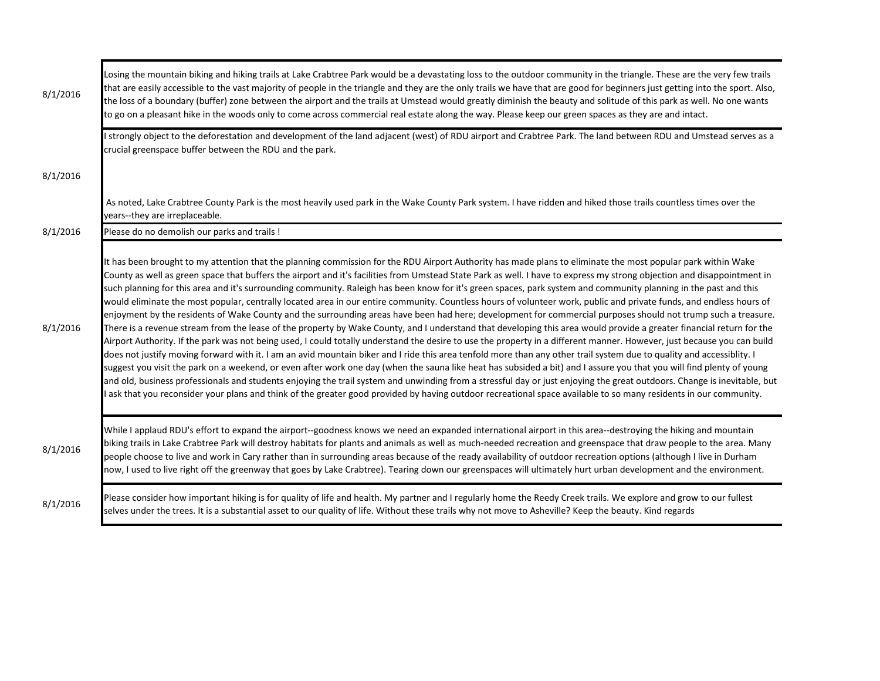| 8/1/2016 | Losing the mountain biking and hiking trails at Lake Crabtree Park would be a devastating loss to the outdoor community in the triangle. These are the very few trails<br>that are easily accessible to the vast majority of people in the triangle and they are the only trails we have that are good for beginners just getting into the sport. Also,<br>the loss of a boundary (buffer) zone between the airport and the trails at Umstead would greatly diminish the beauty and solitude of this park as well. No one wants<br>to go on a pleasant hike in the woods only to come across commercial real estate along the way. Please keep our green spaces as they are and intact.                                                                                                                                                                                                                                                                                                                                                                                                                                                                                                                                                                                                                                                                                                                                                                                                                                                                                                                                                                                                                                                                                                                                                                                                                 |
|----------|---------------------------------------------------------------------------------------------------------------------------------------------------------------------------------------------------------------------------------------------------------------------------------------------------------------------------------------------------------------------------------------------------------------------------------------------------------------------------------------------------------------------------------------------------------------------------------------------------------------------------------------------------------------------------------------------------------------------------------------------------------------------------------------------------------------------------------------------------------------------------------------------------------------------------------------------------------------------------------------------------------------------------------------------------------------------------------------------------------------------------------------------------------------------------------------------------------------------------------------------------------------------------------------------------------------------------------------------------------------------------------------------------------------------------------------------------------------------------------------------------------------------------------------------------------------------------------------------------------------------------------------------------------------------------------------------------------------------------------------------------------------------------------------------------------------------------------------------------------------------------------------------------------|
|          | I strongly object to the deforestation and development of the land adjacent (west) of RDU airport and Crabtree Park. The land between RDU and Umstead serves as a<br>crucial greenspace buffer between the RDU and the park.                                                                                                                                                                                                                                                                                                                                                                                                                                                                                                                                                                                                                                                                                                                                                                                                                                                                                                                                                                                                                                                                                                                                                                                                                                                                                                                                                                                                                                                                                                                                                                                                                                                                            |
| 8/1/2016 |                                                                                                                                                                                                                                                                                                                                                                                                                                                                                                                                                                                                                                                                                                                                                                                                                                                                                                                                                                                                                                                                                                                                                                                                                                                                                                                                                                                                                                                                                                                                                                                                                                                                                                                                                                                                                                                                                                         |
|          | As noted, Lake Crabtree County Park is the most heavily used park in the Wake County Park system. I have ridden and hiked those trails countless times over the<br>years--they are irreplaceable.                                                                                                                                                                                                                                                                                                                                                                                                                                                                                                                                                                                                                                                                                                                                                                                                                                                                                                                                                                                                                                                                                                                                                                                                                                                                                                                                                                                                                                                                                                                                                                                                                                                                                                       |
| 8/1/2016 | Please do no demolish our parks and trails !                                                                                                                                                                                                                                                                                                                                                                                                                                                                                                                                                                                                                                                                                                                                                                                                                                                                                                                                                                                                                                                                                                                                                                                                                                                                                                                                                                                                                                                                                                                                                                                                                                                                                                                                                                                                                                                            |
| 8/1/2016 | It has been brought to my attention that the planning commission for the RDU Airport Authority has made plans to eliminate the most popular park within Wake<br>County as well as green space that buffers the airport and it's facilities from Umstead State Park as well. I have to express my strong objection and disappointment in<br>such planning for this area and it's surrounding community. Raleigh has been know for it's green spaces, park system and community planning in the past and this<br>would eliminate the most popular, centrally located area in our entire community. Countless hours of volunteer work, public and private funds, and endless hours of<br>enjoyment by the residents of Wake County and the surrounding areas have been had here; development for commercial purposes should not trump such a treasure.<br>There is a revenue stream from the lease of the property by Wake County, and I understand that developing this area would provide a greater financial return for the<br>Airport Authority. If the park was not being used, I could totally understand the desire to use the property in a different manner. However, just because you can build<br>does not justify moving forward with it. I am an avid mountain biker and I ride this area tenfold more than any other trail system due to quality and accessiblity. I<br>suggest you visit the park on a weekend, or even after work one day (when the sauna like heat has subsided a bit) and I assure you that you will find plenty of young<br>and old, business professionals and students enjoying the trail system and unwinding from a stressful day or just enjoying the great outdoors. Change is inevitable, but<br>ask that you reconsider your plans and think of the greater good provided by having outdoor recreational space available to so many residents in our community. |
| 8/1/2016 | While I applaud RDU's effort to expand the airport--goodness knows we need an expanded international airport in this area--destroying the hiking and mountain<br>biking trails in Lake Crabtree Park will destroy habitats for plants and animals as well as much-needed recreation and greenspace that draw people to the area. Many<br>people choose to live and work in Cary rather than in surrounding areas because of the ready availability of outdoor recreation options (although I live in Durham<br>now, I used to live right off the greenway that goes by Lake Crabtree). Tearing down our greenspaces will ultimately hurt urban development and the environment.                                                                                                                                                                                                                                                                                                                                                                                                                                                                                                                                                                                                                                                                                                                                                                                                                                                                                                                                                                                                                                                                                                                                                                                                                         |
| 8/1/2016 | Please consider how important hiking is for quality of life and health. My partner and I regularly home the Reedy Creek trails. We explore and grow to our fullest<br>selves under the trees. It is a substantial asset to our quality of life. Without these trails why not move to Asheville? Keep the beauty. Kind regards                                                                                                                                                                                                                                                                                                                                                                                                                                                                                                                                                                                                                                                                                                                                                                                                                                                                                                                                                                                                                                                                                                                                                                                                                                                                                                                                                                                                                                                                                                                                                                           |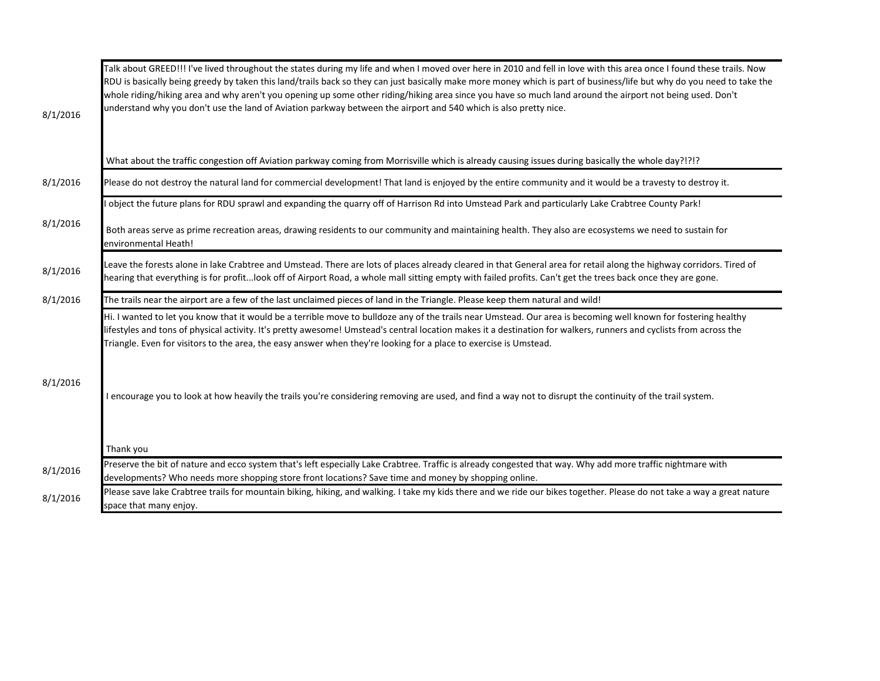| 8/1/2016 | Talk about GREED!!! I've lived throughout the states during my life and when I moved over here in 2010 and fell in love with this area once I found these trails. Now<br>RDU is basically being greedy by taken this land/trails back so they can just basically make more money which is part of business/life but why do you need to take the<br>whole riding/hiking area and why aren't you opening up some other riding/hiking area since you have so much land around the airport not being used. Don't<br>understand why you don't use the land of Aviation parkway between the airport and 540 which is also pretty nice. |
|----------|----------------------------------------------------------------------------------------------------------------------------------------------------------------------------------------------------------------------------------------------------------------------------------------------------------------------------------------------------------------------------------------------------------------------------------------------------------------------------------------------------------------------------------------------------------------------------------------------------------------------------------|
|          | What about the traffic congestion off Aviation parkway coming from Morrisville which is already causing issues during basically the whole day?!?!?                                                                                                                                                                                                                                                                                                                                                                                                                                                                               |
| 8/1/2016 | Please do not destroy the natural land for commercial development! That land is enjoyed by the entire community and it would be a travesty to destroy it.                                                                                                                                                                                                                                                                                                                                                                                                                                                                        |
|          | object the future plans for RDU sprawl and expanding the quarry off of Harrison Rd into Umstead Park and particularly Lake Crabtree County Park!                                                                                                                                                                                                                                                                                                                                                                                                                                                                                 |
| 8/1/2016 | Both areas serve as prime recreation areas, drawing residents to our community and maintaining health. They also are ecosystems we need to sustain for<br>environmental Heath!                                                                                                                                                                                                                                                                                                                                                                                                                                                   |
| 8/1/2016 | Leave the forests alone in lake Crabtree and Umstead. There are lots of places already cleared in that General area for retail along the highway corridors. Tired of<br>hearing that everything is for profitlook off of Airport Road, a whole mall sitting empty with failed profits. Can't get the trees back once they are gone.                                                                                                                                                                                                                                                                                              |
| 8/1/2016 | The trails near the airport are a few of the last unclaimed pieces of land in the Triangle. Please keep them natural and wild!                                                                                                                                                                                                                                                                                                                                                                                                                                                                                                   |
| 8/1/2016 | Hi. I wanted to let you know that it would be a terrible move to bulldoze any of the trails near Umstead. Our area is becoming well known for fostering healthy<br>lifestyles and tons of physical activity. It's pretty awesome! Umstead's central location makes it a destination for walkers, runners and cyclists from across the<br>Triangle. Even for visitors to the area, the easy answer when they're looking for a place to exercise is Umstead.<br>I encourage you to look at how heavily the trails you're considering removing are used, and find a way not to disrupt the continuity of the trail system.          |
| 8/1/2016 | Thank you<br>Preserve the bit of nature and ecco system that's left especially Lake Crabtree. Traffic is already congested that way. Why add more traffic nightmare with                                                                                                                                                                                                                                                                                                                                                                                                                                                         |
| 8/1/2016 | developments? Who needs more shopping store front locations? Save time and money by shopping online.<br>Please save lake Crabtree trails for mountain biking, hiking, and walking. I take my kids there and we ride our bikes together. Please do not take a way a great nature<br>space that many enjoy.                                                                                                                                                                                                                                                                                                                        |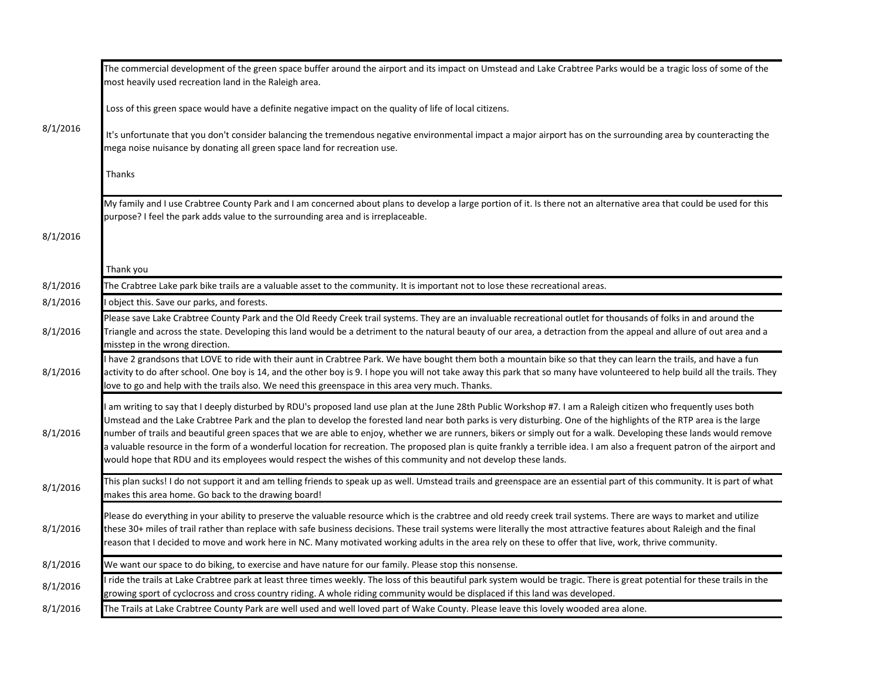|          | The commercial development of the green space buffer around the airport and its impact on Umstead and Lake Crabtree Parks would be a tragic loss of some of the<br>most heavily used recreation land in the Raleigh area.                                                                                                                                                                                                                                                                                                                                                                                                                                                                                                                                                                                   |
|----------|-------------------------------------------------------------------------------------------------------------------------------------------------------------------------------------------------------------------------------------------------------------------------------------------------------------------------------------------------------------------------------------------------------------------------------------------------------------------------------------------------------------------------------------------------------------------------------------------------------------------------------------------------------------------------------------------------------------------------------------------------------------------------------------------------------------|
|          | Loss of this green space would have a definite negative impact on the quality of life of local citizens.                                                                                                                                                                                                                                                                                                                                                                                                                                                                                                                                                                                                                                                                                                    |
| 8/1/2016 | It's unfortunate that you don't consider balancing the tremendous negative environmental impact a major airport has on the surrounding area by counteracting the<br>mega noise nuisance by donating all green space land for recreation use.                                                                                                                                                                                                                                                                                                                                                                                                                                                                                                                                                                |
|          | Thanks                                                                                                                                                                                                                                                                                                                                                                                                                                                                                                                                                                                                                                                                                                                                                                                                      |
|          | My family and I use Crabtree County Park and I am concerned about plans to develop a large portion of it. Is there not an alternative area that could be used for this<br>purpose? I feel the park adds value to the surrounding area and is irreplaceable.                                                                                                                                                                                                                                                                                                                                                                                                                                                                                                                                                 |
| 8/1/2016 |                                                                                                                                                                                                                                                                                                                                                                                                                                                                                                                                                                                                                                                                                                                                                                                                             |
|          | Thank you                                                                                                                                                                                                                                                                                                                                                                                                                                                                                                                                                                                                                                                                                                                                                                                                   |
| 8/1/2016 | The Crabtree Lake park bike trails are a valuable asset to the community. It is important not to lose these recreational areas.                                                                                                                                                                                                                                                                                                                                                                                                                                                                                                                                                                                                                                                                             |
| 8/1/2016 | object this. Save our parks, and forests.                                                                                                                                                                                                                                                                                                                                                                                                                                                                                                                                                                                                                                                                                                                                                                   |
| 8/1/2016 | Please save Lake Crabtree County Park and the Old Reedy Creek trail systems. They are an invaluable recreational outlet for thousands of folks in and around the<br>Triangle and across the state. Developing this land would be a detriment to the natural beauty of our area, a detraction from the appeal and allure of out area and a<br>misstep in the wrong direction.                                                                                                                                                                                                                                                                                                                                                                                                                                |
| 8/1/2016 | have 2 grandsons that LOVE to ride with their aunt in Crabtree Park. We have bought them both a mountain bike so that they can learn the trails, and have a fun<br>activity to do after school. One boy is 14, and the other boy is 9. I hope you will not take away this park that so many have volunteered to help build all the trails. They<br>love to go and help with the trails also. We need this greenspace in this area very much. Thanks.                                                                                                                                                                                                                                                                                                                                                        |
| 8/1/2016 | am writing to say that I deeply disturbed by RDU's proposed land use plan at the June 28th Public Workshop #7. I am a Raleigh citizen who frequently uses both<br>Umstead and the Lake Crabtree Park and the plan to develop the forested land near both parks is very disturbing. One of the highlights of the RTP area is the large<br>number of trails and beautiful green spaces that we are able to enjoy, whether we are runners, bikers or simply out for a walk. Developing these lands would remove<br>a valuable resource in the form of a wonderful location for recreation. The proposed plan is quite frankly a terrible idea. I am also a frequent patron of the airport and<br>would hope that RDU and its employees would respect the wishes of this community and not develop these lands. |
| 8/1/2016 | This plan sucks! I do not support it and am telling friends to speak up as well. Umstead trails and greenspace are an essential part of this community. It is part of what<br>makes this area home. Go back to the drawing board!                                                                                                                                                                                                                                                                                                                                                                                                                                                                                                                                                                           |
| 8/1/2016 | Please do everything in your ability to preserve the valuable resource which is the crabtree and old reedy creek trail systems. There are ways to market and utilize<br>these 30+ miles of trail rather than replace with safe business decisions. These trail systems were literally the most attractive features about Raleigh and the final<br>reason that I decided to move and work here in NC. Many motivated working adults in the area rely on these to offer that live, work, thrive community.                                                                                                                                                                                                                                                                                                    |
| 8/1/2016 | We want our space to do biking, to exercise and have nature for our family. Please stop this nonsense.                                                                                                                                                                                                                                                                                                                                                                                                                                                                                                                                                                                                                                                                                                      |
| 8/1/2016 | ride the trails at Lake Crabtree park at least three times weekly. The loss of this beautiful park system would be tragic. There is great potential for these trails in the<br>growing sport of cyclocross and cross country riding. A whole riding community would be displaced if this land was developed.                                                                                                                                                                                                                                                                                                                                                                                                                                                                                                |
| 8/1/2016 | The Trails at Lake Crabtree County Park are well used and well loved part of Wake County. Please leave this lovely wooded area alone.                                                                                                                                                                                                                                                                                                                                                                                                                                                                                                                                                                                                                                                                       |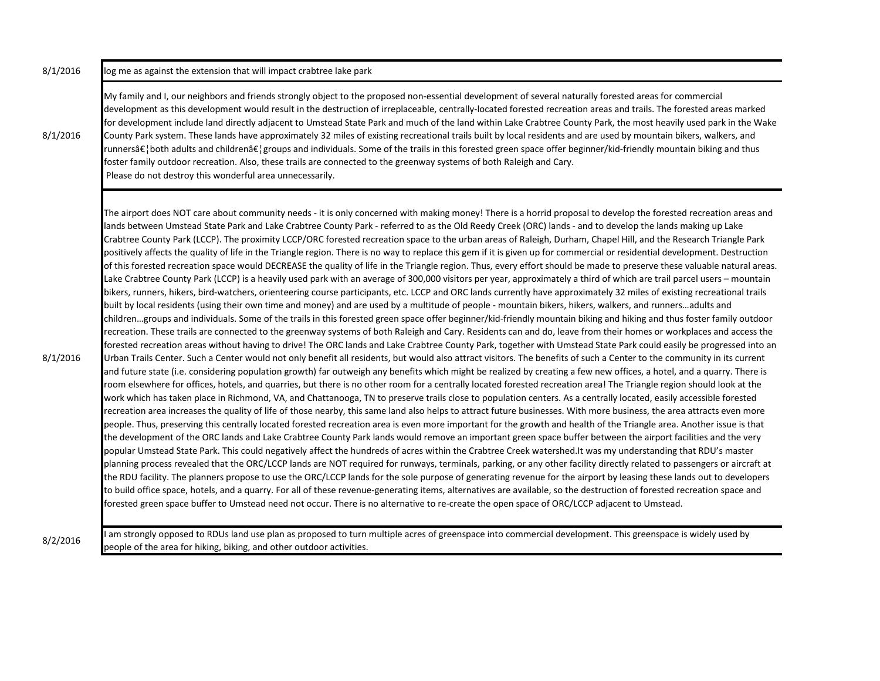8/1/2016 log me as against the extension that will impact crabtree lake park 8/1/2016 My family and I, our neighbors and friends strongly object to the proposed non-essential development of several naturally forested areas for commercial development as this development would result in the destruction of irreplaceable, centrally-located forested recreation areas and trails. The forested areas marked for development include land directly adjacent to Umstead State Park and much of the land within Lake Crabtree County Park, the most heavily used park in the Wake County Park system. These lands have approximately 32 miles of existing recreational trails built by local residents and are used by mountain bikers, walkers, and runnersâ $\epsilon$ ; both adults and childrenâ $\epsilon$ ; groups and individuals. Some of the trails in this forested green space offer beginner/kid-friendly mountain biking and thus foster family outdoor recreation. Also, these trails are connected to the greenway systems of both Raleigh and Cary. Please do not destroy this wonderful area unnecessarily. 8/1/2016 The airport does NOT care about community needs - it is only concerned with making money! There is a horrid proposal to develop the forested recreation areas and lands between Umstead State Park and Lake Crabtree County Park - referred to as the Old Reedy Creek (ORC) lands - and to develop the lands making up Lake Crabtree County Park (LCCP). The proximity LCCP/ORC forested recreation space to the urban areas of Raleigh, Durham, Chapel Hill, and the Research Triangle Park positively affects the quality of life in the Triangle region. There is no way to replace this gem if it is given up for commercial or residential development. Destruction of this forested recreation space would DECREASE the quality of life in the Triangle region. Thus, every effort should be made to preserve these valuable natural areas. Lake Crabtree County Park (LCCP) is a heavily used park with an average of 300,000 visitors per year, approximately a third of which are trail parcel users – mountain bikers, runners, hikers, bird-watchers, orienteering course participants, etc. LCCP and ORC lands currently have approximately 32 miles of existing recreational trails built by local residents (using their own time and money) and are used by a multitude of people - mountain bikers, hikers, walkers, and runners...adults and children…groups and individuals. Some of the trails in this forested green space offer beginner/kid-friendly mountain biking and hiking and thus foster family outdoor recreation. These trails are connected to the greenway systems of both Raleigh and Cary. Residents can and do, leave from their homes or workplaces and access the forested recreation areas without having to drive! The ORC lands and Lake Crabtree County Park, together with Umstead State Park could easily be progressed into an Urban Trails Center. Such a Center would not only benefit all residents, but would also attract visitors. The benefits of such a Center to the community in its current and future state (i.e. considering population growth) far outweigh any benefits which might be realized by creating a few new offices, a hotel, and a quarry. There is room elsewhere for offices, hotels, and quarries, but there is no other room for a centrally located forested recreation area! The Triangle region should look at the work which has taken place in Richmond, VA, and Chattanooga, TN to preserve trails close to population centers. As a centrally located, easily accessible forested recreation area increases the quality of life of those nearby, this same land also helps to attract future businesses. With more business, the area attracts even more people. Thus, preserving this centrally located forested recreation area is even more important for the growth and health of the Triangle area. Another issue is that the development of the ORC lands and Lake Crabtree County Park lands would remove an important green space buffer between the airport facilities and the very popular Umstead State Park. This could negatively affect the hundreds of acres within the Crabtree Creek watershed.It was my understanding that RDU's master planning process revealed that the ORC/LCCP lands are NOT required for runways, terminals, parking, or any other facility directly related to passengers or aircraft at the RDU facility. The planners propose to use the ORC/LCCP lands for the sole purpose of generating revenue for the airport by leasing these lands out to developers to build office space, hotels, and a quarry. For all of these revenue-generating items, alternatives are available, so the destruction of forested recreation space and forested green space buffer to Umstead need not occur. There is no alternative to re-create the open space of ORC/LCCP adjacent to Umstead.

8/2/2016 I am strongly opposed to RDUs land use plan as proposed to turn multiple acres of greenspace into commercial development. This greenspace is widely used by people of the area for hiking, biking, and other outdoor activities.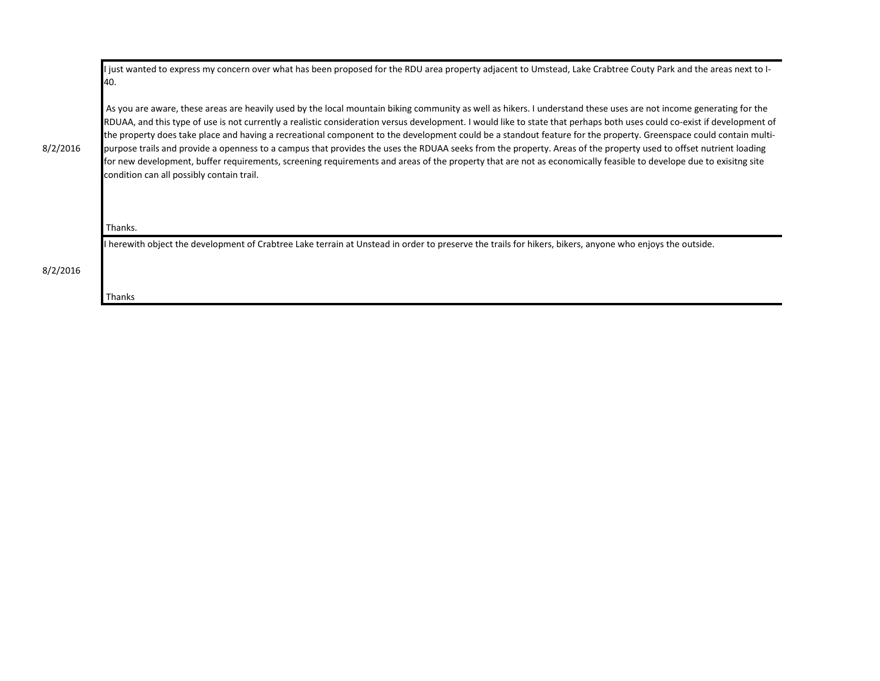|          | I just wanted to express my concern over what has been proposed for the RDU area property adjacent to Umstead, Lake Crabtree Couty Park and the areas next to I-<br>40.                                                                                                                                                                                                                                                                                                                                                                                                                                                                                                                                                                                                                                                                                                                                    |
|----------|------------------------------------------------------------------------------------------------------------------------------------------------------------------------------------------------------------------------------------------------------------------------------------------------------------------------------------------------------------------------------------------------------------------------------------------------------------------------------------------------------------------------------------------------------------------------------------------------------------------------------------------------------------------------------------------------------------------------------------------------------------------------------------------------------------------------------------------------------------------------------------------------------------|
| 8/2/2016 | As you are aware, these areas are heavily used by the local mountain biking community as well as hikers. I understand these uses are not income generating for the<br>RDUAA, and this type of use is not currently a realistic consideration versus development. I would like to state that perhaps both uses could co-exist if development of<br>the property does take place and having a recreational component to the development could be a standout feature for the property. Greenspace could contain multi-<br>purpose trails and provide a openness to a campus that provides the uses the RDUAA seeks from the property. Areas of the property used to offset nutrient loading<br>for new development, buffer requirements, screening requirements and areas of the property that are not as economically feasible to develope due to exisitng site<br>condition can all possibly contain trail. |
|          | Thanks.                                                                                                                                                                                                                                                                                                                                                                                                                                                                                                                                                                                                                                                                                                                                                                                                                                                                                                    |
|          | I herewith object the development of Crabtree Lake terrain at Unstead in order to preserve the trails for hikers, bikers, anyone who enjoys the outside.                                                                                                                                                                                                                                                                                                                                                                                                                                                                                                                                                                                                                                                                                                                                                   |
| 8/2/2016 |                                                                                                                                                                                                                                                                                                                                                                                                                                                                                                                                                                                                                                                                                                                                                                                                                                                                                                            |
|          | Thanks                                                                                                                                                                                                                                                                                                                                                                                                                                                                                                                                                                                                                                                                                                                                                                                                                                                                                                     |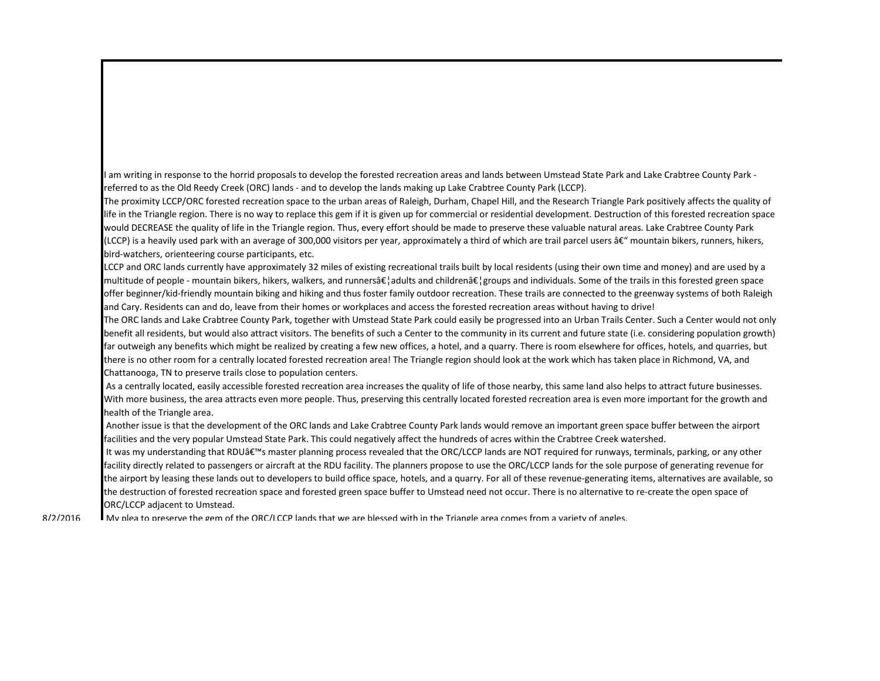I am writing in response to the horrid proposals to develop the forested recreation areas and lands between Umstead State Park and Lake Crabtree County Park referred to as the Old Reedy Creek (ORC) lands - and to develop the lands making up Lake Crabtree County Park (LCCP).

The proximity LCCP/ORC forested recreation space to the urban areas of Raleigh, Durham, Chapel Hill, and the Research Triangle Park positively affects the quality of life in the Triangle region. There is no way to replace this gem if it is given up for commercial or residential development. Destruction of this forested recreation space would DECREASE the quality of life in the Triangle region. Thus, every effort should be made to preserve these valuable natural areas. Lake Crabtree County Park (LCCP) is a heavily used park with an average of 300,000 visitors per year, approximately a third of which are trail parcel users  $\hat{\alpha}\epsilon$ " mountain bikers, runners, hikers, bird-watchers, orienteering course participants, etc.

LCCP and ORC lands currently have approximately 32 miles of existing recreational trails built by local residents (using their own time and money) and are used by a multitude of people - mountain bikers, hikers, walkers, and runnersâ $\xi$ , adults and childrenâ $\xi$ , groups and individuals. Some of the trails in this forested green space offer beginner/kid-friendly mountain biking and hiking and thus foster family outdoor recreation. These trails are connected to the greenway systems of both Raleigh and Cary. Residents can and do, leave from their homes or workplaces and access the forested recreation areas without having to drive!

The ORC lands and Lake Crabtree County Park, together with Umstead State Park could easily be progressed into an Urban Trails Center. Such a Center would not only benefit all residents, but would also attract visitors. The benefits of such a Center to the community in its current and future state (i.e. considering population growth) far outweigh any benefits which might be realized by creating a few new offices, a hotel, and a quarry. There is room elsewhere for offices, hotels, and quarries, but there is no other room for a centrally located forested recreation area! The Triangle region should look at the work which has taken place in Richmond, VA, and Chattanooga, TN to preserve trails close to population centers.

 As a centrally located, easily accessible forested recreation area increases the quality of life of those nearby, this same land also helps to attract future businesses. With more business, the area attracts even more people. Thus, preserving this centrally located forested recreation area is even more important for the growth and health of the Triangle area.

 Another issue is that the development of the ORC lands and Lake Crabtree County Park lands would remove an important green space buffer between the airport facilities and the very popular Umstead State Park. This could negatively affect the hundreds of acres within the Crabtree Creek watershed.

It was my understanding that RDU's master planning process revealed that the ORC/LCCP lands are NOT required for runways, terminals, parking, or any other facility directly related to passengers or aircraft at the RDU facility. The planners propose to use the ORC/LCCP lands for the sole purpose of generating revenue for the airport by leasing these lands out to developers to build office space, hotels, and a quarry. For all of these revenue-generating items, alternatives are available, so the destruction of forested recreation space and forested green space buffer to Umstead need not occur. There is no alternative to re-create the open space of ORC/LCCP adjacent to Umstead.

 My plea to preserve the gem of the ORC/LCCP lands that we are blessed with in the Triangle area comes from a variety of angles. 8/2/2016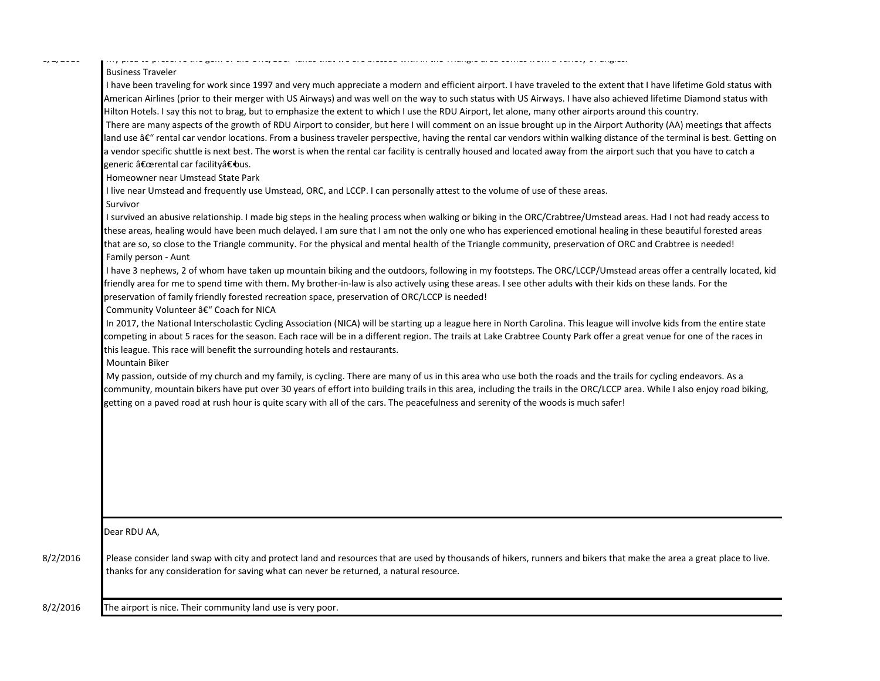$v_1$   $v_2$   $v_3$ 

## Business Traveler

I have been traveling for work since 1997 and very much appreciate a modern and efficient airport. I have traveled to the extent that I have lifetime Gold status with American Airlines (prior to their merger with US Airways) and was well on the way to such status with US Airways. I have also achieved lifetime Diamond status with Hilton Hotels. I say this not to brag, but to emphasize the extent to which I use the RDU Airport, let alone, many other airports around this country. There are many aspects of the growth of RDU Airport to consider, but here I will comment on an issue brought up in the Airport Authority (AA) meetings that affects land use â€" rental car vendor locations. From a business traveler perspective, having the rental car vendors within walking distance of the terminal is best. Getting on

My plea to preserve the gem of the ORC/LCCP lands that we are blessed with in the Triangle area comes from a variety of angles.

a vendor specific shuttle is next best. The worst is when the rental car facility is centrally housed and located away from the airport such that you have to catch a generic "rental car facility―bus.

Homeowner near Umstead State Park

I live near Umstead and frequently use Umstead, ORC, and LCCP. I can personally attest to the volume of use of these areas.

Survivor

 I survived an abusive relationship. I made big steps in the healing process when walking or biking in the ORC/Crabtree/Umstead areas. Had I not had ready access to these areas, healing would have been much delayed. I am sure that I am not the only one who has experienced emotional healing in these beautiful forested areas that are so, so close to the Triangle community. For the physical and mental health of the Triangle community, preservation of ORC and Crabtree is needed! Family person - Aunt

 I have 3 nephews, 2 of whom have taken up mountain biking and the outdoors, following in my footsteps. The ORC/LCCP/Umstead areas offer a centrally located, kid friendly area for me to spend time with them. My brother-in-law is also actively using these areas. I see other adults with their kids on these lands. For the preservation of family friendly forested recreation space, preservation of ORC/LCCP is needed!

Community Volunteer â€" Coach for NICA

 In 2017, the National Interscholastic Cycling Association (NICA) will be starting up a league here in North Carolina. This league will involve kids from the entire state competing in about 5 races for the season. Each race will be in a different region. The trails at Lake Crabtree County Park offer a great venue for one of the races in this league. This race will benefit the surrounding hotels and restaurants.

Mountain Biker

 My passion, outside of my church and my family, is cycling. There are many of us in this area who use both the roads and the trails for cycling endeavors. As a community, mountain bikers have put over 30 years of effort into building trails in this area, including the trails in the ORC/LCCP area. While I also enjoy road biking, getting on a paved road at rush hour is quite scary with all of the cars. The peacefulness and serenity of the woods is much safer!

Dear RDU AA,

8/2/2016 Please consider land swap with city and protect land and resources that are used by thousands of hikers, runners and bikers that make the area a great place to live. thanks for any consideration for saving what can never be returned, a natural resource.

8/2/2016 The airport is nice. Their community land use is very poor.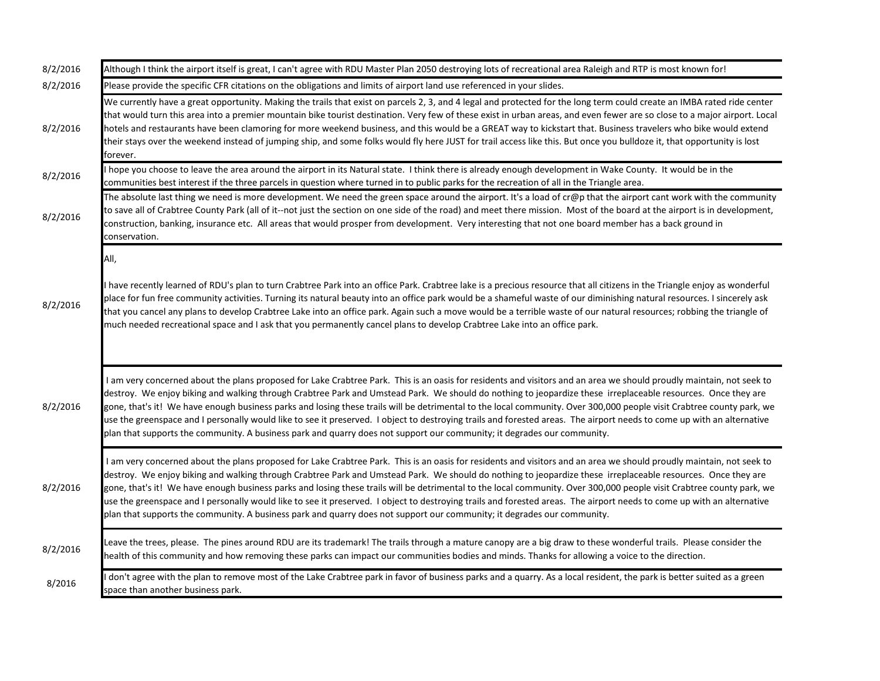| 8/2/2016 | Although I think the airport itself is great, I can't agree with RDU Master Plan 2050 destroying lots of recreational area Raleigh and RTP is most known for!                                                                                                                                                                                                                                                                                                                                                                                                                                                                                                                                                                                                                                                      |
|----------|--------------------------------------------------------------------------------------------------------------------------------------------------------------------------------------------------------------------------------------------------------------------------------------------------------------------------------------------------------------------------------------------------------------------------------------------------------------------------------------------------------------------------------------------------------------------------------------------------------------------------------------------------------------------------------------------------------------------------------------------------------------------------------------------------------------------|
| 8/2/2016 | Please provide the specific CFR citations on the obligations and limits of airport land use referenced in your slides.                                                                                                                                                                                                                                                                                                                                                                                                                                                                                                                                                                                                                                                                                             |
| 8/2/2016 | We currently have a great opportunity. Making the trails that exist on parcels 2, 3, and 4 legal and protected for the long term could create an IMBA rated ride center<br>that would turn this area into a premier mountain bike tourist destination. Very few of these exist in urban areas, and even fewer are so close to a major airport. Local<br>hotels and restaurants have been clamoring for more weekend business, and this would be a GREAT way to kickstart that. Business travelers who bike would extend<br>their stays over the weekend instead of jumping ship, and some folks would fly here JUST for trail access like this. But once you bulldoze it, that opportunity is lost<br>forever.                                                                                                     |
| 8/2/2016 | hope you choose to leave the area around the airport in its Natural state. I think there is already enough development in Wake County. It would be in the<br>communities best interest if the three parcels in question where turned in to public parks for the recreation of all in the Triangle area.                                                                                                                                                                                                                                                                                                                                                                                                                                                                                                            |
| 8/2/2016 | The absolute last thing we need is more development. We need the green space around the airport. It's a load of cr@p that the airport cant work with the community<br>to save all of Crabtree County Park (all of it--not just the section on one side of the road) and meet there mission. Most of the board at the airport is in development,<br>construction, banking, insurance etc. All areas that would prosper from development. Very interesting that not one board member has a back ground in<br>conservation.                                                                                                                                                                                                                                                                                           |
|          | All,                                                                                                                                                                                                                                                                                                                                                                                                                                                                                                                                                                                                                                                                                                                                                                                                               |
| 8/2/2016 | have recently learned of RDU's plan to turn Crabtree Park into an office Park. Crabtree lake is a precious resource that all citizens in the Triangle enjoy as wonderful<br>place for fun free community activities. Turning its natural beauty into an office park would be a shameful waste of our diminishing natural resources. I sincerely ask<br>that you cancel any plans to develop Crabtree Lake into an office park. Again such a move would be a terrible waste of our natural resources; robbing the triangle of<br>much needed recreational space and I ask that you permanently cancel plans to develop Crabtree Lake into an office park.                                                                                                                                                           |
| 8/2/2016 | I am very concerned about the plans proposed for Lake Crabtree Park. This is an oasis for residents and visitors and an area we should proudly maintain, not seek to<br>destroy. We enjoy biking and walking through Crabtree Park and Umstead Park. We should do nothing to jeopardize these irreplaceable resources. Once they are<br>gone, that's it! We have enough business parks and losing these trails will be detrimental to the local community. Over 300,000 people visit Crabtree county park, we<br>use the greenspace and I personally would like to see it preserved. I object to destroying trails and forested areas. The airport needs to come up with an alternative<br>plan that supports the community. A business park and quarry does not support our community; it degrades our community. |
| 8/2/2016 | I am very concerned about the plans proposed for Lake Crabtree Park. This is an oasis for residents and visitors and an area we should proudly maintain, not seek to<br>destroy. We enjoy biking and walking through Crabtree Park and Umstead Park. We should do nothing to jeopardize these irreplaceable resources. Once they are<br>gone, that's it! We have enough business parks and losing these trails will be detrimental to the local community. Over 300,000 people visit Crabtree county park, we<br>use the greenspace and I personally would like to see it preserved. I object to destroying trails and forested areas. The airport needs to come up with an alternative<br>plan that supports the community. A business park and quarry does not support our community; it degrades our community. |
| 8/2/2016 | Leave the trees, please. The pines around RDU are its trademark! The trails through a mature canopy are a big draw to these wonderful trails. Please consider the<br>health of this community and how removing these parks can impact our communities bodies and minds. Thanks for allowing a voice to the direction.                                                                                                                                                                                                                                                                                                                                                                                                                                                                                              |
| 8/2016   | don't agree with the plan to remove most of the Lake Crabtree park in favor of business parks and a quarry. As a local resident, the park is better suited as a green<br>space than another business park.                                                                                                                                                                                                                                                                                                                                                                                                                                                                                                                                                                                                         |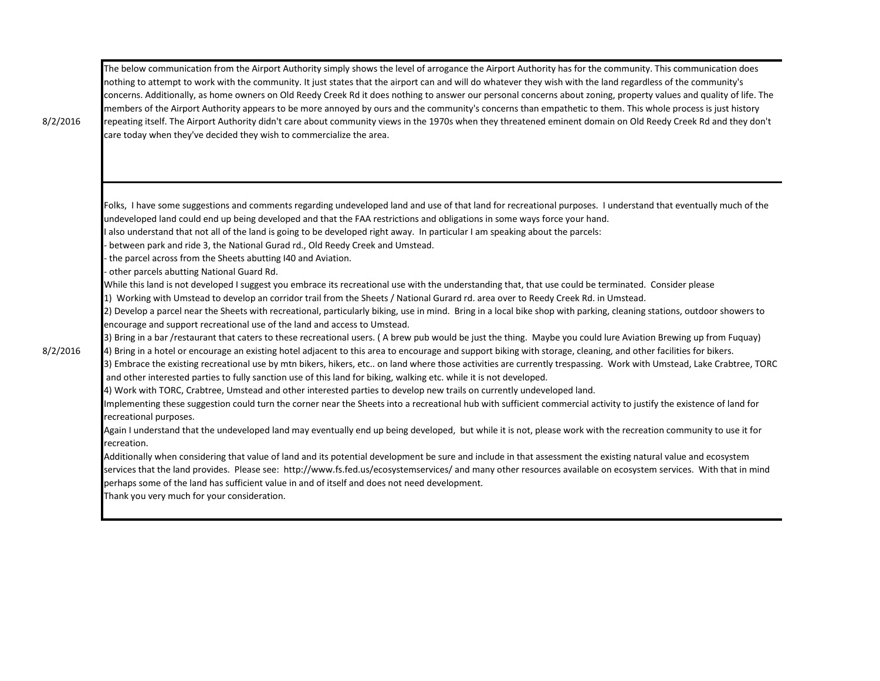| 8/2/2016 | The below communication from the Airport Authority simply shows the level of arrogance the Airport Authority has for the community. This communication does<br>nothing to attempt to work with the community. It just states that the airport can and will do whatever they wish with the land regardless of the community's<br>concerns. Additionally, as home owners on Old Reedy Creek Rd it does nothing to answer our personal concerns about zoning, property values and quality of life. The<br>members of the Airport Authority appears to be more annoyed by ours and the community's concerns than empathetic to them. This whole process is just history<br>repeating itself. The Airport Authority didn't care about community views in the 1970s when they threatened eminent domain on Old Reedy Creek Rd and they don't<br>care today when they've decided they wish to commercialize the area.                                                                                                                                                                                                                                                                                                                                                                                                                                                                                                                                                                                                                                                                                                                                                                                                                                                                                                                                                                                                                                                                                                                                                                                                                                                                                                                                                                                                                                                                                                                                                                                                                                                                                                                                                                                                                                                                                                                    |
|----------|-----------------------------------------------------------------------------------------------------------------------------------------------------------------------------------------------------------------------------------------------------------------------------------------------------------------------------------------------------------------------------------------------------------------------------------------------------------------------------------------------------------------------------------------------------------------------------------------------------------------------------------------------------------------------------------------------------------------------------------------------------------------------------------------------------------------------------------------------------------------------------------------------------------------------------------------------------------------------------------------------------------------------------------------------------------------------------------------------------------------------------------------------------------------------------------------------------------------------------------------------------------------------------------------------------------------------------------------------------------------------------------------------------------------------------------------------------------------------------------------------------------------------------------------------------------------------------------------------------------------------------------------------------------------------------------------------------------------------------------------------------------------------------------------------------------------------------------------------------------------------------------------------------------------------------------------------------------------------------------------------------------------------------------------------------------------------------------------------------------------------------------------------------------------------------------------------------------------------------------------------------------------------------------------------------------------------------------------------------------------------------------------------------------------------------------------------------------------------------------------------------------------------------------------------------------------------------------------------------------------------------------------------------------------------------------------------------------------------------------------------------------------------------------------------------------------------------------|
| 8/2/2016 | Folks, I have some suggestions and comments regarding undeveloped land and use of that land for recreational purposes. I understand that eventually much of the<br>undeveloped land could end up being developed and that the FAA restrictions and obligations in some ways force your hand.<br>also understand that not all of the land is going to be developed right away. In particular I am speaking about the parcels:<br>between park and ride 3, the National Gurad rd., Old Reedy Creek and Umstead.<br>the parcel across from the Sheets abutting I40 and Aviation.<br>other parcels abutting National Guard Rd.<br>While this land is not developed I suggest you embrace its recreational use with the understanding that, that use could be terminated. Consider please<br>1) Working with Umstead to develop an corridor trail from the Sheets / National Gurard rd. area over to Reedy Creek Rd. in Umstead.<br>2) Develop a parcel near the Sheets with recreational, particularly biking, use in mind. Bring in a local bike shop with parking, cleaning stations, outdoor showers to<br>encourage and support recreational use of the land and access to Umstead.<br>3) Bring in a bar /restaurant that caters to these recreational users. (A brew pub would be just the thing. Maybe you could lure Aviation Brewing up from Fuquay)<br>4) Bring in a hotel or encourage an existing hotel adjacent to this area to encourage and support biking with storage, cleaning, and other facilities for bikers.<br>3) Embrace the existing recreational use by mtn bikers, hikers, etc on land where those activities are currently trespassing. Work with Umstead, Lake Crabtree, TORC<br>and other interested parties to fully sanction use of this land for biking, walking etc. while it is not developed.<br>4) Work with TORC, Crabtree, Umstead and other interested parties to develop new trails on currently undeveloped land.<br>Implementing these suggestion could turn the corner near the Sheets into a recreational hub with sufficient commercial activity to justify the existence of land for<br>recreational purposes.<br>Again I understand that the undeveloped land may eventually end up being developed, but while it is not, please work with the recreation community to use it for<br>recreation.<br>Additionally when considering that value of land and its potential development be sure and include in that assessment the existing natural value and ecosystem<br>services that the land provides. Please see: http://www.fs.fed.us/ecosystemservices/ and many other resources available on ecosystem services. With that in mind<br>perhaps some of the land has sufficient value in and of itself and does not need development.<br>Thank you very much for your consideration. |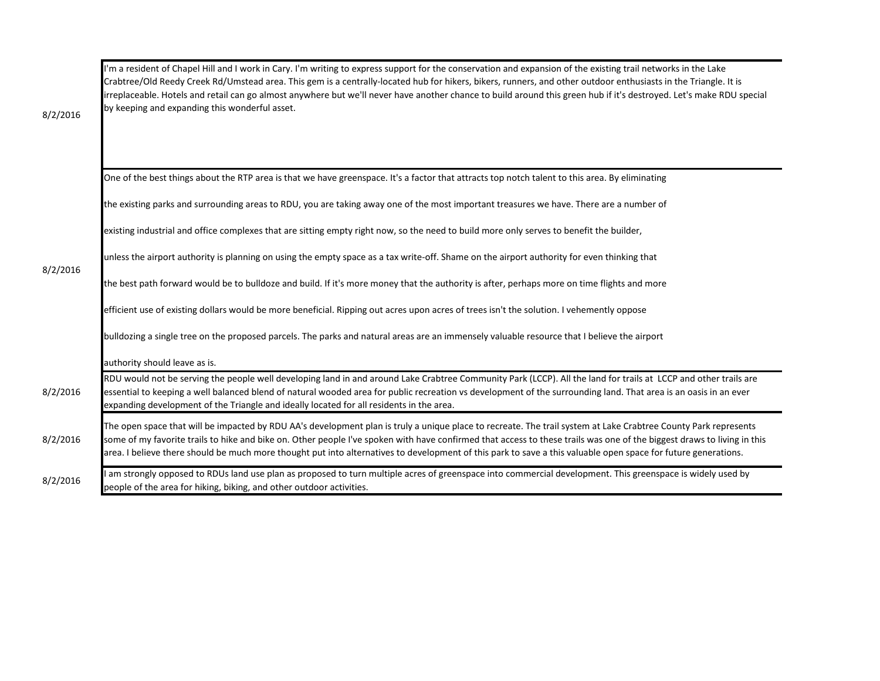| 8/2/2016 | I'm a resident of Chapel Hill and I work in Cary. I'm writing to express support for the conservation and expansion of the existing trail networks in the Lake<br>Crabtree/Old Reedy Creek Rd/Umstead area. This gem is a centrally-located hub for hikers, bikers, runners, and other outdoor enthusiasts in the Triangle. It is<br>irreplaceable. Hotels and retail can go almost anywhere but we'll never have another chance to build around this green hub if it's destroyed. Let's make RDU special<br>by keeping and expanding this wonderful asset. |
|----------|-------------------------------------------------------------------------------------------------------------------------------------------------------------------------------------------------------------------------------------------------------------------------------------------------------------------------------------------------------------------------------------------------------------------------------------------------------------------------------------------------------------------------------------------------------------|
|          | One of the best things about the RTP area is that we have greenspace. It's a factor that attracts top notch talent to this area. By eliminating                                                                                                                                                                                                                                                                                                                                                                                                             |
|          | the existing parks and surrounding areas to RDU, you are taking away one of the most important treasures we have. There are a number of                                                                                                                                                                                                                                                                                                                                                                                                                     |
|          | existing industrial and office complexes that are sitting empty right now, so the need to build more only serves to benefit the builder,                                                                                                                                                                                                                                                                                                                                                                                                                    |
|          | unless the airport authority is planning on using the empty space as a tax write-off. Shame on the airport authority for even thinking that                                                                                                                                                                                                                                                                                                                                                                                                                 |
| 8/2/2016 | the best path forward would be to bulldoze and build. If it's more money that the authority is after, perhaps more on time flights and more                                                                                                                                                                                                                                                                                                                                                                                                                 |
|          | efficient use of existing dollars would be more beneficial. Ripping out acres upon acres of trees isn't the solution. I vehemently oppose                                                                                                                                                                                                                                                                                                                                                                                                                   |
|          | bulldozing a single tree on the proposed parcels. The parks and natural areas are an immensely valuable resource that I believe the airport                                                                                                                                                                                                                                                                                                                                                                                                                 |
|          | authority should leave as is.                                                                                                                                                                                                                                                                                                                                                                                                                                                                                                                               |
| 8/2/2016 | RDU would not be serving the people well developing land in and around Lake Crabtree Community Park (LCCP). All the land for trails at LCCP and other trails are<br>essential to keeping a well balanced blend of natural wooded area for public recreation vs development of the surrounding land. That area is an oasis in an ever<br>expanding development of the Triangle and ideally located for all residents in the area.                                                                                                                            |
| 8/2/2016 | The open space that will be impacted by RDU AA's development plan is truly a unique place to recreate. The trail system at Lake Crabtree County Park represents<br>some of my favorite trails to hike and bike on. Other people I've spoken with have confirmed that access to these trails was one of the biggest draws to living in this<br>area. I believe there should be much more thought put into alternatives to development of this park to save a this valuable open space for future generations.                                                |
| 8/2/2016 | am strongly opposed to RDUs land use plan as proposed to turn multiple acres of greenspace into commercial development. This greenspace is widely used by<br>people of the area for hiking, biking, and other outdoor activities.                                                                                                                                                                                                                                                                                                                           |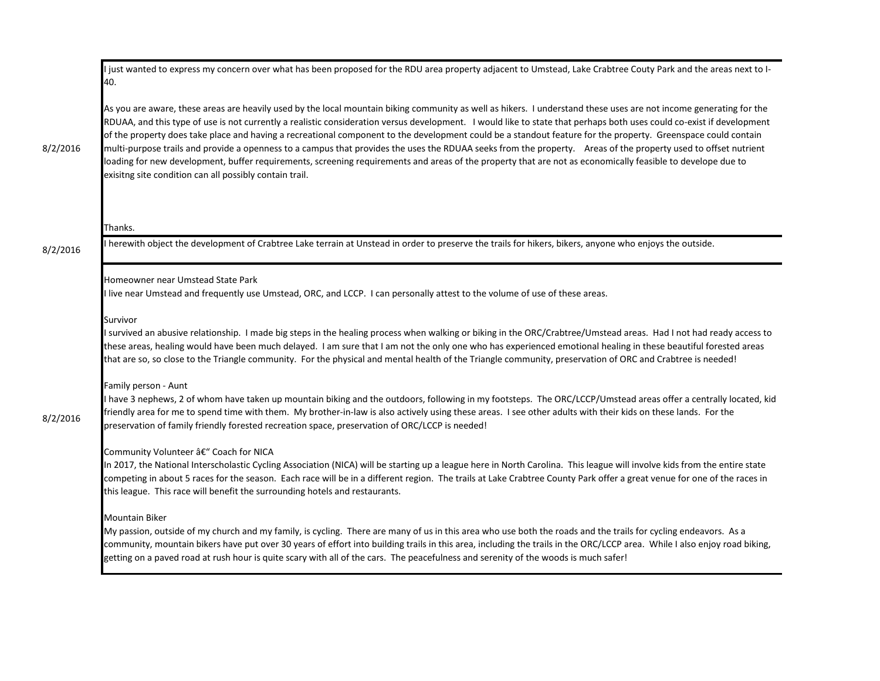|          | just wanted to express my concern over what has been proposed for the RDU area property adjacent to Umstead, Lake Crabtree Couty Park and the areas next to I-<br>40.                                                                                                                                                                                                                                                                                                                                                                                                                                                                                                                                                                                                                                                                                                                                     |
|----------|-----------------------------------------------------------------------------------------------------------------------------------------------------------------------------------------------------------------------------------------------------------------------------------------------------------------------------------------------------------------------------------------------------------------------------------------------------------------------------------------------------------------------------------------------------------------------------------------------------------------------------------------------------------------------------------------------------------------------------------------------------------------------------------------------------------------------------------------------------------------------------------------------------------|
| 8/2/2016 | As you are aware, these areas are heavily used by the local mountain biking community as well as hikers. I understand these uses are not income generating for the<br>RDUAA, and this type of use is not currently a realistic consideration versus development. I would like to state that perhaps both uses could co-exist if development<br>of the property does take place and having a recreational component to the development could be a standout feature for the property. Greenspace could contain<br>multi-purpose trails and provide a openness to a campus that provides the uses the RDUAA seeks from the property. Areas of the property used to offset nutrient<br>loading for new development, buffer requirements, screening requirements and areas of the property that are not as economically feasible to develope due to<br>exisitng site condition can all possibly contain trail. |
|          | Thanks.                                                                                                                                                                                                                                                                                                                                                                                                                                                                                                                                                                                                                                                                                                                                                                                                                                                                                                   |
| 8/2/2016 | herewith object the development of Crabtree Lake terrain at Unstead in order to preserve the trails for hikers, bikers, anyone who enjoys the outside.                                                                                                                                                                                                                                                                                                                                                                                                                                                                                                                                                                                                                                                                                                                                                    |
|          | Homeowner near Umstead State Park<br>live near Umstead and frequently use Umstead, ORC, and LCCP. I can personally attest to the volume of use of these areas.                                                                                                                                                                                                                                                                                                                                                                                                                                                                                                                                                                                                                                                                                                                                            |
|          | Survivor<br>I survived an abusive relationship. I made big steps in the healing process when walking or biking in the ORC/Crabtree/Umstead areas. Had I not had ready access to<br>these areas, healing would have been much delayed. I am sure that I am not the only one who has experienced emotional healing in these beautiful forested areas<br>that are so, so close to the Triangle community. For the physical and mental health of the Triangle community, preservation of ORC and Crabtree is needed!                                                                                                                                                                                                                                                                                                                                                                                          |
| 8/2/2016 | Family person - Aunt<br>have 3 nephews, 2 of whom have taken up mountain biking and the outdoors, following in my footsteps. The ORC/LCCP/Umstead areas offer a centrally located, kid<br>friendly area for me to spend time with them. My brother-in-law is also actively using these areas. I see other adults with their kids on these lands. For the<br>preservation of family friendly forested recreation space, preservation of ORC/LCCP is needed!                                                                                                                                                                                                                                                                                                                                                                                                                                                |
|          | Community Volunteer â€" Coach for NICA<br>In 2017, the National Interscholastic Cycling Association (NICA) will be starting up a league here in North Carolina. This league will involve kids from the entire state<br>competing in about 5 races for the season. Each race will be in a different region. The trails at Lake Crabtree County Park offer a great venue for one of the races in<br>this league. This race will benefit the surrounding hotels and restaurants.                                                                                                                                                                                                                                                                                                                                                                                                                             |
|          | Mountain Biker<br>My passion, outside of my church and my family, is cycling. There are many of us in this area who use both the roads and the trails for cycling endeavors. As a<br>community, mountain bikers have put over 30 years of effort into building trails in this area, including the trails in the ORC/LCCP area. While I also enjoy road biking,<br>getting on a paved road at rush hour is quite scary with all of the cars. The peacefulness and serenity of the woods is much safer!                                                                                                                                                                                                                                                                                                                                                                                                     |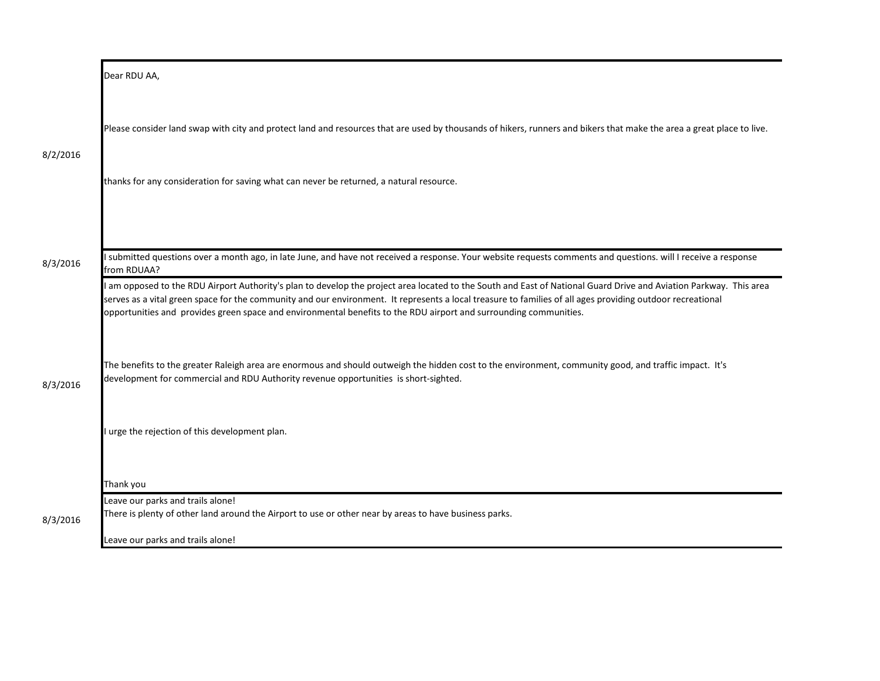|          | Dear RDU AA,                                                                                                                                                                                                                                                                                                                                         |
|----------|------------------------------------------------------------------------------------------------------------------------------------------------------------------------------------------------------------------------------------------------------------------------------------------------------------------------------------------------------|
| 8/2/2016 | Please consider land swap with city and protect land and resources that are used by thousands of hikers, runners and bikers that make the area a great place to live.<br>thanks for any consideration for saving what can never be returned, a natural resource.                                                                                     |
| 8/3/2016 | I submitted questions over a month ago, in late June, and have not received a response. Your website requests comments and questions. will I receive a response<br>from RDUAA?<br>I am opposed to the RDU Airport Authority's plan to develop the project area located to the South and East of National Guard Drive and Aviation Parkway. This area |
|          | serves as a vital green space for the community and our environment. It represents a local treasure to families of all ages providing outdoor recreational<br>opportunities and provides green space and environmental benefits to the RDU airport and surrounding communities.                                                                      |
| 8/3/2016 | The benefits to the greater Raleigh area are enormous and should outweigh the hidden cost to the environment, community good, and traffic impact. It's<br>development for commercial and RDU Authority revenue opportunities is short-sighted.                                                                                                       |
|          | I urge the rejection of this development plan.                                                                                                                                                                                                                                                                                                       |
|          | Thank you                                                                                                                                                                                                                                                                                                                                            |
| 8/3/2016 | Leave our parks and trails alone!<br>There is plenty of other land around the Airport to use or other near by areas to have business parks.                                                                                                                                                                                                          |
|          | Leave our parks and trails alone!                                                                                                                                                                                                                                                                                                                    |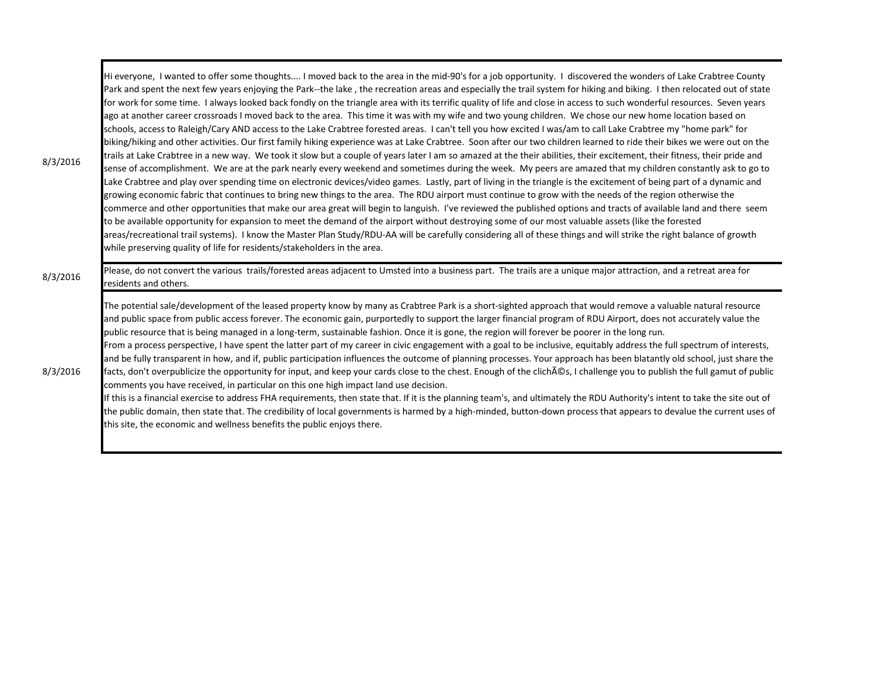| 8/3/2016 | Hi everyone, I wanted to offer some thoughts I moved back to the area in the mid-90's for a job opportunity. I discovered the wonders of Lake Crabtree County<br>Park and spent the next few years enjoying the Park--the lake, the recreation areas and especially the trail system for hiking and biking. I then relocated out of state<br>for work for some time. I always looked back fondly on the triangle area with its terrific quality of life and close in access to such wonderful resources. Seven years<br>ago at another career crossroads I moved back to the area. This time it was with my wife and two young children. We chose our new home location based on<br>schools, access to Raleigh/Cary AND access to the Lake Crabtree forested areas. I can't tell you how excited I was/am to call Lake Crabtree my "home park" for<br>biking/hiking and other activities. Our first family hiking experience was at Lake Crabtree. Soon after our two children learned to ride their bikes we were out on the<br>trails at Lake Crabtree in a new way. We took it slow but a couple of years later I am so amazed at the their abilities, their excitement, their fitness, their pride and<br>sense of accomplishment. We are at the park nearly every weekend and sometimes during the week. My peers are amazed that my children constantly ask to go to<br>Lake Crabtree and play over spending time on electronic devices/video games. Lastly, part of living in the triangle is the excitement of being part of a dynamic and<br>growing economic fabric that continues to bring new things to the area. The RDU airport must continue to grow with the needs of the region otherwise the<br>commerce and other opportunities that make our area great will begin to languish. I've reviewed the published options and tracts of available land and there seem<br>to be available opportunity for expansion to meet the demand of the airport without destroying some of our most valuable assets (like the forested<br>areas/recreational trail systems). I know the Master Plan Study/RDU-AA will be carefully considering all of these things and will strike the right balance of growth<br>while preserving quality of life for residents/stakeholders in the area. |
|----------|-----------------------------------------------------------------------------------------------------------------------------------------------------------------------------------------------------------------------------------------------------------------------------------------------------------------------------------------------------------------------------------------------------------------------------------------------------------------------------------------------------------------------------------------------------------------------------------------------------------------------------------------------------------------------------------------------------------------------------------------------------------------------------------------------------------------------------------------------------------------------------------------------------------------------------------------------------------------------------------------------------------------------------------------------------------------------------------------------------------------------------------------------------------------------------------------------------------------------------------------------------------------------------------------------------------------------------------------------------------------------------------------------------------------------------------------------------------------------------------------------------------------------------------------------------------------------------------------------------------------------------------------------------------------------------------------------------------------------------------------------------------------------------------------------------------------------------------------------------------------------------------------------------------------------------------------------------------------------------------------------------------------------------------------------------------------------------------------------------------------------------------------------------------------------------------------------------------------------------------------------------------------------------------------------|
| 8/3/2016 | Please, do not convert the various trails/forested areas adjacent to Umsted into a business part. The trails are a unique major attraction, and a retreat area for<br>residents and others.                                                                                                                                                                                                                                                                                                                                                                                                                                                                                                                                                                                                                                                                                                                                                                                                                                                                                                                                                                                                                                                                                                                                                                                                                                                                                                                                                                                                                                                                                                                                                                                                                                                                                                                                                                                                                                                                                                                                                                                                                                                                                                   |
| 8/3/2016 | The potential sale/development of the leased property know by many as Crabtree Park is a short-sighted approach that would remove a valuable natural resource<br>and public space from public access forever. The economic gain, purportedly to support the larger financial program of RDU Airport, does not accurately value the<br>public resource that is being managed in a long-term, sustainable fashion. Once it is gone, the region will forever be poorer in the long run.<br>From a process perspective, I have spent the latter part of my career in civic engagement with a goal to be inclusive, equitably address the full spectrum of interests,<br>and be fully transparent in how, and if, public participation influences the outcome of planning processes. Your approach has been blatantly old school, just share the<br>facts, don't overpublicize the opportunity for input, and keep your cards close to the chest. Enough of the clich AOs, I challenge you to publish the full gamut of public<br>comments you have received, in particular on this one high impact land use decision.<br>If this is a financial exercise to address FHA requirements, then state that. If it is the planning team's, and ultimately the RDU Authority's intent to take the site out of<br>the public domain, then state that. The credibility of local governments is harmed by a high-minded, button-down process that appears to devalue the current uses of<br>this site, the economic and wellness benefits the public enjoys there.                                                                                                                                                                                                                                                                                                                                                                                                                                                                                                                                                                                                                                                                                                                                          |

 $\mathbf{r}$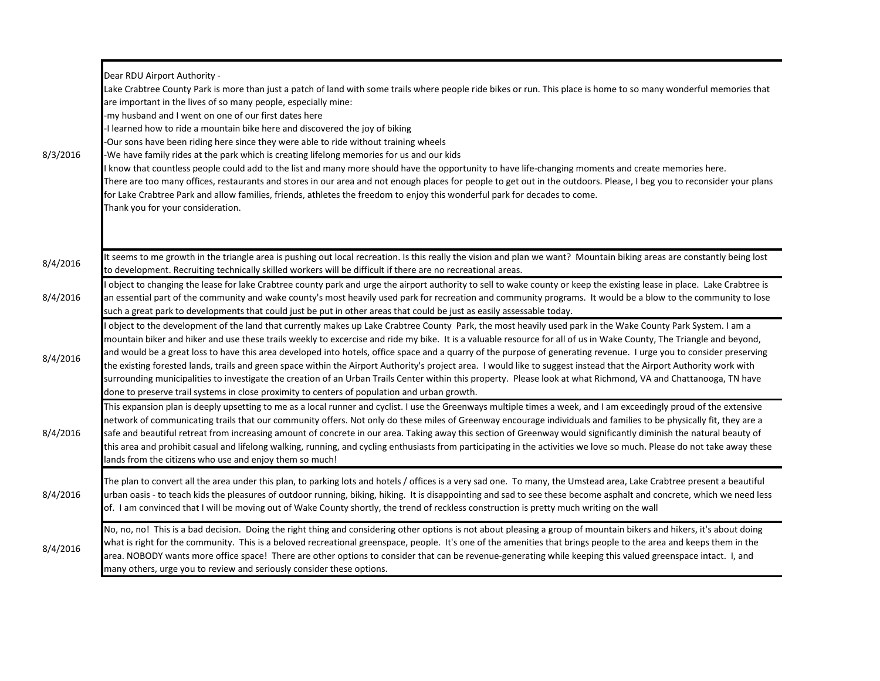| 8/3/2016 | Dear RDU Airport Authority -<br>Lake Crabtree County Park is more than just a patch of land with some trails where people ride bikes or run. This place is home to so many wonderful memories that<br>are important in the lives of so many people, especially mine:<br>-my husband and I went on one of our first dates here<br>I learned how to ride a mountain bike here and discovered the joy of biking<br>-Our sons have been riding here since they were able to ride without training wheels<br>We have family rides at the park which is creating lifelong memories for us and our kids<br>know that countless people could add to the list and many more should have the opportunity to have life-changing moments and create memories here.<br>There are too many offices, restaurants and stores in our area and not enough places for people to get out in the outdoors. Please, I beg you to reconsider your plans<br>for Lake Crabtree Park and allow families, friends, athletes the freedom to enjoy this wonderful park for decades to come.<br>Thank you for your consideration. |
|----------|-----------------------------------------------------------------------------------------------------------------------------------------------------------------------------------------------------------------------------------------------------------------------------------------------------------------------------------------------------------------------------------------------------------------------------------------------------------------------------------------------------------------------------------------------------------------------------------------------------------------------------------------------------------------------------------------------------------------------------------------------------------------------------------------------------------------------------------------------------------------------------------------------------------------------------------------------------------------------------------------------------------------------------------------------------------------------------------------------------|
| 8/4/2016 | It seems to me growth in the triangle area is pushing out local recreation. Is this really the vision and plan we want? Mountain biking areas are constantly being lost<br>to development. Recruiting technically skilled workers will be difficult if there are no recreational areas.                                                                                                                                                                                                                                                                                                                                                                                                                                                                                                                                                                                                                                                                                                                                                                                                             |
| 8/4/2016 | object to changing the lease for lake Crabtree county park and urge the airport authority to sell to wake county or keep the existing lease in place. Lake Crabtree is<br>an essential part of the community and wake county's most heavily used park for recreation and community programs. It would be a blow to the community to lose<br>such a great park to developments that could just be put in other areas that could be just as easily assessable today.                                                                                                                                                                                                                                                                                                                                                                                                                                                                                                                                                                                                                                  |
| 8/4/2016 | object to the development of the land that currently makes up Lake Crabtree County Park, the most heavily used park in the Wake County Park System. I am a<br>mountain biker and hiker and use these trails weekly to excercise and ride my bike. It is a valuable resource for all of us in Wake County, The Triangle and beyond,<br>and would be a great loss to have this area developed into hotels, office space and a quarry of the purpose of generating revenue. I urge you to consider preserving<br>the existing forested lands, trails and green space within the Airport Authority's project area. I would like to suggest instead that the Airport Authority work with<br>surrounding municipalities to investigate the creation of an Urban Trails Center within this property. Please look at what Richmond, VA and Chattanooga, TN have<br>done to preserve trail systems in close proximity to centers of population and urban growth.                                                                                                                                             |
| 8/4/2016 | This expansion plan is deeply upsetting to me as a local runner and cyclist. I use the Greenways multiple times a week, and I am exceedingly proud of the extensive<br>network of communicating trails that our community offers. Not only do these miles of Greenway encourage individuals and families to be physically fit, they are a<br>safe and beautiful retreat from increasing amount of concrete in our area. Taking away this section of Greenway would significantly diminish the natural beauty of<br>this area and prohibit casual and lifelong walking, running, and cycling enthusiasts from participating in the activities we love so much. Please do not take away these<br>lands from the citizens who use and enjoy them so much!                                                                                                                                                                                                                                                                                                                                              |
| 8/4/2016 | The plan to convert all the area under this plan, to parking lots and hotels / offices is a very sad one. To many, the Umstead area, Lake Crabtree present a beautiful<br>urban oasis - to teach kids the pleasures of outdoor running, biking, hiking. It is disappointing and sad to see these become asphalt and concrete, which we need less<br>of. I am convinced that I will be moving out of Wake County shortly, the trend of reckless construction is pretty much writing on the wall                                                                                                                                                                                                                                                                                                                                                                                                                                                                                                                                                                                                      |
| 8/4/2016 | No, no, no! This is a bad decision. Doing the right thing and considering other options is not about pleasing a group of mountain bikers and hikers, it's about doing<br>what is right for the community. This is a beloved recreational greenspace, people. It's one of the amenities that brings people to the area and keeps them in the<br>area. NOBODY wants more office space! There are other options to consider that can be revenue-generating while keeping this valued greenspace intact. I, and<br>many others, urge you to review and seriously consider these options.                                                                                                                                                                                                                                                                                                                                                                                                                                                                                                                |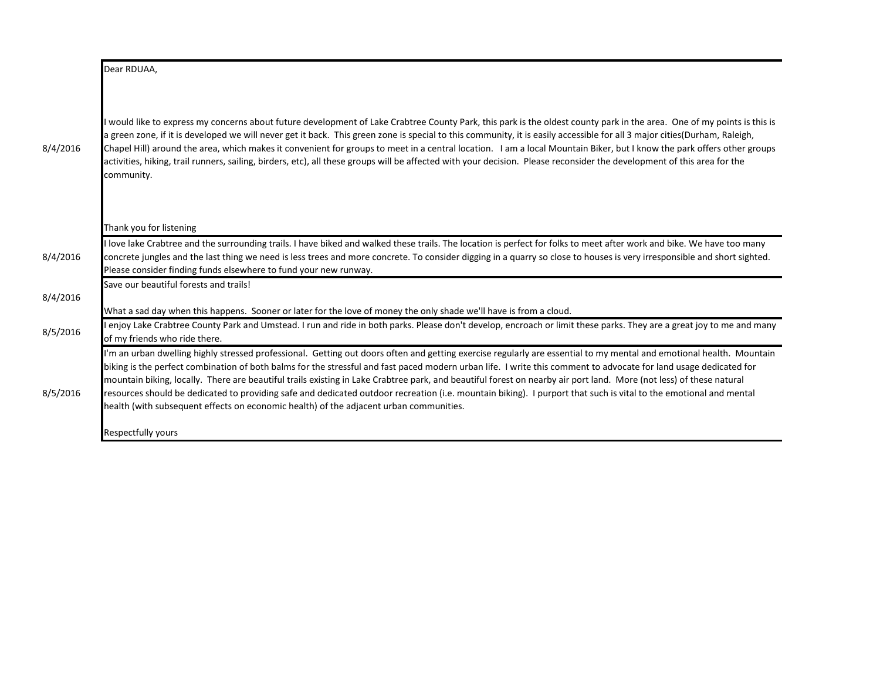|          | Dear RDUAA,                                                                                                                                                                                                                                                                                                                                                                                                                                                                                                                                                                                                                                                                                                                                                                    |
|----------|--------------------------------------------------------------------------------------------------------------------------------------------------------------------------------------------------------------------------------------------------------------------------------------------------------------------------------------------------------------------------------------------------------------------------------------------------------------------------------------------------------------------------------------------------------------------------------------------------------------------------------------------------------------------------------------------------------------------------------------------------------------------------------|
| 8/4/2016 | I would like to express my concerns about future development of Lake Crabtree County Park, this park is the oldest county park in the area. One of my points is this is<br>a green zone, if it is developed we will never get it back. This green zone is special to this community, it is easily accessible for all 3 major cities(Durham, Raleigh,<br>Chapel Hill) around the area, which makes it convenient for groups to meet in a central location. I am a local Mountain Biker, but I know the park offers other groups<br>activities, hiking, trail runners, sailing, birders, etc), all these groups will be affected with your decision. Please reconsider the development of this area for the<br>community.                                                        |
|          | Thank you for listening                                                                                                                                                                                                                                                                                                                                                                                                                                                                                                                                                                                                                                                                                                                                                        |
| 8/4/2016 | I love lake Crabtree and the surrounding trails. I have biked and walked these trails. The location is perfect for folks to meet after work and bike. We have too many<br>concrete jungles and the last thing we need is less trees and more concrete. To consider digging in a quarry so close to houses is very irresponsible and short sighted.<br>Please consider finding funds elsewhere to fund your new runway.                                                                                                                                                                                                                                                                                                                                                         |
| 8/4/2016 | Save our beautiful forests and trails!                                                                                                                                                                                                                                                                                                                                                                                                                                                                                                                                                                                                                                                                                                                                         |
|          | What a sad day when this happens. Sooner or later for the love of money the only shade we'll have is from a cloud.                                                                                                                                                                                                                                                                                                                                                                                                                                                                                                                                                                                                                                                             |
| 8/5/2016 | enjoy Lake Crabtree County Park and Umstead. I run and ride in both parks. Please don't develop, encroach or limit these parks. They are a great joy to me and many<br>of my friends who ride there.                                                                                                                                                                                                                                                                                                                                                                                                                                                                                                                                                                           |
| 8/5/2016 | "m an urban dwelling highly stressed professional. Getting out doors often and getting exercise regularly are essential to my mental and emotional health. Mountain<br>biking is the perfect combination of both balms for the stressful and fast paced modern urban life. I write this comment to advocate for land usage dedicated for<br>mountain biking, locally. There are beautiful trails existing in Lake Crabtree park, and beautiful forest on nearby air port land. More (not less) of these natural<br>resources should be dedicated to providing safe and dedicated outdoor recreation (i.e. mountain biking). I purport that such is vital to the emotional and mental<br>health (with subsequent effects on economic health) of the adjacent urban communities. |
|          | Respectfully yours                                                                                                                                                                                                                                                                                                                                                                                                                                                                                                                                                                                                                                                                                                                                                             |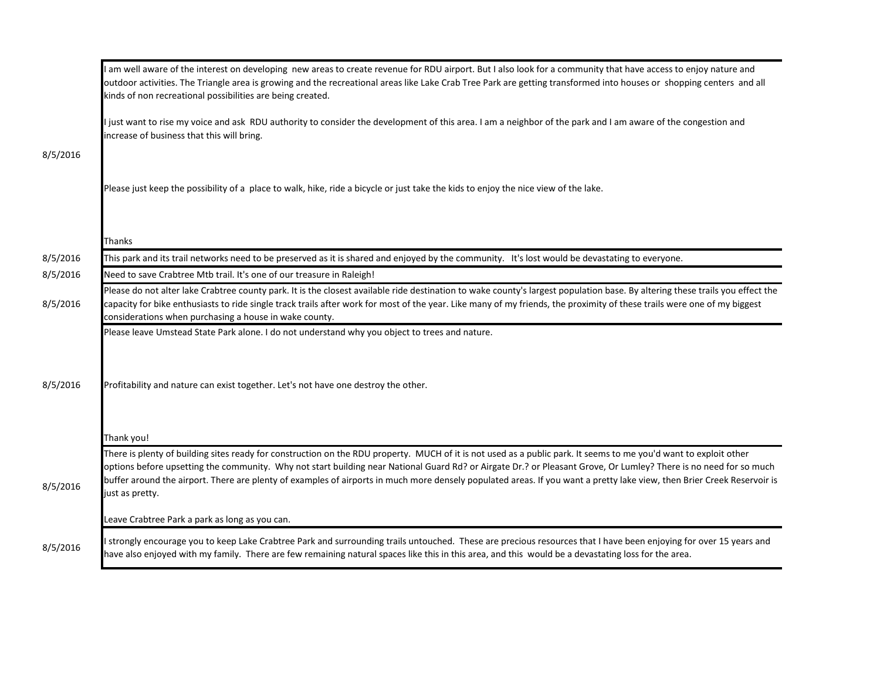|          | I am well aware of the interest on developing new areas to create revenue for RDU airport. But I also look for a community that have access to enjoy nature and<br>outdoor activities. The Triangle area is growing and the recreational areas like Lake Crab Tree Park are getting transformed into houses or shopping centers and all<br>kinds of non recreational possibilities are being created.                                                                                                                                |
|----------|--------------------------------------------------------------------------------------------------------------------------------------------------------------------------------------------------------------------------------------------------------------------------------------------------------------------------------------------------------------------------------------------------------------------------------------------------------------------------------------------------------------------------------------|
|          | just want to rise my voice and ask RDU authority to consider the development of this area. I am a neighbor of the park and I am aware of the congestion and<br>increase of business that this will bring.                                                                                                                                                                                                                                                                                                                            |
| 8/5/2016 |                                                                                                                                                                                                                                                                                                                                                                                                                                                                                                                                      |
|          | Please just keep the possibility of a place to walk, hike, ride a bicycle or just take the kids to enjoy the nice view of the lake.                                                                                                                                                                                                                                                                                                                                                                                                  |
|          | Thanks                                                                                                                                                                                                                                                                                                                                                                                                                                                                                                                               |
| 8/5/2016 | This park and its trail networks need to be preserved as it is shared and enjoyed by the community. It's lost would be devastating to everyone.                                                                                                                                                                                                                                                                                                                                                                                      |
| 8/5/2016 | Need to save Crabtree Mtb trail. It's one of our treasure in Raleigh!                                                                                                                                                                                                                                                                                                                                                                                                                                                                |
| 8/5/2016 | Please do not alter lake Crabtree county park. It is the closest available ride destination to wake county's largest population base. By altering these trails you effect the<br>capacity for bike enthusiasts to ride single track trails after work for most of the year. Like many of my friends, the proximity of these trails were one of my biggest<br>considerations when purchasing a house in wake county.                                                                                                                  |
|          | Please leave Umstead State Park alone. I do not understand why you object to trees and nature.                                                                                                                                                                                                                                                                                                                                                                                                                                       |
| 8/5/2016 | Profitability and nature can exist together. Let's not have one destroy the other.<br>Thank you!                                                                                                                                                                                                                                                                                                                                                                                                                                     |
| 8/5/2016 | There is plenty of building sites ready for construction on the RDU property. MUCH of it is not used as a public park. It seems to me you'd want to exploit other<br>options before upsetting the community. Why not start building near National Guard Rd? or Airgate Dr.? or Pleasant Grove, Or Lumley? There is no need for so much<br>buffer around the airport. There are plenty of examples of airports in much more densely populated areas. If you want a pretty lake view, then Brier Creek Reservoir is<br>just as pretty. |
|          | Leave Crabtree Park a park as long as you can.                                                                                                                                                                                                                                                                                                                                                                                                                                                                                       |
| 8/5/2016 | I strongly encourage you to keep Lake Crabtree Park and surrounding trails untouched. These are precious resources that I have been enjoying for over 15 years and<br>have also enjoyed with my family. There are few remaining natural spaces like this in this area, and this would be a devastating loss for the area.                                                                                                                                                                                                            |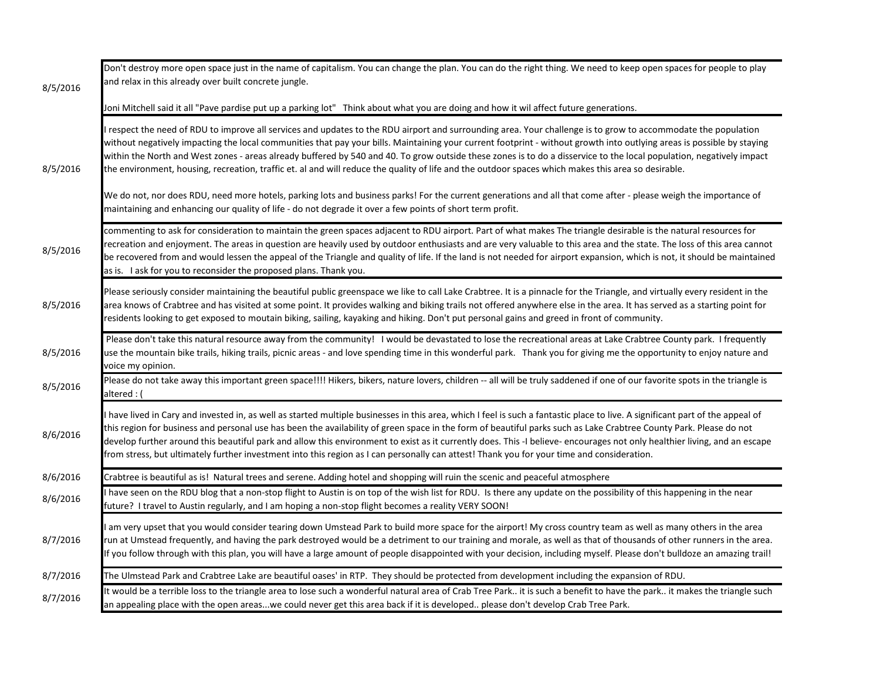| 8/5/2016 | Don't destroy more open space just in the name of capitalism. You can change the plan. You can do the right thing. We need to keep open spaces for people to play<br>and relax in this already over built concrete jungle.                                                                                                                                                                                                                                                                                                                                                                                                                                                    |
|----------|-------------------------------------------------------------------------------------------------------------------------------------------------------------------------------------------------------------------------------------------------------------------------------------------------------------------------------------------------------------------------------------------------------------------------------------------------------------------------------------------------------------------------------------------------------------------------------------------------------------------------------------------------------------------------------|
|          | Joni Mitchell said it all "Pave pardise put up a parking lot" Think about what you are doing and how it wil affect future generations.                                                                                                                                                                                                                                                                                                                                                                                                                                                                                                                                        |
| 8/5/2016 | respect the need of RDU to improve all services and updates to the RDU airport and surrounding area. Your challenge is to grow to accommodate the population<br>without negatively impacting the local communities that pay your bills. Maintaining your current footprint - without growth into outlying areas is possible by staying<br>within the North and West zones - areas already buffered by 540 and 40. To grow outside these zones is to do a disservice to the local population, negatively impact<br>the environment, housing, recreation, traffic et. al and will reduce the quality of life and the outdoor spaces which makes this area so desirable.         |
|          | We do not, nor does RDU, need more hotels, parking lots and business parks! For the current generations and all that come after - please weigh the importance of<br>maintaining and enhancing our quality of life - do not degrade it over a few points of short term profit.                                                                                                                                                                                                                                                                                                                                                                                                 |
| 8/5/2016 | commenting to ask for consideration to maintain the green spaces adjacent to RDU airport. Part of what makes The triangle desirable is the natural resources for<br>recreation and enjoyment. The areas in question are heavily used by outdoor enthusiasts and are very valuable to this area and the state. The loss of this area cannot<br>be recovered from and would lessen the appeal of the Triangle and quality of life. If the land is not needed for airport expansion, which is not, it should be maintained<br>as is. I ask for you to reconsider the proposed plans. Thank you.                                                                                  |
| 8/5/2016 | Please seriously consider maintaining the beautiful public greenspace we like to call Lake Crabtree. It is a pinnacle for the Triangle, and virtually every resident in the<br>area knows of Crabtree and has visited at some point. It provides walking and biking trails not offered anywhere else in the area. It has served as a starting point for<br>residents looking to get exposed to moutain biking, sailing, kayaking and hiking. Don't put personal gains and greed in front of community.                                                                                                                                                                        |
| 8/5/2016 | Please don't take this natural resource away from the community! I would be devastated to lose the recreational areas at Lake Crabtree County park. I frequently<br>use the mountain bike trails, hiking trails, picnic areas - and love spending time in this wonderful park. Thank you for giving me the opportunity to enjoy nature and<br>voice my opinion.                                                                                                                                                                                                                                                                                                               |
| 8/5/2016 | Please do not take away this important green space!!!! Hikers, bikers, nature lovers, children -- all will be truly saddened if one of our favorite spots in the triangle is<br>altered : (                                                                                                                                                                                                                                                                                                                                                                                                                                                                                   |
| 8/6/2016 | have lived in Cary and invested in, as well as started multiple businesses in this area, which I feel is such a fantastic place to live. A significant part of the appeal of<br>this region for business and personal use has been the availability of green space in the form of beautiful parks such as Lake Crabtree County Park. Please do not<br>develop further around this beautiful park and allow this environment to exist as it currently does. This -I believe- encourages not only healthier living, and an escape<br>from stress, but ultimately further investment into this region as I can personally can attest! Thank you for your time and consideration. |
| 8/6/2016 | Crabtree is beautiful as is! Natural trees and serene. Adding hotel and shopping will ruin the scenic and peaceful atmosphere                                                                                                                                                                                                                                                                                                                                                                                                                                                                                                                                                 |
| 8/6/2016 | I have seen on the RDU blog that a non-stop flight to Austin is on top of the wish list for RDU. Is there any update on the possibility of this happening in the near<br>future? I travel to Austin regularly, and I am hoping a non-stop flight becomes a reality VERY SOON!                                                                                                                                                                                                                                                                                                                                                                                                 |
| 8/7/2016 | am very upset that you would consider tearing down Umstead Park to build more space for the airport! My cross country team as well as many others in the area<br>run at Umstead frequently, and having the park destroyed would be a detriment to our training and morale, as well as that of thousands of other runners in the area.<br>If you follow through with this plan, you will have a large amount of people disappointed with your decision, including myself. Please don't bulldoze an amazing trail!                                                                                                                                                              |
| 8/7/2016 | The Ulmstead Park and Crabtree Lake are beautiful oases' in RTP. They should be protected from development including the expansion of RDU.                                                                                                                                                                                                                                                                                                                                                                                                                                                                                                                                    |
| 8/7/2016 | It would be a terrible loss to the triangle area to lose such a wonderful natural area of Crab Tree Park it is such a benefit to have the park it makes the triangle such<br>an appealing place with the open areaswe could never get this area back if it is developed please don't develop Crab Tree Park.                                                                                                                                                                                                                                                                                                                                                                  |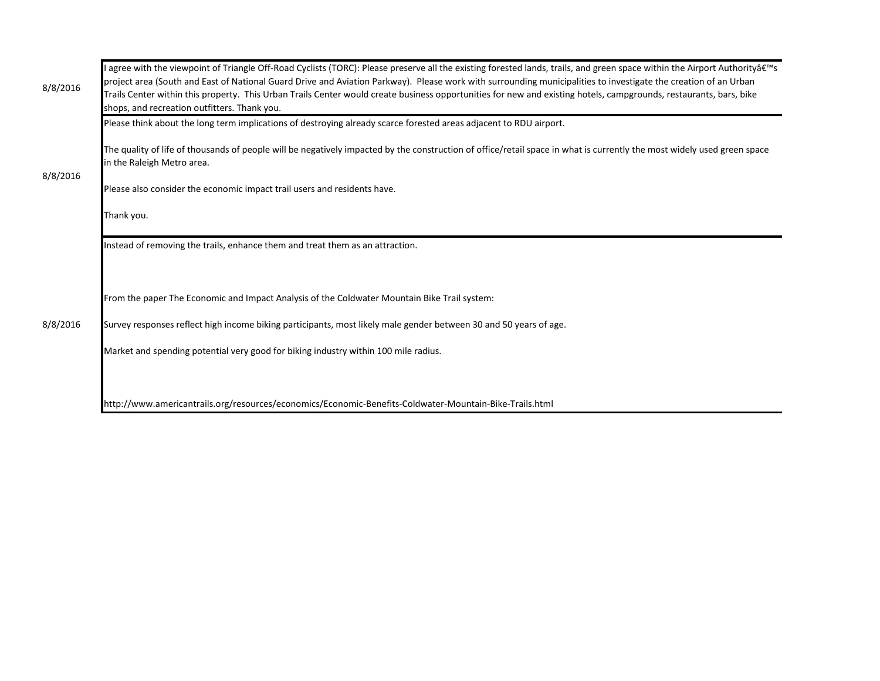| 8/8/2016 | I agree with the viewpoint of Triangle Off-Road Cyclists (TORC): Please preserve all the existing forested lands, trails, and green space within the Airport Authority's<br>project area (South and East of National Guard Drive and Aviation Parkway). Please work with surrounding municipalities to investigate the creation of an Urban<br>Trails Center within this property. This Urban Trails Center would create business opportunities for new and existing hotels, campgrounds, restaurants, bars, bike<br>shops, and recreation outfitters. Thank you. |
|----------|-------------------------------------------------------------------------------------------------------------------------------------------------------------------------------------------------------------------------------------------------------------------------------------------------------------------------------------------------------------------------------------------------------------------------------------------------------------------------------------------------------------------------------------------------------------------|
|          | Please think about the long term implications of destroying already scarce forested areas adjacent to RDU airport.                                                                                                                                                                                                                                                                                                                                                                                                                                                |
|          | The quality of life of thousands of people will be negatively impacted by the construction of office/retail space in what is currently the most widely used green space<br>in the Raleigh Metro area.                                                                                                                                                                                                                                                                                                                                                             |
| 8/8/2016 | Please also consider the economic impact trail users and residents have.                                                                                                                                                                                                                                                                                                                                                                                                                                                                                          |
|          | Thank you.                                                                                                                                                                                                                                                                                                                                                                                                                                                                                                                                                        |
|          | Instead of removing the trails, enhance them and treat them as an attraction.                                                                                                                                                                                                                                                                                                                                                                                                                                                                                     |
|          |                                                                                                                                                                                                                                                                                                                                                                                                                                                                                                                                                                   |
| 8/8/2016 | From the paper The Economic and Impact Analysis of the Coldwater Mountain Bike Trail system:                                                                                                                                                                                                                                                                                                                                                                                                                                                                      |
|          | Survey responses reflect high income biking participants, most likely male gender between 30 and 50 years of age.                                                                                                                                                                                                                                                                                                                                                                                                                                                 |
|          | Market and spending potential very good for biking industry within 100 mile radius.                                                                                                                                                                                                                                                                                                                                                                                                                                                                               |
|          |                                                                                                                                                                                                                                                                                                                                                                                                                                                                                                                                                                   |
|          | http://www.americantrails.org/resources/economics/Economic-Benefits-Coldwater-Mountain-Bike-Trails.html                                                                                                                                                                                                                                                                                                                                                                                                                                                           |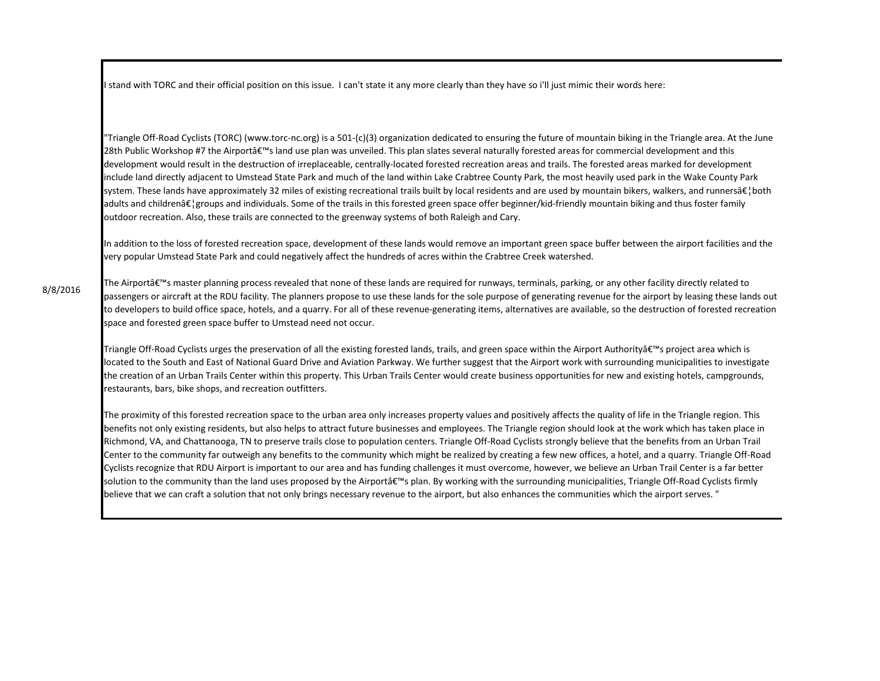I stand with TORC and their official position on this issue. I can't state it any more clearly than they have so i'll just mimic their words here:

"Triangle Off-Road Cyclists (TORC) (www.torc-nc.org) is a 501-(c)(3) organization dedicated to ensuring the future of mountain biking in the Triangle area. At the June 28th Public Workshop #7 the Airportâ€<sup>™</sup>s land use plan was unveiled. This plan slates several naturally forested areas for commercial development and this development would result in the destruction of irreplaceable, centrally-located forested recreation areas and trails. The forested areas marked for development include land directly adjacent to Umstead State Park and much of the land within Lake Crabtree County Park, the most heavily used park in the Wake County Park system. These lands have approximately 32 miles of existing recreational trails built by local residents and are used by mountain bikers, walkers, and runners at  $\epsilon$  both adults and children…groups and individuals. Some of the trails in this forested green space offer beginner/kid-friendly mountain biking and thus foster family outdoor recreation. Also, these trails are connected to the greenway systems of both Raleigh and Cary.

In addition to the loss of forested recreation space, development of these lands would remove an important green space buffer between the airport facilities and the very popular Umstead State Park and could negatively affect the hundreds of acres within the Crabtree Creek watershed.

The Airportâ€<sup>™</sup>s master planning process revealed that none of these lands are required for runways, terminals, parking, or any other facility directly related to passengers or aircraft at the RDU facility. The planners propose to use these lands for the sole purpose of generating revenue for the airport by leasing these lands out to developers to build office space, hotels, and a quarry. For all of these revenue-generating items, alternatives are available, so the destruction of forested recreation space and forested green space buffer to Umstead need not occur.

Triangle Off-Road Cyclists urges the preservation of all the existing forested lands, trails, and green space within the Airport Authority's project area which is located to the South and East of National Guard Drive and Aviation Parkway. We further suggest that the Airport work with surrounding municipalities to investigate the creation of an Urban Trails Center within this property. This Urban Trails Center would create business opportunities for new and existing hotels, campgrounds, restaurants, bars, bike shops, and recreation outfitters.

The proximity of this forested recreation space to the urban area only increases property values and positively affects the quality of life in the Triangle region. This benefits not only existing residents, but also helps to attract future businesses and employees. The Triangle region should look at the work which has taken place in Richmond, VA, and Chattanooga, TN to preserve trails close to population centers. Triangle Off-Road Cyclists strongly believe that the benefits from an Urban Trail Center to the community far outweigh any benefits to the community which might be realized by creating a few new offices, a hotel, and a quarry. Triangle Off-Road Cyclists recognize that RDU Airport is important to our area and has funding challenges it must overcome, however, we believe an Urban Trail Center is a far better solution to the community than the land uses proposed by the Airport's plan. By working with the surrounding municipalities, Triangle Off-Road Cyclists firmly believe that we can craft a solution that not only brings necessary revenue to the airport, but also enhances the communities which the airport serves. "

8/8/2016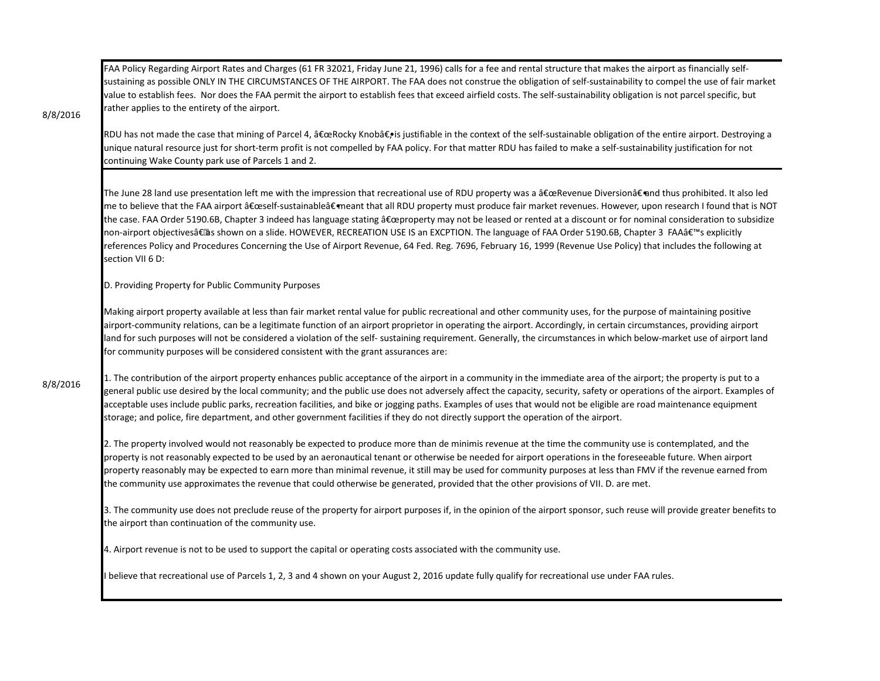FAA Policy Regarding Airport Rates and Charges (61 FR 32021, Friday June 21, 1996) calls for a fee and rental structure that makes the airport as financially selfsustaining as possible ONLY IN THE CIRCUMSTANCES OF THE AIRPORT. The FAA does not construe the obligation of self-sustainability to compel the use of fair market value to establish fees. Nor does the FAA permit the airport to establish fees that exceed airfield costs. The self-sustainability obligation is not parcel specific, but rather applies to the entirety of the airport.

8/8/2016

RDU has not made the case that mining of Parcel 4, "Rocky Knob―is justifiable in the context of the self-sustainable obligation of the entire airport. Destroying a unique natural resource just for short-term profit is not compelled by FAA policy. For that matter RDU has failed to make a self-sustainability justification for not continuing Wake County park use of Parcels 1 and 2.

The June 28 land use presentation left me with the impression that recreational use of RDU property was a "Revenue Diversion―and thus prohibited. It also led me to believe that the FAA airport "self-sustainable―meant that all RDU property must produce fair market revenues. However, upon research I found that is NOT the case. FAA Order 5190.6B, Chapter 3 indeed has language stating  $\hat{a} \epsilon$ œproperty may not be leased or rented at a discount or for nominal consideration to subsidize non-airport objectivesâ€@s shown on a slide. HOWEVER, RECREATION USE IS an EXCPTION. The language of FAA Order 5190.6B, Chapter 3 FAA's explicitly references Policy and Procedures Concerning the Use of Airport Revenue, 64 Fed. Reg. 7696, February 16, 1999 (Revenue Use Policy) that includes the following at section VII 6 D:

D. Providing Property for Public Community Purposes

Making airport property available at less than fair market rental value for public recreational and other community uses, for the purpose of maintaining positive airport-community relations, can be a legitimate function of an airport proprietor in operating the airport. Accordingly, in certain circumstances, providing airport land for such purposes will not be considered a violation of the self- sustaining requirement. Generally, the circumstances in which below-market use of airport land for community purposes will be considered consistent with the grant assurances are:

1. The contribution of the airport property enhances public acceptance of the airport in a community in the immediate area of the airport; the property is put to a general public use desired by the local community; and the public use does not adversely affect the capacity, security, safety or operations of the airport. Examples of acceptable uses include public parks, recreation facilities, and bike or jogging paths. Examples of uses that would not be eligible are road maintenance equipment storage; and police, fire department, and other government facilities if they do not directly support the operation of the airport.

2. The property involved would not reasonably be expected to produce more than de minimis revenue at the time the community use is contemplated, and the property is not reasonably expected to be used by an aeronautical tenant or otherwise be needed for airport operations in the foreseeable future. When airport property reasonably may be expected to earn more than minimal revenue, it still may be used for community purposes at less than FMV if the revenue earned from the community use approximates the revenue that could otherwise be generated, provided that the other provisions of VII. D. are met.

3. The community use does not preclude reuse of the property for airport purposes if, in the opinion of the airport sponsor, such reuse will provide greater benefits to the airport than continuation of the community use.

4. Airport revenue is not to be used to support the capital or operating costs associated with the community use.

I believe that recreational use of Parcels 1, 2, 3 and 4 shown on your August 2, 2016 update fully qualify for recreational use under FAA rules.

8/8/2016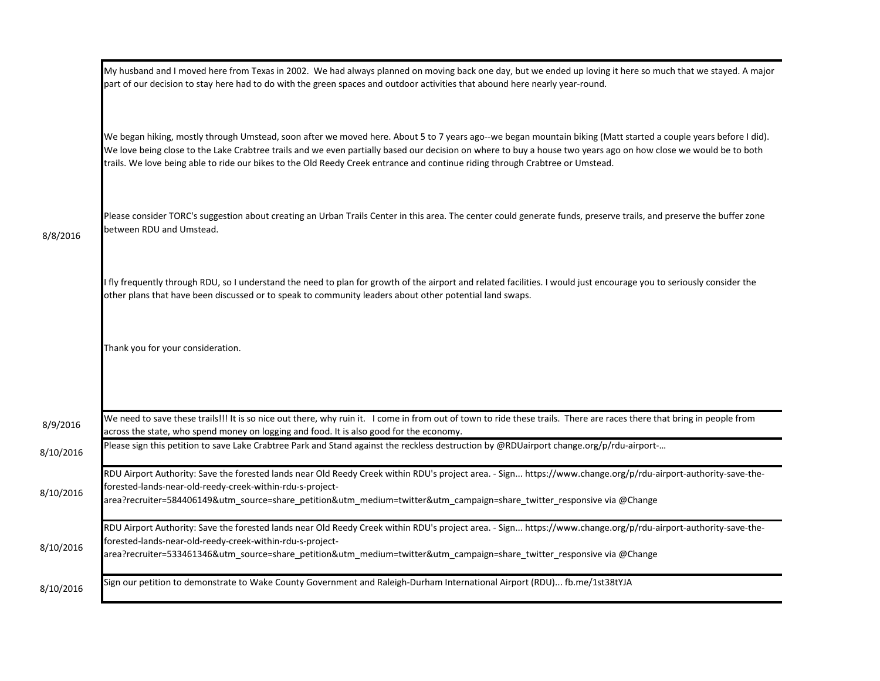|           | My husband and I moved here from Texas in 2002. We had always planned on moving back one day, but we ended up loving it here so much that we stayed. A major<br>part of our decision to stay here had to do with the green spaces and outdoor activities that abound here nearly year-round.                                                                                                                                                                        |
|-----------|---------------------------------------------------------------------------------------------------------------------------------------------------------------------------------------------------------------------------------------------------------------------------------------------------------------------------------------------------------------------------------------------------------------------------------------------------------------------|
|           | We began hiking, mostly through Umstead, soon after we moved here. About 5 to 7 years ago--we began mountain biking (Matt started a couple years before I did).<br>We love being close to the Lake Crabtree trails and we even partially based our decision on where to buy a house two years ago on how close we would be to both<br>trails. We love being able to ride our bikes to the Old Reedy Creek entrance and continue riding through Crabtree or Umstead. |
| 8/8/2016  | Please consider TORC's suggestion about creating an Urban Trails Center in this area. The center could generate funds, preserve trails, and preserve the buffer zone<br>between RDU and Umstead.                                                                                                                                                                                                                                                                    |
|           | fly frequently through RDU, so I understand the need to plan for growth of the airport and related facilities. I would just encourage you to seriously consider the<br>other plans that have been discussed or to speak to community leaders about other potential land swaps.                                                                                                                                                                                      |
|           | Thank you for your consideration.                                                                                                                                                                                                                                                                                                                                                                                                                                   |
|           |                                                                                                                                                                                                                                                                                                                                                                                                                                                                     |
| 8/9/2016  | We need to save these trails!!! It is so nice out there, why ruin it. I come in from out of town to ride these trails. There are races there that bring in people from<br>across the state, who spend money on logging and food. It is also good for the economy.                                                                                                                                                                                                   |
| 8/10/2016 | Please sign this petition to save Lake Crabtree Park and Stand against the reckless destruction by @RDUairport change.org/p/rdu-airport-                                                                                                                                                                                                                                                                                                                            |
| 8/10/2016 | RDU Airport Authority: Save the forested lands near Old Reedy Creek within RDU's project area. - Sign https://www.change.org/p/rdu-airport-authority-save-the-<br>forested-lands-near-old-reedy-creek-within-rdu-s-project-<br>area?recruiter=584406149&utm_source=share_petition&utm_medium=twitter&utm_campaign=share_twitter_responsive via @Change                                                                                                              |
| 8/10/2016 | RDU Airport Authority: Save the forested lands near Old Reedy Creek within RDU's project area. - Sign https://www.change.org/p/rdu-airport-authority-save-the-<br>forested-lands-near-old-reedy-creek-within-rdu-s-project-<br>area?recruiter=533461346&utm_source=share_petition&utm_medium=twitter&utm_campaign=share_twitter_responsive via @Change                                                                                                              |
| 8/10/2016 | Sign our petition to demonstrate to Wake County Government and Raleigh-Durham International Airport (RDU) fb.me/1st38tYJA                                                                                                                                                                                                                                                                                                                                           |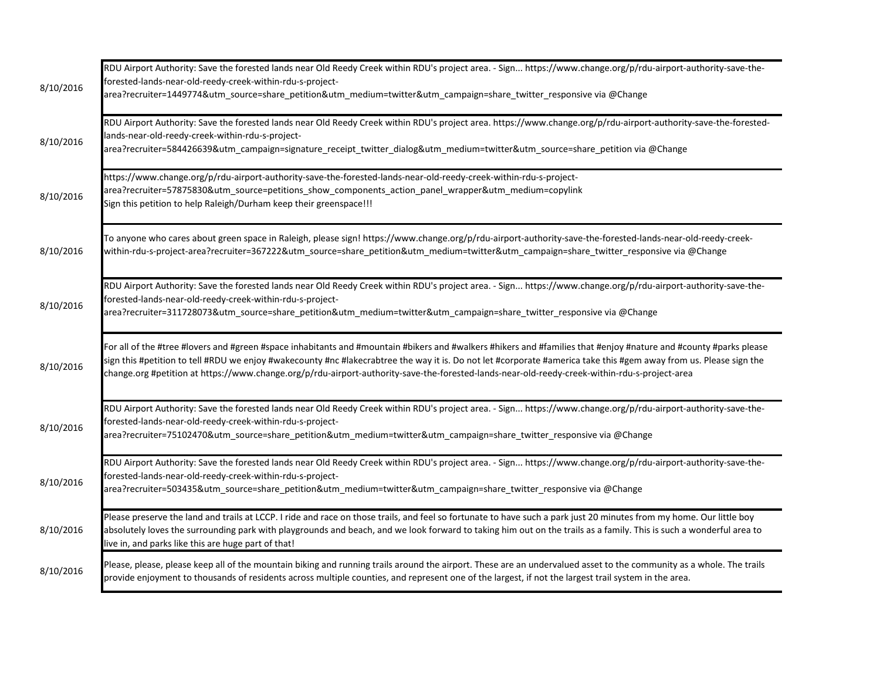| 8/10/2016 | RDU Airport Authority: Save the forested lands near Old Reedy Creek within RDU's project area. - Sign https://www.change.org/p/rdu-airport-authority-save-the-<br>forested-lands-near-old-reedy-creek-within-rdu-s-project-<br>area?recruiter=1449774&utm_source=share_petition&utm_medium=twitter&utm_campaign=share_twitter_responsive via @Change                                                                                                                                     |
|-----------|------------------------------------------------------------------------------------------------------------------------------------------------------------------------------------------------------------------------------------------------------------------------------------------------------------------------------------------------------------------------------------------------------------------------------------------------------------------------------------------|
| 8/10/2016 | RDU Airport Authority: Save the forested lands near Old Reedy Creek within RDU's project area. https://www.change.org/p/rdu-airport-authority-save-the-forested-<br>lands-near-old-reedy-creek-within-rdu-s-project-<br>area?recruiter=584426639&utm_campaign=signature_receipt_twitter_dialog&utm_medium=twitter&utm_source=share_petition via @Change                                                                                                                                  |
| 8/10/2016 | https://www.change.org/p/rdu-airport-authority-save-the-forested-lands-near-old-reedy-creek-within-rdu-s-project-<br>area?recruiter=57875830&utm_source=petitions_show_components_action_panel_wrapper&utm_medium=copylink<br>Sign this petition to help Raleigh/Durham keep their greenspace!!!                                                                                                                                                                                         |
| 8/10/2016 | To anyone who cares about green space in Raleigh, please sign! https://www.change.org/p/rdu-airport-authority-save-the-forested-lands-near-old-reedy-creek-<br>within-rdu-s-project-area?recruiter=367222&utm_source=share_petition&utm_medium=twitter&utm_campaign=share_twitter_responsive via @Change                                                                                                                                                                                 |
| 8/10/2016 | RDU Airport Authority: Save the forested lands near Old Reedy Creek within RDU's project area. - Sign https://www.change.org/p/rdu-airport-authority-save-the-<br>forested-lands-near-old-reedy-creek-within-rdu-s-project-<br>area?recruiter=311728073&utm_source=share_petition&utm_medium=twitter&utm_campaign=share_twitter_responsive via @Change                                                                                                                                   |
| 8/10/2016 | For all of the #tree #lovers and #green #space inhabitants and #mountain #bikers and #walkers #hikers and #families that #enjoy #nature and #county #parks please<br>sign this #petition to tell #RDU we enjoy #wakecounty #nc #lakecrabtree the way it is. Do not let #corporate #america take this #gem away from us. Please sign the<br>change.org #petition at https://www.change.org/p/rdu-airport-authority-save-the-forested-lands-near-old-reedy-creek-within-rdu-s-project-area |
| 8/10/2016 | RDU Airport Authority: Save the forested lands near Old Reedy Creek within RDU's project area. - Sign https://www.change.org/p/rdu-airport-authority-save-the-<br>forested-lands-near-old-reedy-creek-within-rdu-s-project-<br>area?recruiter=75102470&utm_source=share_petition&utm_medium=twitter&utm_campaign=share_twitter_responsive via @Change                                                                                                                                    |
| 8/10/2016 | RDU Airport Authority: Save the forested lands near Old Reedy Creek within RDU's project area. - Sign https://www.change.org/p/rdu-airport-authority-save-the-<br>forested-lands-near-old-reedy-creek-within-rdu-s-project-<br>area?recruiter=503435&utm_source=share_petition&utm_medium=twitter&utm_campaign=share_twitter_responsive via @Change                                                                                                                                      |
| 8/10/2016 | Please preserve the land and trails at LCCP. I ride and race on those trails, and feel so fortunate to have such a park just 20 minutes from my home. Our little boy<br>absolutely loves the surrounding park with playgrounds and beach, and we look forward to taking him out on the trails as a family. This is such a wonderful area to<br>live in, and parks like this are huge part of that!                                                                                       |
| 8/10/2016 | Please, please, please keep all of the mountain biking and running trails around the airport. These are an undervalued asset to the community as a whole. The trails<br>provide enjoyment to thousands of residents across multiple counties, and represent one of the largest, if not the largest trail system in the area.                                                                                                                                                             |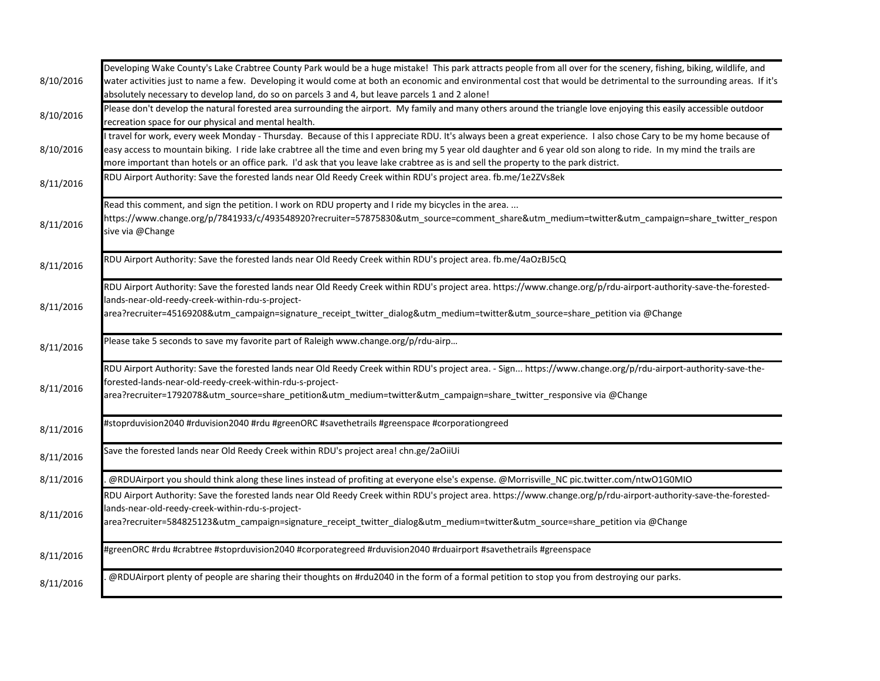|           | Developing Wake County's Lake Crabtree County Park would be a huge mistake! This park attracts people from all over for the scenery, fishing, biking, wildlife, and  |
|-----------|----------------------------------------------------------------------------------------------------------------------------------------------------------------------|
| 8/10/2016 | water activities just to name a few. Developing it would come at both an economic and environmental cost that would be detrimental to the surrounding areas. If it's |
|           | absolutely necessary to develop land, do so on parcels 3 and 4, but leave parcels 1 and 2 alone!                                                                     |
|           | Please don't develop the natural forested area surrounding the airport. My family and many others around the triangle love enjoying this easily accessible outdoor   |
| 8/10/2016 | recreation space for our physical and mental health.                                                                                                                 |
|           | travel for work, every week Monday - Thursday. Because of this I appreciate RDU. It's always been a great experience. I also chose Cary to be my home because of     |
| 8/10/2016 | easy access to mountain biking. I ride lake crabtree all the time and even bring my 5 year old daughter and 6 year old son along to ride. In my mind the trails are  |
|           | more important than hotels or an office park. I'd ask that you leave lake crabtree as is and sell the property to the park district.                                 |
| 8/11/2016 | RDU Airport Authority: Save the forested lands near Old Reedy Creek within RDU's project area. fb.me/1e2ZVs8ek                                                       |
|           | Read this comment, and sign the petition. I work on RDU property and I ride my bicycles in the area.                                                                 |
| 8/11/2016 | https://www.change.org/p/7841933/c/493548920?recruiter=57875830&utm_source=comment_share&utm_medium=twitter&utm_campaign=share_twitter_respon<br>sive via @Change    |
| 8/11/2016 | RDU Airport Authority: Save the forested lands near Old Reedy Creek within RDU's project area. fb.me/4aOzBJ5cQ                                                       |
|           |                                                                                                                                                                      |
|           | RDU Airport Authority: Save the forested lands near Old Reedy Creek within RDU's project area. https://www.change.org/p/rdu-airport-authority-save-the-forested-     |
| 8/11/2016 | lands-near-old-reedy-creek-within-rdu-s-project-                                                                                                                     |
|           | area?recruiter=45169208&utm_campaign=signature_receipt_twitter_dialog&utm_medium=twitter&utm_source=share_petition via @Change                                       |
|           | Please take 5 seconds to save my favorite part of Raleigh www.change.org/p/rdu-airp                                                                                  |
| 8/11/2016 |                                                                                                                                                                      |
|           | RDU Airport Authority: Save the forested lands near Old Reedy Creek within RDU's project area. - Sign https://www.change.org/p/rdu-airport-authority-save-the-       |
|           | forested-lands-near-old-reedy-creek-within-rdu-s-project-                                                                                                            |
| 8/11/2016 | area?recruiter=1792078&utm_source=share_petition&utm_medium=twitter&utm_campaign=share_twitter_responsive via @Change                                                |
| 8/11/2016 | #stoprduvision2040 #rduvision2040 #rdu #greenORC #savethetrails #greenspace #corporationgreed                                                                        |
|           |                                                                                                                                                                      |
| 8/11/2016 | Save the forested lands near Old Reedy Creek within RDU's project area! chn.ge/2aOiiUi                                                                               |
| 8/11/2016 | @RDUAirport you should think along these lines instead of profiting at everyone else's expense. @Morrisville_NC pic.twitter.com/ntwO1G0MIO                           |
|           | RDU Airport Authority: Save the forested lands near Old Reedy Creek within RDU's project area. https://www.change.org/p/rdu-airport-authority-save-the-forested-     |
|           | lands-near-old-reedy-creek-within-rdu-s-project-                                                                                                                     |
| 8/11/2016 | area?recruiter=584825123&utm_campaign=signature_receipt_twitter_dialog&utm_medium=twitter&utm_source=share_petition via @Change                                      |
| 8/11/2016 | #greenORC #rdu #crabtree #stoprduvision2040 #corporategreed #rduvision2040 #rduairport #savethetrails #greenspace                                                    |
|           |                                                                                                                                                                      |
| 8/11/2016 | @RDUAirport plenty of people are sharing their thoughts on #rdu2040 in the form of a formal petition to stop you from destroying our parks.                          |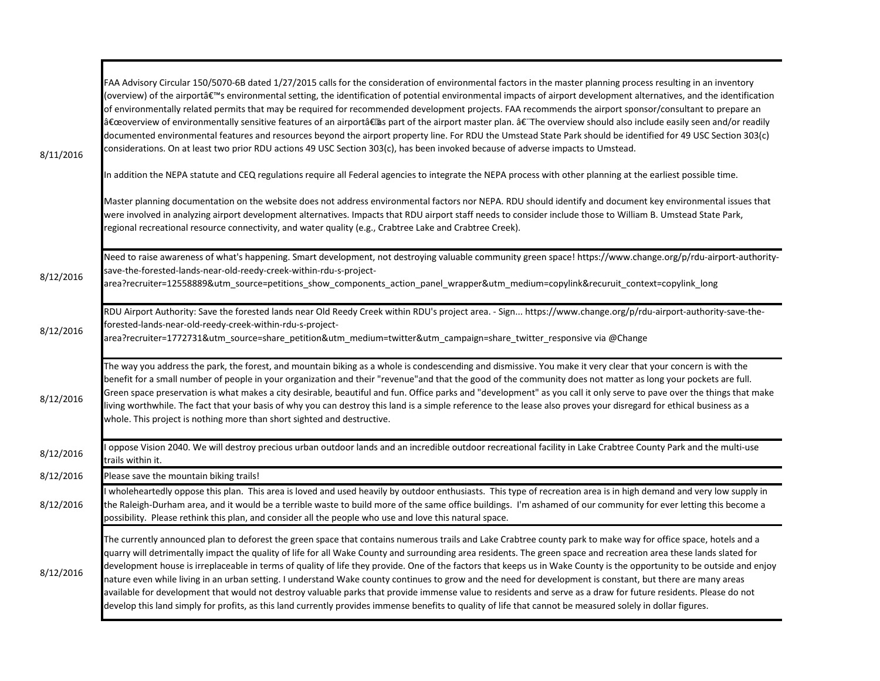| 8/11/2016 | -AA Advisory Circular 150/5070-6B dated 1/27/2015 calls for the consideration of environmental factors in the master planning process resulting in an inventory<br>(overview) of the airport's environmental setting, the identification of potential environmental impacts of airport development alternatives, and the identification<br>of environmentally related permits that may be required for recommended development projects. FAA recommends the airport sponsor/consultant to prepare an<br>"overview of environmentally sensitive features of an airport†as part of the airport master plan. †The overview should also include easily seen and/or readily<br>documented environmental features and resources beyond the airport property line. For RDU the Umstead State Park should be identified for 49 USC Section 303(c)<br>considerations. On at least two prior RDU actions 49 USC Section 303(c), has been invoked because of adverse impacts to Umstead.<br>In addition the NEPA statute and CEQ regulations require all Federal agencies to integrate the NEPA process with other planning at the earliest possible time.<br>Master planning documentation on the website does not address environmental factors nor NEPA. RDU should identify and document key environmental issues that<br>were involved in analyzing airport development alternatives. Impacts that RDU airport staff needs to consider include those to William B. Umstead State Park,<br>regional recreational resource connectivity, and water quality (e.g., Crabtree Lake and Crabtree Creek). |
|-----------|----------------------------------------------------------------------------------------------------------------------------------------------------------------------------------------------------------------------------------------------------------------------------------------------------------------------------------------------------------------------------------------------------------------------------------------------------------------------------------------------------------------------------------------------------------------------------------------------------------------------------------------------------------------------------------------------------------------------------------------------------------------------------------------------------------------------------------------------------------------------------------------------------------------------------------------------------------------------------------------------------------------------------------------------------------------------------------------------------------------------------------------------------------------------------------------------------------------------------------------------------------------------------------------------------------------------------------------------------------------------------------------------------------------------------------------------------------------------------------------------------------------------------------------------------------------------------------------------|
| 8/12/2016 | Need to raise awareness of what's happening. Smart development, not destroying valuable community green space! https://www.change.org/p/rdu-airport-authority-<br>-ave-the-forested-lands-near-old-reedy-creek-within-rdu-s-project<br>area?recruiter=12558889&utm_source=petitions_show_components_action_panel_wrapper&utm_medium=copylink&recuruit_context=copylink_long                                                                                                                                                                                                                                                                                                                                                                                                                                                                                                                                                                                                                                                                                                                                                                                                                                                                                                                                                                                                                                                                                                                                                                                                                  |
| 8/12/2016 | RDU Airport Authority: Save the forested lands near Old Reedy Creek within RDU's project area. - Sign https://www.change.org/p/rdu-airport-authority-save-the-<br>forested-lands-near-old-reedy-creek-within-rdu-s-project-<br>area?recruiter=1772731&utm_source=share_petition&utm_medium=twitter&utm_campaign=share_twitter_responsive via @Change                                                                                                                                                                                                                                                                                                                                                                                                                                                                                                                                                                                                                                                                                                                                                                                                                                                                                                                                                                                                                                                                                                                                                                                                                                         |
| 8/12/2016 | The way you address the park, the forest, and mountain biking as a whole is condescending and dismissive. You make it very clear that your concern is with the<br>benefit for a small number of people in your organization and their "revenue"and that the good of the community does not matter as long your pockets are full.<br>Green space preservation is what makes a city desirable, beautiful and fun. Office parks and "development" as you call it only serve to pave over the things that make<br>living worthwhile. The fact that your basis of why you can destroy this land is a simple reference to the lease also proves your disregard for ethical business as a<br>whole. This project is nothing more than short sighted and destructive.                                                                                                                                                                                                                                                                                                                                                                                                                                                                                                                                                                                                                                                                                                                                                                                                                                |
| 8/12/2016 | oppose Vision 2040. We will destroy precious urban outdoor lands and an incredible outdoor recreational facility in Lake Crabtree County Park and the multi-use<br>trails within it.                                                                                                                                                                                                                                                                                                                                                                                                                                                                                                                                                                                                                                                                                                                                                                                                                                                                                                                                                                                                                                                                                                                                                                                                                                                                                                                                                                                                         |
| 8/12/2016 | Please save the mountain biking trails!                                                                                                                                                                                                                                                                                                                                                                                                                                                                                                                                                                                                                                                                                                                                                                                                                                                                                                                                                                                                                                                                                                                                                                                                                                                                                                                                                                                                                                                                                                                                                      |
| 8/12/2016 | wholeheartedly oppose this plan. This area is loved and used heavily by outdoor enthusiasts. This type of recreation area is in high demand and very low supply in<br>the Raleigh-Durham area, and it would be a terrible waste to build more of the same office buildings. I'm ashamed of our community for ever letting this become a<br>possibility. Please rethink this plan, and consider all the people who use and love this natural space.                                                                                                                                                                                                                                                                                                                                                                                                                                                                                                                                                                                                                                                                                                                                                                                                                                                                                                                                                                                                                                                                                                                                           |
| 8/12/2016 | The currently announced plan to deforest the green space that contains numerous trails and Lake Crabtree county park to make way for office space, hotels and a<br>quarry will detrimentally impact the quality of life for all Wake County and surrounding area residents. The green space and recreation area these lands slated for<br>development house is irreplaceable in terms of quality of life they provide. One of the factors that keeps us in Wake County is the opportunity to be outside and enjoy<br>nature even while living in an urban setting. I understand Wake county continues to grow and the need for development is constant, but there are many areas<br>available for development that would not destroy valuable parks that provide immense value to residents and serve as a draw for future residents. Please do not<br>develop this land simply for profits, as this land currently provides immense benefits to quality of life that cannot be measured solely in dollar figures.                                                                                                                                                                                                                                                                                                                                                                                                                                                                                                                                                                           |

П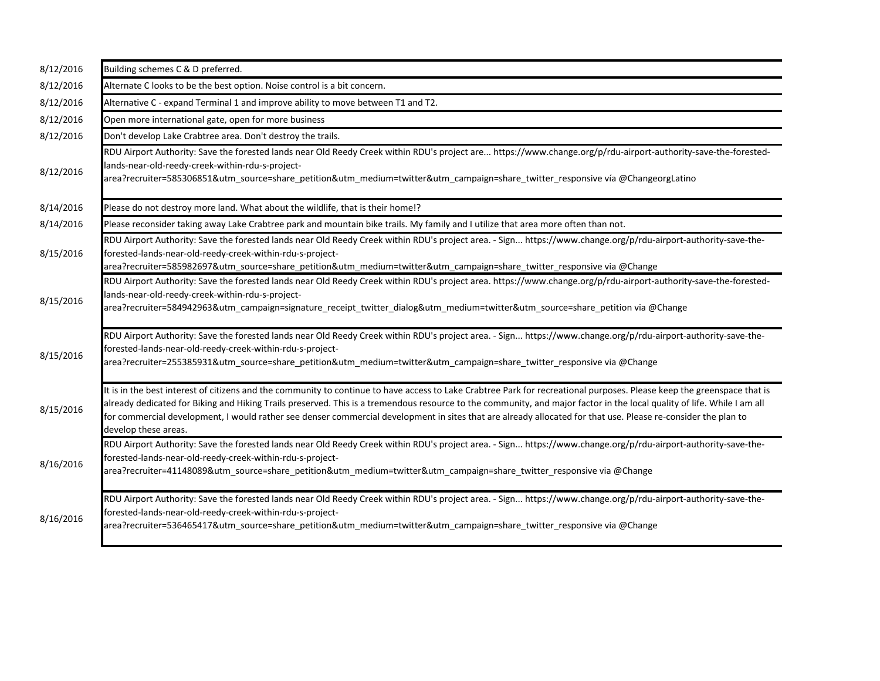| 8/12/2016 | Building schemes C & D preferred.                                                                                                                                                                                                                                                                                                                                                                                                                                                                                                           |
|-----------|---------------------------------------------------------------------------------------------------------------------------------------------------------------------------------------------------------------------------------------------------------------------------------------------------------------------------------------------------------------------------------------------------------------------------------------------------------------------------------------------------------------------------------------------|
| 8/12/2016 | Alternate C looks to be the best option. Noise control is a bit concern.                                                                                                                                                                                                                                                                                                                                                                                                                                                                    |
| 8/12/2016 | Alternative C - expand Terminal 1 and improve ability to move between T1 and T2.                                                                                                                                                                                                                                                                                                                                                                                                                                                            |
| 8/12/2016 | Open more international gate, open for more business                                                                                                                                                                                                                                                                                                                                                                                                                                                                                        |
| 8/12/2016 | Don't develop Lake Crabtree area. Don't destroy the trails.                                                                                                                                                                                                                                                                                                                                                                                                                                                                                 |
| 8/12/2016 | RDU Airport Authority: Save the forested lands near Old Reedy Creek within RDU's project are https://www.change.org/p/rdu-airport-authority-save-the-forested-<br>lands-near-old-reedy-creek-within-rdu-s-project-<br>area?recruiter=585306851&utm_source=share_petition&utm_medium=twitter&utm_campaign=share_twitter_responsive vía @ChangeorgLatino                                                                                                                                                                                      |
| 8/14/2016 | Please do not destroy more land. What about the wildlife, that is their home!?                                                                                                                                                                                                                                                                                                                                                                                                                                                              |
| 8/14/2016 | Please reconsider taking away Lake Crabtree park and mountain bike trails. My family and I utilize that area more often than not.                                                                                                                                                                                                                                                                                                                                                                                                           |
| 8/15/2016 | RDU Airport Authority: Save the forested lands near Old Reedy Creek within RDU's project area. - Sign https://www.change.org/p/rdu-airport-authority-save-the-<br>forested-lands-near-old-reedy-creek-within-rdu-s-project-<br>area?recruiter=585982697&utm_source=share_petition&utm_medium=twitter&utm_campaign=share_twitter_responsive via @Change                                                                                                                                                                                      |
| 8/15/2016 | RDU Airport Authority: Save the forested lands near Old Reedy Creek within RDU's project area. https://www.change.org/p/rdu-airport-authority-save-the-forested-<br>lands-near-old-reedy-creek-within-rdu-s-project-<br>area?recruiter=584942963&utm_campaign=signature_receipt_twitter_dialog&utm_medium=twitter&utm_source=share_petition via @Change                                                                                                                                                                                     |
| 8/15/2016 | RDU Airport Authority: Save the forested lands near Old Reedy Creek within RDU's project area. - Sign https://www.change.org/p/rdu-airport-authority-save-the-<br>forested-lands-near-old-reedy-creek-within-rdu-s-project-<br>area?recruiter=255385931&utm_source=share_petition&utm_medium=twitter&utm_campaign=share_twitter_responsive via @Change                                                                                                                                                                                      |
| 8/15/2016 | It is in the best interest of citizens and the community to continue to have access to Lake Crabtree Park for recreational purposes. Please keep the greenspace that is<br>already dedicated for Biking and Hiking Trails preserved. This is a tremendous resource to the community, and major factor in the local quality of life. While I am all<br>for commercial development, I would rather see denser commercial development in sites that are already allocated for that use. Please re-consider the plan to<br>develop these areas. |
| 8/16/2016 | RDU Airport Authority: Save the forested lands near Old Reedy Creek within RDU's project area. - Sign https://www.change.org/p/rdu-airport-authority-save-the-<br>forested-lands-near-old-reedy-creek-within-rdu-s-project-<br>area?recruiter=41148089&utm_source=share_petition&utm_medium=twitter&utm_campaign=share_twitter_responsive via @Change                                                                                                                                                                                       |
| 8/16/2016 | RDU Airport Authority: Save the forested lands near Old Reedy Creek within RDU's project area. - Sign https://www.change.org/p/rdu-airport-authority-save-the-<br>forested-lands-near-old-reedy-creek-within-rdu-s-project-<br>area?recruiter=536465417&utm_source=share_petition&utm_medium=twitter&utm_campaign=share_twitter_responsive via @Change                                                                                                                                                                                      |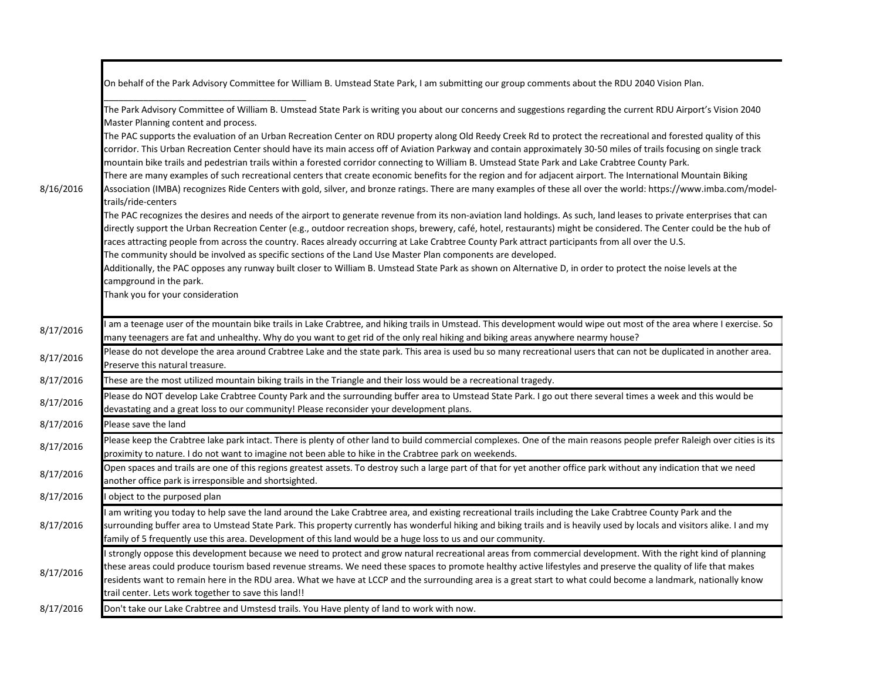|           | On behalf of the Park Advisory Committee for William B. Umstead State Park, I am submitting our group comments about the RDU 2040 Vision Plan.                                                                                                                                                                                                                                                                                                                                                                                                                                                                                                                                                                                                                                                                                                                           |
|-----------|--------------------------------------------------------------------------------------------------------------------------------------------------------------------------------------------------------------------------------------------------------------------------------------------------------------------------------------------------------------------------------------------------------------------------------------------------------------------------------------------------------------------------------------------------------------------------------------------------------------------------------------------------------------------------------------------------------------------------------------------------------------------------------------------------------------------------------------------------------------------------|
| 8/16/2016 | The Park Advisory Committee of William B. Umstead State Park is writing you about our concerns and suggestions regarding the current RDU Airport's Vision 2040<br>Master Planning content and process.                                                                                                                                                                                                                                                                                                                                                                                                                                                                                                                                                                                                                                                                   |
|           | The PAC supports the evaluation of an Urban Recreation Center on RDU property along Old Reedy Creek Rd to protect the recreational and forested quality of this<br>corridor. This Urban Recreation Center should have its main access off of Aviation Parkway and contain approximately 30-50 miles of trails focusing on single track<br>mountain bike trails and pedestrian trails within a forested corridor connecting to William B. Umstead State Park and Lake Crabtree County Park.<br>There are many examples of such recreational centers that create economic benefits for the region and for adjacent airport. The International Mountain Biking<br>Association (IMBA) recognizes Ride Centers with gold, silver, and bronze ratings. There are many examples of these all over the world: https://www.imba.com/model-                                        |
|           | trails/ride-centers<br>The PAC recognizes the desires and needs of the airport to generate revenue from its non-aviation land holdings. As such, land leases to private enterprises that can<br>directly support the Urban Recreation Center (e.g., outdoor recreation shops, brewery, café, hotel, restaurants) might be considered. The Center could be the hub of<br>races attracting people from across the country. Races already occurring at Lake Crabtree County Park attract participants from all over the U.S.<br>The community should be involved as specific sections of the Land Use Master Plan components are developed.<br>Additionally, the PAC opposes any runway built closer to William B. Umstead State Park as shown on Alternative D, in order to protect the noise levels at the<br>campground in the park.<br>Thank you for your consideration |
| 8/17/2016 | am a teenage user of the mountain bike trails in Lake Crabtree, and hiking trails in Umstead. This development would wipe out most of the area where I exercise. So<br>many teenagers are fat and unhealthy. Why do you want to get rid of the only real hiking and biking areas anywhere nearmy house?                                                                                                                                                                                                                                                                                                                                                                                                                                                                                                                                                                  |
| 8/17/2016 | Please do not develope the area around Crabtree Lake and the state park. This area is used bu so many recreational users that can not be duplicated in another area.<br>Preserve this natural treasure.                                                                                                                                                                                                                                                                                                                                                                                                                                                                                                                                                                                                                                                                  |
| 8/17/2016 | These are the most utilized mountain biking trails in the Triangle and their loss would be a recreational tragedy.                                                                                                                                                                                                                                                                                                                                                                                                                                                                                                                                                                                                                                                                                                                                                       |
| 8/17/2016 | Please do NOT develop Lake Crabtree County Park and the surrounding buffer area to Umstead State Park. I go out there several times a week and this would be<br>devastating and a great loss to our community! Please reconsider your development plans.                                                                                                                                                                                                                                                                                                                                                                                                                                                                                                                                                                                                                 |
| 8/17/2016 | Please save the land                                                                                                                                                                                                                                                                                                                                                                                                                                                                                                                                                                                                                                                                                                                                                                                                                                                     |
| 8/17/2016 | Please keep the Crabtree lake park intact. There is plenty of other land to build commercial complexes. One of the main reasons people prefer Raleigh over cities is its<br>proximity to nature. I do not want to imagine not been able to hike in the Crabtree park on weekends.                                                                                                                                                                                                                                                                                                                                                                                                                                                                                                                                                                                        |
| 8/17/2016 | Open spaces and trails are one of this regions greatest assets. To destroy such a large part of that for yet another office park without any indication that we need<br>another office park is irresponsible and shortsighted.                                                                                                                                                                                                                                                                                                                                                                                                                                                                                                                                                                                                                                           |
| 8/17/2016 | object to the purposed plan                                                                                                                                                                                                                                                                                                                                                                                                                                                                                                                                                                                                                                                                                                                                                                                                                                              |
|           | am writing you today to help save the land around the Lake Crabtree area, and existing recreational trails including the Lake Crabtree County Park and the                                                                                                                                                                                                                                                                                                                                                                                                                                                                                                                                                                                                                                                                                                               |
| 8/17/2016 | surrounding buffer area to Umstead State Park. This property currently has wonderful hiking and biking trails and is heavily used by locals and visitors alike. I and my<br>family of 5 frequently use this area. Development of this land would be a huge loss to us and our community.                                                                                                                                                                                                                                                                                                                                                                                                                                                                                                                                                                                 |
| 8/17/2016 | strongly oppose this development because we need to protect and grow natural recreational areas from commercial development. With the right kind of planning<br>these areas could produce tourism based revenue streams. We need these spaces to promote healthy active lifestyles and preserve the quality of life that makes<br>residents want to remain here in the RDU area. What we have at LCCP and the surrounding area is a great start to what could become a landmark, nationally know<br>trail center. Lets work together to save this land!!                                                                                                                                                                                                                                                                                                                 |
| 8/17/2016 | Don't take our Lake Crabtree and Umstesd trails. You Have plenty of land to work with now.                                                                                                                                                                                                                                                                                                                                                                                                                                                                                                                                                                                                                                                                                                                                                                               |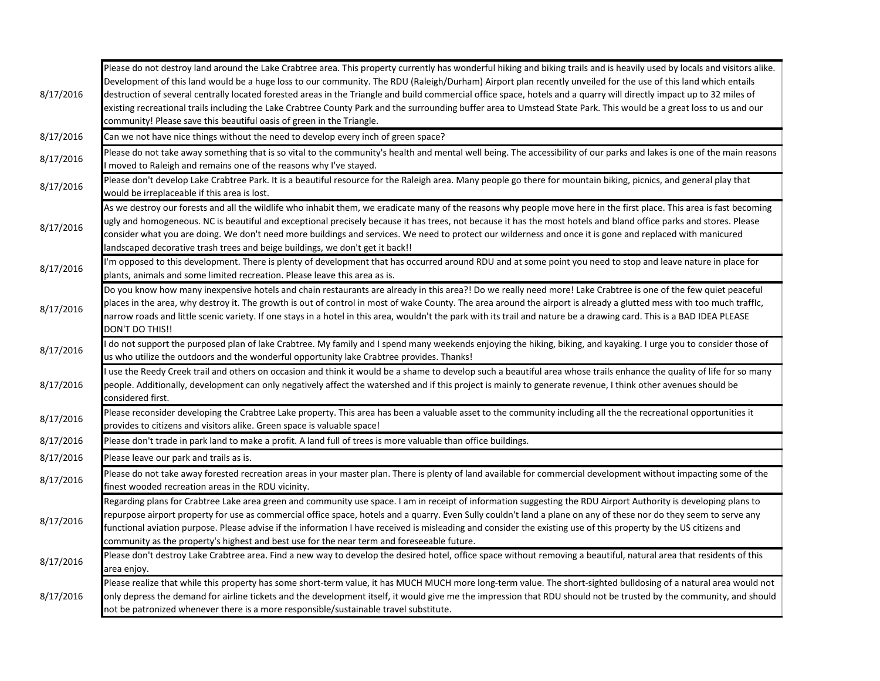| 8/17/2016 | Please do not destroy land around the Lake Crabtree area. This property currently has wonderful hiking and biking trails and is heavily used by locals and visitors alike.<br>Development of this land would be a huge loss to our community. The RDU (Raleigh/Durham) Airport plan recently unveiled for the use of this land which entails<br>destruction of several centrally located forested areas in the Triangle and build commercial office space, hotels and a quarry will directly impact up to 32 miles of<br>existing recreational trails including the Lake Crabtree County Park and the surrounding buffer area to Umstead State Park. This would be a great loss to us and our<br>community! Please save this beautiful oasis of green in the Triangle. |
|-----------|------------------------------------------------------------------------------------------------------------------------------------------------------------------------------------------------------------------------------------------------------------------------------------------------------------------------------------------------------------------------------------------------------------------------------------------------------------------------------------------------------------------------------------------------------------------------------------------------------------------------------------------------------------------------------------------------------------------------------------------------------------------------|
| 8/17/2016 | Can we not have nice things without the need to develop every inch of green space?                                                                                                                                                                                                                                                                                                                                                                                                                                                                                                                                                                                                                                                                                     |
| 8/17/2016 | Please do not take away something that is so vital to the community's health and mental well being. The accessibility of our parks and lakes is one of the main reasons<br>moved to Raleigh and remains one of the reasons why I've stayed.                                                                                                                                                                                                                                                                                                                                                                                                                                                                                                                            |
| 8/17/2016 | Please don't develop Lake Crabtree Park. It is a beautiful resource for the Raleigh area. Many people go there for mountain biking, picnics, and general play that<br>would be irreplaceable if this area is lost.                                                                                                                                                                                                                                                                                                                                                                                                                                                                                                                                                     |
| 8/17/2016 | As we destroy our forests and all the wildlife who inhabit them, we eradicate many of the reasons why people move here in the first place. This area is fast becoming<br>ugly and homogeneous. NC is beautiful and exceptional precisely because it has trees, not because it has the most hotels and bland office parks and stores. Please<br>consider what you are doing. We don't need more buildings and services. We need to protect our wilderness and once it is gone and replaced with manicured<br>landscaped decorative trash trees and beige buildings, we don't get it back!!                                                                                                                                                                              |
| 8/17/2016 | I'm opposed to this development. There is plenty of development that has occurred around RDU and at some point you need to stop and leave nature in place for<br>plants, animals and some limited recreation. Please leave this area as is.                                                                                                                                                                                                                                                                                                                                                                                                                                                                                                                            |
| 8/17/2016 | Do you know how many inexpensive hotels and chain restaurants are already in this area?! Do we really need more! Lake Crabtree is one of the few quiet peaceful<br>places in the area, why destroy it. The growth is out of control in most of wake County. The area around the airport is already a glutted mess with too much traffic,<br>narrow roads and little scenic variety. If one stays in a hotel in this area, wouldn't the park with its trail and nature be a drawing card. This is a BAD IDEA PLEASE<br>DON'T DO THIS!!                                                                                                                                                                                                                                  |
| 8/17/2016 | I do not support the purposed plan of lake Crabtree. My family and I spend many weekends enjoying the hiking, biking, and kayaking. I urge you to consider those of<br>us who utilize the outdoors and the wonderful opportunity lake Crabtree provides. Thanks!                                                                                                                                                                                                                                                                                                                                                                                                                                                                                                       |
| 8/17/2016 | use the Reedy Creek trail and others on occasion and think it would be a shame to develop such a beautiful area whose trails enhance the quality of life for so many<br>people. Additionally, development can only negatively affect the watershed and if this project is mainly to generate revenue, I think other avenues should be<br>considered first.                                                                                                                                                                                                                                                                                                                                                                                                             |
| 8/17/2016 | Please reconsider developing the Crabtree Lake property. This area has been a valuable asset to the community including all the the recreational opportunities it<br>provides to citizens and visitors alike. Green space is valuable space!                                                                                                                                                                                                                                                                                                                                                                                                                                                                                                                           |
| 8/17/2016 | Please don't trade in park land to make a profit. A land full of trees is more valuable than office buildings.                                                                                                                                                                                                                                                                                                                                                                                                                                                                                                                                                                                                                                                         |
| 8/17/2016 | Please leave our park and trails as is.                                                                                                                                                                                                                                                                                                                                                                                                                                                                                                                                                                                                                                                                                                                                |
| 8/17/2016 | Please do not take away forested recreation areas in your master plan. There is plenty of land available for commercial development without impacting some of the<br>finest wooded recreation areas in the RDU vicinity.                                                                                                                                                                                                                                                                                                                                                                                                                                                                                                                                               |
| 8/17/2016 | Regarding plans for Crabtree Lake area green and community use space. I am in receipt of information suggesting the RDU Airport Authority is developing plans to<br>repurpose airport property for use as commercial office space, hotels and a quarry. Even Sully couldn't land a plane on any of these nor do they seem to serve any<br>functional aviation purpose. Please advise if the information I have received is misleading and consider the existing use of this property by the US citizens and<br>community as the property's highest and best use for the near term and foreseeable future.                                                                                                                                                              |
| 8/17/2016 | Please don't destroy Lake Crabtree area. Find a new way to develop the desired hotel, office space without removing a beautiful, natural area that residents of this<br>area enjoy.                                                                                                                                                                                                                                                                                                                                                                                                                                                                                                                                                                                    |
| 8/17/2016 | Please realize that while this property has some short-term value, it has MUCH MUCH more long-term value. The short-sighted bulldosing of a natural area would not<br>only depress the demand for airline tickets and the development itself, it would give me the impression that RDU should not be trusted by the community, and should<br>not be patronized whenever there is a more responsible/sustainable travel substitute.                                                                                                                                                                                                                                                                                                                                     |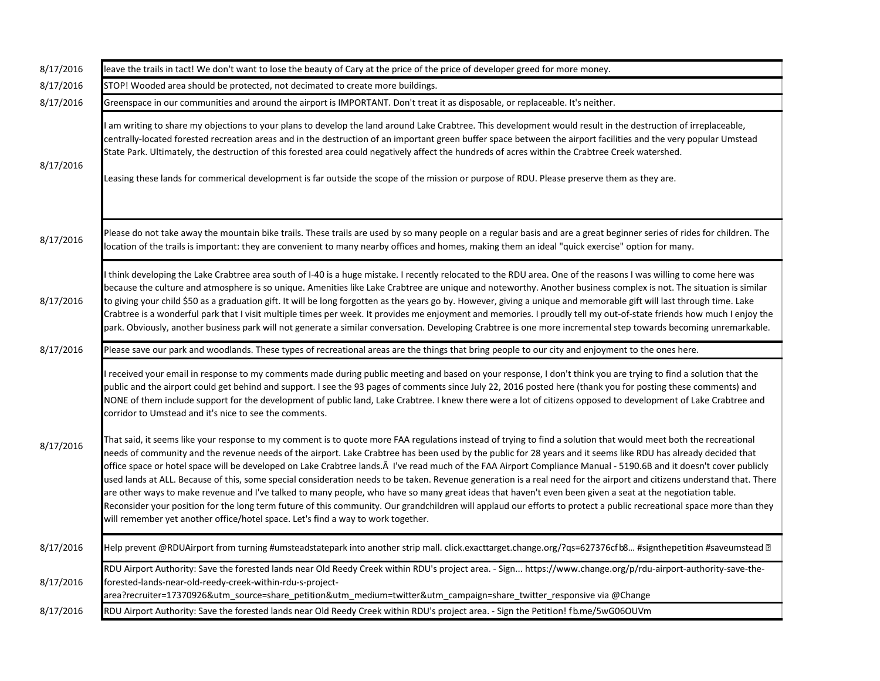| leave the trails in tact! We don't want to lose the beauty of Cary at the price of the price of developer greed for more money.                                                                                                                                                                                                                                                                                                                                                                                                                                                                                                                                                                                                                                                                                                                                                                                                                                                                                                                                                                              |
|--------------------------------------------------------------------------------------------------------------------------------------------------------------------------------------------------------------------------------------------------------------------------------------------------------------------------------------------------------------------------------------------------------------------------------------------------------------------------------------------------------------------------------------------------------------------------------------------------------------------------------------------------------------------------------------------------------------------------------------------------------------------------------------------------------------------------------------------------------------------------------------------------------------------------------------------------------------------------------------------------------------------------------------------------------------------------------------------------------------|
| STOP! Wooded area should be protected, not decimated to create more buildings.                                                                                                                                                                                                                                                                                                                                                                                                                                                                                                                                                                                                                                                                                                                                                                                                                                                                                                                                                                                                                               |
| Greenspace in our communities and around the airport is IMPORTANT. Don't treat it as disposable, or replaceable. It's neither.                                                                                                                                                                                                                                                                                                                                                                                                                                                                                                                                                                                                                                                                                                                                                                                                                                                                                                                                                                               |
| am writing to share my objections to your plans to develop the land around Lake Crabtree. This development would result in the destruction of irreplaceable,<br>centrally-located forested recreation areas and in the destruction of an important green buffer space between the airport facilities and the very popular Umstead<br>State Park. Ultimately, the destruction of this forested area could negatively affect the hundreds of acres within the Crabtree Creek watershed.<br>Leasing these lands for commerical development is far outside the scope of the mission or purpose of RDU. Please preserve them as they are.                                                                                                                                                                                                                                                                                                                                                                                                                                                                         |
| Please do not take away the mountain bike trails. These trails are used by so many people on a regular basis and are a great beginner series of rides for children. The<br>location of the trails is important: they are convenient to many nearby offices and homes, making them an ideal "quick exercise" option for many.                                                                                                                                                                                                                                                                                                                                                                                                                                                                                                                                                                                                                                                                                                                                                                                 |
| think developing the Lake Crabtree area south of I-40 is a huge mistake. I recently relocated to the RDU area. One of the reasons I was willing to come here was<br>because the culture and atmosphere is so unique. Amenities like Lake Crabtree are unique and noteworthy. Another business complex is not. The situation is similar<br>to giving your child \$50 as a graduation gift. It will be long forgotten as the years go by. However, giving a unique and memorable gift will last through time. Lake<br>Crabtree is a wonderful park that I visit multiple times per week. It provides me enjoyment and memories. I proudly tell my out-of-state friends how much I enjoy the<br>park. Obviously, another business park will not generate a similar conversation. Developing Crabtree is one more incremental step towards becoming unremarkable.                                                                                                                                                                                                                                                |
| Please save our park and woodlands. These types of recreational areas are the things that bring people to our city and enjoyment to the ones here.                                                                                                                                                                                                                                                                                                                                                                                                                                                                                                                                                                                                                                                                                                                                                                                                                                                                                                                                                           |
| received your email in response to my comments made during public meeting and based on your response, I don't think you are trying to find a solution that the<br>public and the airport could get behind and support. I see the 93 pages of comments since July 22, 2016 posted here (thank you for posting these comments) and<br>NONE of them include support for the development of public land, Lake Crabtree. I knew there were a lot of citizens opposed to development of Lake Crabtree and                                                                                                                                                                                                                                                                                                                                                                                                                                                                                                                                                                                                          |
| corridor to Umstead and it's nice to see the comments.                                                                                                                                                                                                                                                                                                                                                                                                                                                                                                                                                                                                                                                                                                                                                                                                                                                                                                                                                                                                                                                       |
| That said, it seems like your response to my comment is to quote more FAA regulations instead of trying to find a solution that would meet both the recreational<br>needs of community and the revenue needs of the airport. Lake Crabtree has been used by the public for 28 years and it seems like RDU has already decided that<br>office space or hotel space will be developed on Lake Crabtree lands. I've read much of the FAA Airport Compliance Manual - 5190.6B and it doesn't cover publicly<br>used lands at ALL. Because of this, some special consideration needs to be taken. Revenue generation is a real need for the airport and citizens understand that. There<br>are other ways to make revenue and I've talked to many people, who have so many great ideas that haven't even been given a seat at the negotiation table.<br>Reconsider your position for the long term future of this community. Our grandchildren will applaud our efforts to protect a public recreational space more than they<br>will remember yet another office/hotel space. Let's find a way to work together. |
| Help prevent @RDUAirport from turning #umsteadstatepark into another strip mall. click.exacttarget.change.org/?qs=627376cfb8 #signthepetition #saveumstead ??                                                                                                                                                                                                                                                                                                                                                                                                                                                                                                                                                                                                                                                                                                                                                                                                                                                                                                                                                |
|                                                                                                                                                                                                                                                                                                                                                                                                                                                                                                                                                                                                                                                                                                                                                                                                                                                                                                                                                                                                                                                                                                              |
| RDU Airport Authority: Save the forested lands near Old Reedy Creek within RDU's project area. - Sign https://www.change.org/p/rdu-airport-authority-save-the-<br>forested-lands-near-old-reedy-creek-within-rdu-s-project-<br>area?recruiter=17370926&utm_source=share_petition&utm_medium=twitter&utm_campaign=share_twitter_responsive via @Change                                                                                                                                                                                                                                                                                                                                                                                                                                                                                                                                                                                                                                                                                                                                                        |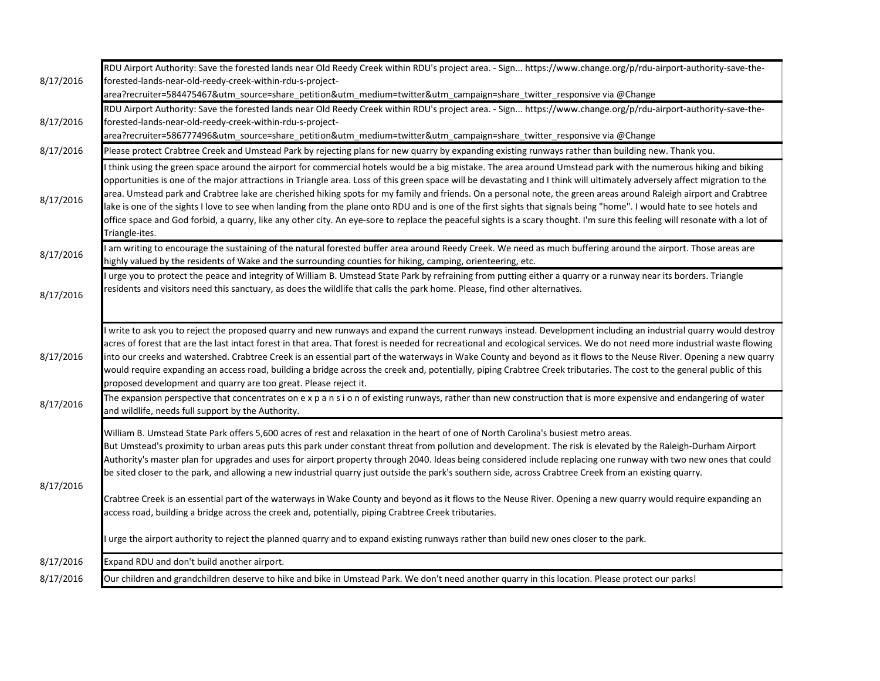|                        | RDU Airport Authority: Save the forested lands near Old Reedy Creek within RDU's project area. - Sign https://www.change.org/p/rdu-airport-authority-save-the-                                                                                                                                                                                                                                                                                                                                                                                                                                                                                                                                                                                                                                                                                                                                                                                                                                                                                            |
|------------------------|-----------------------------------------------------------------------------------------------------------------------------------------------------------------------------------------------------------------------------------------------------------------------------------------------------------------------------------------------------------------------------------------------------------------------------------------------------------------------------------------------------------------------------------------------------------------------------------------------------------------------------------------------------------------------------------------------------------------------------------------------------------------------------------------------------------------------------------------------------------------------------------------------------------------------------------------------------------------------------------------------------------------------------------------------------------|
| 8/17/2016              | forested-lands-near-old-reedy-creek-within-rdu-s-project-                                                                                                                                                                                                                                                                                                                                                                                                                                                                                                                                                                                                                                                                                                                                                                                                                                                                                                                                                                                                 |
|                        | area?recruiter=584475467&utm_source=share_petition&utm_medium=twitter&utm_campaign=share_twitter_responsive via @Change                                                                                                                                                                                                                                                                                                                                                                                                                                                                                                                                                                                                                                                                                                                                                                                                                                                                                                                                   |
|                        | RDU Airport Authority: Save the forested lands near Old Reedy Creek within RDU's project area. - Sign https://www.change.org/p/rdu-airport-authority-save-the-                                                                                                                                                                                                                                                                                                                                                                                                                                                                                                                                                                                                                                                                                                                                                                                                                                                                                            |
| 8/17/2016              | forested-lands-near-old-reedy-creek-within-rdu-s-project-                                                                                                                                                                                                                                                                                                                                                                                                                                                                                                                                                                                                                                                                                                                                                                                                                                                                                                                                                                                                 |
|                        | area?recruiter=586777496&utm_source=share_petition&utm_medium=twitter&utm_campaign=share_twitter_responsive via @Change                                                                                                                                                                                                                                                                                                                                                                                                                                                                                                                                                                                                                                                                                                                                                                                                                                                                                                                                   |
| 8/17/2016              | Please protect Crabtree Creek and Umstead Park by rejecting plans for new quarry by expanding existing runways rather than building new. Thank you.                                                                                                                                                                                                                                                                                                                                                                                                                                                                                                                                                                                                                                                                                                                                                                                                                                                                                                       |
| 8/17/2016              | think using the green space around the airport for commercial hotels would be a big mistake. The area around Umstead park with the numerous hiking and biking<br>opportunities is one of the major attractions in Triangle area. Loss of this green space will be devastating and I think will ultimately adversely affect migration to the<br>area. Umstead park and Crabtree lake are cherished hiking spots for my family and friends. On a personal note, the green areas around Raleigh airport and Crabtree<br>lake is one of the sights I love to see when landing from the plane onto RDU and is one of the first sights that signals being "home". I would hate to see hotels and<br>office space and God forbid, a quarry, like any other city. An eye-sore to replace the peaceful sights is a scary thought. I'm sure this feeling will resonate with a lot of<br>Triangle-ites.                                                                                                                                                              |
| 8/17/2016              | I am writing to encourage the sustaining of the natural forested buffer area around Reedy Creek. We need as much buffering around the airport. Those areas are<br>highly valued by the residents of Wake and the surrounding counties for hiking, camping, orienteering, etc.                                                                                                                                                                                                                                                                                                                                                                                                                                                                                                                                                                                                                                                                                                                                                                             |
| 8/17/2016              | urge you to protect the peace and integrity of William B. Umstead State Park by refraining from putting either a quarry or a runway near its borders. Triangle<br>residents and visitors need this sanctuary, as does the wildlife that calls the park home. Please, find other alternatives.                                                                                                                                                                                                                                                                                                                                                                                                                                                                                                                                                                                                                                                                                                                                                             |
| 8/17/2016              | write to ask you to reject the proposed quarry and new runways and expand the current runways instead. Development including an industrial quarry would destroy<br>acres of forest that are the last intact forest in that area. That forest is needed for recreational and ecological services. We do not need more industrial waste flowing<br>into our creeks and watershed. Crabtree Creek is an essential part of the waterways in Wake County and beyond as it flows to the Neuse River. Opening a new quarry<br>would require expanding an access road, building a bridge across the creek and, potentially, piping Crabtree Creek tributaries. The cost to the general public of this<br>proposed development and quarry are too great. Please reject it.                                                                                                                                                                                                                                                                                         |
| 8/17/2016              | The expansion perspective that concentrates on e x p a n s i o n of existing runways, rather than new construction that is more expensive and endangering of water                                                                                                                                                                                                                                                                                                                                                                                                                                                                                                                                                                                                                                                                                                                                                                                                                                                                                        |
|                        | and wildlife, needs full support by the Authority.                                                                                                                                                                                                                                                                                                                                                                                                                                                                                                                                                                                                                                                                                                                                                                                                                                                                                                                                                                                                        |
| 8/17/2016              | William B. Umstead State Park offers 5,600 acres of rest and relaxation in the heart of one of North Carolina's busiest metro areas.<br>But Umstead's proximity to urban areas puts this park under constant threat from pollution and development. The risk is elevated by the Raleigh-Durham Airport<br>Authority's master plan for upgrades and uses for airport property through 2040. Ideas being considered include replacing one runway with two new ones that could<br>be sited closer to the park, and allowing a new industrial quarry just outside the park's southern side, across Crabtree Creek from an existing quarry.<br>Crabtree Creek is an essential part of the waterways in Wake County and beyond as it flows to the Neuse River. Opening a new quarry would require expanding an<br>access road, building a bridge across the creek and, potentially, piping Crabtree Creek tributaries.<br>urge the airport authority to reject the planned quarry and to expand existing runways rather than build new ones closer to the park. |
|                        |                                                                                                                                                                                                                                                                                                                                                                                                                                                                                                                                                                                                                                                                                                                                                                                                                                                                                                                                                                                                                                                           |
| 8/17/2016<br>8/17/2016 | Expand RDU and don't build another airport.<br>Our children and grandchildren deserve to hike and bike in Umstead Park. We don't need another quarry in this location. Please protect our parks!                                                                                                                                                                                                                                                                                                                                                                                                                                                                                                                                                                                                                                                                                                                                                                                                                                                          |